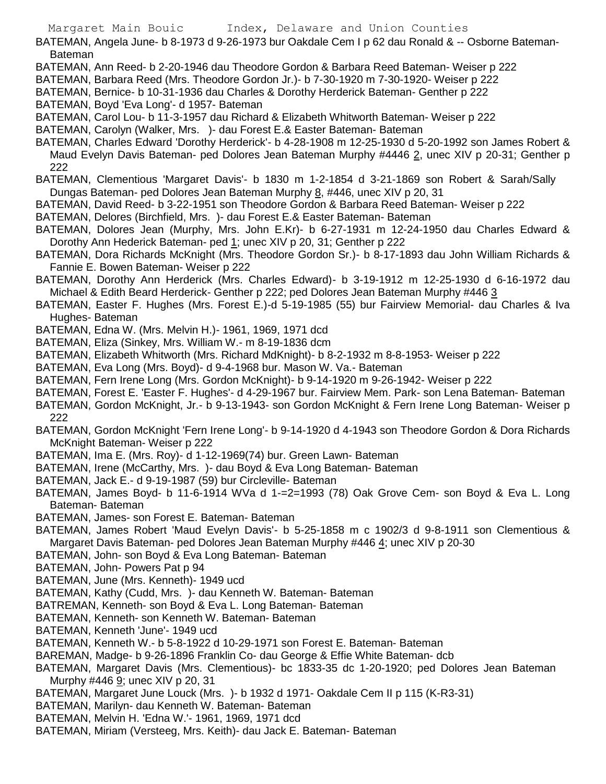BATEMAN, Angela June- b 8-1973 d 9-26-1973 bur Oakdale Cem I p 62 dau Ronald & -- Osborne Bateman-Bateman

- BATEMAN, Ann Reed- b 2-20-1946 dau Theodore Gordon & Barbara Reed Bateman- Weiser p 222
- BATEMAN, Barbara Reed (Mrs. Theodore Gordon Jr.)- b 7-30-1920 m 7-30-1920- Weiser p 222
- BATEMAN, Bernice- b 10-31-1936 dau Charles & Dorothy Herderick Bateman- Genther p 222
- BATEMAN, Boyd 'Eva Long'- d 1957- Bateman
- BATEMAN, Carol Lou- b 11-3-1957 dau Richard & Elizabeth Whitworth Bateman- Weiser p 222
- BATEMAN, Carolyn (Walker, Mrs. )- dau Forest E.& Easter Bateman- Bateman
- BATEMAN, Charles Edward 'Dorothy Herderick'- b 4-28-1908 m 12-25-1930 d 5-20-1992 son James Robert & Maud Evelyn Davis Bateman- ped Dolores Jean Bateman Murphy #4446 2, unec XIV p 20-31; Genther p 222
- BATEMAN, Clementious 'Margaret Davis'- b 1830 m 1-2-1854 d 3-21-1869 son Robert & Sarah/Sally Dungas Bateman- ped Dolores Jean Bateman Murphy 8, #446, unec XIV p 20, 31
- BATEMAN, David Reed- b 3-22-1951 son Theodore Gordon & Barbara Reed Bateman- Weiser p 222
- BATEMAN, Delores (Birchfield, Mrs. )- dau Forest E.& Easter Bateman- Bateman
- BATEMAN, Dolores Jean (Murphy, Mrs. John E.Kr)- b 6-27-1931 m 12-24-1950 dau Charles Edward & Dorothy Ann Hederick Bateman- ped 1; unec XIV p 20, 31; Genther p 222
- BATEMAN, Dora Richards McKnight (Mrs. Theodore Gordon Sr.)- b 8-17-1893 dau John William Richards & Fannie E. Bowen Bateman- Weiser p 222
- BATEMAN, Dorothy Ann Herderick (Mrs. Charles Edward)- b 3-19-1912 m 12-25-1930 d 6-16-1972 dau Michael & Edith Beard Herderick- Genther p 222; ped Dolores Jean Bateman Murphy #446 3
- BATEMAN, Easter F. Hughes (Mrs. Forest E.)-d 5-19-1985 (55) bur Fairview Memorial- dau Charles & Iva Hughes- Bateman
- BATEMAN, Edna W. (Mrs. Melvin H.)- 1961, 1969, 1971 dcd
- BATEMAN, Eliza (Sinkey, Mrs. William W.- m 8-19-1836 dcm
- BATEMAN, Elizabeth Whitworth (Mrs. Richard MdKnight)- b 8-2-1932 m 8-8-1953- Weiser p 222
- BATEMAN, Eva Long (Mrs. Boyd)- d 9-4-1968 bur. Mason W. Va.- Bateman
- BATEMAN, Fern Irene Long (Mrs. Gordon McKnight)- b 9-14-1920 m 9-26-1942- Weiser p 222
- BATEMAN, Forest E. 'Easter F. Hughes'- d 4-29-1967 bur. Fairview Mem. Park- son Lena Bateman- Bateman
- BATEMAN, Gordon McKnight, Jr.- b 9-13-1943- son Gordon McKnight & Fern Irene Long Bateman- Weiser p 222
- BATEMAN, Gordon McKnight 'Fern Irene Long'- b 9-14-1920 d 4-1943 son Theodore Gordon & Dora Richards McKnight Bateman- Weiser p 222
- BATEMAN, Ima E. (Mrs. Roy)- d 1-12-1969(74) bur. Green Lawn- Bateman
- BATEMAN, Irene (McCarthy, Mrs. )- dau Boyd & Eva Long Bateman- Bateman
- BATEMAN, Jack E.- d 9-19-1987 (59) bur Circleville- Bateman
- BATEMAN, James Boyd- b 11-6-1914 WVa d 1-=2=1993 (78) Oak Grove Cem- son Boyd & Eva L. Long Bateman- Bateman
- BATEMAN, James- son Forest E. Bateman- Bateman
- BATEMAN, James Robert 'Maud Evelyn Davis'- b 5-25-1858 m c 1902/3 d 9-8-1911 son Clementious & Margaret Davis Bateman- ped Dolores Jean Bateman Murphy #446 4; unec XIV p 20-30
- BATEMAN, John- son Boyd & Eva Long Bateman- Bateman
- BATEMAN, John- Powers Pat p 94
- BATEMAN, June (Mrs. Kenneth)- 1949 ucd
- BATEMAN, Kathy (Cudd, Mrs. )- dau Kenneth W. Bateman- Bateman
- BATREMAN, Kenneth- son Boyd & Eva L. Long Bateman- Bateman
- BATEMAN, Kenneth- son Kenneth W. Bateman- Bateman
- BATEMAN, Kenneth 'June'- 1949 ucd
- BATEMAN, Kenneth W.- b 5-8-1922 d 10-29-1971 son Forest E. Bateman- Bateman
- BAREMAN, Madge- b 9-26-1896 Franklin Co- dau George & Effie White Bateman- dcb
- BATEMAN, Margaret Davis (Mrs. Clementious)- bc 1833-35 dc 1-20-1920; ped Dolores Jean Bateman Murphy #446 9; unec XIV p 20, 31
- BATEMAN, Margaret June Louck (Mrs. )- b 1932 d 1971- Oakdale Cem II p 115 (K-R3-31)
- BATEMAN, Marilyn- dau Kenneth W. Bateman- Bateman
- BATEMAN, Melvin H. 'Edna W.'- 1961, 1969, 1971 dcd
- BATEMAN, Miriam (Versteeg, Mrs. Keith)- dau Jack E. Bateman- Bateman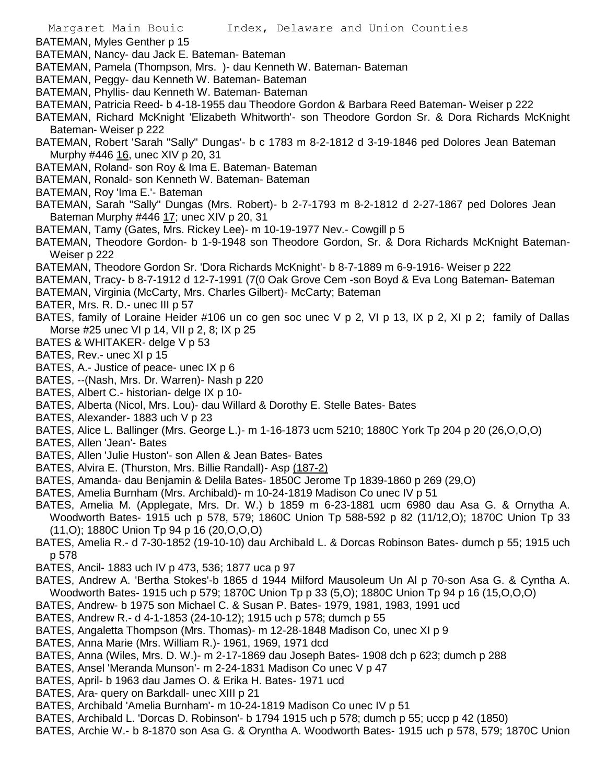BATEMAN, Myles Genther p 15

- BATEMAN, Nancy- dau Jack E. Bateman- Bateman
- BATEMAN, Pamela (Thompson, Mrs. )- dau Kenneth W. Bateman- Bateman
- BATEMAN, Peggy- dau Kenneth W. Bateman- Bateman
- BATEMAN, Phyllis- dau Kenneth W. Bateman- Bateman
- BATEMAN, Patricia Reed- b 4-18-1955 dau Theodore Gordon & Barbara Reed Bateman- Weiser p 222
- BATEMAN, Richard McKnight 'Elizabeth Whitworth'- son Theodore Gordon Sr. & Dora Richards McKnight Bateman- Weiser p 222
- BATEMAN, Robert 'Sarah "Sally" Dungas'- b c 1783 m 8-2-1812 d 3-19-1846 ped Dolores Jean Bateman Murphy #446 16, unec XIV p 20, 31
- BATEMAN, Roland- son Roy & Ima E. Bateman- Bateman
- BATEMAN, Ronald- son Kenneth W. Bateman- Bateman
- BATEMAN, Roy 'Ima E.'- Bateman
- BATEMAN, Sarah "Sally" Dungas (Mrs. Robert)- b 2-7-1793 m 8-2-1812 d 2-27-1867 ped Dolores Jean Bateman Murphy #446 17; unec XIV p 20, 31
- BATEMAN, Tamy (Gates, Mrs. Rickey Lee)- m 10-19-1977 Nev.- Cowgill p 5
- BATEMAN, Theodore Gordon- b 1-9-1948 son Theodore Gordon, Sr. & Dora Richards McKnight Bateman-Weiser p 222
- BATEMAN, Theodore Gordon Sr. 'Dora Richards McKnight'- b 8-7-1889 m 6-9-1916- Weiser p 222
- BATEMAN, Tracy- b 8-7-1912 d 12-7-1991 (7(0 Oak Grove Cem -son Boyd & Eva Long Bateman- Bateman
- BATEMAN, Virginia (McCarty, Mrs. Charles Gilbert)- McCarty; Bateman
- BATER, Mrs. R. D.- unec III p 57
- BATES, family of Loraine Heider #106 un co gen soc unec V p 2, VI p 13, IX p 2, XI p 2; family of Dallas Morse #25 unec VI p 14, VII p 2, 8; IX p 25
- BATES & WHITAKER- delge V p 53
- BATES, Rev.- unec XI p 15
- BATES, A.- Justice of peace- unec IX p 6
- BATES, --(Nash, Mrs. Dr. Warren)- Nash p 220
- BATES, Albert C.- historian- delge IX p 10-
- BATES, Alberta (Nicol, Mrs. Lou)- dau Willard & Dorothy E. Stelle Bates- Bates
- BATES, Alexander- 1883 uch V p 23
- BATES, Alice L. Ballinger (Mrs. George L.)- m 1-16-1873 ucm 5210; 1880C York Tp 204 p 20 (26,O,O,O)
- BATES, Allen 'Jean'- Bates
- BATES, Allen 'Julie Huston'- son Allen & Jean Bates- Bates
- BATES, Alvira E. (Thurston, Mrs. Billie Randall)- Asp (187-2)
- BATES, Amanda- dau Benjamin & Delila Bates- 1850C Jerome Tp 1839-1860 p 269 (29,O)
- BATES, Amelia Burnham (Mrs. Archibald)- m 10-24-1819 Madison Co unec IV p 51
- BATES, Amelia M. (Applegate, Mrs. Dr. W.) b 1859 m 6-23-1881 ucm 6980 dau Asa G. & Ornytha A. Woodworth Bates- 1915 uch p 578, 579; 1860C Union Tp 588-592 p 82 (11/12,O); 1870C Union Tp 33 (11,O); 1880C Union Tp 94 p 16 (20,O,O,O)
- BATES, Amelia R.- d 7-30-1852 (19-10-10) dau Archibald L. & Dorcas Robinson Bates- dumch p 55; 1915 uch p 578
- BATES, Ancil- 1883 uch IV p 473, 536; 1877 uca p 97
- BATES, Andrew A. 'Bertha Stokes'-b 1865 d 1944 Milford Mausoleum Un Al p 70-son Asa G. & Cyntha A. Woodworth Bates- 1915 uch p 579; 1870C Union Tp p 33 (5,O); 1880C Union Tp 94 p 16 (15,O,O,O)
- BATES, Andrew- b 1975 son Michael C. & Susan P. Bates- 1979, 1981, 1983, 1991 ucd
- BATES, Andrew R.- d 4-1-1853 (24-10-12); 1915 uch p 578; dumch p 55
- BATES, Angaletta Thompson (Mrs. Thomas)- m 12-28-1848 Madison Co, unec XI p 9
- BATES, Anna Marie (Mrs. William R.)- 1961, 1969, 1971 dcd
- BATES, Anna (Wiles, Mrs. D. W.)- m 2-17-1869 dau Joseph Bates- 1908 dch p 623; dumch p 288
- BATES, Ansel 'Meranda Munson'- m 2-24-1831 Madison Co unec V p 47
- BATES, April- b 1963 dau James O. & Erika H. Bates- 1971 ucd
- BATES, Ara- query on Barkdall- unec XIII p 21
- BATES, Archibald 'Amelia Burnham'- m 10-24-1819 Madison Co unec IV p 51
- BATES, Archibald L. 'Dorcas D. Robinson'- b 1794 1915 uch p 578; dumch p 55; uccp p 42 (1850)
- BATES, Archie W.- b 8-1870 son Asa G. & Oryntha A. Woodworth Bates- 1915 uch p 578, 579; 1870C Union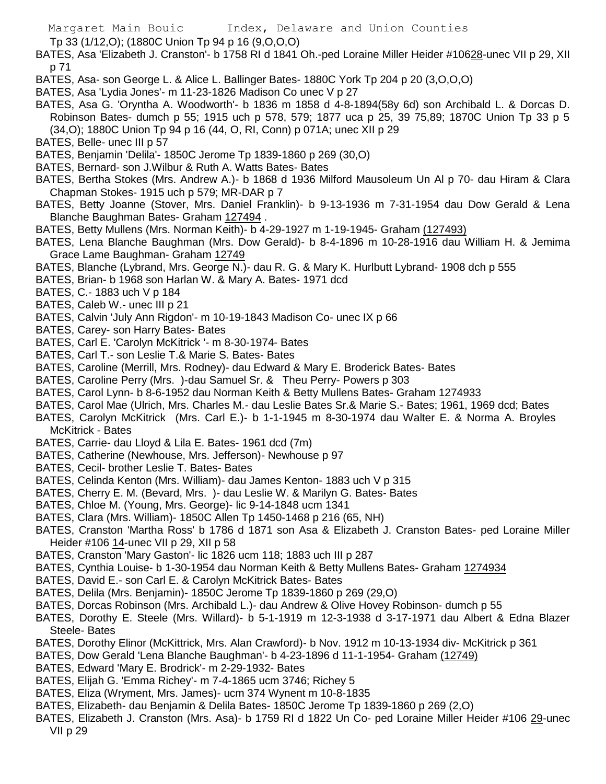Tp 33 (1/12,O); (1880C Union Tp 94 p 16 (9,O,O,O)

BATES, Asa 'Elizabeth J. Cranston'- b 1758 RI d 1841 Oh.-ped Loraine Miller Heider #10628-unec VII p 29, XII p 71

- BATES, Asa- son George L. & Alice L. Ballinger Bates- 1880C York Tp 204 p 20 (3,O,O,O)
- BATES, Asa 'Lydia Jones'- m 11-23-1826 Madison Co unec V p 27
- BATES, Asa G. 'Oryntha A. Woodworth'- b 1836 m 1858 d 4-8-1894(58y 6d) son Archibald L. & Dorcas D. Robinson Bates- dumch p 55; 1915 uch p 578, 579; 1877 uca p 25, 39 75,89; 1870C Union Tp 33 p 5 (34,O); 1880C Union Tp 94 p 16 (44, O, RI, Conn) p 071A; unec XII p 29
- BATES, Belle- unec III p 57
- BATES, Benjamin 'Delila'- 1850C Jerome Tp 1839-1860 p 269 (30,O)
- BATES, Bernard- son J.Wilbur & Ruth A. Watts Bates- Bates
- BATES, Bertha Stokes (Mrs. Andrew A.)- b 1868 d 1936 Milford Mausoleum Un Al p 70- dau Hiram & Clara Chapman Stokes- 1915 uch p 579; MR-DAR p 7
- BATES, Betty Joanne (Stover, Mrs. Daniel Franklin)- b 9-13-1936 m 7-31-1954 dau Dow Gerald & Lena Blanche Baughman Bates- Graham 127494.
- BATES, Betty Mullens (Mrs. Norman Keith)- b 4-29-1927 m 1-19-1945- Graham (127493)
- BATES, Lena Blanche Baughman (Mrs. Dow Gerald)- b 8-4-1896 m 10-28-1916 dau William H. & Jemima Grace Lame Baughman- Graham 12749
- BATES, Blanche (Lybrand, Mrs. George N.)- dau R. G. & Mary K. Hurlbutt Lybrand- 1908 dch p 555
- BATES, Brian- b 1968 son Harlan W. & Mary A. Bates- 1971 dcd
- BATES, C.- 1883 uch V p 184
- BATES, Caleb W.- unec III p 21
- BATES, Calvin 'July Ann Rigdon'- m 10-19-1843 Madison Co- unec IX p 66
- BATES, Carey- son Harry Bates- Bates
- BATES, Carl E. 'Carolyn McKitrick '- m 8-30-1974- Bates
- BATES, Carl T.- son Leslie T.& Marie S. Bates- Bates
- BATES, Caroline (Merrill, Mrs. Rodney)- dau Edward & Mary E. Broderick Bates- Bates
- BATES, Caroline Perry (Mrs. )-dau Samuel Sr. & Theu Perry- Powers p 303
- BATES, Carol Lynn- b 8-6-1952 dau Norman Keith & Betty Mullens Bates- Graham 1274933
- BATES, Carol Mae (Ulrich, Mrs. Charles M.- dau Leslie Bates Sr.& Marie S.- Bates; 1961, 1969 dcd; Bates
- BATES, Carolyn McKitrick (Mrs. Carl E.)- b 1-1-1945 m 8-30-1974 dau Walter E. & Norma A. Broyles McKitrick - Bates
- BATES, Carrie- dau Lloyd & Lila E. Bates- 1961 dcd (7m)
- BATES, Catherine (Newhouse, Mrs. Jefferson)- Newhouse p 97
- BATES, Cecil- brother Leslie T. Bates- Bates
- BATES, Celinda Kenton (Mrs. William)- dau James Kenton- 1883 uch V p 315
- BATES, Cherry E. M. (Bevard, Mrs. )- dau Leslie W. & Marilyn G. Bates- Bates
- BATES, Chloe M. (Young, Mrs. George)- lic 9-14-1848 ucm 1341
- BATES, Clara (Mrs. William)- 1850C Allen Tp 1450-1468 p 216 (65, NH)
- BATES, Cranston 'Martha Ross' b 1786 d 1871 son Asa & Elizabeth J. Cranston Bates- ped Loraine Miller Heider #106 14-unec VII p 29, XII p 58
- BATES, Cranston 'Mary Gaston'- lic 1826 ucm 118; 1883 uch III p 287
- BATES, Cynthia Louise- b 1-30-1954 dau Norman Keith & Betty Mullens Bates- Graham 1274934
- BATES, David E.- son Carl E. & Carolyn McKitrick Bates- Bates
- BATES, Delila (Mrs. Benjamin)- 1850C Jerome Tp 1839-1860 p 269 (29,O)
- BATES, Dorcas Robinson (Mrs. Archibald L.)- dau Andrew & Olive Hovey Robinson- dumch p 55
- BATES, Dorothy E. Steele (Mrs. Willard)- b 5-1-1919 m 12-3-1938 d 3-17-1971 dau Albert & Edna Blazer Steele- Bates
- BATES, Dorothy Elinor (McKittrick, Mrs. Alan Crawford)- b Nov. 1912 m 10-13-1934 div- McKitrick p 361
- BATES, Dow Gerald 'Lena Blanche Baughman'- b 4-23-1896 d 11-1-1954- Graham (12749)
- BATES, Edward 'Mary E. Brodrick'- m 2-29-1932- Bates
- BATES, Elijah G. 'Emma Richey'- m 7-4-1865 ucm 3746; Richey 5
- BATES, Eliza (Wryment, Mrs. James)- ucm 374 Wynent m 10-8-1835
- BATES, Elizabeth- dau Benjamin & Delila Bates- 1850C Jerome Tp 1839-1860 p 269 (2,O)
- BATES, Elizabeth J. Cranston (Mrs. Asa)- b 1759 RI d 1822 Un Co- ped Loraine Miller Heider #106 29-unec VII p 29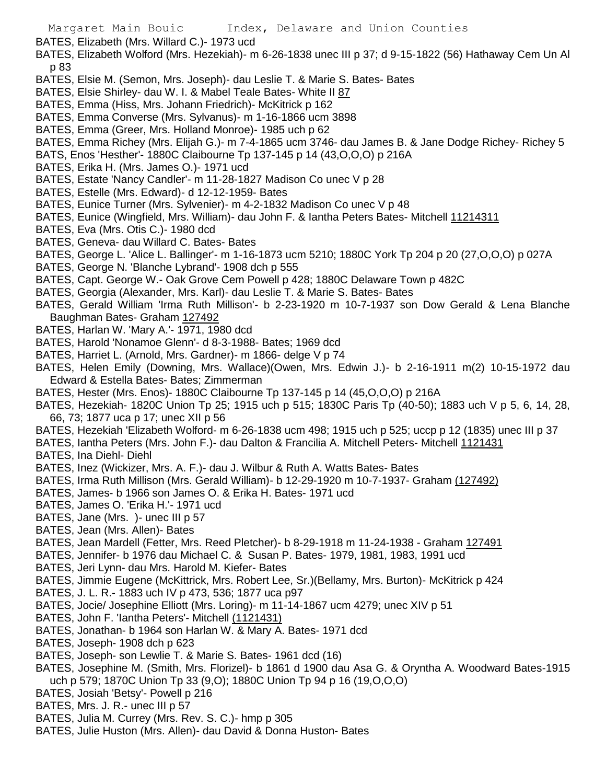BATES, Elizabeth (Mrs. Willard C.)- 1973 ucd

- BATES, Elizabeth Wolford (Mrs. Hezekiah)- m 6-26-1838 unec III p 37; d 9-15-1822 (56) Hathaway Cem Un Al p 83
- BATES, Elsie M. (Semon, Mrs. Joseph)- dau Leslie T. & Marie S. Bates- Bates
- BATES, Elsie Shirley- dau W. I. & Mabel Teale Bates- White II 87
- BATES, Emma (Hiss, Mrs. Johann Friedrich)- McKitrick p 162
- BATES, Emma Converse (Mrs. Sylvanus)- m 1-16-1866 ucm 3898
- BATES, Emma (Greer, Mrs. Holland Monroe)- 1985 uch p 62
- BATES, Emma Richey (Mrs. Elijah G.)- m 7-4-1865 ucm 3746- dau James B. & Jane Dodge Richey- Richey 5
- BATS, Enos 'Hesther'- 1880C Claibourne Tp 137-145 p 14 (43,O,O,O) p 216A
- BATES, Erika H. (Mrs. James O.)- 1971 ucd
- BATES, Estate 'Nancy Candler'- m 11-28-1827 Madison Co unec V p 28
- BATES, Estelle (Mrs. Edward)- d 12-12-1959- Bates
- BATES, Eunice Turner (Mrs. Sylvenier)- m 4-2-1832 Madison Co unec V p 48
- BATES, Eunice (Wingfield, Mrs. William)- dau John F. & lantha Peters Bates- Mitchell 11214311
- BATES, Eva (Mrs. Otis C.)- 1980 dcd
- BATES, Geneva- dau Willard C. Bates- Bates
- BATES, George L. 'Alice L. Ballinger'- m 1-16-1873 ucm 5210; 1880C York Tp 204 p 20 (27,O,O,O) p 027A
- BATES, George N. 'Blanche Lybrand'- 1908 dch p 555
- BATES, Capt. George W.- Oak Grove Cem Powell p 428; 1880C Delaware Town p 482C
- BATES, Georgia (Alexander, Mrs. Karl)- dau Leslie T. & Marie S. Bates- Bates
- BATES, Gerald William 'Irma Ruth Millison'- b 2-23-1920 m 10-7-1937 son Dow Gerald & Lena Blanche Baughman Bates- Graham 127492
- BATES, Harlan W. 'Mary A.'- 1971, 1980 dcd
- BATES, Harold 'Nonamoe Glenn'- d 8-3-1988- Bates; 1969 dcd
- BATES, Harriet L. (Arnold, Mrs. Gardner)- m 1866- delge V p 74
- BATES, Helen Emily (Downing, Mrs. Wallace)(Owen, Mrs. Edwin J.)- b 2-16-1911 m(2) 10-15-1972 dau Edward & Estella Bates- Bates; Zimmerman
- BATES, Hester (Mrs. Enos)- 1880C Claibourne Tp 137-145 p 14 (45,O,O,O) p 216A
- BATES, Hezekiah- 1820C Union Tp 25; 1915 uch p 515; 1830C Paris Tp (40-50); 1883 uch V p 5, 6, 14, 28, 66, 73; 1877 uca p 17; unec XII p 56
- BATES, Hezekiah 'Elizabeth Wolford- m 6-26-1838 ucm 498; 1915 uch p 525; uccp p 12 (1835) unec III p 37
- BATES, Iantha Peters (Mrs. John F.)- dau Dalton & Francilia A. Mitchell Peters- Mitchell 1121431
- BATES, Ina Diehl- Diehl
- BATES, Inez (Wickizer, Mrs. A. F.)- dau J. Wilbur & Ruth A. Watts Bates- Bates
- BATES, Irma Ruth Millison (Mrs. Gerald William)- b 12-29-1920 m 10-7-1937- Graham (127492)
- BATES, James- b 1966 son James O. & Erika H. Bates- 1971 ucd
- BATES, James O. 'Erika H.'- 1971 ucd
- BATES, Jane (Mrs. )- unec III p 57
- BATES, Jean (Mrs. Allen)- Bates
- BATES, Jean Mardell (Fetter, Mrs. Reed Pletcher)- b 8-29-1918 m 11-24-1938 Graham 127491
- BATES, Jennifer- b 1976 dau Michael C. & Susan P. Bates- 1979, 1981, 1983, 1991 ucd
- BATES, Jeri Lynn- dau Mrs. Harold M. Kiefer- Bates
- BATES, Jimmie Eugene (McKittrick, Mrs. Robert Lee, Sr.)(Bellamy, Mrs. Burton)- McKitrick p 424
- BATES, J. L. R.- 1883 uch IV p 473, 536; 1877 uca p97
- BATES, Jocie/ Josephine Elliott (Mrs. Loring)- m 11-14-1867 ucm 4279; unec XIV p 51
- BATES, John F. 'Iantha Peters'- Mitchell (1121431)
- BATES, Jonathan- b 1964 son Harlan W. & Mary A. Bates- 1971 dcd
- BATES, Joseph- 1908 dch p 623
- BATES, Joseph- son Lewlie T. & Marie S. Bates- 1961 dcd (16)
- BATES, Josephine M. (Smith, Mrs. Florizel)- b 1861 d 1900 dau Asa G. & Oryntha A. Woodward Bates-1915 uch p 579; 1870C Union Tp 33 (9,O); 1880C Union Tp 94 p 16 (19,O,O,O)
- BATES, Josiah 'Betsy'- Powell p 216
- BATES, Mrs. J. R.- unec III p 57
- BATES, Julia M. Currey (Mrs. Rev. S. C.)- hmp p 305
- BATES, Julie Huston (Mrs. Allen)- dau David & Donna Huston- Bates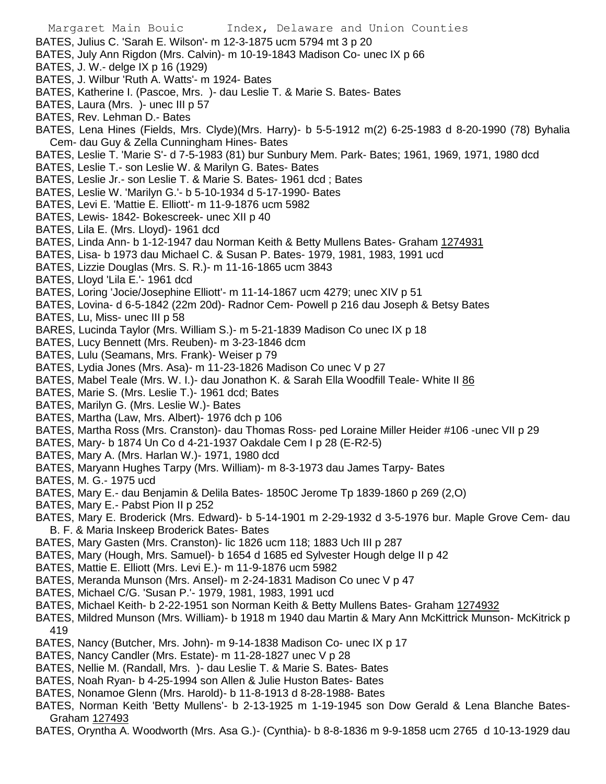Margaret Main Bouic Index, Delaware and Union Counties BATES, Julius C. 'Sarah E. Wilson'- m 12-3-1875 ucm 5794 mt 3 p 20 BATES, July Ann Rigdon (Mrs. Calvin)- m 10-19-1843 Madison Co- unec IX p 66 BATES, J. W.- delge IX p 16 (1929) BATES, J. Wilbur 'Ruth A. Watts'- m 1924- Bates BATES, Katherine I. (Pascoe, Mrs. )- dau Leslie T. & Marie S. Bates- Bates BATES, Laura (Mrs. )- unec III p 57 BATES, Rev. Lehman D.- Bates BATES, Lena Hines (Fields, Mrs. Clyde)(Mrs. Harry)- b 5-5-1912 m(2) 6-25-1983 d 8-20-1990 (78) Byhalia Cem- dau Guy & Zella Cunningham Hines- Bates BATES, Leslie T. 'Marie S'- d 7-5-1983 (81) bur Sunbury Mem. Park- Bates; 1961, 1969, 1971, 1980 dcd BATES, Leslie T.- son Leslie W. & Marilyn G. Bates- Bates BATES, Leslie Jr.- son Leslie T. & Marie S. Bates- 1961 dcd ; Bates BATES, Leslie W. 'Marilyn G.'- b 5-10-1934 d 5-17-1990- Bates BATES, Levi E. 'Mattie E. Elliott'- m 11-9-1876 ucm 5982 BATES, Lewis- 1842- Bokescreek- unec XII p 40 BATES, Lila E. (Mrs. Lloyd)- 1961 dcd BATES, Linda Ann- b 1-12-1947 dau Norman Keith & Betty Mullens Bates- Graham 1274931 BATES, Lisa- b 1973 dau Michael C. & Susan P. Bates- 1979, 1981, 1983, 1991 ucd BATES, Lizzie Douglas (Mrs. S. R.)- m 11-16-1865 ucm 3843 BATES, Lloyd 'Lila E.'- 1961 dcd BATES, Loring 'Jocie/Josephine Elliott'- m 11-14-1867 ucm 4279; unec XIV p 51 BATES, Lovina- d 6-5-1842 (22m 20d)- Radnor Cem- Powell p 216 dau Joseph & Betsy Bates BATES, Lu, Miss- unec III p 58 BARES, Lucinda Taylor (Mrs. William S.)- m 5-21-1839 Madison Co unec IX p 18 BATES, Lucy Bennett (Mrs. Reuben)- m 3-23-1846 dcm BATES, Lulu (Seamans, Mrs. Frank)- Weiser p 79 BATES, Lydia Jones (Mrs. Asa)- m 11-23-1826 Madison Co unec V p 27 BATES, Mabel Teale (Mrs. W. I.)- dau Jonathon K. & Sarah Ella Woodfill Teale- White II 86 BATES, Marie S. (Mrs. Leslie T.)- 1961 dcd; Bates BATES, Marilyn G. (Mrs. Leslie W.)- Bates BATES, Martha (Law, Mrs. Albert)- 1976 dch p 106 BATES, Martha Ross (Mrs. Cranston)- dau Thomas Ross- ped Loraine Miller Heider #106 -unec VII p 29 BATES, Mary- b 1874 Un Co d 4-21-1937 Oakdale Cem I p 28 (E-R2-5) BATES, Mary A. (Mrs. Harlan W.)- 1971, 1980 dcd BATES, Maryann Hughes Tarpy (Mrs. William)- m 8-3-1973 dau James Tarpy- Bates BATES, M. G.- 1975 ucd BATES, Mary E.- dau Benjamin & Delila Bates- 1850C Jerome Tp 1839-1860 p 269 (2,O) BATES, Mary E.- Pabst Pion II p 252 BATES, Mary E. Broderick (Mrs. Edward)- b 5-14-1901 m 2-29-1932 d 3-5-1976 bur. Maple Grove Cem- dau B. F. & Maria Inskeep Broderick Bates- Bates BATES, Mary Gasten (Mrs. Cranston)- lic 1826 ucm 118; 1883 Uch III p 287 BATES, Mary (Hough, Mrs. Samuel)- b 1654 d 1685 ed Sylvester Hough delge II p 42 BATES, Mattie E. Elliott (Mrs. Levi E.)- m 11-9-1876 ucm 5982 BATES, Meranda Munson (Mrs. Ansel)- m 2-24-1831 Madison Co unec V p 47 BATES, Michael C/G. 'Susan P.'- 1979, 1981, 1983, 1991 ucd BATES, Michael Keith- b 2-22-1951 son Norman Keith & Betty Mullens Bates- Graham 1274932 BATES, Mildred Munson (Mrs. William)- b 1918 m 1940 dau Martin & Mary Ann McKittrick Munson- McKitrick p 419 BATES, Nancy (Butcher, Mrs. John)- m 9-14-1838 Madison Co- unec IX p 17 BATES, Nancy Candler (Mrs. Estate)- m 11-28-1827 unec V p 28 BATES, Nellie M. (Randall, Mrs. )- dau Leslie T. & Marie S. Bates- Bates BATES, Noah Ryan- b 4-25-1994 son Allen & Julie Huston Bates- Bates BATES, Nonamoe Glenn (Mrs. Harold)- b 11-8-1913 d 8-28-1988- Bates BATES, Norman Keith 'Betty Mullens'- b 2-13-1925 m 1-19-1945 son Dow Gerald & Lena Blanche Bates-

BATES, Oryntha A. Woodworth (Mrs. Asa G.)- (Cynthia)- b 8-8-1836 m 9-9-1858 ucm 2765 d 10-13-1929 dau

Graham 127493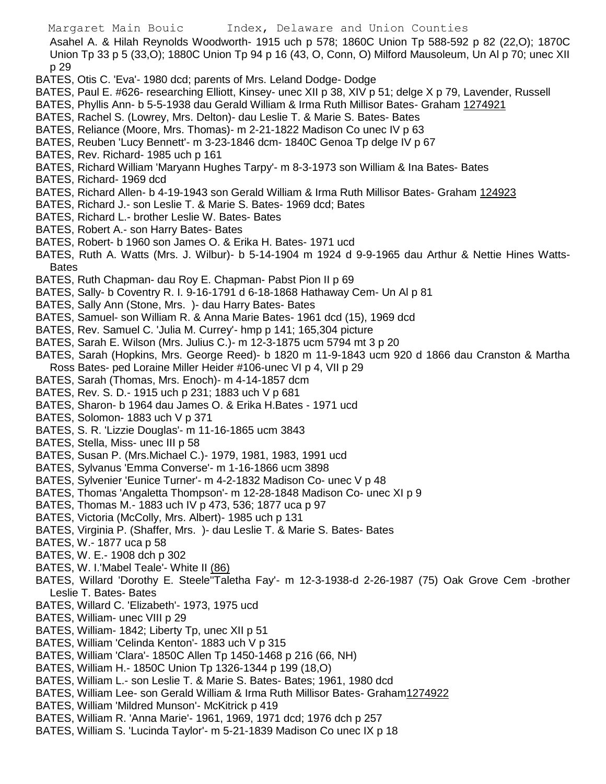Asahel A. & Hilah Reynolds Woodworth- 1915 uch p 578; 1860C Union Tp 588-592 p 82 (22,O); 1870C Union Tp 33 p 5 (33,O); 1880C Union Tp 94 p 16 (43, O, Conn, O) Milford Mausoleum, Un Al p 70; unec XII p 29

- BATES, Otis C. 'Eva'- 1980 dcd; parents of Mrs. Leland Dodge- Dodge
- BATES, Paul E. #626- researching Elliott, Kinsey- unec XII p 38, XIV p 51; delge X p 79, Lavender, Russell
- BATES, Phyllis Ann- b 5-5-1938 dau Gerald William & Irma Ruth Millisor Bates- Graham 1274921
- BATES, Rachel S. (Lowrey, Mrs. Delton)- dau Leslie T. & Marie S. Bates- Bates
- BATES, Reliance (Moore, Mrs. Thomas)- m 2-21-1822 Madison Co unec IV p 63
- BATES, Reuben 'Lucy Bennett'- m 3-23-1846 dcm- 1840C Genoa Tp delge IV p 67
- BATES, Rev. Richard- 1985 uch p 161
- BATES, Richard William 'Maryann Hughes Tarpy'- m 8-3-1973 son William & Ina Bates- Bates
- BATES, Richard- 1969 dcd
- BATES, Richard Allen- b 4-19-1943 son Gerald William & Irma Ruth Millisor Bates- Graham 124923
- BATES, Richard J.- son Leslie T. & Marie S. Bates- 1969 dcd; Bates
- BATES, Richard L.- brother Leslie W. Bates- Bates
- BATES, Robert A.- son Harry Bates- Bates
- BATES, Robert- b 1960 son James O. & Erika H. Bates- 1971 ucd
- BATES, Ruth A. Watts (Mrs. J. Wilbur)- b 5-14-1904 m 1924 d 9-9-1965 dau Arthur & Nettie Hines Watts-Bates
- BATES, Ruth Chapman- dau Roy E. Chapman- Pabst Pion II p 69
- BATES, Sally- b Coventry R. I. 9-16-1791 d 6-18-1868 Hathaway Cem- Un Al p 81
- BATES, Sally Ann (Stone, Mrs. )- dau Harry Bates- Bates
- BATES, Samuel- son William R. & Anna Marie Bates- 1961 dcd (15), 1969 dcd
- BATES, Rev. Samuel C. 'Julia M. Currey'- hmp p 141; 165,304 picture
- BATES, Sarah E. Wilson (Mrs. Julius C.)- m 12-3-1875 ucm 5794 mt 3 p 20
- BATES, Sarah (Hopkins, Mrs. George Reed)- b 1820 m 11-9-1843 ucm 920 d 1866 dau Cranston & Martha Ross Bates- ped Loraine Miller Heider #106-unec VI p 4, VII p 29
- BATES, Sarah (Thomas, Mrs. Enoch)- m 4-14-1857 dcm
- BATES, Rev. S. D.- 1915 uch p 231; 1883 uch V p 681
- BATES, Sharon- b 1964 dau James O. & Erika H.Bates 1971 ucd
- BATES, Solomon- 1883 uch V p 371
- BATES, S. R. 'Lizzie Douglas'- m 11-16-1865 ucm 3843
- BATES, Stella, Miss- unec III p 58
- BATES, Susan P. (Mrs.Michael C.)- 1979, 1981, 1983, 1991 ucd
- BATES, Sylvanus 'Emma Converse'- m 1-16-1866 ucm 3898
- BATES, Sylvenier 'Eunice Turner'- m 4-2-1832 Madison Co- unec V p 48
- BATES, Thomas 'Angaletta Thompson'- m 12-28-1848 Madison Co- unec XI p 9
- BATES, Thomas M.- 1883 uch IV p 473, 536; 1877 uca p 97
- BATES, Victoria (McColly, Mrs. Albert)- 1985 uch p 131
- BATES, Virginia P. (Shaffer, Mrs. )- dau Leslie T. & Marie S. Bates- Bates
- BATES, W.- 1877 uca p 58
- BATES, W. E.- 1908 dch p 302
- BATES, W. I.'Mabel Teale'- White II (86)
- BATES, Willard 'Dorothy E. Steele''Taletha Fay'- m 12-3-1938-d 2-26-1987 (75) Oak Grove Cem -brother Leslie T. Bates- Bates
- BATES, Willard C. 'Elizabeth'- 1973, 1975 ucd
- BATES, William- unec VIII p 29
- BATES, William- 1842; Liberty Tp, unec XII p 51
- BATES, William 'Celinda Kenton'- 1883 uch V p 315
- BATES, William 'Clara'- 1850C Allen Tp 1450-1468 p 216 (66, NH)
- BATES, William H.- 1850C Union Tp 1326-1344 p 199 (18,O)
- BATES, William L.- son Leslie T. & Marie S. Bates- Bates; 1961, 1980 dcd
- BATES, William Lee- son Gerald William & Irma Ruth Millisor Bates- Graham1274922
- BATES, William 'Mildred Munson'- McKitrick p 419
- BATES, William R. 'Anna Marie'- 1961, 1969, 1971 dcd; 1976 dch p 257
- BATES, William S. 'Lucinda Taylor'- m 5-21-1839 Madison Co unec IX p 18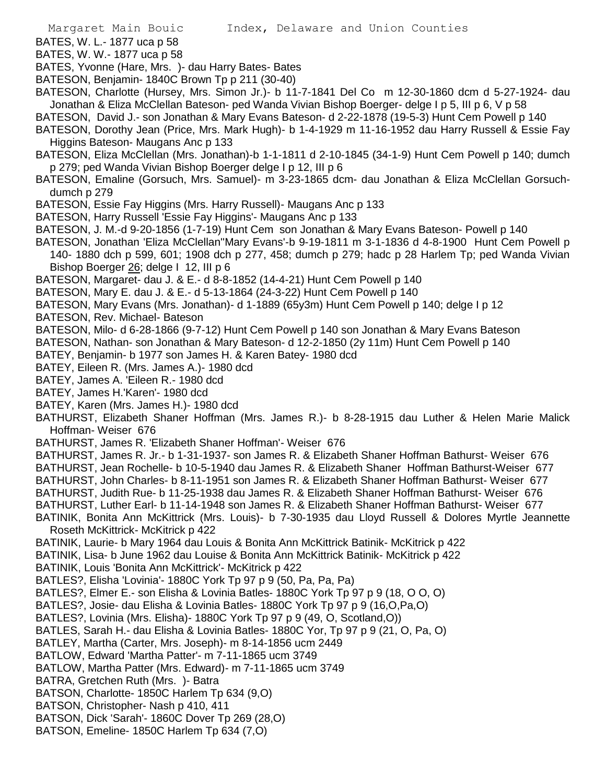BATES, W. L.- 1877 uca p 58

BATES, W. W.- 1877 uca p 58

BATES, Yvonne (Hare, Mrs. )- dau Harry Bates- Bates

BATESON, Benjamin- 1840C Brown Tp p 211 (30-40)

BATESON, Charlotte (Hursey, Mrs. Simon Jr.)- b 11-7-1841 Del Co m 12-30-1860 dcm d 5-27-1924- dau Jonathan & Eliza McClellan Bateson- ped Wanda Vivian Bishop Boerger- delge I p 5, III p 6, V p 58

BATESON, David J.- son Jonathan & Mary Evans Bateson- d 2-22-1878 (19-5-3) Hunt Cem Powell p 140

- BATESON, Dorothy Jean (Price, Mrs. Mark Hugh)- b 1-4-1929 m 11-16-1952 dau Harry Russell & Essie Fay Higgins Bateson- Maugans Anc p 133
- BATESON, Eliza McClellan (Mrs. Jonathan)-b 1-1-1811 d 2-10-1845 (34-1-9) Hunt Cem Powell p 140; dumch p 279; ped Wanda Vivian Bishop Boerger delge I p 12, III p 6
- BATESON, Emaline (Gorsuch, Mrs. Samuel)- m 3-23-1865 dcm- dau Jonathan & Eliza McClellan Gorsuchdumch p 279
- BATESON, Essie Fay Higgins (Mrs. Harry Russell)- Maugans Anc p 133
- BATESON, Harry Russell 'Essie Fay Higgins'- Maugans Anc p 133
- BATESON, J. M.-d 9-20-1856 (1-7-19) Hunt Cem son Jonathan & Mary Evans Bateson- Powell p 140
- BATESON, Jonathan 'Eliza McClellan''Mary Evans'-b 9-19-1811 m 3-1-1836 d 4-8-1900 Hunt Cem Powell p 140- 1880 dch p 599, 601; 1908 dch p 277, 458; dumch p 279; hadc p 28 Harlem Tp; ped Wanda Vivian
	- Bishop Boerger 26; delge I 12, III p 6
- BATESON, Margaret- dau J. & E.- d 8-8-1852 (14-4-21) Hunt Cem Powell p 140
- BATESON, Mary E. dau J. & E.- d 5-13-1864 (24-3-22) Hunt Cem Powell p 140
- BATESON, Mary Evans (Mrs. Jonathan)- d 1-1889 (65y3m) Hunt Cem Powell p 140; delge I p 12
- BATESON, Rev. Michael- Bateson
- BATESON, Milo- d 6-28-1866 (9-7-12) Hunt Cem Powell p 140 son Jonathan & Mary Evans Bateson

BATESON, Nathan- son Jonathan & Mary Bateson- d 12-2-1850 (2y 11m) Hunt Cem Powell p 140

- BATEY, Benjamin- b 1977 son James H. & Karen Batey- 1980 dcd
- BATEY, Eileen R. (Mrs. James A.)- 1980 dcd
- BATEY, James A. 'Eileen R.- 1980 dcd
- BATEY, James H.'Karen'- 1980 dcd
- BATEY, Karen (Mrs. James H.)- 1980 dcd
- BATHURST, Elizabeth Shaner Hoffman (Mrs. James R.)- b 8-28-1915 dau Luther & Helen Marie Malick Hoffman- Weiser 676
- BATHURST, James R. 'Elizabeth Shaner Hoffman'- Weiser 676
- BATHURST, James R. Jr.- b 1-31-1937- son James R. & Elizabeth Shaner Hoffman Bathurst- Weiser 676
- BATHURST, Jean Rochelle- b 10-5-1940 dau James R. & Elizabeth Shaner Hoffman Bathurst-Weiser 677
- BATHURST, John Charles- b 8-11-1951 son James R. & Elizabeth Shaner Hoffman Bathurst- Weiser 677
- BATHURST, Judith Rue- b 11-25-1938 dau James R. & Elizabeth Shaner Hoffman Bathurst- Weiser 676
- BATHURST, Luther Earl- b 11-14-1948 son James R. & Elizabeth Shaner Hoffman Bathurst- Weiser 677
- BATINIK, Bonita Ann McKittrick (Mrs. Louis)- b 7-30-1935 dau Lloyd Russell & Dolores Myrtle Jeannette Roseth McKittrick- McKitrick p 422
- BATINIK, Laurie- b Mary 1964 dau Louis & Bonita Ann McKittrick Batinik- McKitrick p 422
- BATINIK, Lisa- b June 1962 dau Louise & Bonita Ann McKittrick Batinik- McKitrick p 422
- BATINIK, Louis 'Bonita Ann McKittrick'- McKitrick p 422
- BATLES?, Elisha 'Lovinia'- 1880C York Tp 97 p 9 (50, Pa, Pa, Pa)
- BATLES?, Elmer E.- son Elisha & Lovinia Batles- 1880C York Tp 97 p 9 (18, O O, O)
- BATLES?, Josie- dau Elisha & Lovinia Batles- 1880C York Tp 97 p 9 (16,O,Pa,O)
- BATLES?, Lovinia (Mrs. Elisha)- 1880C York Tp 97 p 9 (49, O, Scotland,O))
- BATLES, Sarah H.- dau Elisha & Lovinia Batles- 1880C Yor, Tp 97 p 9 (21, O, Pa, O)
- BATLEY, Martha (Carter, Mrs. Joseph)- m 8-14-1856 ucm 2449
- BATLOW, Edward 'Martha Patter'- m 7-11-1865 ucm 3749
- BATLOW, Martha Patter (Mrs. Edward)- m 7-11-1865 ucm 3749
- BATRA, Gretchen Ruth (Mrs. )- Batra
- BATSON, Charlotte- 1850C Harlem Tp 634 (9,O)
- BATSON, Christopher- Nash p 410, 411
- BATSON, Dick 'Sarah'- 1860C Dover Tp 269 (28,O)
- BATSON, Emeline- 1850C Harlem Tp 634 (7,O)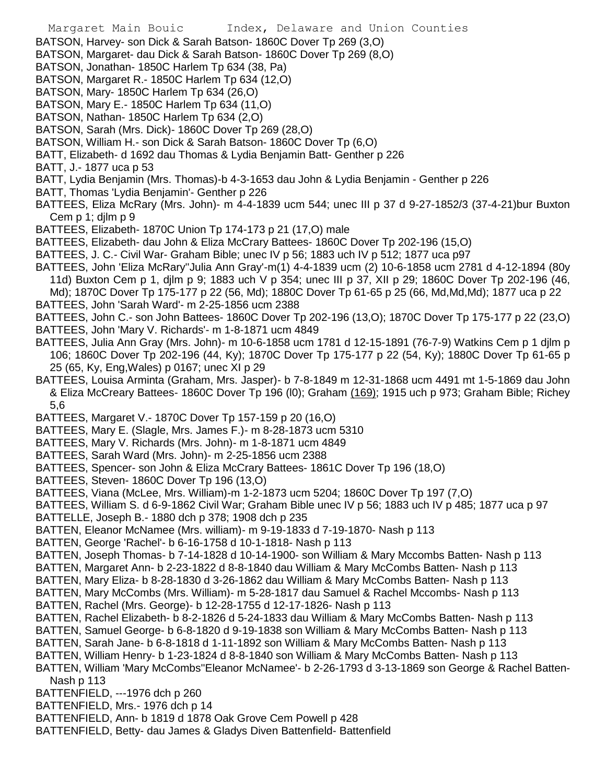- Margaret Main Bouic Index, Delaware and Union Counties BATSON, Harvey- son Dick & Sarah Batson- 1860C Dover Tp 269 (3,O) BATSON, Margaret- dau Dick & Sarah Batson- 1860C Dover Tp 269 (8,O) BATSON, Jonathan- 1850C Harlem Tp 634 (38, Pa) BATSON, Margaret R.- 1850C Harlem Tp 634 (12,O) BATSON, Mary- 1850C Harlem Tp 634 (26,O) BATSON, Mary E.- 1850C Harlem Tp 634 (11,O) BATSON, Nathan- 1850C Harlem Tp 634 (2,O) BATSON, Sarah (Mrs. Dick)- 1860C Dover Tp 269 (28,O) BATSON, William H.- son Dick & Sarah Batson- 1860C Dover Tp (6,O) BATT, Elizabeth- d 1692 dau Thomas & Lydia Benjamin Batt- Genther p 226 BATT, J.- 1877 uca p 53 BATT, Lydia Benjamin (Mrs. Thomas)-b 4-3-1653 dau John & Lydia Benjamin - Genther p 226 BATT, Thomas 'Lydia Benjamin'- Genther p 226 BATTEES, Eliza McRary (Mrs. John)- m 4-4-1839 ucm 544; unec III p 37 d 9-27-1852/3 (37-4-21)bur Buxton Cem p 1; djlm p 9 BATTEES, Elizabeth- 1870C Union Tp 174-173 p 21 (17,O) male BATTEES, Elizabeth- dau John & Eliza McCrary Battees- 1860C Dover Tp 202-196 (15,O) BATTEES, J. C.- Civil War- Graham Bible; unec IV p 56; 1883 uch IV p 512; 1877 uca p97 BATTEES, John 'Eliza McRary''Julia Ann Gray'-m(1) 4-4-1839 ucm (2) 10-6-1858 ucm 2781 d 4-12-1894 (80y 11d) Buxton Cem p 1, djlm p 9; 1883 uch V p 354; unec III p 37, XII p 29; 1860C Dover Tp 202-196 (46, Md); 1870C Dover Tp 175-177 p 22 (56, Md); 1880C Dover Tp 61-65 p 25 (66, Md,Md,Md); 1877 uca p 22 BATTEES, John 'Sarah Ward'- m 2-25-1856 ucm 2388 BATTEES, John C.- son John Battees- 1860C Dover Tp 202-196 (13,O); 1870C Dover Tp 175-177 p 22 (23,O) BATTEES, John 'Mary V. Richards'- m 1-8-1871 ucm 4849 BATTEES, Julia Ann Gray (Mrs. John)- m 10-6-1858 ucm 1781 d 12-15-1891 (76-7-9) Watkins Cem p 1 djlm p 106; 1860C Dover Tp 202-196 (44, Ky); 1870C Dover Tp 175-177 p 22 (54, Ky); 1880C Dover Tp 61-65 p 25 (65, Ky, Eng,Wales) p 0167; unec XI p 29 BATTEES, Louisa Arminta (Graham, Mrs. Jasper)- b 7-8-1849 m 12-31-1868 ucm 4491 mt 1-5-1869 dau John & Eliza McCreary Battees- 1860C Dover Tp 196 (l0); Graham (169); 1915 uch p 973; Graham Bible; Richey 5,6 BATTEES, Margaret V.- 1870C Dover Tp 157-159 p 20 (16,O) BATTEES, Mary E. (Slagle, Mrs. James F.)- m 8-28-1873 ucm 5310 BATTEES, Mary V. Richards (Mrs. John)- m 1-8-1871 ucm 4849 BATTEES, Sarah Ward (Mrs. John)- m 2-25-1856 ucm 2388 BATTEES, Spencer- son John & Eliza McCrary Battees- 1861C Dover Tp 196 (18,O) BATTEES, Steven- 1860C Dover Tp 196 (13,O) BATTEES, Viana (McLee, Mrs. William)-m 1-2-1873 ucm 5204; 1860C Dover Tp 197 (7,O) BATTEES, William S. d 6-9-1862 Civil War; Graham Bible unec IV p 56; 1883 uch IV p 485; 1877 uca p 97 BATTELLE, Joseph B.- 1880 dch p 378; 1908 dch p 235 BATTEN, Eleanor McNamee (Mrs. william)- m 9-19-1833 d 7-19-1870- Nash p 113 BATTEN, George 'Rachel'- b 6-16-1758 d 10-1-1818- Nash p 113 BATTEN, Joseph Thomas- b 7-14-1828 d 10-14-1900- son William & Mary Mccombs Batten- Nash p 113 BATTEN, Margaret Ann- b 2-23-1822 d 8-8-1840 dau William & Mary McCombs Batten- Nash p 113 BATTEN, Mary Eliza- b 8-28-1830 d 3-26-1862 dau William & Mary McCombs Batten- Nash p 113 BATTEN, Mary McCombs (Mrs. William)- m 5-28-1817 dau Samuel & Rachel Mccombs- Nash p 113 BATTEN, Rachel (Mrs. George)- b 12-28-1755 d 12-17-1826- Nash p 113 BATTEN, Rachel Elizabeth- b 8-2-1826 d 5-24-1833 dau William & Mary McCombs Batten- Nash p 113 BATTEN, Samuel George- b 6-8-1820 d 9-19-1838 son William & Mary McCombs Batten- Nash p 113 BATTEN, Sarah Jane- b 6-8-1818 d 1-11-1892 son William & Mary McCombs Batten- Nash p 113 BATTEN, William Henry- b 1-23-1824 d 8-8-1840 son William & Mary McCombs Batten- Nash p 113 BATTEN, William 'Mary McCombs''Eleanor McNamee'- b 2-26-1793 d 3-13-1869 son George & Rachel Batten-Nash p 113 BATTENFIELD, ---1976 dch p 260 BATTENFIELD, Mrs.- 1976 dch p 14
	- BATTENFIELD, Ann- b 1819 d 1878 Oak Grove Cem Powell p 428
	- BATTENFIELD, Betty- dau James & Gladys Diven Battenfield- Battenfield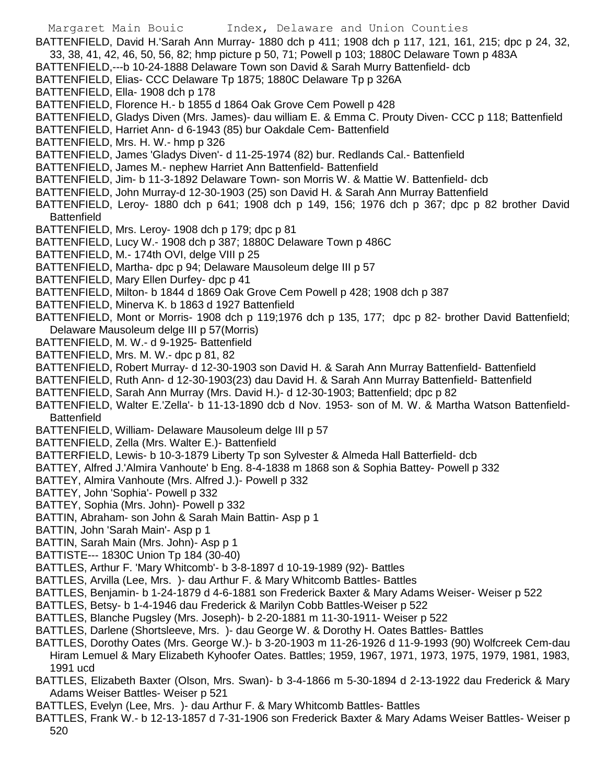- Margaret Main Bouic Index, Delaware and Union Counties BATTENFIELD, David H.'Sarah Ann Murray- 1880 dch p 411; 1908 dch p 117, 121, 161, 215; dpc p 24, 32, 33, 38, 41, 42, 46, 50, 56, 82; hmp picture p 50, 71; Powell p 103; 1880C Delaware Town p 483A BATTENFIELD,---b 10-24-1888 Delaware Town son David & Sarah Murry Battenfield- dcb BATTENFIELD, Elias- CCC Delaware Tp 1875; 1880C Delaware Tp p 326A BATTENFIELD, Ella- 1908 dch p 178 BATTENFIELD, Florence H.- b 1855 d 1864 Oak Grove Cem Powell p 428 BATTENFIELD, Gladys Diven (Mrs. James)- dau william E. & Emma C. Prouty Diven- CCC p 118; Battenfield BATTENFIELD, Harriet Ann- d 6-1943 (85) bur Oakdale Cem- Battenfield BATTENFIELD, Mrs. H. W.- hmp p 326 BATTENFIELD, James 'Gladys Diven'- d 11-25-1974 (82) bur. Redlands Cal.- Battenfield BATTENFIELD, James M.- nephew Harriet Ann Battenfield- Battenfield BATTENFIELD, Jim- b 11-3-1892 Delaware Town- son Morris W. & Mattie W. Battenfield- dcb BATTENFIELD, John Murray-d 12-30-1903 (25) son David H. & Sarah Ann Murray Battenfield BATTENFIELD, Leroy- 1880 dch p 641; 1908 dch p 149, 156; 1976 dch p 367; dpc p 82 brother David **Battenfield** BATTENFIELD, Mrs. Leroy- 1908 dch p 179; dpc p 81 BATTENFIELD, Lucy W.- 1908 dch p 387; 1880C Delaware Town p 486C
	- BATTENFIELD, M.- 174th OVI, delge VIII p 25
- BATTENFIELD, Martha- dpc p 94; Delaware Mausoleum delge III p 57
- BATTENFIELD, Mary Ellen Durfey- dpc p 41
- BATTENFIELD, Milton- b 1844 d 1869 Oak Grove Cem Powell p 428; 1908 dch p 387
- BATTENFIELD, Minerva K. b 1863 d 1927 Battenfield
- BATTENFIELD, Mont or Morris- 1908 dch p 119;1976 dch p 135, 177; dpc p 82- brother David Battenfield; Delaware Mausoleum delge III p 57(Morris)
- BATTENFIELD, M. W.- d 9-1925- Battenfield
- BATTENFIELD, Mrs. M. W.- dpc p 81, 82
- BATTENFIELD, Robert Murray- d 12-30-1903 son David H. & Sarah Ann Murray Battenfield- Battenfield
- BATTENFIELD, Ruth Ann- d 12-30-1903(23) dau David H. & Sarah Ann Murray Battenfield- Battenfield
- BATTENFIELD, Sarah Ann Murray (Mrs. David H.)- d 12-30-1903; Battenfield; dpc p 82
- BATTENFIELD, Walter E.'Zella'- b 11-13-1890 dcb d Nov. 1953- son of M. W. & Martha Watson Battenfield-**Battenfield**
- BATTENFIELD, William- Delaware Mausoleum delge III p 57
- BATTENFIELD, Zella (Mrs. Walter E.)- Battenfield
- BATTERFIELD, Lewis- b 10-3-1879 Liberty Tp son Sylvester & Almeda Hall Batterfield- dcb
- BATTEY, Alfred J.'Almira Vanhoute' b Eng. 8-4-1838 m 1868 son & Sophia Battey- Powell p 332
- BATTEY, Almira Vanhoute (Mrs. Alfred J.)- Powell p 332
- BATTEY, John 'Sophia'- Powell p 332
- BATTEY, Sophia (Mrs. John)- Powell p 332
- BATTIN, Abraham- son John & Sarah Main Battin- Asp p 1
- BATTIN, John 'Sarah Main'- Asp p 1
- BATTIN, Sarah Main (Mrs. John)- Asp p 1
- BATTISTE--- 1830C Union Tp 184 (30-40)
- BATTLES, Arthur F. 'Mary Whitcomb'- b 3-8-1897 d 10-19-1989 (92)- Battles
- BATTLES, Arvilla (Lee, Mrs. )- dau Arthur F. & Mary Whitcomb Battles- Battles
- BATTLES, Benjamin- b 1-24-1879 d 4-6-1881 son Frederick Baxter & Mary Adams Weiser- Weiser p 522
- BATTLES, Betsy- b 1-4-1946 dau Frederick & Marilyn Cobb Battles-Weiser p 522
- BATTLES, Blanche Pugsley (Mrs. Joseph)- b 2-20-1881 m 11-30-1911- Weiser p 522
- BATTLES, Darlene (Shortsleeve, Mrs. )- dau George W. & Dorothy H. Oates Battles- Battles
- BATTLES, Dorothy Oates (Mrs. George W.)- b 3-20-1903 m 11-26-1926 d 11-9-1993 (90) Wolfcreek Cem-dau Hiram Lemuel & Mary Elizabeth Kyhoofer Oates. Battles; 1959, 1967, 1971, 1973, 1975, 1979, 1981, 1983, 1991 ucd
- BATTLES, Elizabeth Baxter (Olson, Mrs. Swan)- b 3-4-1866 m 5-30-1894 d 2-13-1922 dau Frederick & Mary Adams Weiser Battles- Weiser p 521
- BATTLES, Evelyn (Lee, Mrs. )- dau Arthur F. & Mary Whitcomb Battles- Battles
- BATTLES, Frank W.- b 12-13-1857 d 7-31-1906 son Frederick Baxter & Mary Adams Weiser Battles- Weiser p 520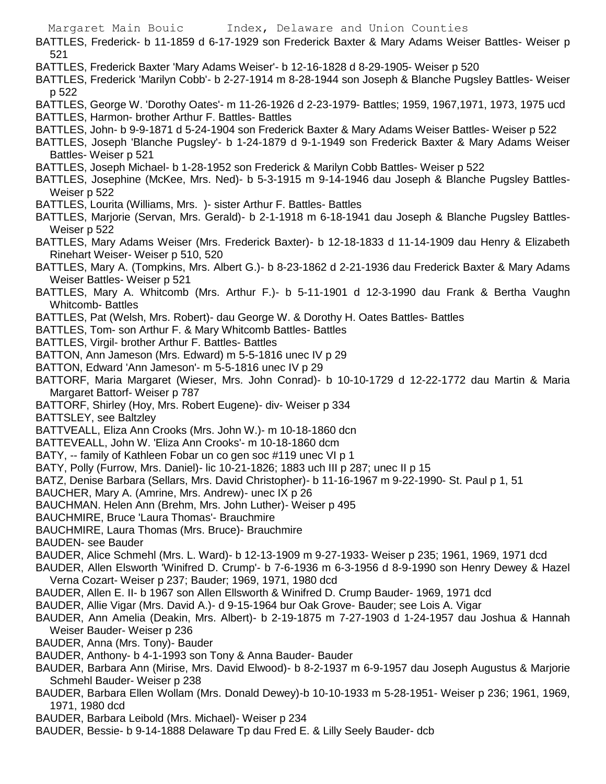- BATTLES, Frederick- b 11-1859 d 6-17-1929 son Frederick Baxter & Mary Adams Weiser Battles- Weiser p 521
- BATTLES, Frederick Baxter 'Mary Adams Weiser'- b 12-16-1828 d 8-29-1905- Weiser p 520
- BATTLES, Frederick 'Marilyn Cobb'- b 2-27-1914 m 8-28-1944 son Joseph & Blanche Pugsley Battles- Weiser p 522
- BATTLES, George W. 'Dorothy Oates'- m 11-26-1926 d 2-23-1979- Battles; 1959, 1967,1971, 1973, 1975 ucd BATTLES, Harmon- brother Arthur F. Battles- Battles
- BATTLES, John- b 9-9-1871 d 5-24-1904 son Frederick Baxter & Mary Adams Weiser Battles- Weiser p 522
- BATTLES, Joseph 'Blanche Pugsley'- b 1-24-1879 d 9-1-1949 son Frederick Baxter & Mary Adams Weiser Battles- Weiser p 521
- BATTLES, Joseph Michael- b 1-28-1952 son Frederick & Marilyn Cobb Battles- Weiser p 522
- BATTLES, Josephine (McKee, Mrs. Ned)- b 5-3-1915 m 9-14-1946 dau Joseph & Blanche Pugsley Battles-Weiser p 522
- BATTLES, Lourita (Williams, Mrs. )- sister Arthur F. Battles- Battles
- BATTLES, Marjorie (Servan, Mrs. Gerald)- b 2-1-1918 m 6-18-1941 dau Joseph & Blanche Pugsley Battles-Weiser p 522
- BATTLES, Mary Adams Weiser (Mrs. Frederick Baxter)- b 12-18-1833 d 11-14-1909 dau Henry & Elizabeth Rinehart Weiser- Weiser p 510, 520
- BATTLES, Mary A. (Tompkins, Mrs. Albert G.)- b 8-23-1862 d 2-21-1936 dau Frederick Baxter & Mary Adams Weiser Battles- Weiser p 521
- BATTLES, Mary A. Whitcomb (Mrs. Arthur F.)- b 5-11-1901 d 12-3-1990 dau Frank & Bertha Vaughn Whitcomb- Battles
- BATTLES, Pat (Welsh, Mrs. Robert)- dau George W. & Dorothy H. Oates Battles- Battles
- BATTLES, Tom- son Arthur F. & Mary Whitcomb Battles- Battles
- BATTLES, Virgil- brother Arthur F. Battles- Battles
- BATTON, Ann Jameson (Mrs. Edward) m 5-5-1816 unec IV p 29
- BATTON, Edward 'Ann Jameson'- m 5-5-1816 unec IV p 29
- BATTORF, Maria Margaret (Wieser, Mrs. John Conrad)- b 10-10-1729 d 12-22-1772 dau Martin & Maria Margaret Battorf- Weiser p 787
- BATTORF, Shirley (Hoy, Mrs. Robert Eugene)- div- Weiser p 334
- BATTSLEY, see Baltzley
- BATTVEALL, Eliza Ann Crooks (Mrs. John W.)- m 10-18-1860 dcn
- BATTEVEALL, John W. 'Eliza Ann Crooks'- m 10-18-1860 dcm
- BATY, -- family of Kathleen Fobar un co gen soc #119 unec VI p 1
- BATY, Polly (Furrow, Mrs. Daniel)- lic 10-21-1826; 1883 uch III p 287; unec II p 15
- BATZ, Denise Barbara (Sellars, Mrs. David Christopher)- b 11-16-1967 m 9-22-1990- St. Paul p 1, 51
- BAUCHER, Mary A. (Amrine, Mrs. Andrew)- unec IX p 26
- BAUCHMAN. Helen Ann (Brehm, Mrs. John Luther)- Weiser p 495
- BAUCHMIRE, Bruce 'Laura Thomas'- Brauchmire
- BAUCHMIRE, Laura Thomas (Mrs. Bruce)- Brauchmire
- BAUDEN- see Bauder
- BAUDER, Alice Schmehl (Mrs. L. Ward)- b 12-13-1909 m 9-27-1933- Weiser p 235; 1961, 1969, 1971 dcd
- BAUDER, Allen Elsworth 'Winifred D. Crump'- b 7-6-1936 m 6-3-1956 d 8-9-1990 son Henry Dewey & Hazel Verna Cozart- Weiser p 237; Bauder; 1969, 1971, 1980 dcd
- BAUDER, Allen E. II- b 1967 son Allen Ellsworth & Winifred D. Crump Bauder- 1969, 1971 dcd
- BAUDER, Allie Vigar (Mrs. David A.)- d 9-15-1964 bur Oak Grove- Bauder; see Lois A. Vigar
- BAUDER, Ann Amelia (Deakin, Mrs. Albert)- b 2-19-1875 m 7-27-1903 d 1-24-1957 dau Joshua & Hannah Weiser Bauder- Weiser p 236
- BAUDER, Anna (Mrs. Tony)- Bauder
- BAUDER, Anthony- b 4-1-1993 son Tony & Anna Bauder- Bauder
- BAUDER, Barbara Ann (Mirise, Mrs. David Elwood)- b 8-2-1937 m 6-9-1957 dau Joseph Augustus & Marjorie Schmehl Bauder- Weiser p 238
- BAUDER, Barbara Ellen Wollam (Mrs. Donald Dewey)-b 10-10-1933 m 5-28-1951- Weiser p 236; 1961, 1969, 1971, 1980 dcd
- BAUDER, Barbara Leibold (Mrs. Michael)- Weiser p 234
- BAUDER, Bessie- b 9-14-1888 Delaware Tp dau Fred E. & Lilly Seely Bauder- dcb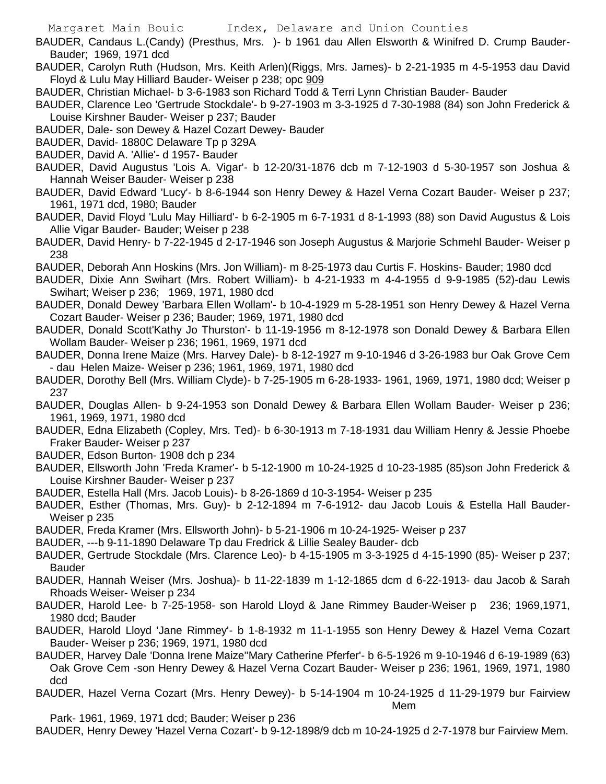BAUDER, Candaus L.(Candy) (Presthus, Mrs. )- b 1961 dau Allen Elsworth & Winifred D. Crump Bauder-Bauder; 1969, 1971 dcd

- BAUDER, Carolyn Ruth (Hudson, Mrs. Keith Arlen)(Riggs, Mrs. James)- b 2-21-1935 m 4-5-1953 dau David Floyd & Lulu May Hilliard Bauder- Weiser p 238; opc 909
- BAUDER, Christian Michael- b 3-6-1983 son Richard Todd & Terri Lynn Christian Bauder- Bauder
- BAUDER, Clarence Leo 'Gertrude Stockdale'- b 9-27-1903 m 3-3-1925 d 7-30-1988 (84) son John Frederick & Louise Kirshner Bauder- Weiser p 237; Bauder
- BAUDER, Dale- son Dewey & Hazel Cozart Dewey- Bauder
- BAUDER, David- 1880C Delaware Tp p 329A
- BAUDER, David A. 'Allie'- d 1957- Bauder
- BAUDER, David Augustus 'Lois A. Vigar'- b 12-20/31-1876 dcb m 7-12-1903 d 5-30-1957 son Joshua & Hannah Weiser Bauder- Weiser p 238
- BAUDER, David Edward 'Lucy'- b 8-6-1944 son Henry Dewey & Hazel Verna Cozart Bauder- Weiser p 237; 1961, 1971 dcd, 1980; Bauder
- BAUDER, David Floyd 'Lulu May Hilliard'- b 6-2-1905 m 6-7-1931 d 8-1-1993 (88) son David Augustus & Lois Allie Vigar Bauder- Bauder; Weiser p 238
- BAUDER, David Henry- b 7-22-1945 d 2-17-1946 son Joseph Augustus & Marjorie Schmehl Bauder- Weiser p 238
- BAUDER, Deborah Ann Hoskins (Mrs. Jon William)- m 8-25-1973 dau Curtis F. Hoskins- Bauder; 1980 dcd
- BAUDER, Dixie Ann Swihart (Mrs. Robert William)- b 4-21-1933 m 4-4-1955 d 9-9-1985 (52)-dau Lewis Swihart; Weiser p 236; 1969, 1971, 1980 dcd
- BAUDER, Donald Dewey 'Barbara Ellen Wollam'- b 10-4-1929 m 5-28-1951 son Henry Dewey & Hazel Verna Cozart Bauder- Weiser p 236; Bauder; 1969, 1971, 1980 dcd
- BAUDER, Donald Scott'Kathy Jo Thurston'- b 11-19-1956 m 8-12-1978 son Donald Dewey & Barbara Ellen Wollam Bauder- Weiser p 236; 1961, 1969, 1971 dcd
- BAUDER, Donna Irene Maize (Mrs. Harvey Dale)- b 8-12-1927 m 9-10-1946 d 3-26-1983 bur Oak Grove Cem - dau Helen Maize- Weiser p 236; 1961, 1969, 1971, 1980 dcd
- BAUDER, Dorothy Bell (Mrs. William Clyde)- b 7-25-1905 m 6-28-1933- 1961, 1969, 1971, 1980 dcd; Weiser p 237
- BAUDER, Douglas Allen- b 9-24-1953 son Donald Dewey & Barbara Ellen Wollam Bauder- Weiser p 236; 1961, 1969, 1971, 1980 dcd
- BAUDER, Edna Elizabeth (Copley, Mrs. Ted)- b 6-30-1913 m 7-18-1931 dau William Henry & Jessie Phoebe Fraker Bauder- Weiser p 237
- BAUDER, Edson Burton- 1908 dch p 234
- BAUDER, Ellsworth John 'Freda Kramer'- b 5-12-1900 m 10-24-1925 d 10-23-1985 (85)son John Frederick & Louise Kirshner Bauder- Weiser p 237
- BAUDER, Estella Hall (Mrs. Jacob Louis)- b 8-26-1869 d 10-3-1954- Weiser p 235
- BAUDER, Esther (Thomas, Mrs. Guy)- b 2-12-1894 m 7-6-1912- dau Jacob Louis & Estella Hall Bauder-Weiser p 235
- BAUDER, Freda Kramer (Mrs. Ellsworth John)- b 5-21-1906 m 10-24-1925- Weiser p 237
- BAUDER, ---b 9-11-1890 Delaware Tp dau Fredrick & Lillie Sealey Bauder- dcb
- BAUDER, Gertrude Stockdale (Mrs. Clarence Leo)- b 4-15-1905 m 3-3-1925 d 4-15-1990 (85)- Weiser p 237; **Bauder**
- BAUDER, Hannah Weiser (Mrs. Joshua)- b 11-22-1839 m 1-12-1865 dcm d 6-22-1913- dau Jacob & Sarah Rhoads Weiser- Weiser p 234
- BAUDER, Harold Lee- b 7-25-1958- son Harold Lloyd & Jane Rimmey Bauder-Weiser p 236; 1969,1971, 1980 dcd; Bauder
- BAUDER, Harold Lloyd 'Jane Rimmey'- b 1-8-1932 m 11-1-1955 son Henry Dewey & Hazel Verna Cozart Bauder- Weiser p 236; 1969, 1971, 1980 dcd
- BAUDER, Harvey Dale 'Donna Irene Maize''Mary Catherine Pferfer'- b 6-5-1926 m 9-10-1946 d 6-19-1989 (63) Oak Grove Cem -son Henry Dewey & Hazel Verna Cozart Bauder- Weiser p 236; 1961, 1969, 1971, 1980 dcd
- BAUDER, Hazel Verna Cozart (Mrs. Henry Dewey)- b 5-14-1904 m 10-24-1925 d 11-29-1979 bur Fairview Mem

Park- 1961, 1969, 1971 dcd; Bauder; Weiser p 236

BAUDER, Henry Dewey 'Hazel Verna Cozart'- b 9-12-1898/9 dcb m 10-24-1925 d 2-7-1978 bur Fairview Mem.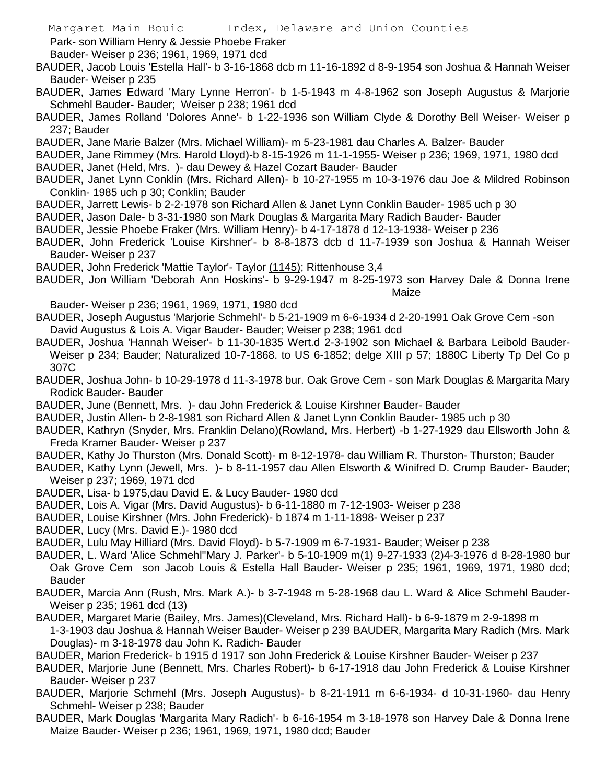Park- son William Henry & Jessie Phoebe Fraker

Bauder- Weiser p 236; 1961, 1969, 1971 dcd

- BAUDER, Jacob Louis 'Estella Hall'- b 3-16-1868 dcb m 11-16-1892 d 8-9-1954 son Joshua & Hannah Weiser Bauder- Weiser p 235
- BAUDER, James Edward 'Mary Lynne Herron'- b 1-5-1943 m 4-8-1962 son Joseph Augustus & Marjorie Schmehl Bauder- Bauder; Weiser p 238; 1961 dcd
- BAUDER, James Rolland 'Dolores Anne'- b 1-22-1936 son William Clyde & Dorothy Bell Weiser- Weiser p 237; Bauder
- BAUDER, Jane Marie Balzer (Mrs. Michael William)- m 5-23-1981 dau Charles A. Balzer- Bauder
- BAUDER, Jane Rimmey (Mrs. Harold Lloyd)-b 8-15-1926 m 11-1-1955- Weiser p 236; 1969, 1971, 1980 dcd BAUDER, Janet (Held, Mrs. )- dau Dewey & Hazel Cozart Bauder- Bauder
- BAUDER, Janet Lynn Conklin (Mrs. Richard Allen)- b 10-27-1955 m 10-3-1976 dau Joe & Mildred Robinson Conklin- 1985 uch p 30; Conklin; Bauder
- BAUDER, Jarrett Lewis- b 2-2-1978 son Richard Allen & Janet Lynn Conklin Bauder- 1985 uch p 30
- BAUDER, Jason Dale- b 3-31-1980 son Mark Douglas & Margarita Mary Radich Bauder- Bauder
- BAUDER, Jessie Phoebe Fraker (Mrs. William Henry)- b 4-17-1878 d 12-13-1938- Weiser p 236
- BAUDER, John Frederick 'Louise Kirshner'- b 8-8-1873 dcb d 11-7-1939 son Joshua & Hannah Weiser Bauder- Weiser p 237
- BAUDER, John Frederick 'Mattie Taylor'- Taylor (1145); Rittenhouse 3,4
- BAUDER, Jon William 'Deborah Ann Hoskins'- b 9-29-1947 m 8-25-1973 son Harvey Dale & Donna Irene Maize

Bauder- Weiser p 236; 1961, 1969, 1971, 1980 dcd

- BAUDER, Joseph Augustus 'Marjorie Schmehl'- b 5-21-1909 m 6-6-1934 d 2-20-1991 Oak Grove Cem -son David Augustus & Lois A. Vigar Bauder- Bauder; Weiser p 238; 1961 dcd
- BAUDER, Joshua 'Hannah Weiser'- b 11-30-1835 Wert.d 2-3-1902 son Michael & Barbara Leibold Bauder-Weiser p 234; Bauder; Naturalized 10-7-1868. to US 6-1852; delge XIII p 57; 1880C Liberty Tp Del Co p 307C
- BAUDER, Joshua John- b 10-29-1978 d 11-3-1978 bur. Oak Grove Cem son Mark Douglas & Margarita Mary Rodick Bauder- Bauder
- BAUDER, June (Bennett, Mrs. )- dau John Frederick & Louise Kirshner Bauder- Bauder
- BAUDER, Justin Allen- b 2-8-1981 son Richard Allen & Janet Lynn Conklin Bauder- 1985 uch p 30
- BAUDER, Kathryn (Snyder, Mrs. Franklin Delano)(Rowland, Mrs. Herbert) -b 1-27-1929 dau Ellsworth John & Freda Kramer Bauder- Weiser p 237
- BAUDER, Kathy Jo Thurston (Mrs. Donald Scott)- m 8-12-1978- dau William R. Thurston- Thurston; Bauder
- BAUDER, Kathy Lynn (Jewell, Mrs. )- b 8-11-1957 dau Allen Elsworth & Winifred D. Crump Bauder- Bauder; Weiser p 237; 1969, 1971 dcd
- BAUDER, Lisa- b 1975,dau David E. & Lucy Bauder- 1980 dcd
- BAUDER, Lois A. Vigar (Mrs. David Augustus)- b 6-11-1880 m 7-12-1903- Weiser p 238
- BAUDER, Louise Kirshner (Mrs. John Frederick)- b 1874 m 1-11-1898- Weiser p 237
- BAUDER, Lucy (Mrs. David E.)- 1980 dcd
- BAUDER, Lulu May Hilliard (Mrs. David Floyd)- b 5-7-1909 m 6-7-1931- Bauder; Weiser p 238
- BAUDER, L. Ward 'Alice Schmehl''Mary J. Parker'- b 5-10-1909 m(1) 9-27-1933 (2)4-3-1976 d 8-28-1980 bur Oak Grove Cem son Jacob Louis & Estella Hall Bauder- Weiser p 235; 1961, 1969, 1971, 1980 dcd; Bauder
- BAUDER, Marcia Ann (Rush, Mrs. Mark A.)- b 3-7-1948 m 5-28-1968 dau L. Ward & Alice Schmehl Bauder-Weiser p 235; 1961 dcd (13)
- BAUDER, Margaret Marie (Bailey, Mrs. James)(Cleveland, Mrs. Richard Hall)- b 6-9-1879 m 2-9-1898 m 1-3-1903 dau Joshua & Hannah Weiser Bauder- Weiser p 239 BAUDER, Margarita Mary Radich (Mrs. Mark Douglas)- m 3-18-1978 dau John K. Radich- Bauder
- BAUDER, Marion Frederick- b 1915 d 1917 son John Frederick & Louise Kirshner Bauder- Weiser p 237
- BAUDER, Marjorie June (Bennett, Mrs. Charles Robert)- b 6-17-1918 dau John Frederick & Louise Kirshner Bauder- Weiser p 237
- BAUDER, Marjorie Schmehl (Mrs. Joseph Augustus)- b 8-21-1911 m 6-6-1934- d 10-31-1960- dau Henry Schmehl- Weiser p 238; Bauder
- BAUDER, Mark Douglas 'Margarita Mary Radich'- b 6-16-1954 m 3-18-1978 son Harvey Dale & Donna Irene Maize Bauder- Weiser p 236; 1961, 1969, 1971, 1980 dcd; Bauder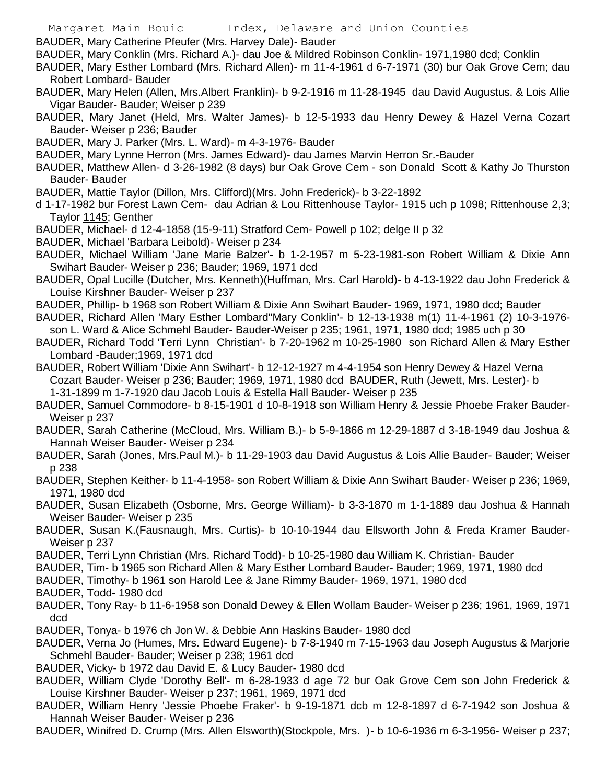- BAUDER, Mary Catherine Pfeufer (Mrs. Harvey Dale)- Bauder
- BAUDER, Mary Conklin (Mrs. Richard A.)- dau Joe & Mildred Robinson Conklin- 1971,1980 dcd; Conklin
- BAUDER, Mary Esther Lombard (Mrs. Richard Allen)- m 11-4-1961 d 6-7-1971 (30) bur Oak Grove Cem; dau Robert Lombard- Bauder
- BAUDER, Mary Helen (Allen, Mrs.Albert Franklin)- b 9-2-1916 m 11-28-1945 dau David Augustus. & Lois Allie Vigar Bauder- Bauder; Weiser p 239
- BAUDER, Mary Janet (Held, Mrs. Walter James)- b 12-5-1933 dau Henry Dewey & Hazel Verna Cozart Bauder- Weiser p 236; Bauder
- BAUDER, Mary J. Parker (Mrs. L. Ward)- m 4-3-1976- Bauder
- BAUDER, Mary Lynne Herron (Mrs. James Edward)- dau James Marvin Herron Sr.-Bauder
- BAUDER, Matthew Allen- d 3-26-1982 (8 days) bur Oak Grove Cem son Donald Scott & Kathy Jo Thurston Bauder- Bauder
- BAUDER, Mattie Taylor (Dillon, Mrs. Clifford)(Mrs. John Frederick)- b 3-22-1892
- d 1-17-1982 bur Forest Lawn Cem- dau Adrian & Lou Rittenhouse Taylor- 1915 uch p 1098; Rittenhouse 2,3; Taylor 1145; Genther
- BAUDER, Michael- d 12-4-1858 (15-9-11) Stratford Cem- Powell p 102; delge II p 32
- BAUDER, Michael 'Barbara Leibold)- Weiser p 234
- BAUDER, Michael William 'Jane Marie Balzer'- b 1-2-1957 m 5-23-1981-son Robert William & Dixie Ann Swihart Bauder- Weiser p 236; Bauder; 1969, 1971 dcd
- BAUDER, Opal Lucille (Dutcher, Mrs. Kenneth)(Huffman, Mrs. Carl Harold)- b 4-13-1922 dau John Frederick & Louise Kirshner Bauder- Weiser p 237
- BAUDER, Phillip- b 1968 son Robert William & Dixie Ann Swihart Bauder- 1969, 1971, 1980 dcd; Bauder
- BAUDER, Richard Allen 'Mary Esther Lombard''Mary Conklin'- b 12-13-1938 m(1) 11-4-1961 (2) 10-3-1976 son L. Ward & Alice Schmehl Bauder- Bauder-Weiser p 235; 1961, 1971, 1980 dcd; 1985 uch p 30
- BAUDER, Richard Todd 'Terri Lynn Christian'- b 7-20-1962 m 10-25-1980 son Richard Allen & Mary Esther Lombard -Bauder;1969, 1971 dcd
- BAUDER, Robert William 'Dixie Ann Swihart'- b 12-12-1927 m 4-4-1954 son Henry Dewey & Hazel Verna Cozart Bauder- Weiser p 236; Bauder; 1969, 1971, 1980 dcd BAUDER, Ruth (Jewett, Mrs. Lester)- b 1-31-1899 m 1-7-1920 dau Jacob Louis & Estella Hall Bauder- Weiser p 235
- BAUDER, Samuel Commodore- b 8-15-1901 d 10-8-1918 son William Henry & Jessie Phoebe Fraker Bauder-Weiser p 237
- BAUDER, Sarah Catherine (McCloud, Mrs. William B.)- b 5-9-1866 m 12-29-1887 d 3-18-1949 dau Joshua & Hannah Weiser Bauder- Weiser p 234
- BAUDER, Sarah (Jones, Mrs.Paul M.)- b 11-29-1903 dau David Augustus & Lois Allie Bauder- Bauder; Weiser p 238
- BAUDER, Stephen Keither- b 11-4-1958- son Robert William & Dixie Ann Swihart Bauder- Weiser p 236; 1969, 1971, 1980 dcd
- BAUDER, Susan Elizabeth (Osborne, Mrs. George William)- b 3-3-1870 m 1-1-1889 dau Joshua & Hannah Weiser Bauder- Weiser p 235
- BAUDER, Susan K.(Fausnaugh, Mrs. Curtis)- b 10-10-1944 dau Ellsworth John & Freda Kramer Bauder-Weiser p 237
- BAUDER, Terri Lynn Christian (Mrs. Richard Todd)- b 10-25-1980 dau William K. Christian- Bauder
- BAUDER, Tim- b 1965 son Richard Allen & Mary Esther Lombard Bauder- Bauder; 1969, 1971, 1980 dcd
- BAUDER, Timothy- b 1961 son Harold Lee & Jane Rimmy Bauder- 1969, 1971, 1980 dcd
- BAUDER, Todd- 1980 dcd
- BAUDER, Tony Ray- b 11-6-1958 son Donald Dewey & Ellen Wollam Bauder- Weiser p 236; 1961, 1969, 1971 dcd
- BAUDER, Tonya- b 1976 ch Jon W. & Debbie Ann Haskins Bauder- 1980 dcd
- BAUDER, Verna Jo (Humes, Mrs. Edward Eugene)- b 7-8-1940 m 7-15-1963 dau Joseph Augustus & Marjorie Schmehl Bauder- Bauder; Weiser p 238; 1961 dcd
- BAUDER, Vicky- b 1972 dau David E. & Lucy Bauder- 1980 dcd
- BAUDER, William Clyde 'Dorothy Bell'- m 6-28-1933 d age 72 bur Oak Grove Cem son John Frederick & Louise Kirshner Bauder- Weiser p 237; 1961, 1969, 1971 dcd
- BAUDER, William Henry 'Jessie Phoebe Fraker'- b 9-19-1871 dcb m 12-8-1897 d 6-7-1942 son Joshua & Hannah Weiser Bauder- Weiser p 236
- BAUDER, Winifred D. Crump (Mrs. Allen Elsworth)(Stockpole, Mrs. )- b 10-6-1936 m 6-3-1956- Weiser p 237;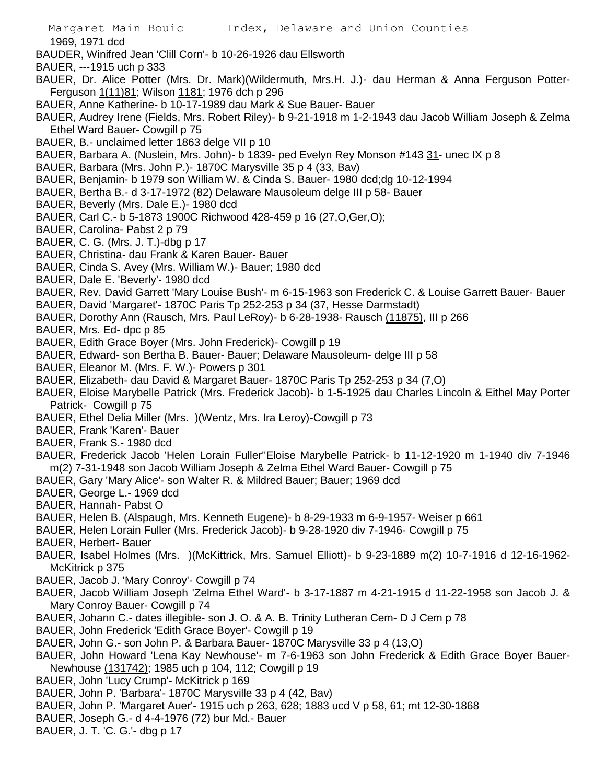1969, 1971 dcd

- BAUDER, Winifred Jean 'Clill Corn'- b 10-26-1926 dau Ellsworth
- BAUER, ---1915 uch p 333
- BAUER, Dr. Alice Potter (Mrs. Dr. Mark)(Wildermuth, Mrs.H. J.)- dau Herman & Anna Ferguson Potter-Ferguson 1(11)81; Wilson 1181; 1976 dch p 296
- BAUER, Anne Katherine- b 10-17-1989 dau Mark & Sue Bauer- Bauer
- BAUER, Audrey Irene (Fields, Mrs. Robert Riley)- b 9-21-1918 m 1-2-1943 dau Jacob William Joseph & Zelma Ethel Ward Bauer- Cowgill p 75
- BAUER, B.- unclaimed letter 1863 delge VII p 10
- BAUER, Barbara A. (Nuslein, Mrs. John)- b 1839- ped Evelyn Rey Monson #143 31- unec IX p 8
- BAUER, Barbara (Mrs. John P.)- 1870C Marysville 35 p 4 (33, Bav)
- BAUER, Benjamin- b 1979 son William W. & Cinda S. Bauer- 1980 dcd;dg 10-12-1994
- BAUER, Bertha B.- d 3-17-1972 (82) Delaware Mausoleum delge III p 58- Bauer
- BAUER, Beverly (Mrs. Dale E.)- 1980 dcd
- BAUER, Carl C.- b 5-1873 1900C Richwood 428-459 p 16 (27,O,Ger,O);
- BAUER, Carolina- Pabst 2 p 79
- BAUER, C. G. (Mrs. J. T.)-dbg p 17
- BAUER, Christina- dau Frank & Karen Bauer- Bauer
- BAUER, Cinda S. Avey (Mrs. William W.)- Bauer; 1980 dcd
- BAUER, Dale E. 'Beverly'- 1980 dcd
- BAUER, Rev. David Garrett 'Mary Louise Bush'- m 6-15-1963 son Frederick C. & Louise Garrett Bauer- Bauer
- BAUER, David 'Margaret'- 1870C Paris Tp 252-253 p 34 (37, Hesse Darmstadt)
- BAUER, Dorothy Ann (Rausch, Mrs. Paul LeRoy)- b 6-28-1938- Rausch (11875), III p 266
- BAUER, Mrs. Ed- dpc p 85
- BAUER, Edith Grace Boyer (Mrs. John Frederick)- Cowgill p 19
- BAUER, Edward- son Bertha B. Bauer- Bauer; Delaware Mausoleum- delge III p 58
- BAUER, Eleanor M. (Mrs. F. W.)- Powers p 301
- BAUER, Elizabeth- dau David & Margaret Bauer- 1870C Paris Tp 252-253 p 34 (7,O)
- BAUER, Eloise Marybelle Patrick (Mrs. Frederick Jacob)- b 1-5-1925 dau Charles Lincoln & Eithel May Porter Patrick- Cowgill p 75
- BAUER, Ethel Delia Miller (Mrs. )(Wentz, Mrs. Ira Leroy)-Cowgill p 73
- BAUER, Frank 'Karen'- Bauer
- BAUER, Frank S.- 1980 dcd
- BAUER, Frederick Jacob 'Helen Lorain Fuller''Eloise Marybelle Patrick- b 11-12-1920 m 1-1940 div 7-1946 m(2) 7-31-1948 son Jacob William Joseph & Zelma Ethel Ward Bauer- Cowgill p 75
- BAUER, Gary 'Mary Alice'- son Walter R. & Mildred Bauer; Bauer; 1969 dcd
- BAUER, George L.- 1969 dcd
- BAUER, Hannah- Pabst O
- BAUER, Helen B. (Alspaugh, Mrs. Kenneth Eugene)- b 8-29-1933 m 6-9-1957- Weiser p 661
- BAUER, Helen Lorain Fuller (Mrs. Frederick Jacob)- b 9-28-1920 div 7-1946- Cowgill p 75
- BAUER, Herbert- Bauer
- BAUER, Isabel Holmes (Mrs. )(McKittrick, Mrs. Samuel Elliott)- b 9-23-1889 m(2) 10-7-1916 d 12-16-1962- McKitrick p 375
- BAUER, Jacob J. 'Mary Conroy'- Cowgill p 74
- BAUER, Jacob William Joseph 'Zelma Ethel Ward'- b 3-17-1887 m 4-21-1915 d 11-22-1958 son Jacob J. & Mary Conroy Bauer- Cowgill p 74
- BAUER, Johann C.- dates illegible- son J. O. & A. B. Trinity Lutheran Cem- D J Cem p 78
- BAUER, John Frederick 'Edith Grace Boyer'- Cowgill p 19
- BAUER, John G.- son John P. & Barbara Bauer- 1870C Marysville 33 p 4 (13,O)
- BAUER, John Howard 'Lena Kay Newhouse'- m 7-6-1963 son John Frederick & Edith Grace Boyer Bauer-Newhouse (131742); 1985 uch p 104, 112; Cowgill p 19
- BAUER, John 'Lucy Crump'- McKitrick p 169
- BAUER, John P. 'Barbara'- 1870C Marysville 33 p 4 (42, Bav)
- BAUER, John P. 'Margaret Auer'- 1915 uch p 263, 628; 1883 ucd V p 58, 61; mt 12-30-1868
- BAUER, Joseph G.- d 4-4-1976 (72) bur Md.- Bauer
- BAUER, J. T. 'C. G.'- dbg p 17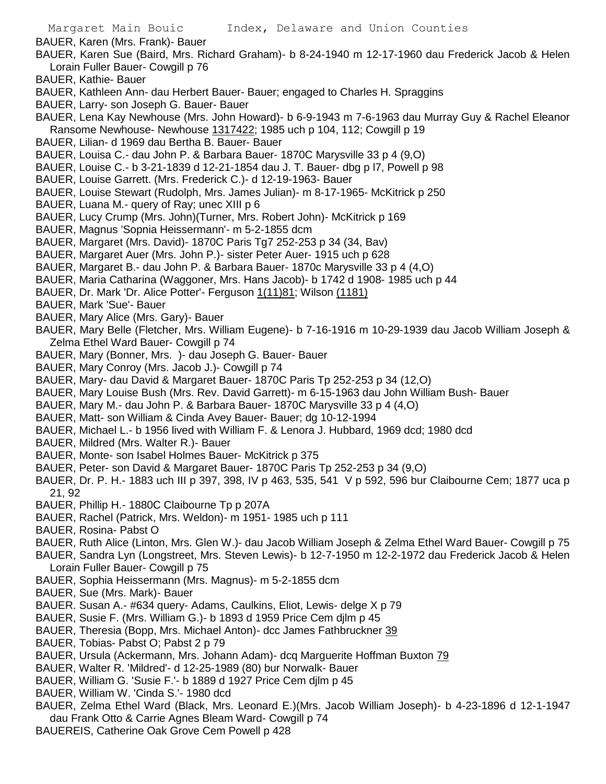BAUER, Karen (Mrs. Frank)- Bauer

- BAUER, Karen Sue (Baird, Mrs. Richard Graham)- b 8-24-1940 m 12-17-1960 dau Frederick Jacob & Helen Lorain Fuller Bauer- Cowgill p 76
- BAUER, Kathie- Bauer
- BAUER, Kathleen Ann- dau Herbert Bauer- Bauer; engaged to Charles H. Spraggins
- BAUER, Larry- son Joseph G. Bauer- Bauer
- BAUER, Lena Kay Newhouse (Mrs. John Howard)- b 6-9-1943 m 7-6-1963 dau Murray Guy & Rachel Eleanor Ransome Newhouse- Newhouse 1317422; 1985 uch p 104, 112; Cowgill p 19
- BAUER, Lilian- d 1969 dau Bertha B. Bauer- Bauer
- BAUER, Louisa C.- dau John P. & Barbara Bauer- 1870C Marysville 33 p 4 (9,O)
- BAUER, Louise C.- b 3-21-1839 d 12-21-1854 dau J. T. Bauer- dbg p l7, Powell p 98
- BAUER, Louise Garrett. (Mrs. Frederick C.)- d 12-19-1963- Bauer
- BAUER, Louise Stewart (Rudolph, Mrs. James Julian)- m 8-17-1965- McKitrick p 250
- BAUER, Luana M.- query of Ray; unec XIII p 6
- BAUER, Lucy Crump (Mrs. John)(Turner, Mrs. Robert John)- McKitrick p 169
- BAUER, Magnus 'Sopnia Heissermann'- m 5-2-1855 dcm
- BAUER, Margaret (Mrs. David)- 1870C Paris Tg7 252-253 p 34 (34, Bav)
- BAUER, Margaret Auer (Mrs. John P.)- sister Peter Auer- 1915 uch p 628
- BAUER, Margaret B.- dau John P. & Barbara Bauer- 1870c Marysville 33 p 4 (4,O)
- BAUER, Maria Catharina (Waggoner, Mrs. Hans Jacob)- b 1742 d 1908- 1985 uch p 44
- BAUER, Dr. Mark 'Dr. Alice Potter'- Ferguson 1(11)81; Wilson (1181)
- BAUER, Mark 'Sue'- Bauer
- BAUER, Mary Alice (Mrs. Gary)- Bauer
- BAUER, Mary Belle (Fletcher, Mrs. William Eugene)- b 7-16-1916 m 10-29-1939 dau Jacob William Joseph & Zelma Ethel Ward Bauer- Cowgill p 74
- BAUER, Mary (Bonner, Mrs. )- dau Joseph G. Bauer- Bauer
- BAUER, Mary Conroy (Mrs. Jacob J.)- Cowgill p 74
- BAUER, Mary- dau David & Margaret Bauer- 1870C Paris Tp 252-253 p 34 (12,O)
- BAUER, Mary Louise Bush (Mrs. Rev. David Garrett)- m 6-15-1963 dau John William Bush- Bauer
- BAUER, Mary M.- dau John P. & Barbara Bauer- 1870C Marysville 33 p 4 (4,O)
- BAUER, Matt- son William & Cinda Avey Bauer- Bauer; dg 10-12-1994
- BAUER, Michael L.- b 1956 lived with William F. & Lenora J. Hubbard, 1969 dcd; 1980 dcd
- BAUER, Mildred (Mrs. Walter R.)- Bauer
- BAUER, Monte- son Isabel Holmes Bauer- McKitrick p 375
- BAUER, Peter- son David & Margaret Bauer- 1870C Paris Tp 252-253 p 34 (9,O)
- BAUER, Dr. P. H.- 1883 uch III p 397, 398, IV p 463, 535, 541 V p 592, 596 bur Claibourne Cem; 1877 uca p 21, 92
- BAUER, Phillip H.- 1880C Claibourne Tp p 207A
- BAUER, Rachel (Patrick, Mrs. Weldon)- m 1951- 1985 uch p 111
- BAUER, Rosina- Pabst O
- BAUER, Ruth Alice (Linton, Mrs. Glen W.)- dau Jacob William Joseph & Zelma Ethel Ward Bauer- Cowgill p 75
- BAUER, Sandra Lyn (Longstreet, Mrs. Steven Lewis)- b 12-7-1950 m 12-2-1972 dau Frederick Jacob & Helen Lorain Fuller Bauer- Cowgill p 75
- BAUER, Sophia Heissermann (Mrs. Magnus)- m 5-2-1855 dcm
- BAUER, Sue (Mrs. Mark)- Bauer
- BAUER. Susan A.- #634 query- Adams, Caulkins, Eliot, Lewis- delge X p 79
- BAUER, Susie F. (Mrs. William G.)- b 1893 d 1959 Price Cem djlm p 45
- BAUER, Theresia (Bopp, Mrs. Michael Anton)- dcc James Fathbruckner 39
- BAUER, Tobias- Pabst O; Pabst 2 p 79
- BAUER, Ursula (Ackermann, Mrs. Johann Adam)- dcq Marguerite Hoffman Buxton 79
- BAUER, Walter R. 'Mildred'- d 12-25-1989 (80) bur Norwalk- Bauer
- BAUER, William G. 'Susie F.'- b 1889 d 1927 Price Cem djlm p 45
- BAUER, William W. 'Cinda S.'- 1980 dcd
- BAUER, Zelma Ethel Ward (Black, Mrs. Leonard E.)(Mrs. Jacob William Joseph)- b 4-23-1896 d 12-1-1947 dau Frank Otto & Carrie Agnes Bleam Ward- Cowgill p 74
- BAUEREIS, Catherine Oak Grove Cem Powell p 428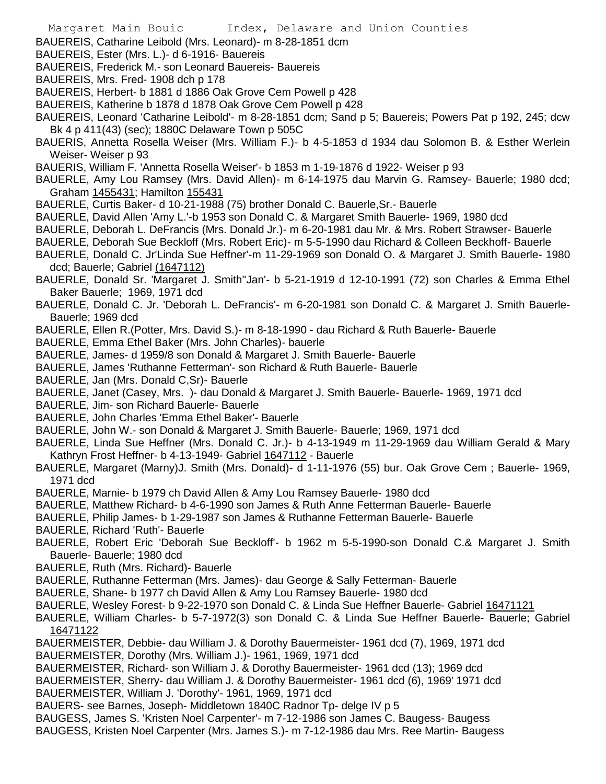- BAUEREIS, Catharine Leibold (Mrs. Leonard)- m 8-28-1851 dcm
- BAUEREIS, Ester (Mrs. L.)- d 6-1916- Bauereis
- BAUEREIS, Frederick M.- son Leonard Bauereis- Bauereis
- BAUEREIS, Mrs. Fred- 1908 dch p 178
- BAUEREIS, Herbert- b 1881 d 1886 Oak Grove Cem Powell p 428
- BAUEREIS, Katherine b 1878 d 1878 Oak Grove Cem Powell p 428
- BAUEREIS, Leonard 'Catharine Leibold'- m 8-28-1851 dcm; Sand p 5; Bauereis; Powers Pat p 192, 245; dcw Bk 4 p 411(43) (sec); 1880C Delaware Town p 505C
- BAUERIS, Annetta Rosella Weiser (Mrs. William F.)- b 4-5-1853 d 1934 dau Solomon B. & Esther Werlein Weiser- Weiser p 93
- BAUERIS, William F. 'Annetta Rosella Weiser'- b 1853 m 1-19-1876 d 1922- Weiser p 93
- BAUERLE, Amy Lou Ramsey (Mrs. David Allen)- m 6-14-1975 dau Marvin G. Ramsey- Bauerle; 1980 dcd; Graham 1455431; Hamilton 155431
- BAUERLE, Curtis Baker- d 10-21-1988 (75) brother Donald C. Bauerle,Sr.- Bauerle
- BAUERLE, David Allen 'Amy L.'-b 1953 son Donald C. & Margaret Smith Bauerle- 1969, 1980 dcd
- BAUERLE, Deborah L. DeFrancis (Mrs. Donald Jr.)- m 6-20-1981 dau Mr. & Mrs. Robert Strawser- Bauerle
- BAUERLE, Deborah Sue Beckloff (Mrs. Robert Eric)- m 5-5-1990 dau Richard & Colleen Beckhoff- Bauerle
- BAUERLE, Donald C. Jr'Linda Sue Heffner'-m 11-29-1969 son Donald O. & Margaret J. Smith Bauerle- 1980 dcd; Bauerle; Gabriel (1647112)
- BAUERLE, Donald Sr. 'Margaret J. Smith''Jan'- b 5-21-1919 d 12-10-1991 (72) son Charles & Emma Ethel Baker Bauerle; 1969, 1971 dcd
- BAUERLE, Donald C. Jr. 'Deborah L. DeFrancis'- m 6-20-1981 son Donald C. & Margaret J. Smith Bauerle-Bauerle; 1969 dcd
- BAUERLE, Ellen R.(Potter, Mrs. David S.)- m 8-18-1990 dau Richard & Ruth Bauerle- Bauerle
- BAUERLE, Emma Ethel Baker (Mrs. John Charles)- bauerle
- BAUERLE, James- d 1959/8 son Donald & Margaret J. Smith Bauerle- Bauerle
- BAUERLE, James 'Ruthanne Fetterman'- son Richard & Ruth Bauerle- Bauerle
- BAUERLE, Jan (Mrs. Donald C,Sr)- Bauerle
- BAUERLE, Janet (Casey, Mrs. )- dau Donald & Margaret J. Smith Bauerle- Bauerle- 1969, 1971 dcd
- BAUERLE, Jim- son Richard Bauerle- Bauerle
- BAUERLE, John Charles 'Emma Ethel Baker'- Bauerle
- BAUERLE, John W.- son Donald & Margaret J. Smith Bauerle- Bauerle; 1969, 1971 dcd
- BAUERLE, Linda Sue Heffner (Mrs. Donald C. Jr.)- b 4-13-1949 m 11-29-1969 dau William Gerald & Mary Kathryn Frost Heffner- b 4-13-1949- Gabriel 1647112 - Bauerle
- BAUERLE, Margaret (Marny)J. Smith (Mrs. Donald)- d 1-11-1976 (55) bur. Oak Grove Cem ; Bauerle- 1969, 1971 dcd
- BAUERLE, Marnie- b 1979 ch David Allen & Amy Lou Ramsey Bauerle- 1980 dcd
- BAUERLE, Matthew Richard- b 4-6-1990 son James & Ruth Anne Fetterman Bauerle- Bauerle
- BAUERLE, Philip James- b 1-29-1987 son James & Ruthanne Fetterman Bauerle- Bauerle
- BAUERLE, Richard 'Ruth'- Bauerle
- BAUERLE, Robert Eric 'Deborah Sue Beckloff'- b 1962 m 5-5-1990-son Donald C.& Margaret J. Smith Bauerle- Bauerle; 1980 dcd
- BAUERLE, Ruth (Mrs. Richard)- Bauerle
- BAUERLE, Ruthanne Fetterman (Mrs. James)- dau George & Sally Fetterman- Bauerle
- BAUERLE, Shane- b 1977 ch David Allen & Amy Lou Ramsey Bauerle- 1980 dcd
- BAUERLE, Wesley Forest- b 9-22-1970 son Donald C. & Linda Sue Heffner Bauerle- Gabriel 16471121
- BAUERLE, William Charles- b 5-7-1972(3) son Donald C. & Linda Sue Heffner Bauerle- Bauerle; Gabriel 16471122
- BAUERMEISTER, Debbie- dau William J. & Dorothy Bauermeister- 1961 dcd (7), 1969, 1971 dcd
- BAUERMEISTER, Dorothy (Mrs. William J.)- 1961, 1969, 1971 dcd
- BAUERMEISTER, Richard- son William J. & Dorothy Bauermeister- 1961 dcd (13); 1969 dcd
- BAUERMEISTER, Sherry- dau William J. & Dorothy Bauermeister- 1961 dcd (6), 1969' 1971 dcd
- BAUERMEISTER, William J. 'Dorothy'- 1961, 1969, 1971 dcd
- BAUERS- see Barnes, Joseph- Middletown 1840C Radnor Tp- delge IV p 5
- BAUGESS, James S. 'Kristen Noel Carpenter'- m 7-12-1986 son James C. Baugess- Baugess
- BAUGESS, Kristen Noel Carpenter (Mrs. James S.)- m 7-12-1986 dau Mrs. Ree Martin- Baugess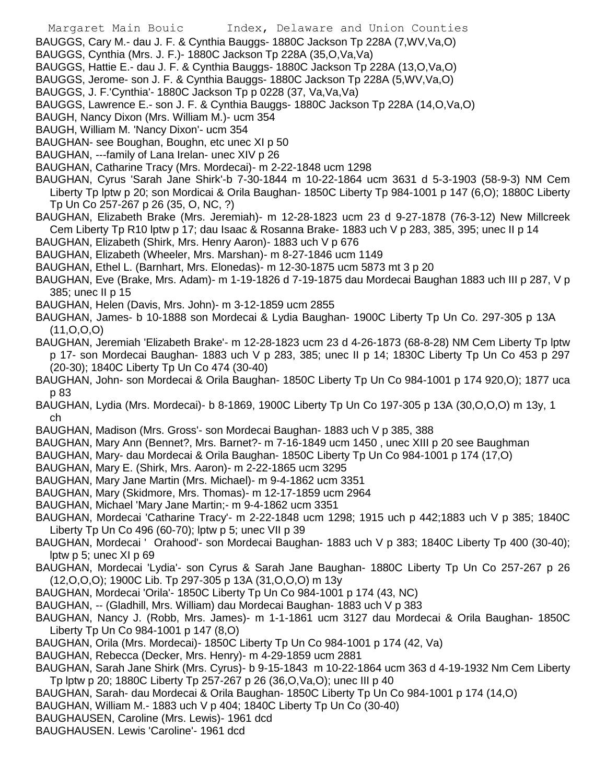- Margaret Main Bouic Index, Delaware and Union Counties
- BAUGGS, Cary M.- dau J. F. & Cynthia Bauggs- 1880C Jackson Tp 228A (7,WV,Va,O)
- BAUGGS, Cynthia (Mrs. J. F.)- 1880C Jackson Tp 228A (35,O,Va,Va)
- BAUGGS, Hattie E.- dau J. F. & Cynthia Bauggs- 1880C Jackson Tp 228A (13,O,Va,O)
- BAUGGS, Jerome- son J. F. & Cynthia Bauggs- 1880C Jackson Tp 228A (5,WV,Va,O)
- BAUGGS, J. F.'Cynthia'- 1880C Jackson Tp p 0228 (37, Va,Va,Va)
- BAUGGS, Lawrence E.- son J. F. & Cynthia Bauggs- 1880C Jackson Tp 228A (14,O,Va,O)
- BAUGH, Nancy Dixon (Mrs. William M.)- ucm 354
- BAUGH, William M. 'Nancy Dixon'- ucm 354
- BAUGHAN- see Boughan, Boughn, etc unec XI p 50
- BAUGHAN, ---family of Lana Irelan- unec XIV p 26
- BAUGHAN, Catharine Tracy (Mrs. Mordecai)- m 2-22-1848 ucm 1298
- BAUGHAN, Cyrus 'Sarah Jane Shirk'-b 7-30-1844 m 10-22-1864 ucm 3631 d 5-3-1903 (58-9-3) NM Cem Liberty Tp lptw p 20; son Mordicai & Orila Baughan- 1850C Liberty Tp 984-1001 p 147 (6,O); 1880C Liberty Tp Un Co 257-267 p 26 (35, O, NC, ?)
- BAUGHAN, Elizabeth Brake (Mrs. Jeremiah)- m 12-28-1823 ucm 23 d 9-27-1878 (76-3-12) New Millcreek Cem Liberty Tp R10 lptw p 17; dau Isaac & Rosanna Brake- 1883 uch V p 283, 385, 395; unec II p 14
- BAUGHAN, Elizabeth (Shirk, Mrs. Henry Aaron)- 1883 uch V p 676
- BAUGHAN, Elizabeth (Wheeler, Mrs. Marshan)- m 8-27-1846 ucm 1149
- BAUGHAN, Ethel L. (Barnhart, Mrs. Elonedas)- m 12-30-1875 ucm 5873 mt 3 p 20
- BAUGHAN, Eve (Brake, Mrs. Adam)- m 1-19-1826 d 7-19-1875 dau Mordecai Baughan 1883 uch III p 287, V p 385; unec II p 15
- BAUGHAN, Helen (Davis, Mrs. John)- m 3-12-1859 ucm 2855
- BAUGHAN, James- b 10-1888 son Mordecai & Lydia Baughan- 1900C Liberty Tp Un Co. 297-305 p 13A (11,O,O,O)
- BAUGHAN, Jeremiah 'Elizabeth Brake'- m 12-28-1823 ucm 23 d 4-26-1873 (68-8-28) NM Cem Liberty Tp lptw p 17- son Mordecai Baughan- 1883 uch V p 283, 385; unec II p 14; 1830C Liberty Tp Un Co 453 p 297 (20-30); 1840C Liberty Tp Un Co 474 (30-40)
- BAUGHAN, John- son Mordecai & Orila Baughan- 1850C Liberty Tp Un Co 984-1001 p 174 920,O); 1877 uca p 83
- BAUGHAN, Lydia (Mrs. Mordecai)- b 8-1869, 1900C Liberty Tp Un Co 197-305 p 13A (30,O,O,O) m 13y, 1 ch
- BAUGHAN, Madison (Mrs. Gross'- son Mordecai Baughan- 1883 uch V p 385, 388
- BAUGHAN, Mary Ann (Bennet?, Mrs. Barnet?- m 7-16-1849 ucm 1450 , unec XIII p 20 see Baughman
- BAUGHAN, Mary- dau Mordecai & Orila Baughan- 1850C Liberty Tp Un Co 984-1001 p 174 (17,O)
- BAUGHAN, Mary E. (Shirk, Mrs. Aaron)- m 2-22-1865 ucm 3295
- BAUGHAN, Mary Jane Martin (Mrs. Michael)- m 9-4-1862 ucm 3351
- BAUGHAN, Mary (Skidmore, Mrs. Thomas)- m 12-17-1859 ucm 2964
- BAUGHAN, Michael 'Mary Jane Martin;- m 9-4-1862 ucm 3351
- BAUGHAN, Mordecai 'Catharine Tracy'- m 2-22-1848 ucm 1298; 1915 uch p 442;1883 uch V p 385; 1840C Liberty Tp Un Co 496 (60-70); lptw p 5; unec VII p 39
- BAUGHAN, Mordecai ' Orahood'- son Mordecai Baughan- 1883 uch V p 383; 1840C Liberty Tp 400 (30-40); lptw p 5; unec XI p 69
- BAUGHAN, Mordecai 'Lydia'- son Cyrus & Sarah Jane Baughan- 1880C Liberty Tp Un Co 257-267 p 26 (12,O,O,O); 1900C Lib. Tp 297-305 p 13A (31,O,O,O) m 13y
- BAUGHAN, Mordecai 'Orila'- 1850C Liberty Tp Un Co 984-1001 p 174 (43, NC)
- BAUGHAN, -- (Gladhill, Mrs. William) dau Mordecai Baughan- 1883 uch V p 383
- BAUGHAN, Nancy J. (Robb, Mrs. James)- m 1-1-1861 ucm 3127 dau Mordecai & Orila Baughan- 1850C Liberty Tp Un Co 984-1001 p 147 (8,O)
- BAUGHAN, Orila (Mrs. Mordecai)- 1850C Liberty Tp Un Co 984-1001 p 174 (42, Va)
- BAUGHAN, Rebecca (Decker, Mrs. Henry)- m 4-29-1859 ucm 2881
- BAUGHAN, Sarah Jane Shirk (Mrs. Cyrus)- b 9-15-1843 m 10-22-1864 ucm 363 d 4-19-1932 Nm Cem Liberty Tp lptw p 20; 1880C Liberty Tp 257-267 p 26 (36,O,Va,O); unec III p 40
- BAUGHAN, Sarah- dau Mordecai & Orila Baughan- 1850C Liberty Tp Un Co 984-1001 p 174 (14,O)
- BAUGHAN, William M.- 1883 uch V p 404; 1840C Liberty Tp Un Co (30-40)
- BAUGHAUSEN, Caroline (Mrs. Lewis)- 1961 dcd
- BAUGHAUSEN. Lewis 'Caroline'- 1961 dcd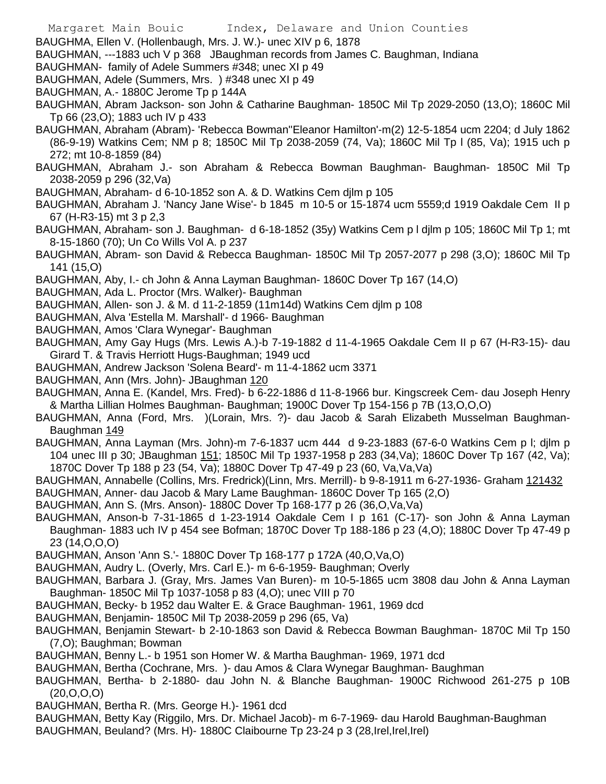BAUGHMA, Ellen V. (Hollenbaugh, Mrs. J. W.)- unec XIV p 6, 1878

BAUGHMAN, ---1883 uch V p 368 JBaughman records from James C. Baughman, Indiana

- BAUGHMAN- family of Adele Summers #348; unec XI p 49
- BAUGHMAN, Adele (Summers, Mrs. ) #348 unec XI p 49
- BAUGHMAN, A.- 1880C Jerome Tp p 144A

BAUGHMAN, Abram Jackson- son John & Catharine Baughman- 1850C Mil Tp 2029-2050 (13,O); 1860C Mil Tp 66 (23,O); 1883 uch IV p 433

- BAUGHMAN, Abraham (Abram)- 'Rebecca Bowman''Eleanor Hamilton'-m(2) 12-5-1854 ucm 2204; d July 1862 (86-9-19) Watkins Cem; NM p 8; 1850C Mil Tp 2038-2059 (74, Va); 1860C Mil Tp l (85, Va); 1915 uch p 272; mt 10-8-1859 (84)
- BAUGHMAN, Abraham J.- son Abraham & Rebecca Bowman Baughman- Baughman- 1850C Mil Tp 2038-2059 p 296 (32,Va)
- BAUGHMAN, Abraham- d 6-10-1852 son A. & D. Watkins Cem djlm p 105
- BAUGHMAN, Abraham J. 'Nancy Jane Wise'- b 1845 m 10-5 or 15-1874 ucm 5559;d 1919 Oakdale Cem II p 67 (H-R3-15) mt 3 p 2,3
- BAUGHMAN, Abraham- son J. Baughman- d 6-18-1852 (35y) Watkins Cem p l djlm p 105; 1860C Mil Tp 1; mt 8-15-1860 (70); Un Co Wills Vol A. p 237
- BAUGHMAN, Abram- son David & Rebecca Baughman- 1850C Mil Tp 2057-2077 p 298 (3,O); 1860C Mil Tp 141 (15,O)
- BAUGHMAN, Aby, I.- ch John & Anna Layman Baughman- 1860C Dover Tp 167 (14,O)
- BAUGHMAN, Ada L. Proctor (Mrs. Walker)- Baughman
- BAUGHMAN, Allen- son J. & M. d 11-2-1859 (11m14d) Watkins Cem djlm p 108
- BAUGHMAN, Alva 'Estella M. Marshall'- d 1966- Baughman
- BAUGHMAN, Amos 'Clara Wynegar'- Baughman
- BAUGHMAN, Amy Gay Hugs (Mrs. Lewis A.)-b 7-19-1882 d 11-4-1965 Oakdale Cem II p 67 (H-R3-15)- dau Girard T. & Travis Herriott Hugs-Baughman; 1949 ucd
- BAUGHMAN, Andrew Jackson 'Solena Beard'- m 11-4-1862 ucm 3371
- BAUGHMAN, Ann (Mrs. John)- JBaughman 120
- BAUGHMAN, Anna E. (Kandel, Mrs. Fred)- b 6-22-1886 d 11-8-1966 bur. Kingscreek Cem- dau Joseph Henry & Martha Lillian Holmes Baughman- Baughman; 1900C Dover Tp 154-156 p 7B (13,O,O,O)
- BAUGHMAN, Anna (Ford, Mrs. )(Lorain, Mrs. ?)- dau Jacob & Sarah Elizabeth Musselman Baughman-Baughman 149
- BAUGHMAN, Anna Layman (Mrs. John)-m 7-6-1837 ucm 444 d 9-23-1883 (67-6-0 Watkins Cem p l; djlm p 104 unec III p 30; JBaughman 151; 1850C Mil Tp 1937-1958 p 283 (34,Va); 1860C Dover Tp 167 (42, Va); 1870C Dover Tp 188 p 23 (54, Va); 1880C Dover Tp 47-49 p 23 (60, Va,Va,Va)
- BAUGHMAN, Annabelle (Collins, Mrs. Fredrick)(Linn, Mrs. Merrill)- b 9-8-1911 m 6-27-1936- Graham 121432
- BAUGHMAN, Anner- dau Jacob & Mary Lame Baughman- 1860C Dover Tp 165 (2,O)
- BAUGHMAN, Ann S. (Mrs. Anson)- 1880C Dover Tp 168-177 p 26 (36,O,Va,Va)
- BAUGHMAN, Anson-b 7-31-1865 d 1-23-1914 Oakdale Cem I p 161 (C-17)- son John & Anna Layman Baughman- 1883 uch IV p 454 see Bofman; 1870C Dover Tp 188-186 p 23 (4,O); 1880C Dover Tp 47-49 p 23 (14,O,O,O)
- BAUGHMAN, Anson 'Ann S.'- 1880C Dover Tp 168-177 p 172A (40,O,Va,O)
- BAUGHMAN, Audry L. (Overly, Mrs. Carl E.)- m 6-6-1959- Baughman; Overly
- BAUGHMAN, Barbara J. (Gray, Mrs. James Van Buren)- m 10-5-1865 ucm 3808 dau John & Anna Layman Baughman- 1850C Mil Tp 1037-1058 p 83 (4,O); unec VIII p 70
- BAUGHMAN, Becky- b 1952 dau Walter E. & Grace Baughman- 1961, 1969 dcd
- BAUGHMAN, Benjamin- 1850C Mil Tp 2038-2059 p 296 (65, Va)
- BAUGHMAN, Benjamin Stewart- b 2-10-1863 son David & Rebecca Bowman Baughman- 1870C Mil Tp 150 (7,O); Baughman; Bowman
- BAUGHMAN, Benny L.- b 1951 son Homer W. & Martha Baughman- 1969, 1971 dcd
- BAUGHMAN, Bertha (Cochrane, Mrs. )- dau Amos & Clara Wynegar Baughman- Baughman
- BAUGHMAN, Bertha- b 2-1880- dau John N. & Blanche Baughman- 1900C Richwood 261-275 p 10B (20,O,O,O)
- BAUGHMAN, Bertha R. (Mrs. George H.)- 1961 dcd
- BAUGHMAN, Betty Kay (Riggilo, Mrs. Dr. Michael Jacob)- m 6-7-1969- dau Harold Baughman-Baughman
- BAUGHMAN, Beuland? (Mrs. H)- 1880C Claibourne Tp 23-24 p 3 (28, Irel, Irel)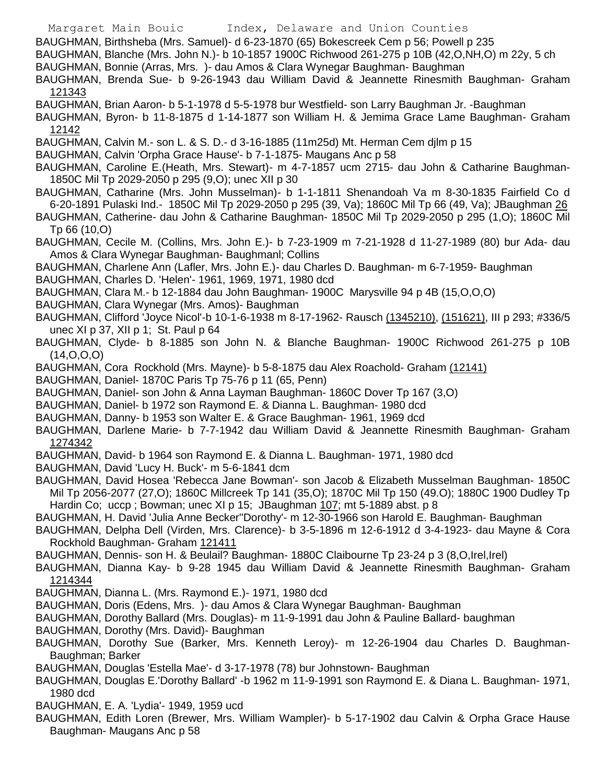- Margaret Main Bouic Index, Delaware and Union Counties BAUGHMAN, Birthsheba (Mrs. Samuel)- d 6-23-1870 (65) Bokescreek Cem p 56; Powell p 235 BAUGHMAN, Blanche (Mrs. John N.)- b 10-1857 1900C Richwood 261-275 p 10B (42,O,NH,O) m 22y, 5 ch BAUGHMAN, Bonnie (Arras, Mrs. )- dau Amos & Clara Wynegar Baughman- Baughman BAUGHMAN, Brenda Sue- b 9-26-1943 dau William David & Jeannette Rinesmith Baughman- Graham 121343 BAUGHMAN, Brian Aaron- b 5-1-1978 d 5-5-1978 bur Westfield- son Larry Baughman Jr. -Baughman BAUGHMAN, Byron- b 11-8-1875 d 1-14-1877 son William H. & Jemima Grace Lame Baughman- Graham 12142 BAUGHMAN, Calvin M.- son L. & S. D.- d 3-16-1885 (11m25d) Mt. Herman Cem djlm p 15 BAUGHMAN, Calvin 'Orpha Grace Hause'- b 7-1-1875- Maugans Anc p 58 BAUGHMAN, Caroline E.(Heath, Mrs. Stewart)- m 4-7-1857 ucm 2715- dau John & Catharine Baughman-1850C Mil Tp 2029-2050 p 295 (9,O); unec XII p 30 BAUGHMAN, Catharine (Mrs. John Musselman)- b 1-1-1811 Shenandoah Va m 8-30-1835 Fairfield Co d 6-20-1891 Pulaski Ind.- 1850C Mil Tp 2029-2050 p 295 (39, Va); 1860C Mil Tp 66 (49, Va); JBaughman 26 BAUGHMAN, Catherine- dau John & Catharine Baughman- 1850C Mil Tp 2029-2050 p 295 (1,O); 1860C Mil Tp 66 (10,O) BAUGHMAN, Cecile M. (Collins, Mrs. John E.)- b 7-23-1909 m 7-21-1928 d 11-27-1989 (80) bur Ada- dau Amos & Clara Wynegar Baughman- Baughmanl; Collins BAUGHMAN, Charlene Ann (Lafler, Mrs. John E.)- dau Charles D. Baughman- m 6-7-1959- Baughman BAUGHMAN, Charles D. 'Helen'- 1961, 1969, 1971, 1980 dcd BAUGHMAN, Clara M.- b 12-1884 dau John Baughman- 1900C Marysville 94 p 4B (15,O,O,O) BAUGHMAN, Clara Wynegar (Mrs. Amos)- Baughman BAUGHMAN, Clifford 'Joyce Nicol'-b 10-1-6-1938 m 8-17-1962- Rausch (1345210), (151621), III p 293; #336/5 unec XI p 37, XII p 1; St. Paul p 64 BAUGHMAN, Clyde- b 8-1885 son John N. & Blanche Baughman- 1900C Richwood 261-275 p 10B (14,O,O,O) BAUGHMAN, Cora Rockhold (Mrs. Mayne)- b 5-8-1875 dau Alex Roachold- Graham (12141) BAUGHMAN, Daniel- 1870C Paris Tp 75-76 p 11 (65, Penn) BAUGHMAN, Daniel- son John & Anna Layman Baughman- 1860C Dover Tp 167 (3,O) BAUGHMAN, Daniel- b 1972 son Raymond E. & Dianna L. Baughman- 1980 dcd BAUGHMAN, Danny- b 1953 son Walter E. & Grace Baughman- 1961, 1969 dcd BAUGHMAN, Darlene Marie- b 7-7-1942 dau William David & Jeannette Rinesmith Baughman- Graham 1274342 BAUGHMAN, David- b 1964 son Raymond E. & Dianna L. Baughman- 1971, 1980 dcd BAUGHMAN, David 'Lucy H. Buck'- m 5-6-1841 dcm BAUGHMAN, David Hosea 'Rebecca Jane Bowman'- son Jacob & Elizabeth Musselman Baughman- 1850C Mil Tp 2056-2077 (27,O); 1860C Millcreek Tp 141 (35,O); 1870C Mil Tp 150 (49.O); 1880C 1900 Dudley Tp Hardin Co; uccp ; Bowman; unec XI p 15; JBaughman 107; mt 5-1889 abst. p 8 BAUGHMAN, H. David 'Julia Anne Becker''Dorothy'- m 12-30-1966 son Harold E. Baughman- Baughman BAUGHMAN, Delpha Dell (Virden, Mrs. Clarence)- b 3-5-1896 m 12-6-1912 d 3-4-1923- dau Mayne & Cora Rockhold Baughman- Graham 121411 BAUGHMAN, Dennis- son H. & Beulail? Baughman- 1880C Claibourne Tp 23-24 p 3 (8,O,Irel,Irel) BAUGHMAN, Dianna Kay- b 9-28 1945 dau William David & Jeannette Rinesmith Baughman- Graham 1214344 BAUGHMAN, Dianna L. (Mrs. Raymond E.)- 1971, 1980 dcd BAUGHMAN, Doris (Edens, Mrs. )- dau Amos & Clara Wynegar Baughman- Baughman BAUGHMAN, Dorothy Ballard (Mrs. Douglas)- m 11-9-1991 dau John & Pauline Ballard- baughman BAUGHMAN, Dorothy (Mrs. David)- Baughman BAUGHMAN, Dorothy Sue (Barker, Mrs. Kenneth Leroy)- m 12-26-1904 dau Charles D. Baughman-Baughman; Barker BAUGHMAN, Douglas 'Estella Mae'- d 3-17-1978 (78) bur Johnstown- Baughman BAUGHMAN, Douglas E.'Dorothy Ballard' -b 1962 m 11-9-1991 son Raymond E. & Diana L. Baughman- 1971,
	- 1980 dcd BAUGHMAN, E. A. 'Lydia'- 1949, 1959 ucd
	- BAUGHMAN, Edith Loren (Brewer, Mrs. William Wampler)- b 5-17-1902 dau Calvin & Orpha Grace Hause Baughman- Maugans Anc p 58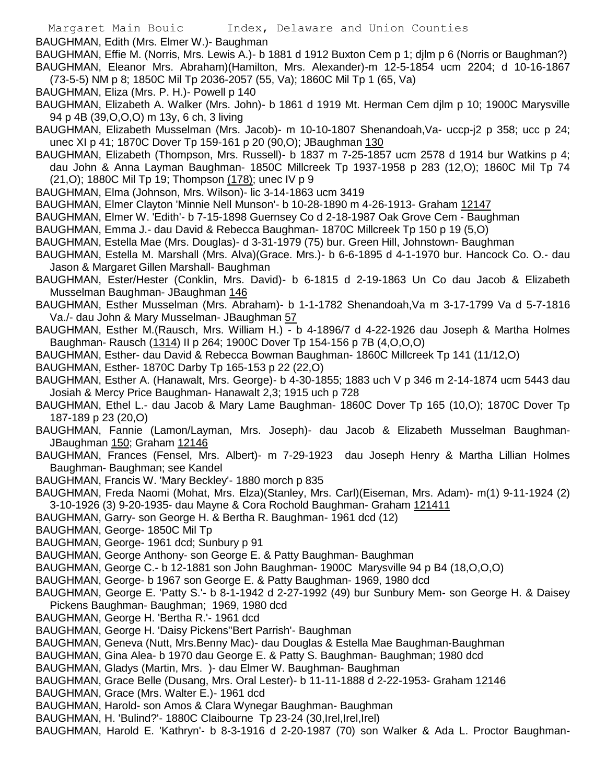BAUGHMAN, Edith (Mrs. Elmer W.)- Baughman

BAUGHMAN, Effie M. (Norris, Mrs. Lewis A.)- b 1881 d 1912 Buxton Cem p 1; djlm p 6 (Norris or Baughman?) BAUGHMAN, Eleanor Mrs. Abraham)(Hamilton, Mrs. Alexander)-m 12-5-1854 ucm 2204; d 10-16-1867 (73-5-5) NM p 8; 1850C Mil Tp 2036-2057 (55, Va); 1860C Mil Tp 1 (65, Va)

- BAUGHMAN, Eliza (Mrs. P. H.)- Powell p 140
- BAUGHMAN, Elizabeth A. Walker (Mrs. John)- b 1861 d 1919 Mt. Herman Cem djlm p 10; 1900C Marysville 94 p 4B (39,O,O,O) m 13y, 6 ch, 3 living
- BAUGHMAN, Elizabeth Musselman (Mrs. Jacob)- m 10-10-1807 Shenandoah, Va- uccp-j2 p 358; ucc p 24; unec XI p 41; 1870C Dover Tp 159-161 p 20 (90,O); JBaughman 130
- BAUGHMAN, Elizabeth (Thompson, Mrs. Russell)- b 1837 m 7-25-1857 ucm 2578 d 1914 bur Watkins p 4; dau John & Anna Layman Baughman- 1850C Millcreek Tp 1937-1958 p 283 (12,O); 1860C Mil Tp 74 (21,O); 1880C Mil Tp 19; Thompson (178); unec IV p 9
- BAUGHMAN, Elma (Johnson, Mrs. Wilson)- lic 3-14-1863 ucm 3419
- BAUGHMAN, Elmer Clayton 'Minnie Nell Munson'- b 10-28-1890 m 4-26-1913- Graham 12147
- BAUGHMAN, Elmer W. 'Edith'- b 7-15-1898 Guernsey Co d 2-18-1987 Oak Grove Cem Baughman
- BAUGHMAN, Emma J.- dau David & Rebecca Baughman- 1870C Millcreek Tp 150 p 19 (5,O)
- BAUGHMAN, Estella Mae (Mrs. Douglas)- d 3-31-1979 (75) bur. Green Hill, Johnstown- Baughman
- BAUGHMAN, Estella M. Marshall (Mrs. Alva)(Grace. Mrs.)- b 6-6-1895 d 4-1-1970 bur. Hancock Co. O.- dau Jason & Margaret Gillen Marshall- Baughman
- BAUGHMAN, Ester/Hester (Conklin, Mrs. David)- b 6-1815 d 2-19-1863 Un Co dau Jacob & Elizabeth Musselman Baughman- JBaughman 146
- BAUGHMAN, Esther Musselman (Mrs. Abraham)- b 1-1-1782 Shenandoah,Va m 3-17-1799 Va d 5-7-1816 Va./- dau John & Mary Musselman- JBaughman 57
- BAUGHMAN, Esther M.(Rausch, Mrs. William H.) b 4-1896/7 d 4-22-1926 dau Joseph & Martha Holmes Baughman- Rausch (1314) II p 264; 1900C Dover Tp 154-156 p 7B (4,O,O,O)
- BAUGHMAN, Esther- dau David & Rebecca Bowman Baughman- 1860C Millcreek Tp 141 (11/12,O)
- BAUGHMAN, Esther- 1870C Darby Tp 165-153 p 22 (22,O)
- BAUGHMAN, Esther A. (Hanawalt, Mrs. George)- b 4-30-1855; 1883 uch V p 346 m 2-14-1874 ucm 5443 dau Josiah & Mercy Price Baughman- Hanawalt 2,3; 1915 uch p 728
- BAUGHMAN, Ethel L.- dau Jacob & Mary Lame Baughman- 1860C Dover Tp 165 (10,O); 1870C Dover Tp 187-189 p 23 (20,O)
- BAUGHMAN, Fannie (Lamon/Layman, Mrs. Joseph)- dau Jacob & Elizabeth Musselman Baughman-JBaughman 150; Graham 12146
- BAUGHMAN, Frances (Fensel, Mrs. Albert)- m 7-29-1923 dau Joseph Henry & Martha Lillian Holmes Baughman- Baughman; see Kandel
- BAUGHMAN, Francis W. 'Mary Beckley'- 1880 morch p 835
- BAUGHMAN, Freda Naomi (Mohat, Mrs. Elza)(Stanley, Mrs. Carl)(Eiseman, Mrs. Adam)- m(1) 9-11-1924 (2) 3-10-1926 (3) 9-20-1935- dau Mayne & Cora Rochold Baughman- Graham 121411
- BAUGHMAN, Garry- son George H. & Bertha R. Baughman- 1961 dcd (12)
- BAUGHMAN, George- 1850C Mil Tp
- BAUGHMAN, George- 1961 dcd; Sunbury p 91
- BAUGHMAN, George Anthony- son George E. & Patty Baughman- Baughman
- BAUGHMAN, George C.- b 12-1881 son John Baughman- 1900C Marysville 94 p B4 (18,O,O,O)
- BAUGHMAN, George- b 1967 son George E. & Patty Baughman- 1969, 1980 dcd
- BAUGHMAN, George E. 'Patty S.'- b 8-1-1942 d 2-27-1992 (49) bur Sunbury Mem- son George H. & Daisey Pickens Baughman- Baughman; 1969, 1980 dcd
- BAUGHMAN, George H. 'Bertha R.'- 1961 dcd
- BAUGHMAN, George H. 'Daisy Pickens''Bert Parrish'- Baughman
- BAUGHMAN, Geneva (Nutt, Mrs.Benny Mac)- dau Douglas & Estella Mae Baughman-Baughman
- BAUGHMAN, Gina Alea- b 1970 dau George E. & Patty S. Baughman- Baughman; 1980 dcd
- BAUGHMAN, Gladys (Martin, Mrs. )- dau Elmer W. Baughman- Baughman
- BAUGHMAN, Grace Belle (Dusang, Mrs. Oral Lester)- b 11-11-1888 d 2-22-1953- Graham 12146
- BAUGHMAN, Grace (Mrs. Walter E.)- 1961 dcd
- BAUGHMAN, Harold- son Amos & Clara Wynegar Baughman- Baughman
- BAUGHMAN, H. 'Bulind?'- 1880C Claibourne Tp 23-24 (30, Irel, Irel, Irel)
- BAUGHMAN, Harold E. 'Kathryn'- b 8-3-1916 d 2-20-1987 (70) son Walker & Ada L. Proctor Baughman-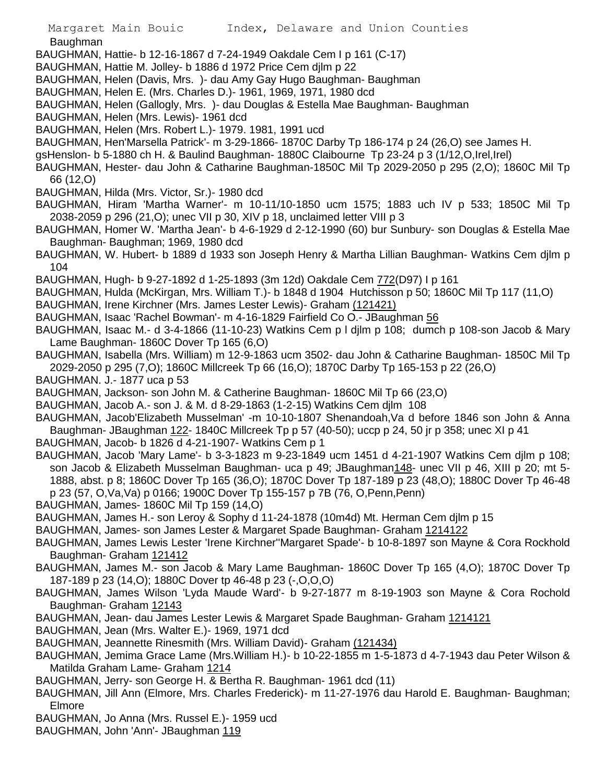Baughman

- BAUGHMAN, Hattie- b 12-16-1867 d 7-24-1949 Oakdale Cem I p 161 (C-17)
- BAUGHMAN, Hattie M. Jolley- b 1886 d 1972 Price Cem djlm p 22
- BAUGHMAN, Helen (Davis, Mrs. )- dau Amy Gay Hugo Baughman- Baughman
- BAUGHMAN, Helen E. (Mrs. Charles D.)- 1961, 1969, 1971, 1980 dcd
- BAUGHMAN, Helen (Gallogly, Mrs. )- dau Douglas & Estella Mae Baughman- Baughman
- BAUGHMAN, Helen (Mrs. Lewis)- 1961 dcd
- BAUGHMAN, Helen (Mrs. Robert L.)- 1979. 1981, 1991 ucd
- BAUGHMAN, Hen'Marsella Patrick'- m 3-29-1866- 1870C Darby Tp 186-174 p 24 (26,O) see James H.
- gsHenslon- b 5-1880 ch H. & Baulind Baughman- 1880C Claibourne Tp 23-24 p 3 (1/12,O,Irel,Irel)
- BAUGHMAN, Hester- dau John & Catharine Baughman-1850C Mil Tp 2029-2050 p 295 (2,O); 1860C Mil Tp 66 (12,O)
- BAUGHMAN, Hilda (Mrs. Victor, Sr.)- 1980 dcd
- BAUGHMAN, Hiram 'Martha Warner'- m 10-11/10-1850 ucm 1575; 1883 uch IV p 533; 1850C Mil Tp 2038-2059 p 296 (21,O); unec VII p 30, XIV p 18, unclaimed letter VIII p 3
- BAUGHMAN, Homer W. 'Martha Jean'- b 4-6-1929 d 2-12-1990 (60) bur Sunbury- son Douglas & Estella Mae Baughman- Baughman; 1969, 1980 dcd
- BAUGHMAN, W. Hubert- b 1889 d 1933 son Joseph Henry & Martha Lillian Baughman- Watkins Cem djlm p 104
- BAUGHMAN, Hugh- b 9-27-1892 d 1-25-1893 (3m 12d) Oakdale Cem 772(D97) I p 161
- BAUGHMAN, Hulda (McKirgan, Mrs. William T.)- b 1848 d 1904 Hutchisson p 50; 1860C Mil Tp 117 (11,O)
- BAUGHMAN, Irene Kirchner (Mrs. James Lester Lewis)- Graham (121421)
- BAUGHMAN, Isaac 'Rachel Bowman'- m 4-16-1829 Fairfield Co O.- JBaughman 56
- BAUGHMAN, Isaac M.- d 3-4-1866 (11-10-23) Watkins Cem p l djlm p 108; dumch p 108-son Jacob & Mary Lame Baughman- 1860C Dover Tp 165 (6,O)
- BAUGHMAN, Isabella (Mrs. William) m 12-9-1863 ucm 3502- dau John & Catharine Baughman- 1850C Mil Tp 2029-2050 p 295 (7,O); 1860C Millcreek Tp 66 (16,O); 1870C Darby Tp 165-153 p 22 (26,O)
- BAUGHMAN. J.- 1877 uca p 53
- BAUGHMAN, Jackson- son John M. & Catherine Baughman- 1860C Mil Tp 66 (23,O)
- BAUGHMAN, Jacob A.- son J. & M. d 8-29-1863 (1-2-15) Watkins Cem djlm 108
- BAUGHMAN, Jacob'Elizabeth Musselman' -m 10-10-1807 Shenandoah,Va d before 1846 son John & Anna Baughman- JBaughman 122- 1840C Millcreek Tp p 57 (40-50); uccp p 24, 50 jr p 358; unec XI p 41
- BAUGHMAN, Jacob- b 1826 d 4-21-1907- Watkins Cem p 1
- BAUGHMAN, Jacob 'Mary Lame'- b 3-3-1823 m 9-23-1849 ucm 1451 d 4-21-1907 Watkins Cem djlm p 108; son Jacob & Elizabeth Musselman Baughman- uca p 49; JBaughman148- unec VII p 46, XIII p 20; mt 5-1888, abst. p 8; 1860C Dover Tp 165 (36,O); 1870C Dover Tp 187-189 p 23 (48,O); 1880C Dover Tp 46-48 p 23 (57, O,Va,Va) p 0166; 1900C Dover Tp 155-157 p 7B (76, O,Penn,Penn)
- BAUGHMAN, James- 1860C Mil Tp 159 (14,O)
- BAUGHMAN, James H.- son Leroy & Sophy d 11-24-1878 (10m4d) Mt. Herman Cem djlm p 15
- BAUGHMAN, James- son James Lester & Margaret Spade Baughman- Graham 1214122
- BAUGHMAN, James Lewis Lester 'Irene Kirchner''Margaret Spade'- b 10-8-1897 son Mayne & Cora Rockhold Baughman- Graham 121412
- BAUGHMAN, James M.- son Jacob & Mary Lame Baughman- 1860C Dover Tp 165 (4,O); 1870C Dover Tp 187-189 p 23 (14,O); 1880C Dover tp 46-48 p 23 (-,O,O,O)
- BAUGHMAN, James Wilson 'Lyda Maude Ward'- b 9-27-1877 m 8-19-1903 son Mayne & Cora Rochold Baughman- Graham 12143
- BAUGHMAN, Jean- dau James Lester Lewis & Margaret Spade Baughman- Graham 1214121
- BAUGHMAN, Jean (Mrs. Walter E.)- 1969, 1971 dcd
- BAUGHMAN, Jeannette Rinesmith (Mrs. William David)- Graham (121434)
- BAUGHMAN, Jemima Grace Lame (Mrs.William H.)- b 10-22-1855 m 1-5-1873 d 4-7-1943 dau Peter Wilson & Matilda Graham Lame- Graham 1214
- BAUGHMAN, Jerry- son George H. & Bertha R. Baughman- 1961 dcd (11)
- BAUGHMAN, Jill Ann (Elmore, Mrs. Charles Frederick)- m 11-27-1976 dau Harold E. Baughman- Baughman; Elmore
- BAUGHMAN, Jo Anna (Mrs. Russel E.)- 1959 ucd
- BAUGHMAN, John 'Ann'- JBaughman 119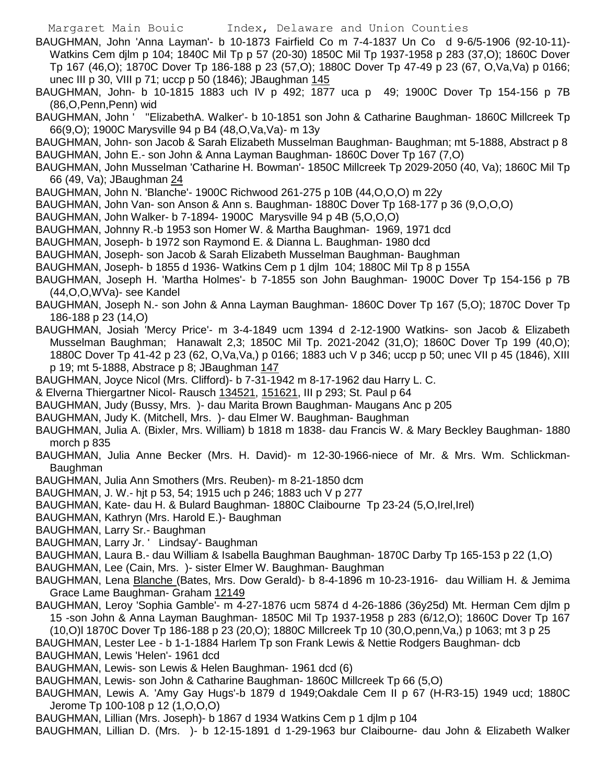BAUGHMAN, John 'Anna Layman'- b 10-1873 Fairfield Co m 7-4-1837 Un Co d 9-6/5-1906 (92-10-11)- Watkins Cem djlm p 104; 1840C Mil Tp p 57 (20-30) 1850C Mil Tp 1937-1958 p 283 (37,O); 1860C Dover Tp 167 (46,O); 1870C Dover Tp 186-188 p 23 (57,O); 1880C Dover Tp 47-49 p 23 (67, O,Va,Va) p 0166; unec III p 30, VIII p 71; uccp p 50 (1846); JBaughman 145

BAUGHMAN, John- b 10-1815 1883 uch IV p 492; 1877 uca p 49; 1900C Dover Tp 154-156 p 7B (86,O,Penn,Penn) wid

BAUGHMAN, John ' ''ElizabethA. Walker'- b 10-1851 son John & Catharine Baughman- 1860C Millcreek Tp 66(9,O); 1900C Marysville 94 p B4 (48,O,Va,Va)- m 13y

BAUGHMAN, John- son Jacob & Sarah Elizabeth Musselman Baughman- Baughman; mt 5-1888, Abstract p 8 BAUGHMAN, John E.- son John & Anna Layman Baughman- 1860C Dover Tp 167 (7,O)

- BAUGHMAN, John Musselman 'Catharine H. Bowman'- 1850C Millcreek Tp 2029-2050 (40, Va); 1860C Mil Tp 66 (49, Va); JBaughman 24
- BAUGHMAN, John N. 'Blanche'- 1900C Richwood 261-275 p 10B (44,O,O,O) m 22y
- BAUGHMAN, John Van- son Anson & Ann s. Baughman- 1880C Dover Tp 168-177 p 36 (9,O,O,O)
- BAUGHMAN, John Walker- b 7-1894- 1900C Marysville 94 p 4B (5,O,O,O)
- BAUGHMAN, Johnny R.-b 1953 son Homer W. & Martha Baughman- 1969, 1971 dcd
- BAUGHMAN, Joseph- b 1972 son Raymond E. & Dianna L. Baughman- 1980 dcd
- BAUGHMAN, Joseph- son Jacob & Sarah Elizabeth Musselman Baughman- Baughman
- BAUGHMAN, Joseph- b 1855 d 1936- Watkins Cem p 1 djlm 104; 1880C Mil Tp 8 p 155A
- BAUGHMAN, Joseph H. 'Martha Holmes'- b 7-1855 son John Baughman- 1900C Dover Tp 154-156 p 7B (44,O,O,WVa)- see Kandel
- BAUGHMAN, Joseph N.- son John & Anna Layman Baughman- 1860C Dover Tp 167 (5,O); 1870C Dover Tp 186-188 p 23 (14,O)
- BAUGHMAN, Josiah 'Mercy Price'- m 3-4-1849 ucm 1394 d 2-12-1900 Watkins- son Jacob & Elizabeth Musselman Baughman; Hanawalt 2,3; 1850C Mil Tp. 2021-2042 (31,O); 1860C Dover Tp 199 (40,O); 1880C Dover Tp 41-42 p 23 (62, O,Va,Va,) p 0166; 1883 uch V p 346; uccp p 50; unec VII p 45 (1846), XIII p 19; mt 5-1888, Abstrace p 8; JBaughman 147
- BAUGHMAN, Joyce Nicol (Mrs. Clifford)- b 7-31-1942 m 8-17-1962 dau Harry L. C.
- & Elverna Thiergartner Nicol- Rausch 134521, 151621, III p 293; St. Paul p 64
- BAUGHMAN, Judy (Bussy, Mrs. )- dau Marita Brown Baughman- Maugans Anc p 205
- BAUGHMAN, Judy K. (Mitchell, Mrs. )- dau Elmer W. Baughman- Baughman
- BAUGHMAN, Julia A. (Bixler, Mrs. William) b 1818 m 1838- dau Francis W. & Mary Beckley Baughman- 1880 morch p 835
- BAUGHMAN, Julia Anne Becker (Mrs. H. David)- m 12-30-1966-niece of Mr. & Mrs. Wm. Schlickman-Baughman
- BAUGHMAN, Julia Ann Smothers (Mrs. Reuben)- m 8-21-1850 dcm
- BAUGHMAN, J. W.- hjt p 53, 54; 1915 uch p 246; 1883 uch V p 277
- BAUGHMAN, Kate- dau H. & Bulard Baughman- 1880C Claibourne Tp 23-24 (5,O,Irel,Irel)
- BAUGHMAN, Kathryn (Mrs. Harold E.)- Baughman
- BAUGHMAN, Larry Sr.- Baughman
- BAUGHMAN, Larry Jr. ' Lindsay'- Baughman
- BAUGHMAN, Laura B.- dau William & Isabella Baughman Baughman- 1870C Darby Tp 165-153 p 22 (1,O)
- BAUGHMAN, Lee (Cain, Mrs. )- sister Elmer W. Baughman- Baughman
- BAUGHMAN, Lena Blanche (Bates, Mrs. Dow Gerald)- b 8-4-1896 m 10-23-1916- dau William H. & Jemima Grace Lame Baughman- Graham 12149
- BAUGHMAN, Leroy 'Sophia Gamble'- m 4-27-1876 ucm 5874 d 4-26-1886 (36y25d) Mt. Herman Cem djlm p 15 -son John & Anna Layman Baughman- 1850C Mil Tp 1937-1958 p 283 (6/12,O); 1860C Dover Tp 167 (10,O)l 1870C Dover Tp 186-188 p 23 (20,O); 1880C Millcreek Tp 10 (30,O,penn,Va,) p 1063; mt 3 p 25
- BAUGHMAN, Lester Lee b 1-1-1884 Harlem Tp son Frank Lewis & Nettie Rodgers Baughman- dcb
- BAUGHMAN, Lewis 'Helen'- 1961 dcd
- BAUGHMAN, Lewis- son Lewis & Helen Baughman- 1961 dcd (6)
- BAUGHMAN, Lewis- son John & Catharine Baughman- 1860C Millcreek Tp 66 (5,O)
- BAUGHMAN, Lewis A. 'Amy Gay Hugs'-b 1879 d 1949;Oakdale Cem II p 67 (H-R3-15) 1949 ucd; 1880C Jerome Tp 100-108 p 12 (1,O,O,O)
- BAUGHMAN, Lillian (Mrs. Joseph)- b 1867 d 1934 Watkins Cem p 1 djlm p 104
- BAUGHMAN, Lillian D. (Mrs. )- b 12-15-1891 d 1-29-1963 bur Claibourne- dau John & Elizabeth Walker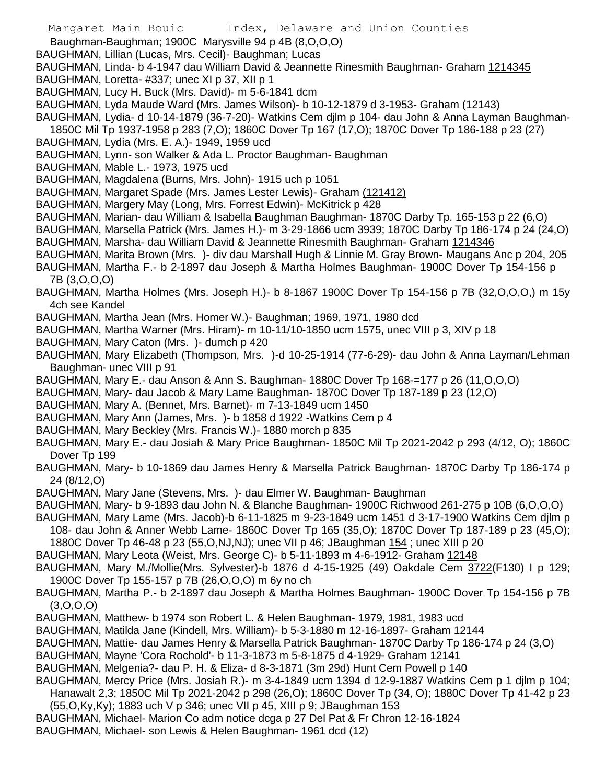Margaret Main Bouic Index, Delaware and Union Counties Baughman-Baughman; 1900C Marysville 94 p 4B (8,O,O,O) BAUGHMAN, Lillian (Lucas, Mrs. Cecil)- Baughman; Lucas BAUGHMAN, Linda- b 4-1947 dau William David & Jeannette Rinesmith Baughman- Graham 1214345 BAUGHMAN, Loretta- #337; unec XI p 37, XII p 1 BAUGHMAN, Lucy H. Buck (Mrs. David)- m 5-6-1841 dcm BAUGHMAN, Lyda Maude Ward (Mrs. James Wilson)- b 10-12-1879 d 3-1953- Graham (12143) BAUGHMAN, Lydia- d 10-14-1879 (36-7-20)- Watkins Cem djlm p 104- dau John & Anna Layman Baughman-1850C Mil Tp 1937-1958 p 283 (7,O); 1860C Dover Tp 167 (17,O); 1870C Dover Tp 186-188 p 23 (27) BAUGHMAN, Lydia (Mrs. E. A.)- 1949, 1959 ucd BAUGHMAN, Lynn- son Walker & Ada L. Proctor Baughman- Baughman BAUGHMAN, Mable L.- 1973, 1975 ucd BAUGHMAN, Magdalena (Burns, Mrs. John)- 1915 uch p 1051 BAUGHMAN, Margaret Spade (Mrs. James Lester Lewis)- Graham (121412) BAUGHMAN, Margery May (Long, Mrs. Forrest Edwin)- McKitrick p 428 BAUGHMAN, Marian- dau William & Isabella Baughman Baughman- 1870C Darby Tp. 165-153 p 22 (6,O) BAUGHMAN, Marsella Patrick (Mrs. James H.)- m 3-29-1866 ucm 3939; 1870C Darby Tp 186-174 p 24 (24,O) BAUGHMAN, Marsha- dau William David & Jeannette Rinesmith Baughman- Graham 1214346 BAUGHMAN, Marita Brown (Mrs. )- div dau Marshall Hugh & Linnie M. Gray Brown- Maugans Anc p 204, 205 BAUGHMAN, Martha F.- b 2-1897 dau Joseph & Martha Holmes Baughman- 1900C Dover Tp 154-156 p 7B (3,O,O,O) BAUGHMAN, Martha Holmes (Mrs. Joseph H.)- b 8-1867 1900C Dover Tp 154-156 p 7B (32,O,O,O,) m 15y 4ch see Kandel BAUGHMAN, Martha Jean (Mrs. Homer W.)- Baughman; 1969, 1971, 1980 dcd BAUGHMAN, Martha Warner (Mrs. Hiram)- m 10-11/10-1850 ucm 1575, unec VIII p 3, XIV p 18 BAUGHMAN, Mary Caton (Mrs. )- dumch p 420 BAUGHMAN, Mary Elizabeth (Thompson, Mrs. )-d 10-25-1914 (77-6-29)- dau John & Anna Layman/Lehman Baughman- unec VIII p 91 BAUGHMAN, Mary E.- dau Anson & Ann S. Baughman- 1880C Dover Tp 168-=177 p 26 (11,O,O,O) BAUGHMAN, Mary- dau Jacob & Mary Lame Baughman- 1870C Dover Tp 187-189 p 23 (12,O) BAUGHMAN, Mary A. (Bennet, Mrs. Barnet)- m 7-13-1849 ucm 1450 BAUGHMAN, Mary Ann (James, Mrs. )- b 1858 d 1922 -Watkins Cem p 4 BAUGHMAN, Mary Beckley (Mrs. Francis W.)- 1880 morch p 835 BAUGHMAN, Mary E.- dau Josiah & Mary Price Baughman- 1850C Mil Tp 2021-2042 p 293 (4/12, O); 1860C Dover Tp 199 BAUGHMAN, Mary- b 10-1869 dau James Henry & Marsella Patrick Baughman- 1870C Darby Tp 186-174 p 24 (8/12,O) BAUGHMAN, Mary Jane (Stevens, Mrs. )- dau Elmer W. Baughman- Baughman BAUGHMAN, Mary- b 9-1893 dau John N. & Blanche Baughman- 1900C Richwood 261-275 p 10B (6,O,O,O) BAUGHMAN, Mary Lame (Mrs. Jacob)-b 6-11-1825 m 9-23-1849 ucm 1451 d 3-17-1900 Watkins Cem djlm p 108- dau John & Anner Webb Lame- 1860C Dover Tp 165 (35,O); 1870C Dover Tp 187-189 p 23 (45,O); 1880C Dover Tp 46-48 p 23 (55,O,NJ,NJ); unec VII p 46; JBaughman 154 ; unec XIII p 20 BAUGHMAN, Mary Leota (Weist, Mrs. George C)- b 5-11-1893 m 4-6-1912- Graham 12148 BAUGHMAN, Mary M./Mollie(Mrs. Sylvester)-b 1876 d 4-15-1925 (49) Oakdale Cem 3722(F130) I p 129; 1900C Dover Tp 155-157 p 7B (26,O,O,O) m 6y no ch BAUGHMAN, Martha P.- b 2-1897 dau Joseph & Martha Holmes Baughman- 1900C Dover Tp 154-156 p 7B (3,O,O,O) BAUGHMAN, Matthew- b 1974 son Robert L. & Helen Baughman- 1979, 1981, 1983 ucd BAUGHMAN, Matilda Jane (Kindell, Mrs. William)- b 5-3-1880 m 12-16-1897- Graham 12144 BAUGHMAN, Mattie- dau James Henry & Marsella Patrick Baughman- 1870C Darby Tp 186-174 p 24 (3,O) BAUGHMAN, Mayne 'Cora Rochold'- b 11-3-1873 m 5-8-1875 d 4-1929- Graham 12141 BAUGHMAN, Melgenia?- dau P. H. & Eliza- d 8-3-1871 (3m 29d) Hunt Cem Powell p 140 BAUGHMAN, Mercy Price (Mrs. Josiah R.)- m 3-4-1849 ucm 1394 d 12-9-1887 Watkins Cem p 1 djlm p 104; Hanawalt 2,3; 1850C Mil Tp 2021-2042 p 298 (26,O); 1860C Dover Tp (34, O); 1880C Dover Tp 41-42 p 23 (55, O, Ky, Ky); 1883 uch V p 346; unec VII p 45, XIII p 9; JBaughman 153 BAUGHMAN, Michael- Marion Co adm notice dcga p 27 Del Pat & Fr Chron 12-16-1824 BAUGHMAN, Michael- son Lewis & Helen Baughman- 1961 dcd (12)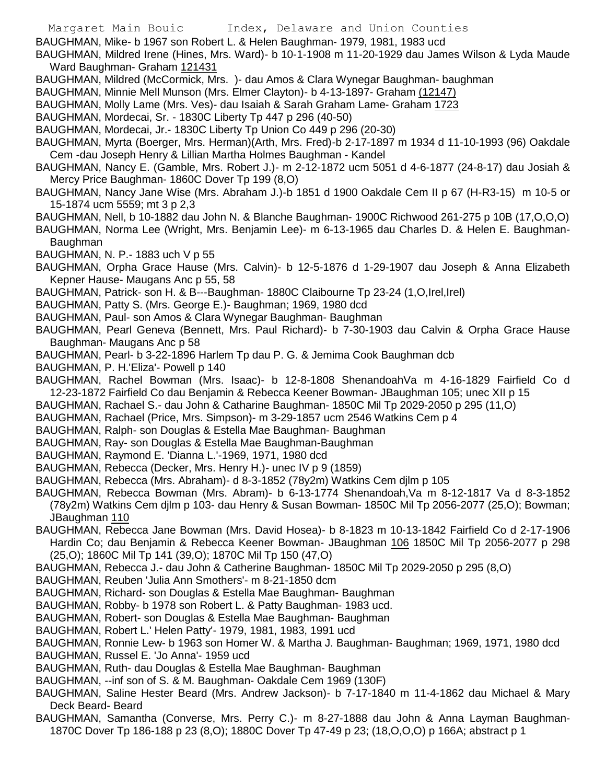BAUGHMAN, Mike- b 1967 son Robert L. & Helen Baughman- 1979, 1981, 1983 ucd

BAUGHMAN, Mildred Irene (Hines, Mrs. Ward)- b 10-1-1908 m 11-20-1929 dau James Wilson & Lyda Maude Ward Baughman- Graham 121431

- BAUGHMAN, Mildred (McCormick, Mrs. )- dau Amos & Clara Wynegar Baughman- baughman
- BAUGHMAN, Minnie Mell Munson (Mrs. Elmer Clayton)- b 4-13-1897- Graham (12147)
- BAUGHMAN, Molly Lame (Mrs. Ves)- dau Isaiah & Sarah Graham Lame- Graham 1723
- BAUGHMAN, Mordecai, Sr. 1830C Liberty Tp 447 p 296 (40-50)
- BAUGHMAN, Mordecai, Jr.- 1830C Liberty Tp Union Co 449 p 296 (20-30)
- BAUGHMAN, Myrta (Boerger, Mrs. Herman)(Arth, Mrs. Fred)-b 2-17-1897 m 1934 d 11-10-1993 (96) Oakdale Cem -dau Joseph Henry & Lillian Martha Holmes Baughman - Kandel
- BAUGHMAN, Nancy E. (Gamble, Mrs. Robert J.)- m 2-12-1872 ucm 5051 d 4-6-1877 (24-8-17) dau Josiah & Mercy Price Baughman- 1860C Dover Tp 199 (8,O)
- BAUGHMAN, Nancy Jane Wise (Mrs. Abraham J.)-b 1851 d 1900 Oakdale Cem II p 67 (H-R3-15) m 10-5 or 15-1874 ucm 5559; mt 3 p 2,3
- BAUGHMAN, Nell, b 10-1882 dau John N. & Blanche Baughman- 1900C Richwood 261-275 p 10B (17,O,O,O)
- BAUGHMAN, Norma Lee (Wright, Mrs. Benjamin Lee)- m 6-13-1965 dau Charles D. & Helen E. Baughman-Baughman
- BAUGHMAN, N. P.- 1883 uch V p 55
- BAUGHMAN, Orpha Grace Hause (Mrs. Calvin)- b 12-5-1876 d 1-29-1907 dau Joseph & Anna Elizabeth Kepner Hause- Maugans Anc p 55, 58
- BAUGHMAN, Patrick- son H. & B---Baughman- 1880C Claibourne Tp 23-24 (1,O,Irel,Irel)
- BAUGHMAN, Patty S. (Mrs. George E.)- Baughman; 1969, 1980 dcd
- BAUGHMAN, Paul- son Amos & Clara Wynegar Baughman- Baughman
- BAUGHMAN, Pearl Geneva (Bennett, Mrs. Paul Richard)- b 7-30-1903 dau Calvin & Orpha Grace Hause Baughman- Maugans Anc p 58
- BAUGHMAN, Pearl- b 3-22-1896 Harlem Tp dau P. G. & Jemima Cook Baughman dcb
- BAUGHMAN, P. H.'Eliza'- Powell p 140
- BAUGHMAN, Rachel Bowman (Mrs. Isaac)- b 12-8-1808 ShenandoahVa m 4-16-1829 Fairfield Co d 12-23-1872 Fairfield Co dau Benjamin & Rebecca Keener Bowman- JBaughman 105; unec XII p 15
- BAUGHMAN, Rachael S.- dau John & Catharine Baughman- 1850C Mil Tp 2029-2050 p 295 (11,O)
- BAUGHMAN, Rachael (Price, Mrs. Simpson)- m 3-29-1857 ucm 2546 Watkins Cem p 4
- BAUGHMAN, Ralph- son Douglas & Estella Mae Baughman- Baughman
- BAUGHMAN, Ray- son Douglas & Estella Mae Baughman-Baughman
- BAUGHMAN, Raymond E. 'Dianna L.'-1969, 1971, 1980 dcd
- BAUGHMAN, Rebecca (Decker, Mrs. Henry H.)- unec IV p 9 (1859)
- BAUGHMAN, Rebecca (Mrs. Abraham)- d 8-3-1852 (78y2m) Watkins Cem djlm p 105
- BAUGHMAN, Rebecca Bowman (Mrs. Abram)- b 6-13-1774 Shenandoah,Va m 8-12-1817 Va d 8-3-1852 (78y2m) Watkins Cem djlm p 103- dau Henry & Susan Bowman- 1850C Mil Tp 2056-2077 (25,O); Bowman; JBaughman 110
- BAUGHMAN, Rebecca Jane Bowman (Mrs. David Hosea)- b 8-1823 m 10-13-1842 Fairfield Co d 2-17-1906 Hardin Co; dau Benjamin & Rebecca Keener Bowman- JBaughman 106 1850C Mil Tp 2056-2077 p 298 (25,O); 1860C Mil Tp 141 (39,O); 1870C Mil Tp 150 (47,O)
- BAUGHMAN, Rebecca J.- dau John & Catherine Baughman- 1850C Mil Tp 2029-2050 p 295 (8,O)
- BAUGHMAN, Reuben 'Julia Ann Smothers'- m 8-21-1850 dcm
- BAUGHMAN, Richard- son Douglas & Estella Mae Baughman- Baughman
- BAUGHMAN, Robby- b 1978 son Robert L. & Patty Baughman- 1983 ucd.
- BAUGHMAN, Robert- son Douglas & Estella Mae Baughman- Baughman
- BAUGHMAN, Robert L.' Helen Patty'- 1979, 1981, 1983, 1991 ucd
- BAUGHMAN, Ronnie Lew- b 1963 son Homer W. & Martha J. Baughman- Baughman; 1969, 1971, 1980 dcd
- BAUGHMAN, Russel E. 'Jo Anna'- 1959 ucd
- BAUGHMAN, Ruth- dau Douglas & Estella Mae Baughman- Baughman
- BAUGHMAN, --inf son of S. & M. Baughman- Oakdale Cem 1969 (130F)
- BAUGHMAN, Saline Hester Beard (Mrs. Andrew Jackson)- b 7-17-1840 m 11-4-1862 dau Michael & Mary Deck Beard- Beard
- BAUGHMAN, Samantha (Converse, Mrs. Perry C.)- m 8-27-1888 dau John & Anna Layman Baughman-1870C Dover Tp 186-188 p 23 (8,O); 1880C Dover Tp 47-49 p 23; (18,O,O,O) p 166A; abstract p 1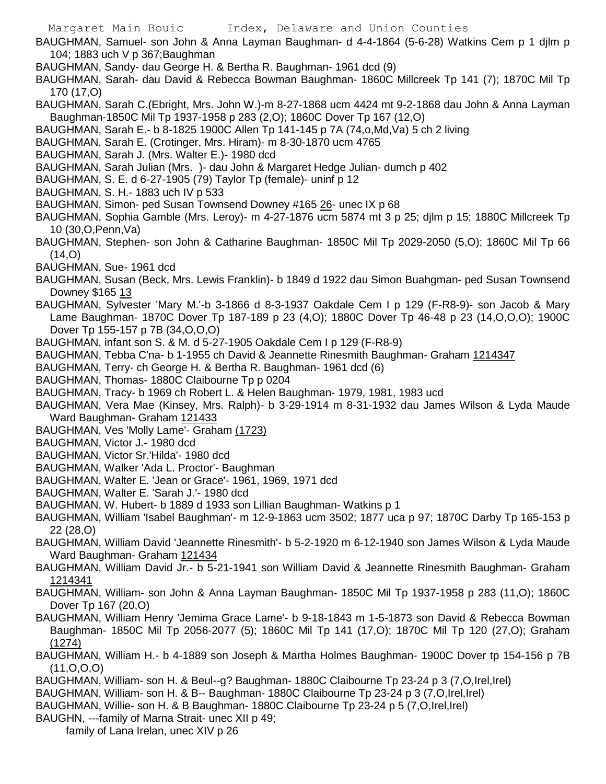BAUGHMAN, Samuel- son John & Anna Layman Baughman- d 4-4-1864 (5-6-28) Watkins Cem p 1 djlm p 104; 1883 uch V p 367;Baughman

- BAUGHMAN, Sandy- dau George H. & Bertha R. Baughman- 1961 dcd (9)
- BAUGHMAN, Sarah- dau David & Rebecca Bowman Baughman- 1860C Millcreek Tp 141 (7); 1870C Mil Tp 170 (17,O)
- BAUGHMAN, Sarah C.(Ebright, Mrs. John W.)-m 8-27-1868 ucm 4424 mt 9-2-1868 dau John & Anna Layman Baughman-1850C Mil Tp 1937-1958 p 283 (2,O); 1860C Dover Tp 167 (12,O)
- BAUGHMAN, Sarah E.- b 8-1825 1900C Allen Tp 141-145 p 7A (74,o,Md,Va) 5 ch 2 living
- BAUGHMAN, Sarah E. (Crotinger, Mrs. Hiram)- m 8-30-1870 ucm 4765
- BAUGHMAN, Sarah J. (Mrs. Walter E.)- 1980 dcd
- BAUGHMAN, Sarah Julian (Mrs. )- dau John & Margaret Hedge Julian- dumch p 402
- BAUGHMAN, S. E. d 6-27-1905 (79) Taylor Tp (female)- uninf p 12
- BAUGHMAN, S. H.- 1883 uch IV p 533
- BAUGHMAN, Simon- ped Susan Townsend Downey #165 26- unec IX p 68
- BAUGHMAN, Sophia Gamble (Mrs. Leroy)- m 4-27-1876 ucm 5874 mt 3 p 25; djlm p 15; 1880C Millcreek Tp 10 (30,O,Penn,Va)
- BAUGHMAN, Stephen- son John & Catharine Baughman- 1850C Mil Tp 2029-2050 (5,O); 1860C Mil Tp 66  $(14, 0)$
- BAUGHMAN, Sue- 1961 dcd
- BAUGHMAN, Susan (Beck, Mrs. Lewis Franklin)- b 1849 d 1922 dau Simon Buahgman- ped Susan Townsend Downey \$165 13
- BAUGHMAN, Sylvester 'Mary M.'-b 3-1866 d 8-3-1937 Oakdale Cem I p 129 (F-R8-9)- son Jacob & Mary Lame Baughman- 1870C Dover Tp 187-189 p 23 (4,O); 1880C Dover Tp 46-48 p 23 (14,O,O,O); 1900C Dover Tp 155-157 p 7B (34,O,O,O)
- BAUGHMAN, infant son S. & M. d 5-27-1905 Oakdale Cem I p 129 (F-R8-9)
- BAUGHMAN, Tebba C'na- b 1-1955 ch David & Jeannette Rinesmith Baughman- Graham 1214347
- BAUGHMAN, Terry- ch George H. & Bertha R. Baughman- 1961 dcd (6)
- BAUGHMAN, Thomas- 1880C Claibourne Tp p 0204
- BAUGHMAN, Tracy- b 1969 ch Robert L. & Helen Baughman- 1979, 1981, 1983 ucd
- BAUGHMAN, Vera Mae (Kinsey, Mrs. Ralph)- b 3-29-1914 m 8-31-1932 dau James Wilson & Lyda Maude Ward Baughman- Graham 121433
- BAUGHMAN, Ves 'Molly Lame'- Graham (1723)
- BAUGHMAN, Victor J.- 1980 dcd
- BAUGHMAN, Victor Sr.'Hilda'- 1980 dcd
- BAUGHMAN, Walker 'Ada L. Proctor'- Baughman
- BAUGHMAN, Walter E. 'Jean or Grace'- 1961, 1969, 1971 dcd
- BAUGHMAN, Walter E. 'Sarah J.'- 1980 dcd
- BAUGHMAN, W. Hubert- b 1889 d 1933 son Lillian Baughman- Watkins p 1
- BAUGHMAN, William 'Isabel Baughman'- m 12-9-1863 ucm 3502; 1877 uca p 97; 1870C Darby Tp 165-153 p 22 (28,O)
- BAUGHMAN, William David 'Jeannette Rinesmith'- b 5-2-1920 m 6-12-1940 son James Wilson & Lyda Maude Ward Baughman- Graham 121434
- BAUGHMAN, William David Jr.- b 5-21-1941 son William David & Jeannette Rinesmith Baughman- Graham 1214341
- BAUGHMAN, William- son John & Anna Layman Baughman- 1850C Mil Tp 1937-1958 p 283 (11,O); 1860C Dover Tp 167 (20,O)
- BAUGHMAN, William Henry 'Jemima Grace Lame'- b 9-18-1843 m 1-5-1873 son David & Rebecca Bowman Baughman- 1850C Mil Tp 2056-2077 (5); 1860C Mil Tp 141 (17,O); 1870C Mil Tp 120 (27,O); Graham (1274)
- BAUGHMAN, William H.- b 4-1889 son Joseph & Martha Holmes Baughman- 1900C Dover tp 154-156 p 7B (11,O,O,O)
- BAUGHMAN, William- son H. & Beul--g? Baughman- 1880C Claibourne Tp 23-24 p 3 (7,O,Irel,Irel)
- BAUGHMAN, William- son H. & B-- Baughman- 1880C Claibourne Tp 23-24 p 3 (7,0, Irel, Irel)
- BAUGHMAN, Willie- son H. & B Baughman- 1880C Claibourne Tp 23-24 p 5 (7,O,Irel,Irel)
- BAUGHN, ---family of Marna Strait- unec XII p 49;
	- family of Lana Irelan, unec XIV p 26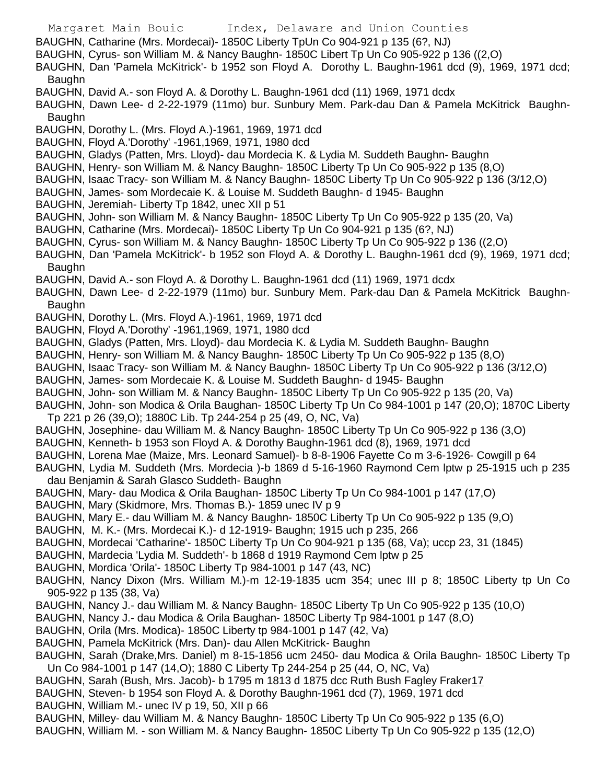- Margaret Main Bouic Index, Delaware and Union Counties BAUGHN, Catharine (Mrs. Mordecai)- 1850C Liberty TpUn Co 904-921 p 135 (6?, NJ) BAUGHN, Cyrus- son William M. & Nancy Baughn- 1850C Libert Tp Un Co 905-922 p 136 ((2,O) BAUGHN, Dan 'Pamela McKitrick'- b 1952 son Floyd A. Dorothy L. Baughn-1961 dcd (9), 1969, 1971 dcd; Baughn BAUGHN, David A.- son Floyd A. & Dorothy L. Baughn-1961 dcd (11) 1969, 1971 dcdx BAUGHN, Dawn Lee- d 2-22-1979 (11mo) bur. Sunbury Mem. Park-dau Dan & Pamela McKitrick Baughn-Baughn BAUGHN, Dorothy L. (Mrs. Floyd A.)-1961, 1969, 1971 dcd BAUGHN, Floyd A.'Dorothy' -1961,1969, 1971, 1980 dcd BAUGHN, Gladys (Patten, Mrs. Lloyd)- dau Mordecia K. & Lydia M. Suddeth Baughn- Baughn BAUGHN, Henry- son William M. & Nancy Baughn- 1850C Liberty Tp Un Co 905-922 p 135 (8,O) BAUGHN, Isaac Tracy- son William M. & Nancy Baughn- 1850C Liberty Tp Un Co 905-922 p 136 (3/12,O) BAUGHN, James- som Mordecaie K. & Louise M. Suddeth Baughn- d 1945- Baughn BAUGHN, Jeremiah- Liberty Tp 1842, unec XII p 51 BAUGHN, John- son William M. & Nancy Baughn- 1850C Liberty Tp Un Co 905-922 p 135 (20, Va) BAUGHN, Catharine (Mrs. Mordecai)- 1850C Liberty Tp Un Co 904-921 p 135 (6?, NJ) BAUGHN, Cyrus- son William M. & Nancy Baughn- 1850C Liberty Tp Un Co 905-922 p 136 ((2,O) BAUGHN, Dan 'Pamela McKitrick'- b 1952 son Floyd A. & Dorothy L. Baughn-1961 dcd (9), 1969, 1971 dcd; Baughn BAUGHN, David A.- son Floyd A. & Dorothy L. Baughn-1961 dcd (11) 1969, 1971 dcdx BAUGHN, Dawn Lee- d 2-22-1979 (11mo) bur. Sunbury Mem. Park-dau Dan & Pamela McKitrick Baughn-Baughn BAUGHN, Dorothy L. (Mrs. Floyd A.)-1961, 1969, 1971 dcd BAUGHN, Floyd A.'Dorothy' -1961,1969, 1971, 1980 dcd BAUGHN, Gladys (Patten, Mrs. Lloyd)- dau Mordecia K. & Lydia M. Suddeth Baughn- Baughn BAUGHN, Henry- son William M. & Nancy Baughn- 1850C Liberty Tp Un Co 905-922 p 135 (8,O) BAUGHN, Isaac Tracy- son William M. & Nancy Baughn- 1850C Liberty Tp Un Co 905-922 p 136 (3/12,O) BAUGHN, James- som Mordecaie K. & Louise M. Suddeth Baughn- d 1945- Baughn BAUGHN, John- son William M. & Nancy Baughn- 1850C Liberty Tp Un Co 905-922 p 135 (20, Va) BAUGHN, John- son Modica & Orila Baughan- 1850C Liberty Tp Un Co 984-1001 p 147 (20,O); 1870C Liberty Tp 221 p 26 (39,O); 1880C Lib. Tp 244-254 p 25 (49, O, NC, Va) BAUGHN, Josephine- dau William M. & Nancy Baughn- 1850C Liberty Tp Un Co 905-922 p 136 (3,O) BAUGHN, Kenneth- b 1953 son Floyd A. & Dorothy Baughn-1961 dcd (8), 1969, 1971 dcd BAUGHN, Lorena Mae (Maize, Mrs. Leonard Samuel)- b 8-8-1906 Fayette Co m 3-6-1926- Cowgill p 64 BAUGHN, Lydia M. Suddeth (Mrs. Mordecia )-b 1869 d 5-16-1960 Raymond Cem lptw p 25-1915 uch p 235 dau Benjamin & Sarah Glasco Suddeth- Baughn BAUGHN, Mary- dau Modica & Orila Baughan- 1850C Liberty Tp Un Co 984-1001 p 147 (17,O) BAUGHN, Mary (Skidmore, Mrs. Thomas B.)- 1859 unec IV p 9 BAUGHN, Mary E.- dau William M. & Nancy Baughn- 1850C Liberty Tp Un Co 905-922 p 135 (9,O) BAUGHN, M. K.- (Mrs. Mordecai K.)- d 12-1919- Baughn; 1915 uch p 235, 266 BAUGHN, Mordecai 'Catharine'- 1850C Liberty Tp Un Co 904-921 p 135 (68, Va); uccp 23, 31 (1845) BAUGHN, Mardecia 'Lydia M. Suddeth'- b 1868 d 1919 Raymond Cem lptw p 25 BAUGHN, Mordica 'Orila'- 1850C Liberty Tp 984-1001 p 147 (43, NC) BAUGHN, Nancy Dixon (Mrs. William M.)-m 12-19-1835 ucm 354; unec III p 8; 1850C Liberty tp Un Co 905-922 p 135 (38, Va) BAUGHN, Nancy J.- dau William M. & Nancy Baughn- 1850C Liberty Tp Un Co 905-922 p 135 (10,O) BAUGHN, Nancy J.- dau Modica & Orila Baughan- 1850C Liberty Tp 984-1001 p 147 (8,O) BAUGHN, Orila (Mrs. Modica)- 1850C Liberty tp 984-1001 p 147 (42, Va) BAUGHN, Pamela McKitrick (Mrs. Dan)- dau Allen McKitrick- Baughn BAUGHN, Sarah (Drake,Mrs. Daniel) m 8-15-1856 ucm 2450- dau Modica & Orila Baughn- 1850C Liberty Tp Un Co 984-1001 p 147 (14,O); 1880 C Liberty Tp 244-254 p 25 (44, O, NC, Va) BAUGHN, Sarah (Bush, Mrs. Jacob)- b 1795 m 1813 d 1875 dcc Ruth Bush Fagley Fraker17 BAUGHN, Steven- b 1954 son Floyd A. & Dorothy Baughn-1961 dcd (7), 1969, 1971 dcd BAUGHN, William M.- unec IV p 19, 50, XII p 66
	- BAUGHN, Milley- dau William M. & Nancy Baughn- 1850C Liberty Tp Un Co 905-922 p 135 (6,O)
	- BAUGHN, William M. son William M. & Nancy Baughn- 1850C Liberty Tp Un Co 905-922 p 135 (12,O)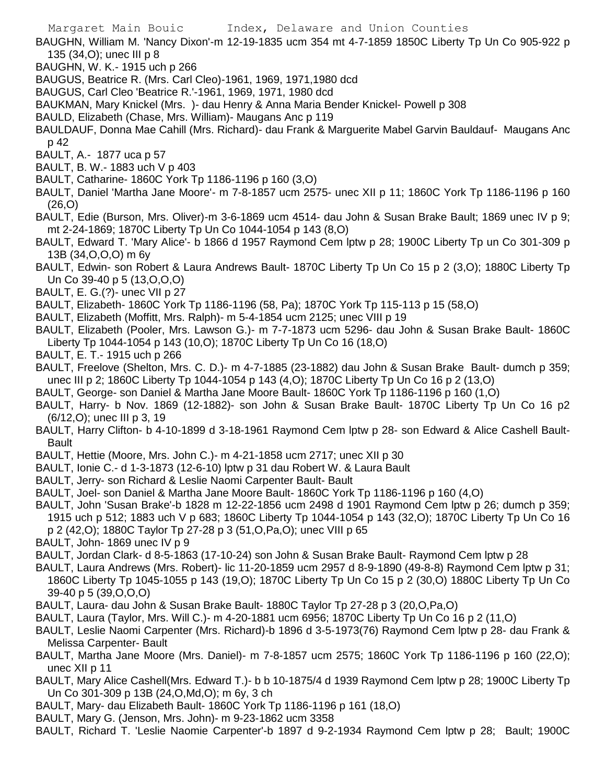BAUGHN, William M. 'Nancy Dixon'-m 12-19-1835 ucm 354 mt 4-7-1859 1850C Liberty Tp Un Co 905-922 p 135 (34,O); unec III p 8

- BAUGHN, W. K.- 1915 uch p 266
- BAUGUS, Beatrice R. (Mrs. Carl Cleo)-1961, 1969, 1971,1980 dcd
- BAUGUS, Carl Cleo 'Beatrice R.'-1961, 1969, 1971, 1980 dcd
- BAUKMAN, Mary Knickel (Mrs. )- dau Henry & Anna Maria Bender Knickel- Powell p 308
- BAULD, Elizabeth (Chase, Mrs. William)- Maugans Anc p 119
- BAULDAUF, Donna Mae Cahill (Mrs. Richard)- dau Frank & Marguerite Mabel Garvin Bauldauf- Maugans Anc p 42
- BAULT, A.- 1877 uca p 57
- BAULT, B. W.- 1883 uch V p 403
- BAULT, Catharine- 1860C York Tp 1186-1196 p 160 (3,O)
- BAULT, Daniel 'Martha Jane Moore'- m 7-8-1857 ucm 2575- unec XII p 11; 1860C York Tp 1186-1196 p 160 (26,O)
- BAULT, Edie (Burson, Mrs. Oliver)-m 3-6-1869 ucm 4514- dau John & Susan Brake Bault; 1869 unec IV p 9; mt 2-24-1869; 1870C Liberty Tp Un Co 1044-1054 p 143 (8,O)
- BAULT, Edward T. 'Mary Alice'- b 1866 d 1957 Raymond Cem lptw p 28; 1900C Liberty Tp un Co 301-309 p 13B (34,O,O,O) m 6y
- BAULT, Edwin- son Robert & Laura Andrews Bault- 1870C Liberty Tp Un Co 15 p 2 (3,O); 1880C Liberty Tp Un Co 39-40 p 5 (13,O,O,O)
- BAULT, E. G.(?)- unec VII p 27
- BAULT, Elizabeth- 1860C York Tp 1186-1196 (58, Pa); 1870C York Tp 115-113 p 15 (58,O)
- BAULT, Elizabeth (Moffitt, Mrs. Ralph)- m 5-4-1854 ucm 2125; unec VIII p 19
- BAULT, Elizabeth (Pooler, Mrs. Lawson G.)- m 7-7-1873 ucm 5296- dau John & Susan Brake Bault- 1860C Liberty Tp 1044-1054 p 143 (10,O); 1870C Liberty Tp Un Co 16 (18,O)
- BAULT, E. T.- 1915 uch p 266
- BAULT, Freelove (Shelton, Mrs. C. D.)- m 4-7-1885 (23-1882) dau John & Susan Brake Bault- dumch p 359; unec III p 2; 1860C Liberty Tp 1044-1054 p 143 (4,O); 1870C Liberty Tp Un Co 16 p 2 (13,O)
- BAULT, George- son Daniel & Martha Jane Moore Bault- 1860C York Tp 1186-1196 p 160 (1,O)
- BAULT, Harry- b Nov. 1869 (12-1882)- son John & Susan Brake Bault- 1870C Liberty Tp Un Co 16 p2 (6/12,O); unec III p 3, 19
- BAULT, Harry Clifton- b 4-10-1899 d 3-18-1961 Raymond Cem lptw p 28- son Edward & Alice Cashell Bault-Bault
- BAULT, Hettie (Moore, Mrs. John C.)- m 4-21-1858 ucm 2717; unec XII p 30
- BAULT, Ionie C.- d 1-3-1873 (12-6-10) lptw p 31 dau Robert W. & Laura Bault
- BAULT, Jerry- son Richard & Leslie Naomi Carpenter Bault- Bault
- BAULT, Joel- son Daniel & Martha Jane Moore Bault- 1860C York Tp 1186-1196 p 160 (4,O)
- BAULT, John 'Susan Brake'-b 1828 m 12-22-1856 ucm 2498 d 1901 Raymond Cem lptw p 26; dumch p 359; 1915 uch p 512; 1883 uch V p 683; 1860C Liberty Tp 1044-1054 p 143 (32,O); 1870C Liberty Tp Un Co 16 p 2 (42,O); 1880C Taylor Tp 27-28 p 3 (51,O,Pa,O); unec VIII p 65
- BAULT, John- 1869 unec IV p 9
- BAULT, Jordan Clark- d 8-5-1863 (17-10-24) son John & Susan Brake Bault- Raymond Cem lptw p 28
- BAULT, Laura Andrews (Mrs. Robert)- lic 11-20-1859 ucm 2957 d 8-9-1890 (49-8-8) Raymond Cem lptw p 31; 1860C Liberty Tp 1045-1055 p 143 (19,O); 1870C Liberty Tp Un Co 15 p 2 (30,O) 1880C Liberty Tp Un Co 39-40 p 5 (39,O,O,O)
- BAULT, Laura- dau John & Susan Brake Bault- 1880C Taylor Tp 27-28 p 3 (20,O,Pa,O)
- BAULT, Laura (Taylor, Mrs. Will C.)- m 4-20-1881 ucm 6956; 1870C Liberty Tp Un Co 16 p 2 (11,O)
- BAULT, Leslie Naomi Carpenter (Mrs. Richard)-b 1896 d 3-5-1973(76) Raymond Cem lptw p 28- dau Frank & Melissa Carpenter- Bault
- BAULT, Martha Jane Moore (Mrs. Daniel)- m 7-8-1857 ucm 2575; 1860C York Tp 1186-1196 p 160 (22,O); unec XII p 11
- BAULT, Mary Alice Cashell(Mrs. Edward T.)- b b 10-1875/4 d 1939 Raymond Cem lptw p 28; 1900C Liberty Tp Un Co 301-309 p 13B (24,O,Md,O); m 6y, 3 ch
- BAULT, Mary- dau Elizabeth Bault- 1860C York Tp 1186-1196 p 161 (18,O)
- BAULT, Mary G. (Jenson, Mrs. John)- m 9-23-1862 ucm 3358
- BAULT, Richard T. 'Leslie Naomie Carpenter'-b 1897 d 9-2-1934 Raymond Cem lptw p 28; Bault; 1900C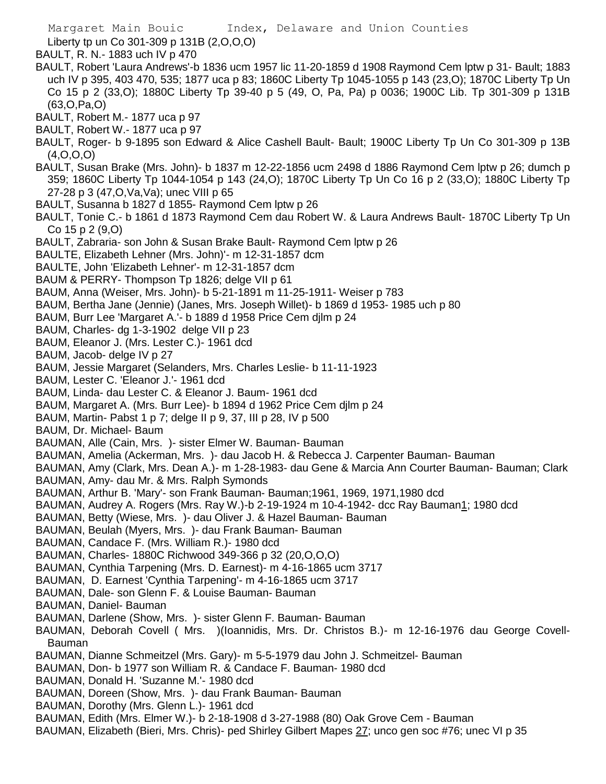Liberty tp un Co 301-309 p 131B (2,O,O,O)

BAULT, R. N.- 1883 uch IV p 470

- BAULT, Robert 'Laura Andrews'-b 1836 ucm 1957 lic 11-20-1859 d 1908 Raymond Cem lptw p 31- Bault; 1883 uch IV p 395, 403 470, 535; 1877 uca p 83; 1860C Liberty Tp 1045-1055 p 143 (23,O); 1870C Liberty Tp Un Co 15 p 2 (33,O); 1880C Liberty Tp 39-40 p 5 (49, O, Pa, Pa) p 0036; 1900C Lib. Tp 301-309 p 131B (63,O,Pa,O)
- BAULT, Robert M.- 1877 uca p 97
- BAULT, Robert W.- 1877 uca p 97
- BAULT, Roger- b 9-1895 son Edward & Alice Cashell Bault- Bault; 1900C Liberty Tp Un Co 301-309 p 13B  $(4, 0, 0, 0)$
- BAULT, Susan Brake (Mrs. John)- b 1837 m 12-22-1856 ucm 2498 d 1886 Raymond Cem lptw p 26; dumch p 359; 1860C Liberty Tp 1044-1054 p 143 (24,O); 1870C Liberty Tp Un Co 16 p 2 (33,O); 1880C Liberty Tp 27-28 p 3 (47,O,Va,Va); unec VIII p 65
- BAULT, Susanna b 1827 d 1855- Raymond Cem lptw p 26
- BAULT, Tonie C.- b 1861 d 1873 Raymond Cem dau Robert W. & Laura Andrews Bault- 1870C Liberty Tp Un Co 15 p 2 (9,O)
- BAULT, Zabraria- son John & Susan Brake Bault- Raymond Cem lptw p 26
- BAULTE, Elizabeth Lehner (Mrs. John)'- m 12-31-1857 dcm
- BAULTE, John 'Elizabeth Lehner'- m 12-31-1857 dcm
- BAUM & PERRY- Thompson Tp 1826; delge VII p 61
- BAUM, Anna (Weiser, Mrs. John)- b 5-21-1891 m 11-25-1911- Weiser p 783
- BAUM, Bertha Jane (Jennie) (Janes, Mrs. Joseph Willet)- b 1869 d 1953- 1985 uch p 80
- BAUM, Burr Lee 'Margaret A.'- b 1889 d 1958 Price Cem djlm p 24
- BAUM, Charles- dg 1-3-1902 delge VII p 23
- BAUM, Eleanor J. (Mrs. Lester C.)- 1961 dcd
- BAUM, Jacob- delge IV p 27
- BAUM, Jessie Margaret (Selanders, Mrs. Charles Leslie- b 11-11-1923
- BAUM, Lester C. 'Eleanor J.'- 1961 dcd
- BAUM, Linda- dau Lester C. & Eleanor J. Baum- 1961 dcd
- BAUM, Margaret A. (Mrs. Burr Lee)- b 1894 d 1962 Price Cem djlm p 24
- BAUM, Martin- Pabst 1 p 7; delge II p 9, 37, III p 28, IV p 500
- BAUM, Dr. Michael- Baum
- BAUMAN, Alle (Cain, Mrs. )- sister Elmer W. Bauman- Bauman
- BAUMAN, Amelia (Ackerman, Mrs. )- dau Jacob H. & Rebecca J. Carpenter Bauman- Bauman
- BAUMAN, Amy (Clark, Mrs. Dean A.)- m 1-28-1983- dau Gene & Marcia Ann Courter Bauman- Bauman; Clark
- BAUMAN, Amy- dau Mr. & Mrs. Ralph Symonds
- BAUMAN, Arthur B. 'Mary'- son Frank Bauman- Bauman;1961, 1969, 1971,1980 dcd
- BAUMAN, Audrey A. Rogers (Mrs. Ray W.)-b 2-19-1924 m 10-4-1942- dcc Ray Bauman1; 1980 dcd
- BAUMAN, Betty (Wiese, Mrs. )- dau Oliver J. & Hazel Bauman- Bauman
- BAUMAN, Beulah (Myers, Mrs. )- dau Frank Bauman- Bauman
- BAUMAN, Candace F. (Mrs. William R.)- 1980 dcd
- BAUMAN, Charles- 1880C Richwood 349-366 p 32 (20,O,O,O)
- BAUMAN, Cynthia Tarpening (Mrs. D. Earnest)- m 4-16-1865 ucm 3717
- BAUMAN, D. Earnest 'Cynthia Tarpening'- m 4-16-1865 ucm 3717
- BAUMAN, Dale- son Glenn F. & Louise Bauman- Bauman
- BAUMAN, Daniel- Bauman
- BAUMAN, Darlene (Show, Mrs. )- sister Glenn F. Bauman- Bauman
- BAUMAN, Deborah Covell ( Mrs. )(Ioannidis, Mrs. Dr. Christos B.)- m 12-16-1976 dau George Covell-Bauman
- BAUMAN, Dianne Schmeitzel (Mrs. Gary)- m 5-5-1979 dau John J. Schmeitzel- Bauman
- BAUMAN, Don- b 1977 son William R. & Candace F. Bauman- 1980 dcd
- BAUMAN, Donald H. 'Suzanne M.'- 1980 dcd
- BAUMAN, Doreen (Show, Mrs. )- dau Frank Bauman- Bauman
- BAUMAN, Dorothy (Mrs. Glenn L.)- 1961 dcd
- BAUMAN, Edith (Mrs. Elmer W.)- b 2-18-1908 d 3-27-1988 (80) Oak Grove Cem Bauman
- BAUMAN, Elizabeth (Bieri, Mrs. Chris)- ped Shirley Gilbert Mapes 27; unco gen soc #76; unec VI p 35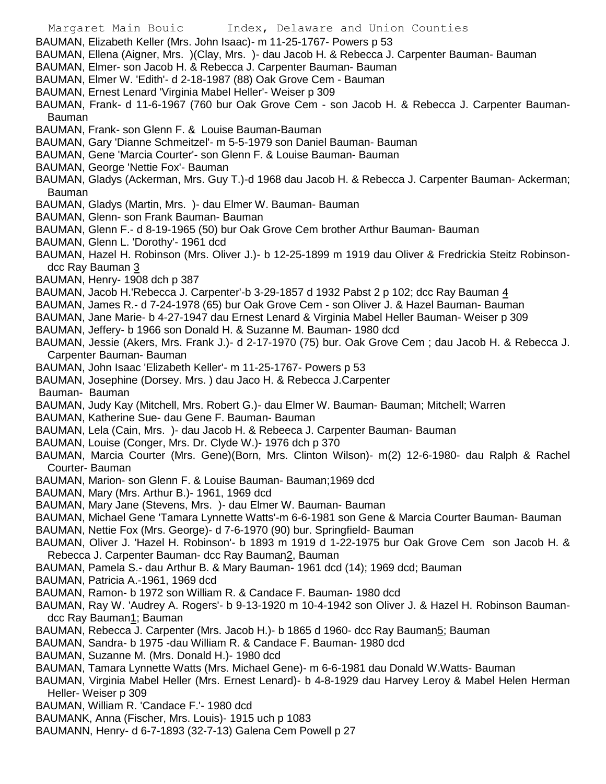- Margaret Main Bouic Index, Delaware and Union Counties
- BAUMAN, Elizabeth Keller (Mrs. John Isaac)- m 11-25-1767- Powers p 53
- BAUMAN, Ellena (Aigner, Mrs. )(Clay, Mrs. )- dau Jacob H. & Rebecca J. Carpenter Bauman- Bauman
- BAUMAN, Elmer- son Jacob H. & Rebecca J. Carpenter Bauman- Bauman
- BAUMAN, Elmer W. 'Edith'- d 2-18-1987 (88) Oak Grove Cem Bauman
- BAUMAN, Ernest Lenard 'Virginia Mabel Heller'- Weiser p 309
- BAUMAN, Frank- d 11-6-1967 (760 bur Oak Grove Cem son Jacob H. & Rebecca J. Carpenter Bauman-Bauman
- BAUMAN, Frank- son Glenn F. & Louise Bauman-Bauman
- BAUMAN, Gary 'Dianne Schmeitzel'- m 5-5-1979 son Daniel Bauman- Bauman
- BAUMAN, Gene 'Marcia Courter'- son Glenn F. & Louise Bauman- Bauman
- BAUMAN, George 'Nettie Fox'- Bauman
- BAUMAN, Gladys (Ackerman, Mrs. Guy T.)-d 1968 dau Jacob H. & Rebecca J. Carpenter Bauman- Ackerman; Bauman
- BAUMAN, Gladys (Martin, Mrs. )- dau Elmer W. Bauman- Bauman
- BAUMAN, Glenn- son Frank Bauman- Bauman
- BAUMAN, Glenn F.- d 8-19-1965 (50) bur Oak Grove Cem brother Arthur Bauman- Bauman
- BAUMAN, Glenn L. 'Dorothy'- 1961 dcd
- BAUMAN, Hazel H. Robinson (Mrs. Oliver J.)- b 12-25-1899 m 1919 dau Oliver & Fredrickia Steitz Robinsondcc Ray Bauman 3
- BAUMAN, Henry- 1908 dch p 387
- BAUMAN, Jacob H.'Rebecca J. Carpenter'-b 3-29-1857 d 1932 Pabst 2 p 102; dcc Ray Bauman 4
- BAUMAN, James R.- d 7-24-1978 (65) bur Oak Grove Cem son Oliver J. & Hazel Bauman- Bauman
- BAUMAN, Jane Marie- b 4-27-1947 dau Ernest Lenard & Virginia Mabel Heller Bauman- Weiser p 309
- BAUMAN, Jeffery- b 1966 son Donald H. & Suzanne M. Bauman- 1980 dcd
- BAUMAN, Jessie (Akers, Mrs. Frank J.)- d 2-17-1970 (75) bur. Oak Grove Cem ; dau Jacob H. & Rebecca J. Carpenter Bauman- Bauman
- BAUMAN, John Isaac 'Elizabeth Keller'- m 11-25-1767- Powers p 53
- BAUMAN, Josephine (Dorsey. Mrs. ) dau Jaco H. & Rebecca J.Carpenter
- Bauman- Bauman
- BAUMAN, Judy Kay (Mitchell, Mrs. Robert G.)- dau Elmer W. Bauman- Bauman; Mitchell; Warren
- BAUMAN, Katherine Sue- dau Gene F. Bauman- Bauman
- BAUMAN, Lela (Cain, Mrs. )- dau Jacob H. & Rebeeca J. Carpenter Bauman- Bauman
- BAUMAN, Louise (Conger, Mrs. Dr. Clyde W.)- 1976 dch p 370
- BAUMAN, Marcia Courter (Mrs. Gene)(Born, Mrs. Clinton Wilson)- m(2) 12-6-1980- dau Ralph & Rachel Courter- Bauman
- BAUMAN, Marion- son Glenn F. & Louise Bauman- Bauman;1969 dcd
- BAUMAN, Mary (Mrs. Arthur B.)- 1961, 1969 dcd
- BAUMAN, Mary Jane (Stevens, Mrs. )- dau Elmer W. Bauman- Bauman
- BAUMAN, Michael Gene 'Tamara Lynnette Watts'-m 6-6-1981 son Gene & Marcia Courter Bauman- Bauman
- BAUMAN, Nettie Fox (Mrs. George)- d 7-6-1970 (90) bur. Springfield- Bauman
- BAUMAN, Oliver J. 'Hazel H. Robinson'- b 1893 m 1919 d 1-22-1975 bur Oak Grove Cem son Jacob H. & Rebecca J. Carpenter Bauman- dcc Ray Bauman2, Bauman
- BAUMAN, Pamela S.- dau Arthur B. & Mary Bauman- 1961 dcd (14); 1969 dcd; Bauman
- BAUMAN, Patricia A.-1961, 1969 dcd
- BAUMAN, Ramon- b 1972 son William R. & Candace F. Bauman- 1980 dcd
- BAUMAN, Ray W. 'Audrey A. Rogers'- b 9-13-1920 m 10-4-1942 son Oliver J. & Hazel H. Robinson Baumandcc Ray Bauman1; Bauman
- BAUMAN, Rebecca J. Carpenter (Mrs. Jacob H.)- b 1865 d 1960- dcc Ray Bauman5; Bauman
- BAUMAN, Sandra- b 1975 -dau William R. & Candace F. Bauman- 1980 dcd
- BAUMAN, Suzanne M. (Mrs. Donald H.)- 1980 dcd
- BAUMAN, Tamara Lynnette Watts (Mrs. Michael Gene)- m 6-6-1981 dau Donald W.Watts- Bauman
- BAUMAN, Virginia Mabel Heller (Mrs. Ernest Lenard)- b 4-8-1929 dau Harvey Leroy & Mabel Helen Herman Heller- Weiser p 309
- BAUMAN, William R. 'Candace F.'- 1980 dcd
- BAUMANK, Anna (Fischer, Mrs. Louis)- 1915 uch p 1083
- BAUMANN, Henry- d 6-7-1893 (32-7-13) Galena Cem Powell p 27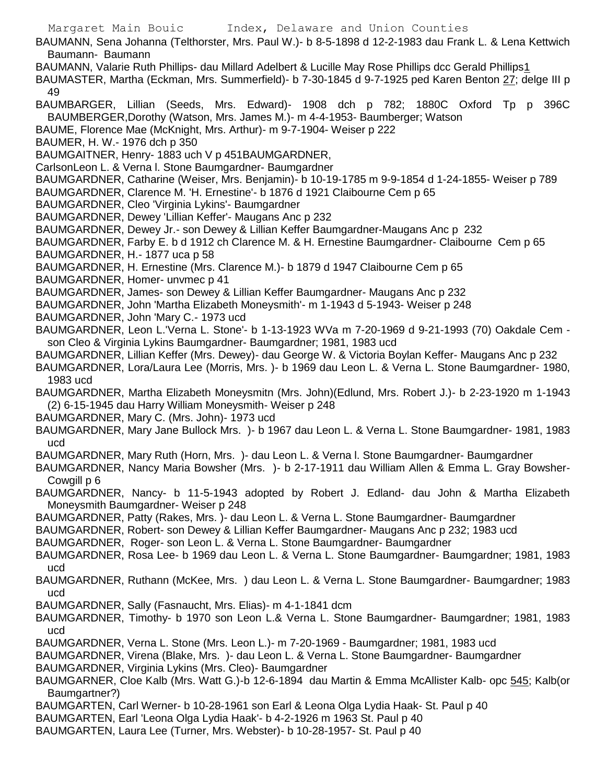Margaret Main Bouic Index, Delaware and Union Counties BAUMANN, Sena Johanna (Telthorster, Mrs. Paul W.)- b 8-5-1898 d 12-2-1983 dau Frank L. & Lena Kettwich Baumann- Baumann BAUMANN, Valarie Ruth Phillips- dau Millard Adelbert & Lucille May Rose Phillips dcc Gerald Phillips1 BAUMASTER, Martha (Eckman, Mrs. Summerfield)- b 7-30-1845 d 9-7-1925 ped Karen Benton 27; delge III p 49 BAUMBARGER, Lillian (Seeds, Mrs. Edward)- 1908 dch p 782; 1880C Oxford Tp p 396C BAUMBERGER,Dorothy (Watson, Mrs. James M.)- m 4-4-1953- Baumberger; Watson BAUME, Florence Mae (McKnight, Mrs. Arthur)- m 9-7-1904- Weiser p 222 BAUMER, H. W.- 1976 dch p 350 BAUMGAITNER, Henry- 1883 uch V p 451BAUMGARDNER, CarlsonLeon L. & Verna l. Stone Baumgardner- Baumgardner BAUMGARDNER, Catharine (Weiser, Mrs. Benjamin)- b 10-19-1785 m 9-9-1854 d 1-24-1855- Weiser p 789 BAUMGARDNER, Clarence M. 'H. Ernestine'- b 1876 d 1921 Claibourne Cem p 65 BAUMGARDNER, Cleo 'Virginia Lykins'- Baumgardner BAUMGARDNER, Dewey 'Lillian Keffer'- Maugans Anc p 232 BAUMGARDNER, Dewey Jr.- son Dewey & Lillian Keffer Baumgardner-Maugans Anc p 232 BAUMGARDNER, Farby E. b d 1912 ch Clarence M. & H. Ernestine Baumgardner- Claibourne Cem p 65 BAUMGARDNER, H.- 1877 uca p 58 BAUMGARDNER, H. Ernestine (Mrs. Clarence M.)- b 1879 d 1947 Claibourne Cem p 65 BAUMGARDNER, Homer- unvmec p 41 BAUMGARDNER, James- son Dewey & Lillian Keffer Baumgardner- Maugans Anc p 232 BAUMGARDNER, John 'Martha Elizabeth Moneysmith'- m 1-1943 d 5-1943- Weiser p 248 BAUMGARDNER, John 'Mary C.- 1973 ucd BAUMGARDNER, Leon L.'Verna L. Stone'- b 1-13-1923 WVa m 7-20-1969 d 9-21-1993 (70) Oakdale Cem son Cleo & Virginia Lykins Baumgardner- Baumgardner; 1981, 1983 ucd BAUMGARDNER, Lillian Keffer (Mrs. Dewey)- dau George W. & Victoria Boylan Keffer- Maugans Anc p 232 BAUMGARDNER, Lora/Laura Lee (Morris, Mrs. )- b 1969 dau Leon L. & Verna L. Stone Baumgardner- 1980, 1983 ucd BAUMGARDNER, Martha Elizabeth Moneysmitn (Mrs. John)(Edlund, Mrs. Robert J.)- b 2-23-1920 m 1-1943 (2) 6-15-1945 dau Harry William Moneysmith- Weiser p 248 BAUMGARDNER, Mary C. (Mrs. John)- 1973 ucd BAUMGARDNER, Mary Jane Bullock Mrs. )- b 1967 dau Leon L. & Verna L. Stone Baumgardner- 1981, 1983 ucd BAUMGARDNER, Mary Ruth (Horn, Mrs. )- dau Leon L. & Verna l. Stone Baumgardner- Baumgardner BAUMGARDNER, Nancy Maria Bowsher (Mrs. )- b 2-17-1911 dau William Allen & Emma L. Gray Bowsher-Cowgill p 6 BAUMGARDNER, Nancy- b 11-5-1943 adopted by Robert J. Edland- dau John & Martha Elizabeth Moneysmith Baumgardner- Weiser p 248 BAUMGARDNER, Patty (Rakes, Mrs. )- dau Leon L. & Verna L. Stone Baumgardner- Baumgardner BAUMGARDNER, Robert- son Dewey & Lillian Keffer Baumgardner- Maugans Anc p 232; 1983 ucd BAUMGARDNER, Roger- son Leon L. & Verna L. Stone Baumgardner- Baumgardner BAUMGARDNER, Rosa Lee- b 1969 dau Leon L. & Verna L. Stone Baumgardner- Baumgardner; 1981, 1983 ucd BAUMGARDNER, Ruthann (McKee, Mrs. ) dau Leon L. & Verna L. Stone Baumgardner- Baumgardner; 1983 ucd BAUMGARDNER, Sally (Fasnaucht, Mrs. Elias)- m 4-1-1841 dcm BAUMGARDNER, Timothy- b 1970 son Leon L.& Verna L. Stone Baumgardner- Baumgardner; 1981, 1983 ucd BAUMGARDNER, Verna L. Stone (Mrs. Leon L.)- m 7-20-1969 - Baumgardner; 1981, 1983 ucd BAUMGARDNER, Virena (Blake, Mrs. )- dau Leon L. & Verna L. Stone Baumgardner- Baumgardner BAUMGARDNER, Virginia Lykins (Mrs. Cleo)- Baumgardner BAUMGARNER, Cloe Kalb (Mrs. Watt G.)-b 12-6-1894 dau Martin & Emma McAllister Kalb- opc 545; Kalb(or Baumgartner?) BAUMGARTEN, Carl Werner- b 10-28-1961 son Earl & Leona Olga Lydia Haak- St. Paul p 40 BAUMGARTEN, Earl 'Leona Olga Lydia Haak'- b 4-2-1926 m 1963 St. Paul p 40 BAUMGARTEN, Laura Lee (Turner, Mrs. Webster)- b 10-28-1957- St. Paul p 40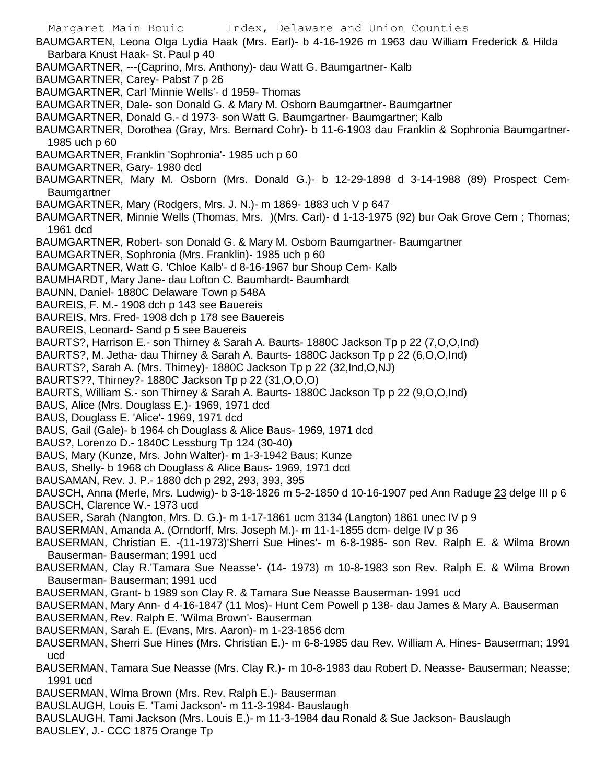Margaret Main Bouic Index, Delaware and Union Counties BAUMGARTEN, Leona Olga Lydia Haak (Mrs. Earl)- b 4-16-1926 m 1963 dau William Frederick & Hilda Barbara Knust Haak- St. Paul p 40 BAUMGARTNER, ---(Caprino, Mrs. Anthony)- dau Watt G. Baumgartner- Kalb BAUMGARTNER, Carey- Pabst 7 p 26 BAUMGARTNER, Carl 'Minnie Wells'- d 1959- Thomas BAUMGARTNER, Dale- son Donald G. & Mary M. Osborn Baumgartner- Baumgartner BAUMGARTNER, Donald G.- d 1973- son Watt G. Baumgartner- Baumgartner; Kalb BAUMGARTNER, Dorothea (Gray, Mrs. Bernard Cohr)- b 11-6-1903 dau Franklin & Sophronia Baumgartner-1985 uch p 60 BAUMGARTNER, Franklin 'Sophronia'- 1985 uch p 60 BAUMGARTNER, Gary- 1980 dcd BAUMGARTNER, Mary M. Osborn (Mrs. Donald G.)- b 12-29-1898 d 3-14-1988 (89) Prospect Cem-Baumgartner BAUMGARTNER, Mary (Rodgers, Mrs. J. N.)- m 1869- 1883 uch V p 647 BAUMGARTNER, Minnie Wells (Thomas, Mrs. )(Mrs. Carl)- d 1-13-1975 (92) bur Oak Grove Cem ; Thomas; 1961 dcd BAUMGARTNER, Robert- son Donald G. & Mary M. Osborn Baumgartner- Baumgartner BAUMGARTNER, Sophronia (Mrs. Franklin)- 1985 uch p 60 BAUMGARTNER, Watt G. 'Chloe Kalb'- d 8-16-1967 bur Shoup Cem- Kalb BAUMHARDT, Mary Jane- dau Lofton C. Baumhardt- Baumhardt BAUNN, Daniel- 1880C Delaware Town p 548A BAUREIS, F. M.- 1908 dch p 143 see Bauereis BAUREIS, Mrs. Fred- 1908 dch p 178 see Bauereis BAUREIS, Leonard- Sand p 5 see Bauereis BAURTS?, Harrison E.- son Thirney & Sarah A. Baurts- 1880C Jackson Tp p 22 (7,O,O,Ind) BAURTS?, M. Jetha- dau Thirney & Sarah A. Baurts- 1880C Jackson Tp p 22 (6,O,O,Ind) BAURTS?, Sarah A. (Mrs. Thirney)- 1880C Jackson Tp p 22 (32,Ind,O,NJ) BAURTS??, Thirney?- 1880C Jackson Tp p 22 (31,O,O,O) BAURTS, William S.- son Thirney & Sarah A. Baurts- 1880C Jackson Tp p 22 (9,O,O,Ind) BAUS, Alice (Mrs. Douglass E.)- 1969, 1971 dcd BAUS, Douglass E. 'Alice'- 1969, 1971 dcd BAUS, Gail (Gale)- b 1964 ch Douglass & Alice Baus- 1969, 1971 dcd BAUS?, Lorenzo D.- 1840C Lessburg Tp 124 (30-40) BAUS, Mary (Kunze, Mrs. John Walter)- m 1-3-1942 Baus; Kunze BAUS, Shelly- b 1968 ch Douglass & Alice Baus- 1969, 1971 dcd BAUSAMAN, Rev. J. P.- 1880 dch p 292, 293, 393, 395 BAUSCH, Anna (Merle, Mrs. Ludwig)- b 3-18-1826 m 5-2-1850 d 10-16-1907 ped Ann Raduge 23 delge III p 6 BAUSCH, Clarence W.- 1973 ucd BAUSER, Sarah (Nangton, Mrs. D. G.)- m 1-17-1861 ucm 3134 (Langton) 1861 unec IV p 9 BAUSERMAN, Amanda A. (Orndorff, Mrs. Joseph M.)- m 11-1-1855 dcm- delge IV p 36 BAUSERMAN, Christian E. -(11-1973)'Sherri Sue Hines'- m 6-8-1985- son Rev. Ralph E. & Wilma Brown Bauserman- Bauserman; 1991 ucd BAUSERMAN, Clay R.'Tamara Sue Neasse'- (14- 1973) m 10-8-1983 son Rev. Ralph E. & Wilma Brown Bauserman- Bauserman; 1991 ucd BAUSERMAN, Grant- b 1989 son Clay R. & Tamara Sue Neasse Bauserman- 1991 ucd BAUSERMAN, Mary Ann- d 4-16-1847 (11 Mos)- Hunt Cem Powell p 138- dau James & Mary A. Bauserman BAUSERMAN, Rev. Ralph E. 'Wilma Brown'- Bauserman BAUSERMAN, Sarah E. (Evans, Mrs. Aaron)- m 1-23-1856 dcm BAUSERMAN, Sherri Sue Hines (Mrs. Christian E.)- m 6-8-1985 dau Rev. William A. Hines- Bauserman; 1991 ucd BAUSERMAN, Tamara Sue Neasse (Mrs. Clay R.)- m 10-8-1983 dau Robert D. Neasse- Bauserman; Neasse; 1991 ucd BAUSERMAN, Wlma Brown (Mrs. Rev. Ralph E.)- Bauserman BAUSLAUGH, Louis E. 'Tami Jackson'- m 11-3-1984- Bauslaugh BAUSLAUGH, Tami Jackson (Mrs. Louis E.)- m 11-3-1984 dau Ronald & Sue Jackson- Bauslaugh BAUSLEY, J.- CCC 1875 Orange Tp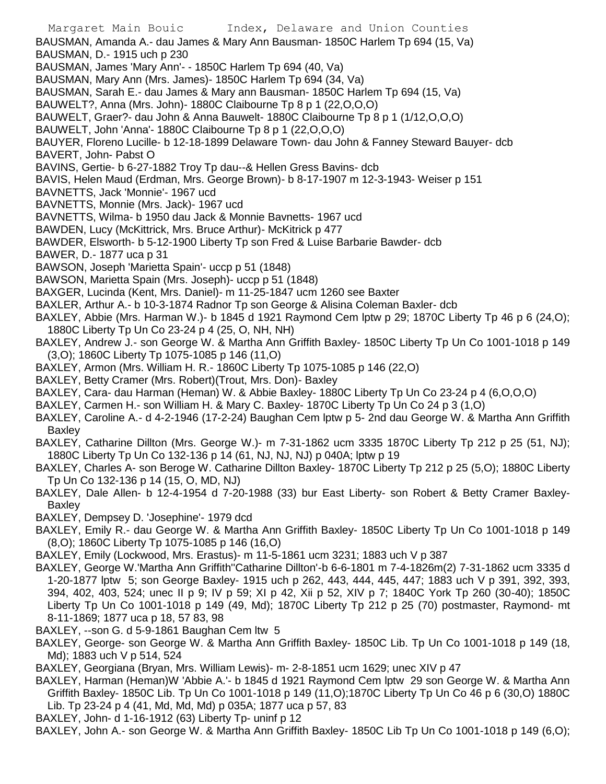Margaret Main Bouic Index, Delaware and Union Counties BAUSMAN, Amanda A.- dau James & Mary Ann Bausman- 1850C Harlem Tp 694 (15, Va) BAUSMAN, D.- 1915 uch p 230 BAUSMAN, James 'Mary Ann'- - 1850C Harlem Tp 694 (40, Va) BAUSMAN, Mary Ann (Mrs. James)- 1850C Harlem Tp 694 (34, Va) BAUSMAN, Sarah E.- dau James & Mary ann Bausman- 1850C Harlem Tp 694 (15, Va) BAUWELT?, Anna (Mrs. John)- 1880C Claibourne Tp 8 p 1 (22,O,O,O) BAUWELT, Graer?- dau John & Anna Bauwelt- 1880C Claibourne Tp 8 p 1 (1/12,O,O,O) BAUWELT, John 'Anna'- 1880C Claibourne Tp 8 p 1 (22,O,O,O) BAUYER, Floreno Lucille- b 12-18-1899 Delaware Town- dau John & Fanney Steward Bauyer- dcb BAVERT, John- Pabst O BAVINS, Gertie- b 6-27-1882 Troy Tp dau--& Hellen Gress Bavins- dcb BAVIS, Helen Maud (Erdman, Mrs. George Brown)- b 8-17-1907 m 12-3-1943- Weiser p 151 BAVNETTS, Jack 'Monnie'- 1967 ucd BAVNETTS, Monnie (Mrs. Jack)- 1967 ucd BAVNETTS, Wilma- b 1950 dau Jack & Monnie Bavnetts- 1967 ucd BAWDEN, Lucy (McKittrick, Mrs. Bruce Arthur)- McKitrick p 477 BAWDER, Elsworth- b 5-12-1900 Liberty Tp son Fred & Luise Barbarie Bawder- dcb BAWER, D.- 1877 uca p 31 BAWSON, Joseph 'Marietta Spain'- uccp p 51 (1848) BAWSON, Marietta Spain (Mrs. Joseph)- uccp p 51 (1848) BAXGER, Lucinda (Kent, Mrs. Daniel)- m 11-25-1847 ucm 1260 see Baxter BAXLER, Arthur A.- b 10-3-1874 Radnor Tp son George & Alisina Coleman Baxler- dcb BAXLEY, Abbie (Mrs. Harman W.)- b 1845 d 1921 Raymond Cem lptw p 29; 1870C Liberty Tp 46 p 6 (24, O); 1880C Liberty Tp Un Co 23-24 p 4 (25, O, NH, NH) BAXLEY, Andrew J.- son George W. & Martha Ann Griffith Baxley- 1850C Liberty Tp Un Co 1001-1018 p 149 (3,O); 1860C Liberty Tp 1075-1085 p 146 (11,O) BAXLEY, Armon (Mrs. William H. R.- 1860C Liberty Tp 1075-1085 p 146 (22,O) BAXLEY, Betty Cramer (Mrs. Robert)(Trout, Mrs. Don)- Baxley BAXLEY, Cara- dau Harman (Heman) W. & Abbie Baxley- 1880C Liberty Tp Un Co 23-24 p 4 (6,O,O,O) BAXLEY, Carmen H.- son William H. & Mary C. Baxley- 1870C Liberty Tp Un Co 24 p 3 (1,O) BAXLEY, Caroline A.- d 4-2-1946 (17-2-24) Baughan Cem lptw p 5- 2nd dau George W. & Martha Ann Griffith Baxley BAXLEY, Catharine Dillton (Mrs. George W.)- m 7-31-1862 ucm 3335 1870C Liberty Tp 212 p 25 (51, NJ); 1880C Liberty Tp Un Co 132-136 p 14 (61, NJ, NJ, NJ) p 040A; lptw p 19 BAXLEY, Charles A- son Beroge W. Catharine Dillton Baxley- 1870C Liberty Tp 212 p 25 (5,O); 1880C Liberty

- Tp Un Co 132-136 p 14 (15, O, MD, NJ) BAXLEY, Dale Allen- b 12-4-1954 d 7-20-1988 (33) bur East Liberty- son Robert & Betty Cramer Baxley-Baxley
- BAXLEY, Dempsey D. 'Josephine'- 1979 dcd
- BAXLEY, Emily R.- dau George W. & Martha Ann Griffith Baxley- 1850C Liberty Tp Un Co 1001-1018 p 149 (8,O); 1860C Liberty Tp 1075-1085 p 146 (16,O)
- BAXLEY, Emily (Lockwood, Mrs. Erastus)- m 11-5-1861 ucm 3231; 1883 uch V p 387
- BAXLEY, George W.'Martha Ann Griffith''Catharine Dillton'-b 6-6-1801 m 7-4-1826m(2) 7-31-1862 ucm 3335 d 1-20-1877 lptw 5; son George Baxley- 1915 uch p 262, 443, 444, 445, 447; 1883 uch V p 391, 392, 393, 394, 402, 403, 524; unec II p 9; IV p 59; XI p 42, Xii p 52, XIV p 7; 1840C York Tp 260 (30-40); 1850C Liberty Tp Un Co 1001-1018 p 149 (49, Md); 1870C Liberty Tp 212 p 25 (70) postmaster, Raymond- mt 8-11-1869; 1877 uca p 18, 57 83, 98
- BAXLEY, --son G. d 5-9-1861 Baughan Cem ltw 5
- BAXLEY, George- son George W. & Martha Ann Griffith Baxley- 1850C Lib. Tp Un Co 1001-1018 p 149 (18, Md); 1883 uch V p 514, 524
- BAXLEY, Georgiana (Bryan, Mrs. William Lewis)- m- 2-8-1851 ucm 1629; unec XIV p 47
- BAXLEY, Harman (Heman)W 'Abbie A.'- b 1845 d 1921 Raymond Cem lptw 29 son George W. & Martha Ann Griffith Baxley- 1850C Lib. Tp Un Co 1001-1018 p 149 (11,O);1870C Liberty Tp Un Co 46 p 6 (30,O) 1880C Lib. Tp 23-24 p 4 (41, Md, Md, Md) p 035A; 1877 uca p 57, 83
- BAXLEY, John- d 1-16-1912 (63) Liberty Tp- uninf p 12

BAXLEY, John A.- son George W. & Martha Ann Griffith Baxley- 1850C Lib Tp Un Co 1001-1018 p 149 (6,O);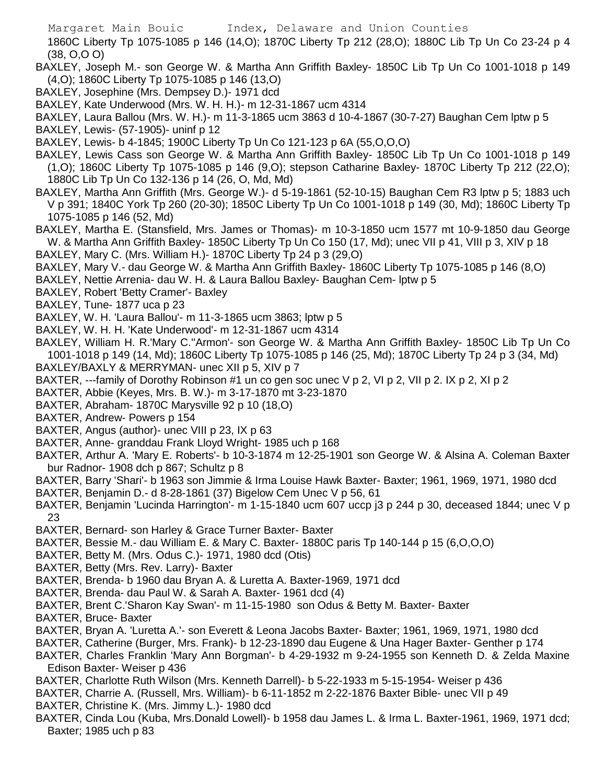1860C Liberty Tp 1075-1085 p 146 (14,O); 1870C Liberty Tp 212 (28,O); 1880C Lib Tp Un Co 23-24 p 4 (38, O,O O)

- BAXLEY, Joseph M.- son George W. & Martha Ann Griffith Baxley- 1850C Lib Tp Un Co 1001-1018 p 149 (4,O); 1860C Liberty Tp 1075-1085 p 146 (13,O)
- BAXLEY, Josephine (Mrs. Dempsey D.)- 1971 dcd
- BAXLEY, Kate Underwood (Mrs. W. H. H.)- m 12-31-1867 ucm 4314
- BAXLEY, Laura Ballou (Mrs. W. H.)- m 11-3-1865 ucm 3863 d 10-4-1867 (30-7-27) Baughan Cem lptw p 5
- BAXLEY, Lewis- (57-1905)- uninf p 12
- BAXLEY, Lewis- b 4-1845; 1900C Liberty Tp Un Co 121-123 p 6A (55,O,O,O)
- BAXLEY, Lewis Cass son George W. & Martha Ann Griffith Baxley- 1850C Lib Tp Un Co 1001-1018 p 149 (1,O); 1860C Liberty Tp 1075-1085 p 146 (9,O); stepson Catharine Baxley- 1870C Liberty Tp 212 (22,O); 1880C Lib Tp Un Co 132-136 p 14 (26, O, Md, Md)
- BAXLEY, Martha Ann Griffith (Mrs. George W.)- d 5-19-1861 (52-10-15) Baughan Cem R3 lptw p 5; 1883 uch V p 391; 1840C York Tp 260 (20-30); 1850C Liberty Tp Un Co 1001-1018 p 149 (30, Md); 1860C Liberty Tp 1075-1085 p 146 (52, Md)
- BAXLEY, Martha E. (Stansfield, Mrs. James or Thomas)- m 10-3-1850 ucm 1577 mt 10-9-1850 dau George W. & Martha Ann Griffith Baxley- 1850C Liberty Tp Un Co 150 (17, Md); unec VII p 41, VIII p 3, XIV p 18 BAXLEY, Mary C. (Mrs. William H.)- 1870C Liberty Tp 24 p 3 (29,O)
- BAXLEY, Mary V.- dau George W. & Martha Ann Griffith Baxley- 1860C Liberty Tp 1075-1085 p 146 (8,O)
- BAXLEY, Nettie Arrenia- dau W. H. & Laura Ballou Baxley- Baughan Cem- lptw p 5
- BAXLEY, Robert 'Betty Cramer'- Baxley
- BAXLEY, Tune- 1877 uca p 23
- BAXLEY, W. H. 'Laura Ballou'- m 11-3-1865 ucm 3863; lptw p 5
- BAXLEY, W. H. H. 'Kate Underwood'- m 12-31-1867 ucm 4314
- BAXLEY, William H. R.'Mary C.''Armon'- son George W. & Martha Ann Griffith Baxley- 1850C Lib Tp Un Co 1001-1018 p 149 (14, Md); 1860C Liberty Tp 1075-1085 p 146 (25, Md); 1870C Liberty Tp 24 p 3 (34, Md) BAXLEY/BAXLY & MERRYMAN- unec XII p 5, XIV p 7
- BAXTER, ---family of Dorothy Robinson #1 un co gen soc unec V p 2, VI p 2, VII p 2. IX p 2, XI p 2
- BAXTER, Abbie (Keyes, Mrs. B. W.)- m 3-17-1870 mt 3-23-1870
- BAXTER, Abraham- 1870C Marysville 92 p 10 (18,O)
- BAXTER, Andrew- Powers p 154
- BAXTER, Angus (author)- unec VIII p 23, IX p 63
- BAXTER, Anne- granddau Frank Lloyd Wright- 1985 uch p 168
- BAXTER, Arthur A. 'Mary E. Roberts'- b 10-3-1874 m 12-25-1901 son George W. & Alsina A. Coleman Baxter bur Radnor- 1908 dch p 867; Schultz p 8
- BAXTER, Barry 'Shari'- b 1963 son Jimmie & Irma Louise Hawk Baxter- Baxter; 1961, 1969, 1971, 1980 dcd
- BAXTER, Benjamin D.- d 8-28-1861 (37) Bigelow Cem Unec V p 56, 61
- BAXTER, Benjamin 'Lucinda Harrington'- m 1-15-1840 ucm 607 uccp j3 p 244 p 30, deceased 1844; unec V p 23
- BAXTER, Bernard- son Harley & Grace Turner Baxter- Baxter
- BAXTER, Bessie M.- dau William E. & Mary C. Baxter- 1880C paris Tp 140-144 p 15 (6,O,O,O)
- BAXTER, Betty M. (Mrs. Odus C.)- 1971, 1980 dcd (Otis)
- BAXTER, Betty (Mrs. Rev. Larry)- Baxter
- BAXTER, Brenda- b 1960 dau Bryan A. & Luretta A. Baxter-1969, 1971 dcd
- BAXTER, Brenda- dau Paul W. & Sarah A. Baxter- 1961 dcd (4)
- BAXTER, Brent C.'Sharon Kay Swan'- m 11-15-1980 son Odus & Betty M. Baxter- Baxter
- BAXTER, Bruce- Baxter
- BAXTER, Bryan A. 'Luretta A.'- son Everett & Leona Jacobs Baxter- Baxter; 1961, 1969, 1971, 1980 dcd
- BAXTER, Catherine (Burger, Mrs. Frank)- b 12-23-1890 dau Eugene & Una Hager Baxter- Genther p 174
- BAXTER, Charles Franklin 'Mary Ann Borgman'- b 4-29-1932 m 9-24-1955 son Kenneth D. & Zelda Maxine Edison Baxter- Weiser p 436
- BAXTER, Charlotte Ruth Wilson (Mrs. Kenneth Darrell)- b 5-22-1933 m 5-15-1954- Weiser p 436
- BAXTER, Charrie A. (Russell, Mrs. William)- b 6-11-1852 m 2-22-1876 Baxter Bible- unec VII p 49
- BAXTER, Christine K. (Mrs. Jimmy L.)- 1980 dcd
- BAXTER, Cinda Lou (Kuba, Mrs.Donald Lowell)- b 1958 dau James L. & Irma L. Baxter-1961, 1969, 1971 dcd; Baxter; 1985 uch p 83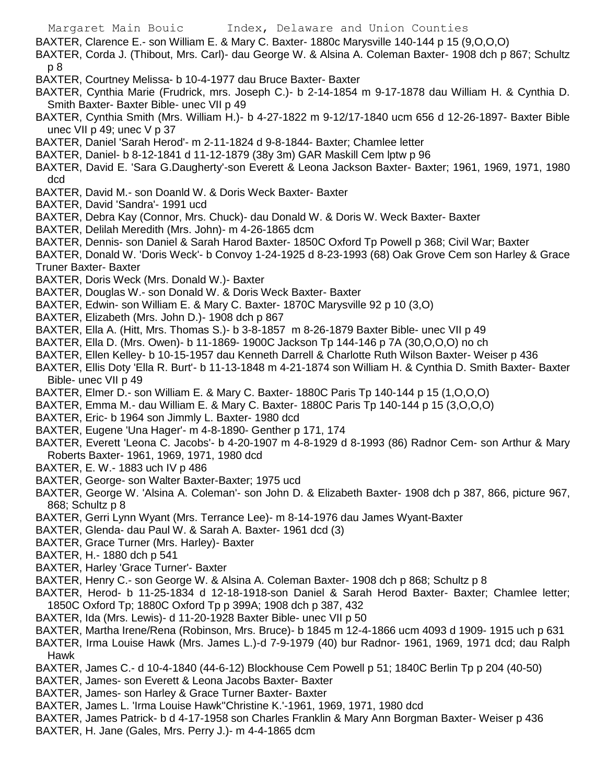BAXTER, Clarence E.- son William E. & Mary C. Baxter- 1880c Marysville 140-144 p 15 (9,O,O,O)

BAXTER, Corda J. (Thibout, Mrs. Carl)- dau George W. & Alsina A. Coleman Baxter- 1908 dch p 867; Schultz p 8

BAXTER, Courtney Melissa- b 10-4-1977 dau Bruce Baxter- Baxter

- BAXTER, Cynthia Marie (Frudrick, mrs. Joseph C.)- b 2-14-1854 m 9-17-1878 dau William H. & Cynthia D. Smith Baxter- Baxter Bible- unec VII p 49
- BAXTER, Cynthia Smith (Mrs. William H.)- b 4-27-1822 m 9-12/17-1840 ucm 656 d 12-26-1897- Baxter Bible unec VII p 49; unec V p 37
- BAXTER, Daniel 'Sarah Herod'- m 2-11-1824 d 9-8-1844- Baxter; Chamlee letter
- BAXTER, Daniel- b 8-12-1841 d 11-12-1879 (38y 3m) GAR Maskill Cem lptw p 96
- BAXTER, David E. 'Sara G.Daugherty'-son Everett & Leona Jackson Baxter- Baxter; 1961, 1969, 1971, 1980 dcd
- BAXTER, David M.- son Doanld W. & Doris Weck Baxter- Baxter
- BAXTER, David 'Sandra'- 1991 ucd
- BAXTER, Debra Kay (Connor, Mrs. Chuck)- dau Donald W. & Doris W. Weck Baxter- Baxter
- BAXTER, Delilah Meredith (Mrs. John)- m 4-26-1865 dcm
- BAXTER, Dennis- son Daniel & Sarah Harod Baxter- 1850C Oxford Tp Powell p 368; Civil War; Baxter

BAXTER, Donald W. 'Doris Weck'- b Convoy 1-24-1925 d 8-23-1993 (68) Oak Grove Cem son Harley & Grace Truner Baxter- Baxter

- BAXTER, Doris Weck (Mrs. Donald W.)- Baxter
- BAXTER, Douglas W.- son Donald W. & Doris Weck Baxter- Baxter
- BAXTER, Edwin- son William E. & Mary C. Baxter- 1870C Marysville 92 p 10 (3,O)
- BAXTER, Elizabeth (Mrs. John D.)- 1908 dch p 867
- BAXTER, Ella A. (Hitt, Mrs. Thomas S.)- b 3-8-1857 m 8-26-1879 Baxter Bible- unec VII p 49
- BAXTER, Ella D. (Mrs. Owen)- b 11-1869- 1900C Jackson Tp 144-146 p 7A (30,O,O,O) no ch
- BAXTER, Ellen Kelley- b 10-15-1957 dau Kenneth Darrell & Charlotte Ruth Wilson Baxter- Weiser p 436
- BAXTER, Ellis Doty 'Ella R. Burt'- b 11-13-1848 m 4-21-1874 son William H. & Cynthia D. Smith Baxter- Baxter Bible- unec VII p 49
- BAXTER, Elmer D.- son William E. & Mary C. Baxter- 1880C Paris Tp 140-144 p 15 (1,O,O,O)
- BAXTER, Emma M.- dau William E. & Mary C. Baxter- 1880C Paris Tp 140-144 p 15 (3,O,O,O)
- BAXTER, Eric- b 1964 son Jimmly L. Baxter- 1980 dcd
- BAXTER, Eugene 'Una Hager'- m 4-8-1890- Genther p 171, 174
- BAXTER, Everett 'Leona C. Jacobs'- b 4-20-1907 m 4-8-1929 d 8-1993 (86) Radnor Cem- son Arthur & Mary Roberts Baxter- 1961, 1969, 1971, 1980 dcd
- BAXTER, E. W.- 1883 uch IV p 486
- BAXTER, George- son Walter Baxter-Baxter; 1975 ucd
- BAXTER, George W. 'Alsina A. Coleman'- son John D. & Elizabeth Baxter- 1908 dch p 387, 866, picture 967, 868; Schultz p 8
- BAXTER, Gerri Lynn Wyant (Mrs. Terrance Lee)- m 8-14-1976 dau James Wyant-Baxter
- BAXTER, Glenda- dau Paul W. & Sarah A. Baxter- 1961 dcd (3)
- BAXTER, Grace Turner (Mrs. Harley)- Baxter
- BAXTER, H.- 1880 dch p 541
- BAXTER, Harley 'Grace Turner'- Baxter
- BAXTER, Henry C.- son George W. & Alsina A. Coleman Baxter- 1908 dch p 868; Schultz p 8
- BAXTER, Herod- b 11-25-1834 d 12-18-1918-son Daniel & Sarah Herod Baxter- Baxter; Chamlee letter; 1850C Oxford Tp; 1880C Oxford Tp p 399A; 1908 dch p 387, 432
- BAXTER, Ida (Mrs. Lewis)- d 11-20-1928 Baxter Bible- unec VII p 50
- BAXTER, Martha Irene/Rena (Robinson, Mrs. Bruce)- b 1845 m 12-4-1866 ucm 4093 d 1909- 1915 uch p 631
- BAXTER, Irma Louise Hawk (Mrs. James L.)-d 7-9-1979 (40) bur Radnor- 1961, 1969, 1971 dcd; dau Ralph Hawk
- BAXTER, James C.- d 10-4-1840 (44-6-12) Blockhouse Cem Powell p 51; 1840C Berlin Tp p 204 (40-50)
- BAXTER, James- son Everett & Leona Jacobs Baxter- Baxter
- BAXTER, James- son Harley & Grace Turner Baxter- Baxter
- BAXTER, James L. 'Irma Louise Hawk''Christine K.'-1961, 1969, 1971, 1980 dcd
- BAXTER, James Patrick- b d 4-17-1958 son Charles Franklin & Mary Ann Borgman Baxter- Weiser p 436
- BAXTER, H. Jane (Gales, Mrs. Perry J.)- m 4-4-1865 dcm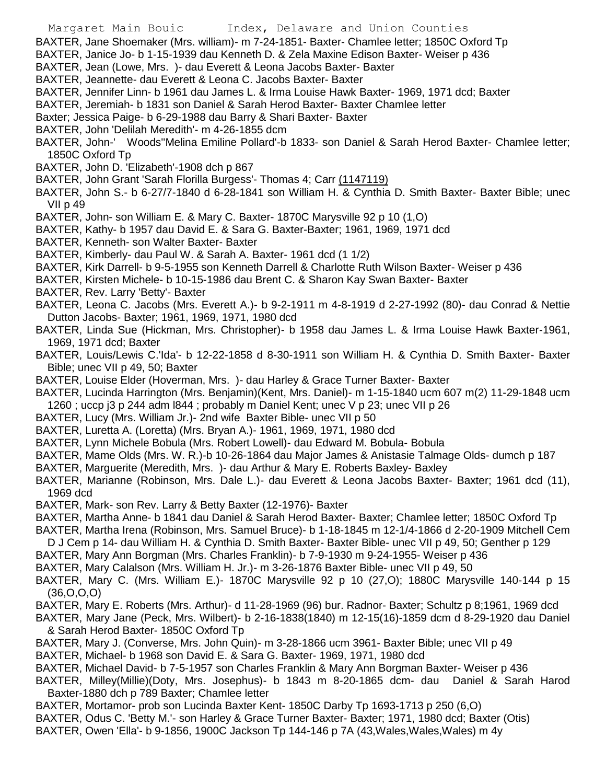- Margaret Main Bouic Index, Delaware and Union Counties
- BAXTER, Jane Shoemaker (Mrs. william)- m 7-24-1851- Baxter- Chamlee letter; 1850C Oxford Tp
- BAXTER, Janice Jo- b 1-15-1939 dau Kenneth D. & Zela Maxine Edison Baxter- Weiser p 436
- BAXTER, Jean (Lowe, Mrs. )- dau Everett & Leona Jacobs Baxter- Baxter
- BAXTER, Jeannette- dau Everett & Leona C. Jacobs Baxter- Baxter
- BAXTER, Jennifer Linn- b 1961 dau James L. & Irma Louise Hawk Baxter- 1969, 1971 dcd; Baxter
- BAXTER, Jeremiah- b 1831 son Daniel & Sarah Herod Baxter- Baxter Chamlee letter
- Baxter; Jessica Paige- b 6-29-1988 dau Barry & Shari Baxter- Baxter
- BAXTER, John 'Delilah Meredith'- m 4-26-1855 dcm
- BAXTER, John-' Woods''Melina Emiline Pollard'-b 1833- son Daniel & Sarah Herod Baxter- Chamlee letter; 1850C Oxford Tp
- BAXTER, John D. 'Elizabeth'-1908 dch p 867
- BAXTER, John Grant 'Sarah Florilla Burgess'- Thomas 4; Carr (1147119)
- BAXTER, John S.- b 6-27/7-1840 d 6-28-1841 son William H. & Cynthia D. Smith Baxter- Baxter Bible; unec VII p 49
- BAXTER, John- son William E. & Mary C. Baxter- 1870C Marysville 92 p 10 (1,O)
- BAXTER, Kathy- b 1957 dau David E. & Sara G. Baxter-Baxter; 1961, 1969, 1971 dcd
- BAXTER, Kenneth- son Walter Baxter- Baxter
- BAXTER, Kimberly- dau Paul W. & Sarah A. Baxter- 1961 dcd (1 1/2)
- BAXTER, Kirk Darrell- b 9-5-1955 son Kenneth Darrell & Charlotte Ruth Wilson Baxter- Weiser p 436
- BAXTER, Kirsten Michele- b 10-15-1986 dau Brent C. & Sharon Kay Swan Baxter- Baxter
- BAXTER, Rev. Larry 'Betty'- Baxter
- BAXTER, Leona C. Jacobs (Mrs. Everett A.)- b 9-2-1911 m 4-8-1919 d 2-27-1992 (80)- dau Conrad & Nettie Dutton Jacobs- Baxter; 1961, 1969, 1971, 1980 dcd
- BAXTER, Linda Sue (Hickman, Mrs. Christopher)- b 1958 dau James L. & Irma Louise Hawk Baxter-1961, 1969, 1971 dcd; Baxter
- BAXTER, Louis/Lewis C.'Ida'- b 12-22-1858 d 8-30-1911 son William H. & Cynthia D. Smith Baxter- Baxter Bible; unec VII p 49, 50; Baxter
- BAXTER, Louise Elder (Hoverman, Mrs. )- dau Harley & Grace Turner Baxter- Baxter
- BAXTER, Lucinda Harrington (Mrs. Benjamin)(Kent, Mrs. Daniel)- m 1-15-1840 ucm 607 m(2) 11-29-1848 ucm 1260 ; uccp j3 p 244 adm l844 ; probably m Daniel Kent; unec V p 23; unec VII p 26
- BAXTER, Lucy (Mrs. William Jr.)- 2nd wife Baxter Bible- unec VII p 50
- BAXTER, Luretta A. (Loretta) (Mrs. Bryan A.)- 1961, 1969, 1971, 1980 dcd
- BAXTER, Lynn Michele Bobula (Mrs. Robert Lowell)- dau Edward M. Bobula- Bobula
- BAXTER, Mame Olds (Mrs. W. R.)-b 10-26-1864 dau Major James & Anistasie Talmage Olds- dumch p 187
- BAXTER, Marguerite (Meredith, Mrs. )- dau Arthur & Mary E. Roberts Baxley- Baxley
- BAXTER, Marianne (Robinson, Mrs. Dale L.)- dau Everett & Leona Jacobs Baxter- Baxter; 1961 dcd (11), 1969 dcd
- BAXTER, Mark- son Rev. Larry & Betty Baxter (12-1976)- Baxter
- BAXTER, Martha Anne- b 1841 dau Daniel & Sarah Herod Baxter- Baxter; Chamlee letter; 1850C Oxford Tp
- BAXTER, Martha Irena (Robinson, Mrs. Samuel Bruce)- b 1-18-1845 m 12-1/4-1866 d 2-20-1909 Mitchell Cem D J Cem p 14- dau William H. & Cynthia D. Smith Baxter- Baxter Bible- unec VII p 49, 50; Genther p 129
- BAXTER, Mary Ann Borgman (Mrs. Charles Franklin)- b 7-9-1930 m 9-24-1955- Weiser p 436
- 
- BAXTER, Mary Calalson (Mrs. William H. Jr.)- m 3-26-1876 Baxter Bible- unec VII p 49, 50
- BAXTER, Mary C. (Mrs. William E.)- 1870C Marysville 92 p 10 (27,O); 1880C Marysville 140-144 p 15 (36,O,O,O)
- BAXTER, Mary E. Roberts (Mrs. Arthur)- d 11-28-1969 (96) bur. Radnor- Baxter; Schultz p 8;1961, 1969 dcd BAXTER, Mary Jane (Peck, Mrs. Wilbert)- b 2-16-1838(1840) m 12-15(16)-1859 dcm d 8-29-1920 dau Daniel
- & Sarah Herod Baxter- 1850C Oxford Tp
- BAXTER, Mary J. (Converse, Mrs. John Quin)- m 3-28-1866 ucm 3961- Baxter Bible; unec VII p 49
- BAXTER, Michael- b 1968 son David E. & Sara G. Baxter- 1969, 1971, 1980 dcd
- BAXTER, Michael David- b 7-5-1957 son Charles Franklin & Mary Ann Borgman Baxter- Weiser p 436
- BAXTER, Milley(Millie)(Doty, Mrs. Josephus)- b 1843 m 8-20-1865 dcm- dau Daniel & Sarah Harod Baxter-1880 dch p 789 Baxter; Chamlee letter
- BAXTER, Mortamor- prob son Lucinda Baxter Kent- 1850C Darby Tp 1693-1713 p 250 (6,O)
- BAXTER, Odus C. 'Betty M.'- son Harley & Grace Turner Baxter- Baxter; 1971, 1980 dcd; Baxter (Otis)
- BAXTER, Owen 'Ella'- b 9-1856, 1900C Jackson Tp 144-146 p 7A (43,Wales,Wales,Wales) m 4y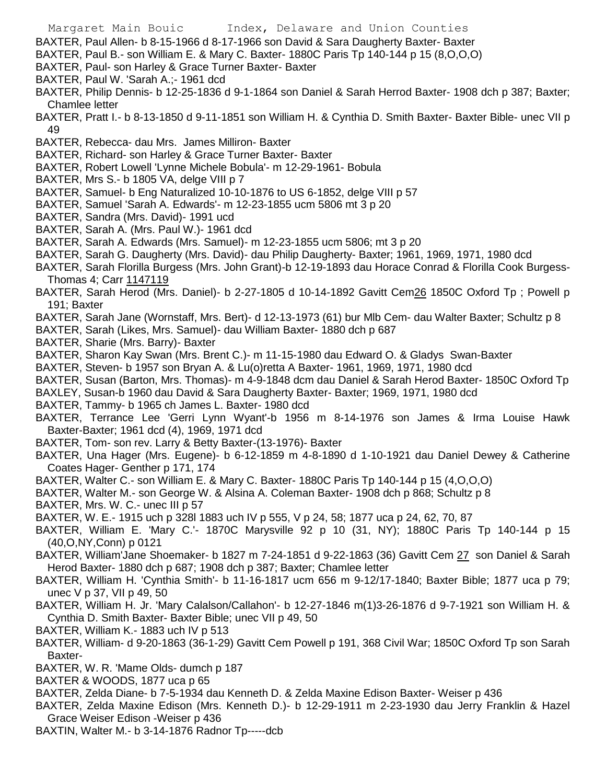- BAXTER, Paul Allen- b 8-15-1966 d 8-17-1966 son David & Sara Daugherty Baxter- Baxter
- BAXTER, Paul B.- son William E. & Mary C. Baxter- 1880C Paris Tp 140-144 p 15 (8,O,O,O)
- BAXTER, Paul- son Harley & Grace Turner Baxter- Baxter
- BAXTER, Paul W. 'Sarah A.;- 1961 dcd
- BAXTER, Philip Dennis- b 12-25-1836 d 9-1-1864 son Daniel & Sarah Herrod Baxter- 1908 dch p 387; Baxter; Chamlee letter
- BAXTER, Pratt I.- b 8-13-1850 d 9-11-1851 son William H. & Cynthia D. Smith Baxter- Baxter Bible- unec VII p 49
- BAXTER, Rebecca- dau Mrs. James Milliron- Baxter
- BAXTER, Richard- son Harley & Grace Turner Baxter- Baxter
- BAXTER, Robert Lowell 'Lynne Michele Bobula'- m 12-29-1961- Bobula
- BAXTER, Mrs S.- b 1805 VA, delge VIII p 7
- BAXTER, Samuel- b Eng Naturalized 10-10-1876 to US 6-1852, delge VIII p 57
- BAXTER, Samuel 'Sarah A. Edwards'- m 12-23-1855 ucm 5806 mt 3 p 20
- BAXTER, Sandra (Mrs. David)- 1991 ucd
- BAXTER, Sarah A. (Mrs. Paul W.)- 1961 dcd
- BAXTER, Sarah A. Edwards (Mrs. Samuel)- m 12-23-1855 ucm 5806; mt 3 p 20
- BAXTER, Sarah G. Daugherty (Mrs. David)- dau Philip Daugherty- Baxter; 1961, 1969, 1971, 1980 dcd
- BAXTER, Sarah Florilla Burgess (Mrs. John Grant)-b 12-19-1893 dau Horace Conrad & Florilla Cook Burgess-Thomas 4; Carr 1147119
- BAXTER, Sarah Herod (Mrs. Daniel)- b 2-27-1805 d 10-14-1892 Gavitt Cem26 1850C Oxford Tp ; Powell p 191; Baxter
- BAXTER, Sarah Jane (Wornstaff, Mrs. Bert)- d 12-13-1973 (61) bur Mlb Cem- dau Walter Baxter; Schultz p 8
- BAXTER, Sarah (Likes, Mrs. Samuel)- dau William Baxter- 1880 dch p 687
- BAXTER, Sharie (Mrs. Barry)- Baxter
- BAXTER, Sharon Kay Swan (Mrs. Brent C.)- m 11-15-1980 dau Edward O. & Gladys Swan-Baxter
- BAXTER, Steven- b 1957 son Bryan A. & Lu(o)retta A Baxter- 1961, 1969, 1971, 1980 dcd
- BAXTER, Susan (Barton, Mrs. Thomas)- m 4-9-1848 dcm dau Daniel & Sarah Herod Baxter- 1850C Oxford Tp
- BAXLEY, Susan-b 1960 dau David & Sara Daugherty Baxter- Baxter; 1969, 1971, 1980 dcd
- BAXTER, Tammy- b 1965 ch James L. Baxter- 1980 dcd
- BAXTER, Terrance Lee 'Gerri Lynn Wyant'-b 1956 m 8-14-1976 son James & Irma Louise Hawk Baxter-Baxter; 1961 dcd (4), 1969, 1971 dcd
- BAXTER, Tom- son rev. Larry & Betty Baxter-(13-1976)- Baxter
- BAXTER, Una Hager (Mrs. Eugene)- b 6-12-1859 m 4-8-1890 d 1-10-1921 dau Daniel Dewey & Catherine Coates Hager- Genther p 171, 174
- BAXTER, Walter C.- son William E. & Mary C. Baxter- 1880C Paris Tp 140-144 p 15 (4,O,O,O)
- BAXTER, Walter M.- son George W. & Alsina A. Coleman Baxter- 1908 dch p 868; Schultz p 8
- BAXTER, Mrs. W. C.- unec III p 57
- BAXTER, W. E.- 1915 uch p 328l 1883 uch IV p 555, V p 24, 58; 1877 uca p 24, 62, 70, 87
- BAXTER, William E. 'Mary C.'- 1870C Marysville 92 p 10 (31, NY); 1880C Paris Tp 140-144 p 15 (40,O,NY,Conn) p 0121
- BAXTER, William'Jane Shoemaker- b 1827 m 7-24-1851 d 9-22-1863 (36) Gavitt Cem 27 son Daniel & Sarah Herod Baxter- 1880 dch p 687; 1908 dch p 387; Baxter; Chamlee letter
- BAXTER, William H. 'Cynthia Smith'- b 11-16-1817 ucm 656 m 9-12/17-1840; Baxter Bible; 1877 uca p 79; unec V p 37, VII p 49, 50
- BAXTER, William H. Jr. 'Mary Calalson/Callahon'- b 12-27-1846 m(1)3-26-1876 d 9-7-1921 son William H. & Cynthia D. Smith Baxter- Baxter Bible; unec VII p 49, 50
- BAXTER, William K.- 1883 uch IV p 513
- BAXTER, William- d 9-20-1863 (36-1-29) Gavitt Cem Powell p 191, 368 Civil War; 1850C Oxford Tp son Sarah Baxter-
- BAXTER, W. R. 'Mame Olds- dumch p 187
- BAXTER & WOODS, 1877 uca p 65
- BAXTER, Zelda Diane- b 7-5-1934 dau Kenneth D. & Zelda Maxine Edison Baxter- Weiser p 436
- BAXTER, Zelda Maxine Edison (Mrs. Kenneth D.)- b 12-29-1911 m 2-23-1930 dau Jerry Franklin & Hazel Grace Weiser Edison -Weiser p 436
- BAXTIN, Walter M.- b 3-14-1876 Radnor Tp-----dcb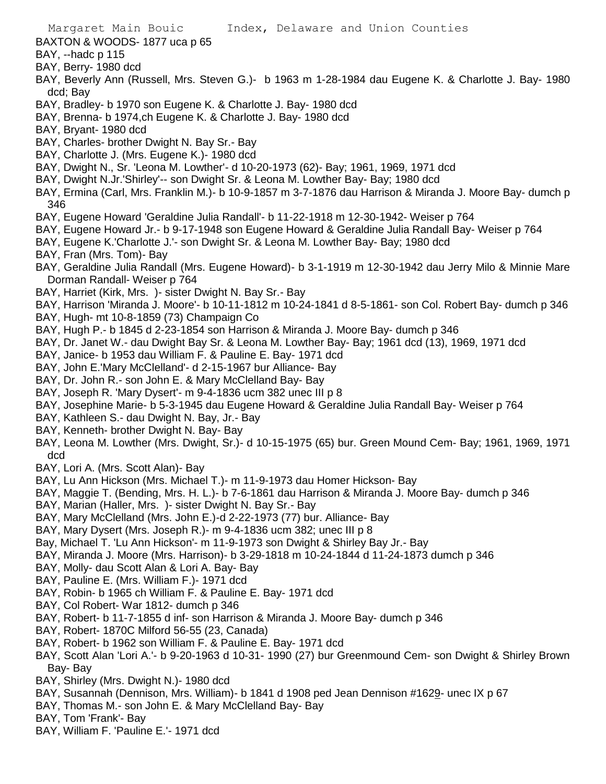- Margaret Main Bouic Index, Delaware and Union Counties BAXTON & WOODS- 1877 uca p 65 BAY, --hadc p 115 BAY, Berry- 1980 dcd BAY, Beverly Ann (Russell, Mrs. Steven G.)- b 1963 m 1-28-1984 dau Eugene K. & Charlotte J. Bay- 1980 dcd; Bay BAY, Bradley- b 1970 son Eugene K. & Charlotte J. Bay- 1980 dcd BAY, Brenna- b 1974,ch Eugene K. & Charlotte J. Bay- 1980 dcd BAY, Bryant- 1980 dcd BAY, Charles- brother Dwight N. Bay Sr.- Bay BAY, Charlotte J. (Mrs. Eugene K.)- 1980 dcd BAY, Dwight N., Sr. 'Leona M. Lowther'- d 10-20-1973 (62)- Bay; 1961, 1969, 1971 dcd BAY, Dwight N.Jr.'Shirley'-- son Dwight Sr. & Leona M. Lowther Bay- Bay; 1980 dcd BAY, Ermina (Carl, Mrs. Franklin M.)- b 10-9-1857 m 3-7-1876 dau Harrison & Miranda J. Moore Bay- dumch p 346 BAY, Eugene Howard 'Geraldine Julia Randall'- b 11-22-1918 m 12-30-1942- Weiser p 764 BAY, Eugene Howard Jr.- b 9-17-1948 son Eugene Howard & Geraldine Julia Randall Bay- Weiser p 764 BAY, Eugene K.'Charlotte J.'- son Dwight Sr. & Leona M. Lowther Bay- Bay; 1980 dcd BAY, Fran (Mrs. Tom)- Bay BAY, Geraldine Julia Randall (Mrs. Eugene Howard)- b 3-1-1919 m 12-30-1942 dau Jerry Milo & Minnie Mare Dorman Randall- Weiser p 764 BAY, Harriet (Kirk, Mrs. )- sister Dwight N. Bay Sr.- Bay BAY, Harrison 'Miranda J. Moore'- b 10-11-1812 m 10-24-1841 d 8-5-1861- son Col. Robert Bay- dumch p 346 BAY, Hugh- mt 10-8-1859 (73) Champaign Co BAY, Hugh P.- b 1845 d 2-23-1854 son Harrison & Miranda J. Moore Bay- dumch p 346 BAY, Dr. Janet W.- dau Dwight Bay Sr. & Leona M. Lowther Bay- Bay; 1961 dcd (13), 1969, 1971 dcd BAY, Janice- b 1953 dau William F. & Pauline E. Bay- 1971 dcd BAY, John E.'Mary McClelland'- d 2-15-1967 bur Alliance- Bay BAY, Dr. John R.- son John E. & Mary McClelland Bay- Bay BAY, Joseph R. 'Mary Dysert'- m 9-4-1836 ucm 382 unec III p 8 BAY, Josephine Marie- b 5-3-1945 dau Eugene Howard & Geraldine Julia Randall Bay- Weiser p 764 BAY, Kathleen S.- dau Dwight N. Bay, Jr.- Bay BAY, Kenneth- brother Dwight N. Bay- Bay BAY, Leona M. Lowther (Mrs. Dwight, Sr.)- d 10-15-1975 (65) bur. Green Mound Cem- Bay; 1961, 1969, 1971 dcd BAY, Lori A. (Mrs. Scott Alan)- Bay BAY, Lu Ann Hickson (Mrs. Michael T.)- m 11-9-1973 dau Homer Hickson- Bay BAY, Maggie T. (Bending, Mrs. H. L.)- b 7-6-1861 dau Harrison & Miranda J. Moore Bay- dumch p 346 BAY, Marian (Haller, Mrs. )- sister Dwight N. Bay Sr.- Bay
- BAY, Mary McClelland (Mrs. John E.)-d 2-22-1973 (77) bur. Alliance- Bay
- BAY, Mary Dysert (Mrs. Joseph R.)- m 9-4-1836 ucm 382; unec III p 8
- Bay, Michael T. 'Lu Ann Hickson'- m 11-9-1973 son Dwight & Shirley Bay Jr.- Bay
- BAY, Miranda J. Moore (Mrs. Harrison)- b 3-29-1818 m 10-24-1844 d 11-24-1873 dumch p 346
- BAY, Molly- dau Scott Alan & Lori A. Bay- Bay
- BAY, Pauline E. (Mrs. William F.)- 1971 dcd
- BAY, Robin- b 1965 ch William F. & Pauline E. Bay- 1971 dcd
- BAY, Col Robert- War 1812- dumch p 346
- BAY, Robert- b 11-7-1855 d inf- son Harrison & Miranda J. Moore Bay- dumch p 346
- BAY, Robert- 1870C Milford 56-55 (23, Canada)
- BAY, Robert- b 1962 son William F. & Pauline E. Bay- 1971 dcd
- BAY, Scott Alan 'Lori A.'- b 9-20-1963 d 10-31- 1990 (27) bur Greenmound Cem- son Dwight & Shirley Brown Bay- Bay
- BAY, Shirley (Mrs. Dwight N.)- 1980 dcd
- BAY, Susannah (Dennison, Mrs. William)- b 1841 d 1908 ped Jean Dennison #1629- unec IX p 67
- BAY, Thomas M.- son John E. & Mary McClelland Bay- Bay
- BAY, Tom 'Frank'- Bay
- BAY, William F. 'Pauline E.'- 1971 dcd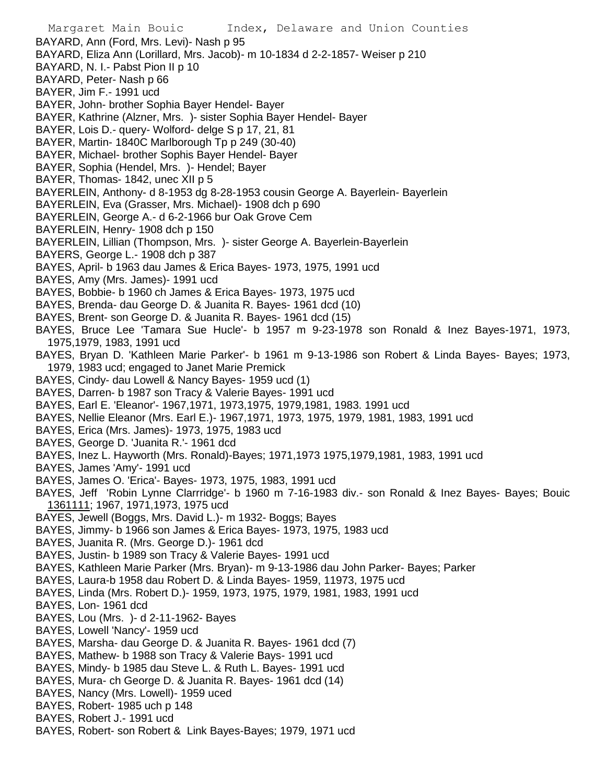Margaret Main Bouic Index, Delaware and Union Counties BAYARD, Ann (Ford, Mrs. Levi)- Nash p 95 BAYARD, Eliza Ann (Lorillard, Mrs. Jacob)- m 10-1834 d 2-2-1857- Weiser p 210 BAYARD, N. I.- Pabst Pion II p 10 BAYARD, Peter- Nash p 66 BAYER, Jim F.- 1991 ucd BAYER, John- brother Sophia Bayer Hendel- Bayer BAYER, Kathrine (Alzner, Mrs. )- sister Sophia Bayer Hendel- Bayer BAYER, Lois D.- query- Wolford- delge S p 17, 21, 81 BAYER, Martin- 1840C Marlborough Tp p 249 (30-40) BAYER, Michael- brother Sophis Bayer Hendel- Bayer BAYER, Sophia (Hendel, Mrs. )- Hendel; Bayer BAYER, Thomas- 1842, unec XII p 5 BAYERLEIN, Anthony- d 8-1953 dg 8-28-1953 cousin George A. Bayerlein- Bayerlein BAYERLEIN, Eva (Grasser, Mrs. Michael)- 1908 dch p 690 BAYERLEIN, George A.- d 6-2-1966 bur Oak Grove Cem BAYERLEIN, Henry- 1908 dch p 150 BAYERLEIN, Lillian (Thompson, Mrs. )- sister George A. Bayerlein-Bayerlein BAYERS, George L.- 1908 dch p 387 BAYES, April- b 1963 dau James & Erica Bayes- 1973, 1975, 1991 ucd BAYES, Amy (Mrs. James)- 1991 ucd BAYES, Bobbie- b 1960 ch James & Erica Bayes- 1973, 1975 ucd BAYES, Brenda- dau George D. & Juanita R. Bayes- 1961 dcd (10) BAYES, Brent- son George D. & Juanita R. Bayes- 1961 dcd (15) BAYES, Bruce Lee 'Tamara Sue Hucle'- b 1957 m 9-23-1978 son Ronald & Inez Bayes-1971, 1973, 1975,1979, 1983, 1991 ucd BAYES, Bryan D. 'Kathleen Marie Parker'- b 1961 m 9-13-1986 son Robert & Linda Bayes- Bayes; 1973, 1979, 1983 ucd; engaged to Janet Marie Premick BAYES, Cindy- dau Lowell & Nancy Bayes- 1959 ucd (1) BAYES, Darren- b 1987 son Tracy & Valerie Bayes- 1991 ucd BAYES, Earl E. 'Eleanor'- 1967,1971, 1973,1975, 1979,1981, 1983. 1991 ucd BAYES, Nellie Eleanor (Mrs. Earl E.)- 1967,1971, 1973, 1975, 1979, 1981, 1983, 1991 ucd BAYES, Erica (Mrs. James)- 1973, 1975, 1983 ucd BAYES, George D. 'Juanita R.'- 1961 dcd BAYES, Inez L. Hayworth (Mrs. Ronald)-Bayes; 1971,1973 1975,1979,1981, 1983, 1991 ucd BAYES, James 'Amy'- 1991 ucd BAYES, James O. 'Erica'- Bayes- 1973, 1975, 1983, 1991 ucd BAYES, Jeff 'Robin Lynne Clarrridge'- b 1960 m 7-16-1983 div.- son Ronald & Inez Bayes- Bayes; Bouic 1361111; 1967, 1971,1973, 1975 ucd BAYES, Jewell (Boggs, Mrs. David L.)- m 1932- Boggs; Bayes BAYES, Jimmy- b 1966 son James & Erica Bayes- 1973, 1975, 1983 ucd BAYES, Juanita R. (Mrs. George D.)- 1961 dcd BAYES, Justin- b 1989 son Tracy & Valerie Bayes- 1991 ucd BAYES, Kathleen Marie Parker (Mrs. Bryan)- m 9-13-1986 dau John Parker- Bayes; Parker BAYES, Laura-b 1958 dau Robert D. & Linda Bayes- 1959, 11973, 1975 ucd BAYES, Linda (Mrs. Robert D.)- 1959, 1973, 1975, 1979, 1981, 1983, 1991 ucd BAYES, Lon- 1961 dcd BAYES, Lou (Mrs. )- d 2-11-1962- Bayes BAYES, Lowell 'Nancy'- 1959 ucd BAYES, Marsha- dau George D. & Juanita R. Bayes- 1961 dcd (7) BAYES, Mathew- b 1988 son Tracy & Valerie Bays- 1991 ucd BAYES, Mindy- b 1985 dau Steve L. & Ruth L. Bayes- 1991 ucd BAYES, Mura- ch George D. & Juanita R. Bayes- 1961 dcd (14) BAYES, Nancy (Mrs. Lowell)- 1959 uced BAYES, Robert- 1985 uch p 148 BAYES, Robert J.- 1991 ucd BAYES, Robert- son Robert & Link Bayes-Bayes; 1979, 1971 ucd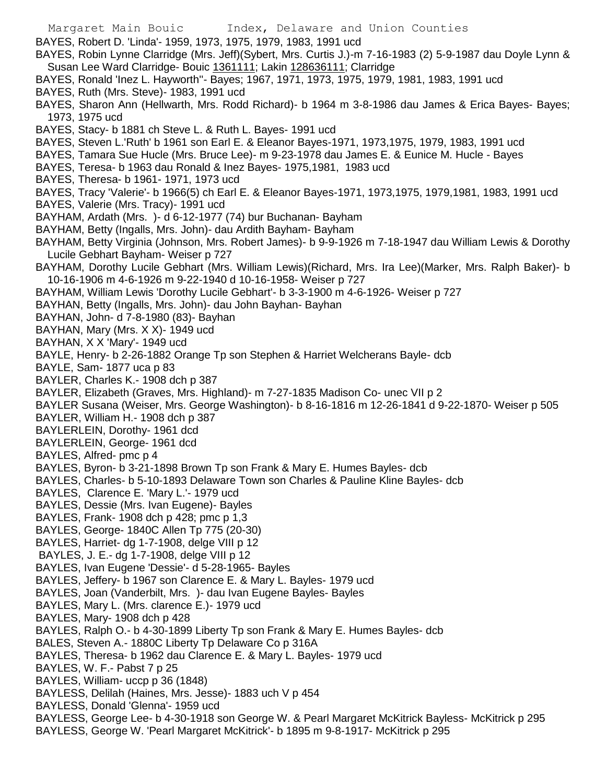Margaret Main Bouic Index, Delaware and Union Counties BAYES, Robert D. 'Linda'- 1959, 1973, 1975, 1979, 1983, 1991 ucd BAYES, Robin Lynne Clarridge (Mrs. Jeff)(Sybert, Mrs. Curtis J.)-m 7-16-1983 (2) 5-9-1987 dau Doyle Lynn & Susan Lee Ward Clarridge- Bouic 1361111; Lakin 128636111; Clarridge BAYES, Ronald 'Inez L. Hayworth''- Bayes; 1967, 1971, 1973, 1975, 1979, 1981, 1983, 1991 ucd BAYES, Ruth (Mrs. Steve)- 1983, 1991 ucd BAYES, Sharon Ann (Hellwarth, Mrs. Rodd Richard)- b 1964 m 3-8-1986 dau James & Erica Bayes- Bayes; 1973, 1975 ucd BAYES, Stacy- b 1881 ch Steve L. & Ruth L. Bayes- 1991 ucd BAYES, Steven L.'Ruth' b 1961 son Earl E. & Eleanor Bayes-1971, 1973,1975, 1979, 1983, 1991 ucd BAYES, Tamara Sue Hucle (Mrs. Bruce Lee)- m 9-23-1978 dau James E. & Eunice M. Hucle - Bayes BAYES, Teresa- b 1963 dau Ronald & Inez Bayes- 1975,1981, 1983 ucd BAYES, Theresa- b 1961- 1971, 1973 ucd BAYES, Tracy 'Valerie'- b 1966(5) ch Earl E. & Eleanor Bayes-1971, 1973,1975, 1979,1981, 1983, 1991 ucd BAYES, Valerie (Mrs. Tracy)- 1991 ucd BAYHAM, Ardath (Mrs. )- d 6-12-1977 (74) bur Buchanan- Bayham BAYHAM, Betty (Ingalls, Mrs. John)- dau Ardith Bayham- Bayham BAYHAM, Betty Virginia (Johnson, Mrs. Robert James)- b 9-9-1926 m 7-18-1947 dau William Lewis & Dorothy Lucile Gebhart Bayham- Weiser p 727 BAYHAM, Dorothy Lucile Gebhart (Mrs. William Lewis)(Richard, Mrs. Ira Lee)(Marker, Mrs. Ralph Baker)- b 10-16-1906 m 4-6-1926 m 9-22-1940 d 10-16-1958- Weiser p 727 BAYHAM, William Lewis 'Dorothy Lucile Gebhart'- b 3-3-1900 m 4-6-1926- Weiser p 727 BAYHAN, Betty (Ingalls, Mrs. John)- dau John Bayhan- Bayhan BAYHAN, John- d 7-8-1980 (83)- Bayhan BAYHAN, Mary (Mrs. X X)- 1949 ucd BAYHAN, X X 'Mary'- 1949 ucd BAYLE, Henry- b 2-26-1882 Orange Tp son Stephen & Harriet Welcherans Bayle- dcb BAYLE, Sam- 1877 uca p 83 BAYLER, Charles K.- 1908 dch p 387 BAYLER, Elizabeth (Graves, Mrs. Highland)- m 7-27-1835 Madison Co- unec VII p 2 BAYLER Susana (Weiser, Mrs. George Washington)- b 8-16-1816 m 12-26-1841 d 9-22-1870- Weiser p 505 BAYLER, William H.- 1908 dch p 387 BAYLERLEIN, Dorothy- 1961 dcd BAYLERLEIN, George- 1961 dcd BAYLES, Alfred- pmc p 4 BAYLES, Byron- b 3-21-1898 Brown Tp son Frank & Mary E. Humes Bayles- dcb BAYLES, Charles- b 5-10-1893 Delaware Town son Charles & Pauline Kline Bayles- dcb BAYLES, Clarence E. 'Mary L.'- 1979 ucd BAYLES, Dessie (Mrs. Ivan Eugene)- Bayles BAYLES, Frank- 1908 dch p 428; pmc p 1,3 BAYLES, George- 1840C Allen Tp 775 (20-30) BAYLES, Harriet- dg 1-7-1908, delge VIII p 12 BAYLES, J. E.- dg 1-7-1908, delge VIII p 12 BAYLES, Ivan Eugene 'Dessie'- d 5-28-1965- Bayles BAYLES, Jeffery- b 1967 son Clarence E. & Mary L. Bayles- 1979 ucd BAYLES, Joan (Vanderbilt, Mrs. )- dau Ivan Eugene Bayles- Bayles BAYLES, Mary L. (Mrs. clarence E.)- 1979 ucd BAYLES, Mary- 1908 dch p 428 BAYLES, Ralph O.- b 4-30-1899 Liberty Tp son Frank & Mary E. Humes Bayles- dcb BALES, Steven A.- 1880C Liberty Tp Delaware Co p 316A BAYLES, Theresa- b 1962 dau Clarence E. & Mary L. Bayles- 1979 ucd BAYLES, W. F.- Pabst 7 p 25 BAYLES, William- uccp p 36 (1848) BAYLESS, Delilah (Haines, Mrs. Jesse)- 1883 uch V p 454 BAYLESS, Donald 'Glenna'- 1959 ucd BAYLESS, George Lee- b 4-30-1918 son George W. & Pearl Margaret McKitrick Bayless- McKitrick p 295 BAYLESS, George W. 'Pearl Margaret McKitrick'- b 1895 m 9-8-1917- McKitrick p 295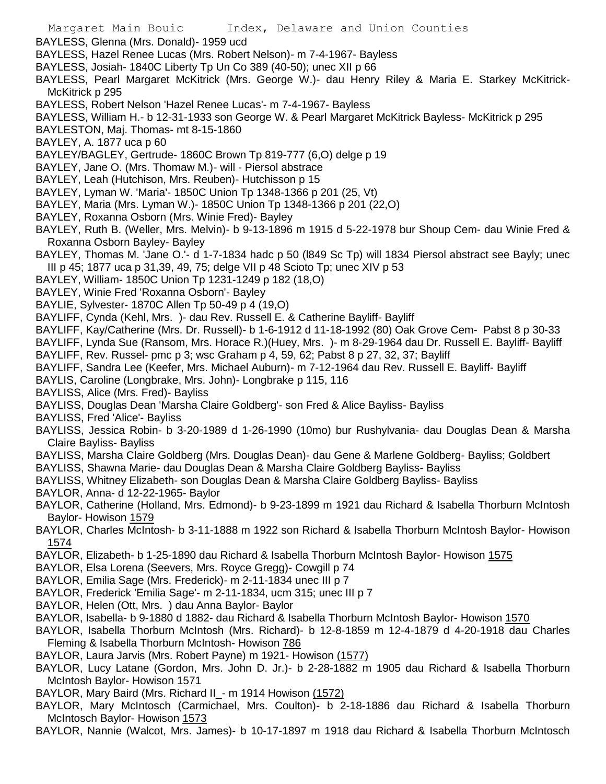- Margaret Main Bouic Index, Delaware and Union Counties
- BAYLESS, Glenna (Mrs. Donald)- 1959 ucd
- BAYLESS, Hazel Renee Lucas (Mrs. Robert Nelson)- m 7-4-1967- Bayless
- BAYLESS, Josiah- 1840C Liberty Tp Un Co 389 (40-50); unec XII p 66
- BAYLESS, Pearl Margaret McKitrick (Mrs. George W.)- dau Henry Riley & Maria E. Starkey McKitrick-McKitrick p 295
- BAYLESS, Robert Nelson 'Hazel Renee Lucas'- m 7-4-1967- Bayless
- BAYLESS, William H.- b 12-31-1933 son George W. & Pearl Margaret McKitrick Bayless- McKitrick p 295
- BAYLESTON, Maj. Thomas- mt 8-15-1860
- BAYLEY, A. 1877 uca p 60
- BAYLEY/BAGLEY, Gertrude- 1860C Brown Tp 819-777 (6,O) delge p 19
- BAYLEY, Jane O. (Mrs. Thomaw M.)- will Piersol abstrace
- BAYLEY, Leah (Hutchison, Mrs. Reuben)- Hutchisson p 15
- BAYLEY, Lyman W. 'Maria'- 1850C Union Tp 1348-1366 p 201 (25, Vt)
- BAYLEY, Maria (Mrs. Lyman W.)- 1850C Union Tp 1348-1366 p 201 (22,O)
- BAYLEY, Roxanna Osborn (Mrs. Winie Fred)- Bayley
- BAYLEY, Ruth B. (Weller, Mrs. Melvin)- b 9-13-1896 m 1915 d 5-22-1978 bur Shoup Cem- dau Winie Fred & Roxanna Osborn Bayley- Bayley
- BAYLEY, Thomas M. 'Jane O.'- d 1-7-1834 hadc p 50 (l849 Sc Tp) will 1834 Piersol abstract see Bayly; unec III p 45; 1877 uca p 31,39, 49, 75; delge VII p 48 Scioto Tp; unec XIV p 53
- BAYLEY, William- 1850C Union Tp 1231-1249 p 182 (18,O)
- BAYLEY, Winie Fred 'Roxanna Osborn'- Bayley
- BAYLIE, Sylvester- 1870C Allen Tp 50-49 p 4 (19,O)
- BAYLIFF, Cynda (Kehl, Mrs. )- dau Rev. Russell E. & Catherine Bayliff- Bayliff
- BAYLIFF, Kay/Catherine (Mrs. Dr. Russell)- b 1-6-1912 d 11-18-1992 (80) Oak Grove Cem- Pabst 8 p 30-33
- BAYLIFF, Lynda Sue (Ransom, Mrs. Horace R.)(Huey, Mrs. )- m 8-29-1964 dau Dr. Russell E. Bayliff- Bayliff
- BAYLIFF, Rev. Russel- pmc p 3; wsc Graham p 4, 59, 62; Pabst 8 p 27, 32, 37; Bayliff
- BAYLIFF, Sandra Lee (Keefer, Mrs. Michael Auburn)- m 7-12-1964 dau Rev. Russell E. Bayliff- Bayliff
- BAYLIS, Caroline (Longbrake, Mrs. John)- Longbrake p 115, 116
- BAYLISS, Alice (Mrs. Fred)- Bayliss
- BAYLISS, Douglas Dean 'Marsha Claire Goldberg'- son Fred & Alice Bayliss- Bayliss
- BAYLISS, Fred 'Alice'- Bayliss
- BAYLISS, Jessica Robin- b 3-20-1989 d 1-26-1990 (10mo) bur Rushylvania- dau Douglas Dean & Marsha Claire Bayliss- Bayliss
- BAYLISS, Marsha Claire Goldberg (Mrs. Douglas Dean)- dau Gene & Marlene Goldberg- Bayliss; Goldbert
- BAYLISS, Shawna Marie- dau Douglas Dean & Marsha Claire Goldberg Bayliss- Bayliss
- BAYLISS, Whitney Elizabeth- son Douglas Dean & Marsha Claire Goldberg Bayliss- Bayliss
- BAYLOR, Anna- d 12-22-1965- Baylor
- BAYLOR, Catherine (Holland, Mrs. Edmond)- b 9-23-1899 m 1921 dau Richard & Isabella Thorburn McIntosh Baylor- Howison 1579
- BAYLOR, Charles McIntosh- b 3-11-1888 m 1922 son Richard & Isabella Thorburn McIntosh Baylor- Howison 1574
- BAYLOR, Elizabeth- b 1-25-1890 dau Richard & Isabella Thorburn McIntosh Baylor- Howison 1575
- BAYLOR, Elsa Lorena (Seevers, Mrs. Royce Gregg)- Cowgill p 74
- BAYLOR, Emilia Sage (Mrs. Frederick)- m 2-11-1834 unec III p 7
- BAYLOR, Frederick 'Emilia Sage'- m 2-11-1834, ucm 315; unec III p 7
- BAYLOR, Helen (Ott, Mrs. ) dau Anna Baylor- Baylor
- BAYLOR, Isabella- b 9-1880 d 1882- dau Richard & Isabella Thorburn McIntosh Baylor- Howison 1570
- BAYLOR, Isabella Thorburn McIntosh (Mrs. Richard)- b 12-8-1859 m 12-4-1879 d 4-20-1918 dau Charles Fleming & Isabella Thorburn McIntosh- Howison 786
- BAYLOR, Laura Jarvis (Mrs. Robert Payne) m 1921- Howison (1577)
- BAYLOR, Lucy Latane (Gordon, Mrs. John D. Jr.)- b 2-28-1882 m 1905 dau Richard & Isabella Thorburn McIntosh Baylor- Howison 1571
- BAYLOR, Mary Baird (Mrs. Richard II\_- m 1914 Howison (1572)
- BAYLOR, Mary McIntosch (Carmichael, Mrs. Coulton)- b 2-18-1886 dau Richard & Isabella Thorburn McIntosch Baylor- Howison 1573
- BAYLOR, Nannie (Walcot, Mrs. James)- b 10-17-1897 m 1918 dau Richard & Isabella Thorburn McIntosch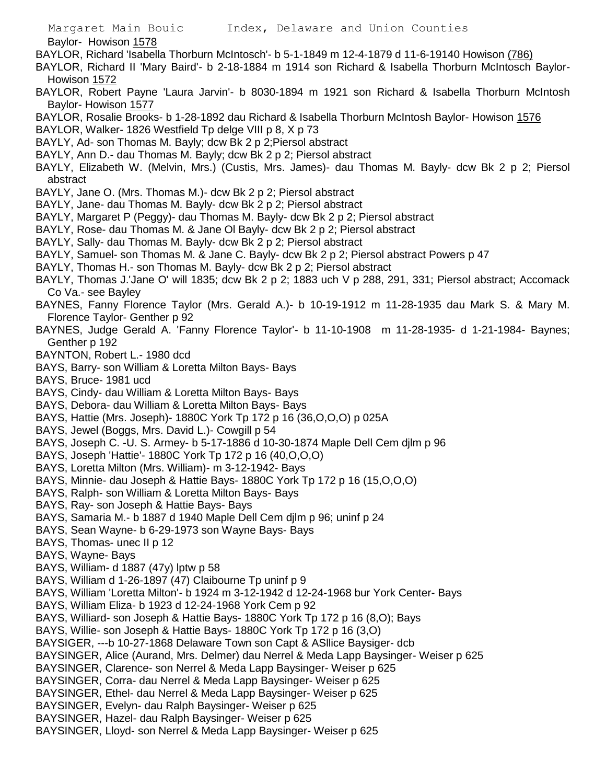Baylor- Howison 1578

- BAYLOR, Richard 'Isabella Thorburn McIntosch'- b 5-1-1849 m 12-4-1879 d 11-6-19140 Howison (786)
- BAYLOR, Richard II 'Mary Baird'- b 2-18-1884 m 1914 son Richard & Isabella Thorburn McIntosch Baylor-Howison 1572
- BAYLOR, Robert Payne 'Laura Jarvin'- b 8030-1894 m 1921 son Richard & Isabella Thorburn McIntosh Baylor- Howison 1577
- BAYLOR, Rosalie Brooks- b 1-28-1892 dau Richard & Isabella Thorburn McIntosh Baylor- Howison 1576
- BAYLOR, Walker- 1826 Westfield Tp delge VIII p 8, X p 73
- BAYLY, Ad- son Thomas M. Bayly; dcw Bk 2 p 2;Piersol abstract
- BAYLY, Ann D.- dau Thomas M. Bayly; dcw Bk 2 p 2; Piersol abstract
- BAYLY, Elizabeth W. (Melvin, Mrs.) (Custis, Mrs. James)- dau Thomas M. Bayly- dcw Bk 2 p 2; Piersol abstract
- BAYLY, Jane O. (Mrs. Thomas M.)- dcw Bk 2 p 2; Piersol abstract
- BAYLY, Jane- dau Thomas M. Bayly- dcw Bk 2 p 2; Piersol abstract
- BAYLY, Margaret P (Peggy)- dau Thomas M. Bayly- dcw Bk 2 p 2; Piersol abstract
- BAYLY, Rose- dau Thomas M. & Jane Ol Bayly- dcw Bk 2 p 2; Piersol abstract
- BAYLY, Sally- dau Thomas M. Bayly- dcw Bk 2 p 2; Piersol abstract
- BAYLY, Samuel- son Thomas M. & Jane C. Bayly- dcw Bk 2 p 2; Piersol abstract Powers p 47
- BAYLY, Thomas H.- son Thomas M. Bayly- dcw Bk 2 p 2; Piersol abstract
- BAYLY, Thomas J.'Jane O' will 1835; dcw Bk 2 p 2; 1883 uch V p 288, 291, 331; Piersol abstract; Accomack Co Va.- see Bayley
- BAYNES, Fanny Florence Taylor (Mrs. Gerald A.)- b 10-19-1912 m 11-28-1935 dau Mark S. & Mary M. Florence Taylor- Genther p 92
- BAYNES, Judge Gerald A. 'Fanny Florence Taylor'- b 11-10-1908 m 11-28-1935- d 1-21-1984- Baynes; Genther p 192
- BAYNTON, Robert L.- 1980 dcd
- BAYS, Barry- son William & Loretta Milton Bays- Bays
- BAYS, Bruce- 1981 ucd
- BAYS, Cindy- dau William & Loretta Milton Bays- Bays
- BAYS, Debora- dau William & Loretta Milton Bays- Bays
- BAYS, Hattie (Mrs. Joseph)- 1880C York Tp 172 p 16 (36,O,O,O) p 025A
- BAYS, Jewel (Boggs, Mrs. David L.)- Cowgill p 54
- BAYS, Joseph C. -U. S. Armey- b 5-17-1886 d 10-30-1874 Maple Dell Cem djlm p 96
- BAYS, Joseph 'Hattie'- 1880C York Tp 172 p 16 (40,O,O,O)
- BAYS, Loretta Milton (Mrs. William)- m 3-12-1942- Bays
- BAYS, Minnie- dau Joseph & Hattie Bays- 1880C York Tp 172 p 16 (15,O,O,O)
- BAYS, Ralph- son William & Loretta Milton Bays- Bays
- BAYS, Ray- son Joseph & Hattie Bays- Bays
- BAYS, Samaria M.- b 1887 d 1940 Maple Dell Cem djlm p 96; uninf p 24
- BAYS, Sean Wayne- b 6-29-1973 son Wayne Bays- Bays
- BAYS, Thomas- unec II p 12
- BAYS, Wayne- Bays
- BAYS, William- d 1887 (47y) lptw p 58
- BAYS, William d 1-26-1897 (47) Claibourne Tp uninf p 9
- BAYS, William 'Loretta Milton'- b 1924 m 3-12-1942 d 12-24-1968 bur York Center- Bays
- BAYS, William Eliza- b 1923 d 12-24-1968 York Cem p 92
- BAYS, Williard- son Joseph & Hattie Bays- 1880C York Tp 172 p 16 (8,O); Bays
- BAYS, Willie- son Joseph & Hattie Bays- 1880C York Tp 172 p 16 (3,O)
- BAYSIGER, ---b 10-27-1868 Delaware Town son Capt & ASllice Baysiger- dcb
- BAYSINGER, Alice (Aurand, Mrs. Delmer) dau Nerrel & Meda Lapp Baysinger- Weiser p 625
- BAYSINGER, Clarence- son Nerrel & Meda Lapp Baysinger- Weiser p 625
- BAYSINGER, Corra- dau Nerrel & Meda Lapp Baysinger- Weiser p 625
- BAYSINGER, Ethel- dau Nerrel & Meda Lapp Baysinger- Weiser p 625
- BAYSINGER, Evelyn- dau Ralph Baysinger- Weiser p 625
- BAYSINGER, Hazel- dau Ralph Baysinger- Weiser p 625
- BAYSINGER, Lloyd- son Nerrel & Meda Lapp Baysinger- Weiser p 625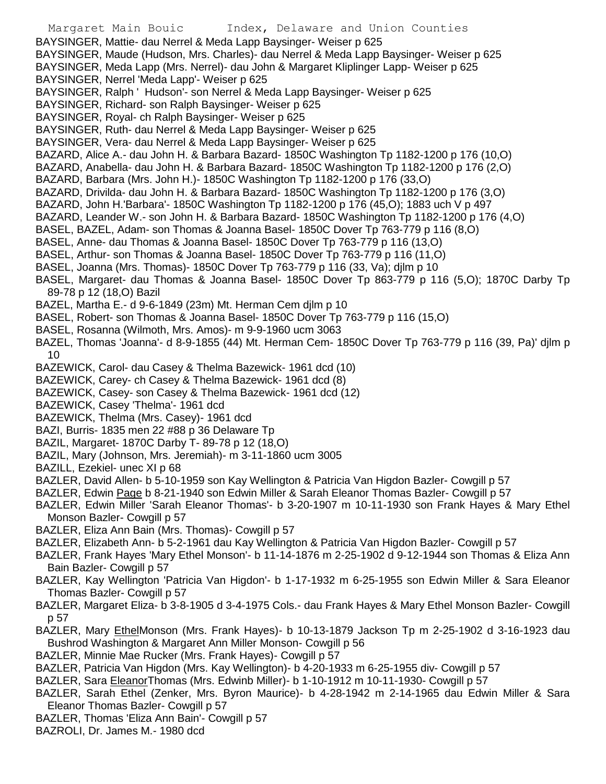Margaret Main Bouic Index, Delaware and Union Counties BAYSINGER, Mattie- dau Nerrel & Meda Lapp Baysinger- Weiser p 625 BAYSINGER, Maude (Hudson, Mrs. Charles)- dau Nerrel & Meda Lapp Baysinger- Weiser p 625 BAYSINGER, Meda Lapp (Mrs. Nerrel)- dau John & Margaret Kliplinger Lapp- Weiser p 625 BAYSINGER, Nerrel 'Meda Lapp'- Weiser p 625 BAYSINGER, Ralph ' Hudson'- son Nerrel & Meda Lapp Baysinger- Weiser p 625 BAYSINGER, Richard- son Ralph Baysinger- Weiser p 625 BAYSINGER, Royal- ch Ralph Baysinger- Weiser p 625 BAYSINGER, Ruth- dau Nerrel & Meda Lapp Baysinger- Weiser p 625 BAYSINGER, Vera- dau Nerrel & Meda Lapp Baysinger- Weiser p 625 BAZARD, Alice A.- dau John H. & Barbara Bazard- 1850C Washington Tp 1182-1200 p 176 (10,O) BAZARD, Anabella- dau John H. & Barbara Bazard- 1850C Washington Tp 1182-1200 p 176 (2,O) BAZARD, Barbara (Mrs. John H.)- 1850C Washington Tp 1182-1200 p 176 (33,O) BAZARD, Drivilda- dau John H. & Barbara Bazard- 1850C Washington Tp 1182-1200 p 176 (3,O) BAZARD, John H.'Barbara'- 1850C Washington Tp 1182-1200 p 176 (45,O); 1883 uch V p 497 BAZARD, Leander W.- son John H. & Barbara Bazard- 1850C Washington Tp 1182-1200 p 176 (4,O) BASEL, BAZEL, Adam- son Thomas & Joanna Basel- 1850C Dover Tp 763-779 p 116 (8,O) BASEL, Anne- dau Thomas & Joanna Basel- 1850C Dover Tp 763-779 p 116 (13,O) BASEL, Arthur- son Thomas & Joanna Basel- 1850C Dover Tp 763-779 p 116 (11,O) BASEL, Joanna (Mrs. Thomas)- 1850C Dover Tp 763-779 p 116 (33, Va); djlm p 10 BASEL, Margaret- dau Thomas & Joanna Basel- 1850C Dover Tp 863-779 p 116 (5,O); 1870C Darby Tp 89-78 p 12 (18,O) Bazil BAZEL, Martha E.- d 9-6-1849 (23m) Mt. Herman Cem djlm p 10 BASEL, Robert- son Thomas & Joanna Basel- 1850C Dover Tp 763-779 p 116 (15,O) BASEL, Rosanna (Wilmoth, Mrs. Amos)- m 9-9-1960 ucm 3063 BAZEL, Thomas 'Joanna'- d 8-9-1855 (44) Mt. Herman Cem- 1850C Dover Tp 763-779 p 116 (39, Pa)' djlm p 10 BAZEWICK, Carol- dau Casey & Thelma Bazewick- 1961 dcd (10) BAZEWICK, Carey- ch Casey & Thelma Bazewick- 1961 dcd (8) BAZEWICK, Casey- son Casey & Thelma Bazewick- 1961 dcd (12) BAZEWICK, Casey 'Thelma'- 1961 dcd BAZEWICK, Thelma (Mrs. Casey)- 1961 dcd BAZI, Burris- 1835 men 22 #88 p 36 Delaware Tp BAZIL, Margaret- 1870C Darby T- 89-78 p 12 (18,O) BAZIL, Mary (Johnson, Mrs. Jeremiah)- m 3-11-1860 ucm 3005 BAZILL, Ezekiel- unec XI p 68 BAZLER, David Allen- b 5-10-1959 son Kay Wellington & Patricia Van Higdon Bazler- Cowgill p 57 BAZLER, Edwin Page b 8-21-1940 son Edwin Miller & Sarah Eleanor Thomas Bazler- Cowgill p 57 BAZLER, Edwin Miller 'Sarah Eleanor Thomas'- b 3-20-1907 m 10-11-1930 son Frank Hayes & Mary Ethel Monson Bazler- Cowgill p 57 BAZLER, Eliza Ann Bain (Mrs. Thomas)- Cowgill p 57 BAZLER, Elizabeth Ann- b 5-2-1961 dau Kay Wellington & Patricia Van Higdon Bazler- Cowgill p 57 BAZLER, Frank Hayes 'Mary Ethel Monson'- b 11-14-1876 m 2-25-1902 d 9-12-1944 son Thomas & Eliza Ann Bain Bazler- Cowgill p 57 BAZLER, Kay Wellington 'Patricia Van Higdon'- b 1-17-1932 m 6-25-1955 son Edwin Miller & Sara Eleanor Thomas Bazler- Cowgill p 57 BAZLER, Margaret Eliza- b 3-8-1905 d 3-4-1975 Cols.- dau Frank Hayes & Mary Ethel Monson Bazler- Cowgill p 57 BAZLER, Mary EthelMonson (Mrs. Frank Hayes)- b 10-13-1879 Jackson Tp m 2-25-1902 d 3-16-1923 dau Bushrod Washington & Margaret Ann Miller Monson- Cowgill p 56 BAZLER, Minnie Mae Rucker (Mrs. Frank Hayes)- Cowgill p 57 BAZLER, Patricia Van Higdon (Mrs. Kay Wellington)- b 4-20-1933 m 6-25-1955 div- Cowgill p 57 BAZLER, Sara EleanorThomas (Mrs. Edwinb Miller)- b 1-10-1912 m 10-11-1930- Cowgill p 57 BAZLER, Sarah Ethel (Zenker, Mrs. Byron Maurice)- b 4-28-1942 m 2-14-1965 dau Edwin Miller & Sara Eleanor Thomas Bazler- Cowgill p 57 BAZLER, Thomas 'Eliza Ann Bain'- Cowgill p 57

BAZROLI, Dr. James M.- 1980 dcd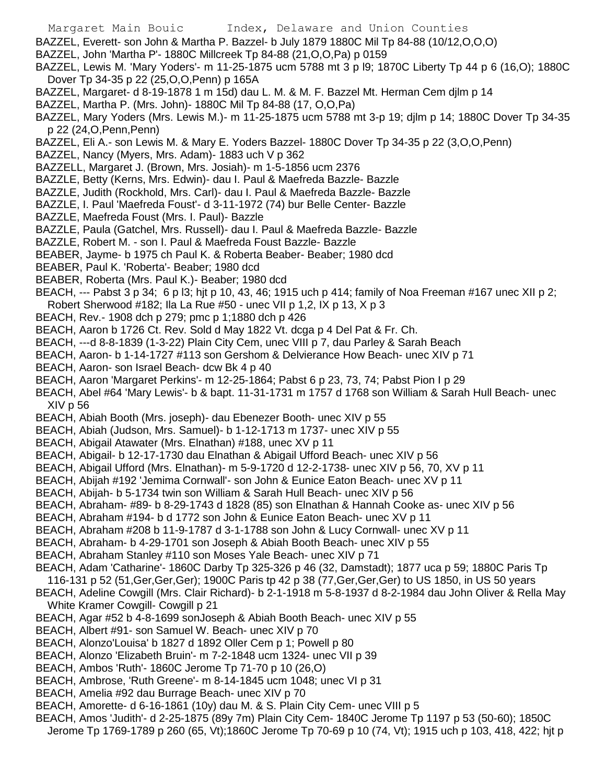- Margaret Main Bouic Index, Delaware and Union Counties
- BAZZEL, Everett- son John & Martha P. Bazzel- b July 1879 1880C Mil Tp 84-88 (10/12,O,O,O)
- BAZZEL, John 'Martha P'- 1880C Millcreek Tp 84-88 (21,O,O,Pa) p 0159
- BAZZEL, Lewis M. 'Mary Yoders'- m 11-25-1875 ucm 5788 mt 3 p l9; 1870C Liberty Tp 44 p 6 (16,O); 1880C Dover Tp 34-35 p 22 (25,O,O,Penn) p 165A
- BAZZEL, Margaret- d 8-19-1878 1 m 15d) dau L. M. & M. F. Bazzel Mt. Herman Cem djlm p 14
- BAZZEL, Martha P. (Mrs. John)- 1880C Mil Tp 84-88 (17, O,O,Pa)
- BAZZEL, Mary Yoders (Mrs. Lewis M.)- m 11-25-1875 ucm 5788 mt 3-p 19; djlm p 14; 1880C Dover Tp 34-35 p 22 (24,O,Penn,Penn)
- BAZZEL, Eli A.- son Lewis M. & Mary E. Yoders Bazzel- 1880C Dover Tp 34-35 p 22 (3,O,O,Penn)
- BAZZEL, Nancy (Myers, Mrs. Adam)- 1883 uch V p 362
- BAZZELL, Margaret J. (Brown, Mrs. Josiah)- m 1-5-1856 ucm 2376
- BAZZLE, Betty (Kerns, Mrs. Edwin)- dau I. Paul & Maefreda Bazzle- Bazzle
- BAZZLE, Judith (Rockhold, Mrs. Carl)- dau I. Paul & Maefreda Bazzle- Bazzle
- BAZZLE, I. Paul 'Maefreda Foust'- d 3-11-1972 (74) bur Belle Center- Bazzle
- BAZZLE, Maefreda Foust (Mrs. I. Paul)- Bazzle
- BAZZLE, Paula (Gatchel, Mrs. Russell)- dau I. Paul & Maefreda Bazzle- Bazzle
- BAZZLE, Robert M. son I. Paul & Maefreda Foust Bazzle- Bazzle
- BEABER, Jayme- b 1975 ch Paul K. & Roberta Beaber- Beaber; 1980 dcd
- BEABER, Paul K. 'Roberta'- Beaber; 1980 dcd
- BEABER, Roberta (Mrs. Paul K.)- Beaber; 1980 dcd
- BEACH, --- Pabst 3 p 34; 6 p l3; hjt p 10, 43, 46; 1915 uch p 414; family of Noa Freeman #167 unec XII p 2;
- Robert Sherwood #182; Ila La Rue #50 unec VII p 1,2, IX p 13, X p 3
- BEACH, Rev.- 1908 dch p 279; pmc p 1;1880 dch p 426
- BEACH, Aaron b 1726 Ct. Rev. Sold d May 1822 Vt. dcga p 4 Del Pat & Fr. Ch.
- BEACH, ---d 8-8-1839 (1-3-22) Plain City Cem, unec VIII p 7, dau Parley & Sarah Beach
- BEACH, Aaron- b 1-14-1727 #113 son Gershom & Delvierance How Beach- unec XIV p 71
- BEACH, Aaron- son Israel Beach- dcw Bk 4 p 40
- BEACH, Aaron 'Margaret Perkins'- m 12-25-1864; Pabst 6 p 23, 73, 74; Pabst Pion I p 29
- BEACH, Abel #64 'Mary Lewis'- b & bapt. 11-31-1731 m 1757 d 1768 son William & Sarah Hull Beach- unec XIV p 56
- BEACH, Abiah Booth (Mrs. joseph)- dau Ebenezer Booth- unec XIV p 55
- BEACH, Abiah (Judson, Mrs. Samuel)- b 1-12-1713 m 1737- unec XIV p 55
- BEACH, Abigail Atawater (Mrs. Elnathan) #188, unec XV p 11
- BEACH, Abigail- b 12-17-1730 dau Elnathan & Abigail Ufford Beach- unec XIV p 56
- BEACH, Abigail Ufford (Mrs. Elnathan)- m 5-9-1720 d 12-2-1738- unec XIV p 56, 70, XV p 11
- BEACH, Abijah #192 'Jemima Cornwall'- son John & Eunice Eaton Beach- unec XV p 11
- BEACH, Abijah- b 5-1734 twin son William & Sarah Hull Beach- unec XIV p 56
- BEACH, Abraham- #89- b 8-29-1743 d 1828 (85) son Elnathan & Hannah Cooke as- unec XIV p 56
- BEACH, Abraham #194- b d 1772 son John & Eunice Eaton Beach- unec XV p 11
- BEACH, Abraham #208 b 11-9-1787 d 3-1-1788 son John & Lucy Cornwall- unec XV p 11
- BEACH, Abraham- b 4-29-1701 son Joseph & Abiah Booth Beach- unec XIV p 55
- BEACH, Abraham Stanley #110 son Moses Yale Beach- unec XIV p 71
- BEACH, Adam 'Catharine'- 1860C Darby Tp 325-326 p 46 (32, Damstadt); 1877 uca p 59; 1880C Paris Tp
- 116-131 p 52 (51,Ger,Ger,Ger); 1900C Paris tp 42 p 38 (77,Ger,Ger,Ger) to US 1850, in US 50 years
- BEACH, Adeline Cowgill (Mrs. Clair Richard)- b 2-1-1918 m 5-8-1937 d 8-2-1984 dau John Oliver & Rella May White Kramer Cowgill- Cowgill p 21
- BEACH, Agar #52 b 4-8-1699 sonJoseph & Abiah Booth Beach- unec XIV p 55
- BEACH, Albert #91- son Samuel W. Beach- unec XIV p 70
- BEACH, Alonzo'Louisa' b 1827 d 1892 Oller Cem p 1; Powell p 80
- BEACH, Alonzo 'Elizabeth Bruin'- m 7-2-1848 ucm 1324- unec VII p 39
- BEACH, Ambos 'Ruth'- 1860C Jerome Tp 71-70 p 10 (26,O)
- BEACH, Ambrose, 'Ruth Greene'- m 8-14-1845 ucm 1048; unec VI p 31
- BEACH, Amelia #92 dau Burrage Beach- unec XIV p 70
- BEACH, Amorette- d 6-16-1861 (10y) dau M. & S. Plain City Cem- unec VIII p 5
- BEACH, Amos 'Judith'- d 2-25-1875 (89y 7m) Plain City Cem- 1840C Jerome Tp 1197 p 53 (50-60); 1850C Jerome Tp 1769-1789 p 260 (65, Vt);1860C Jerome Tp 70-69 p 10 (74, Vt); 1915 uch p 103, 418, 422; hjt p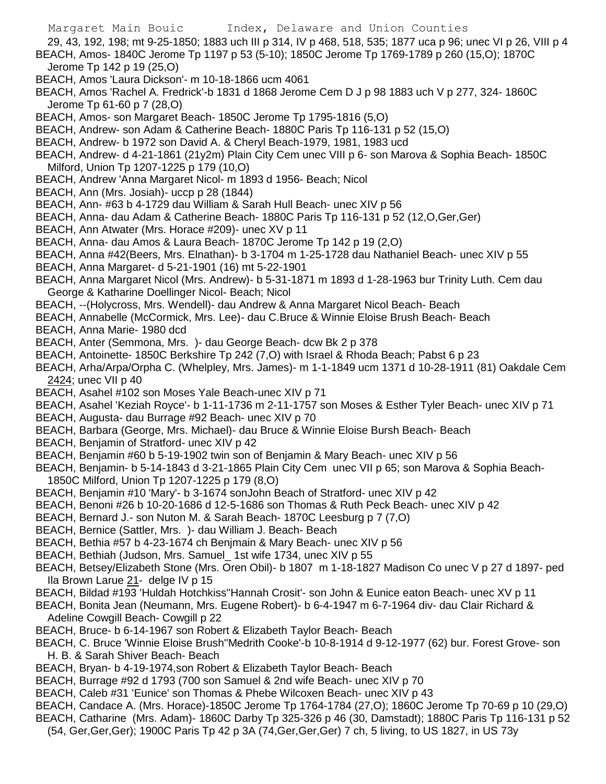29, 43, 192, 198; mt 9-25-1850; 1883 uch III p 314, IV p 468, 518, 535; 1877 uca p 96; unec VI p 26, VIII p 4 BEACH, Amos- 1840C Jerome Tp 1197 p 53 (5-10); 1850C Jerome Tp 1769-1789 p 260 (15,O); 1870C Jerome Tp 142 p 19 (25,O)

- BEACH, Amos 'Laura Dickson'- m 10-18-1866 ucm 4061
- BEACH, Amos 'Rachel A. Fredrick'-b 1831 d 1868 Jerome Cem D J p 98 1883 uch V p 277, 324- 1860C Jerome Tp 61-60 p 7 (28,O)
- BEACH, Amos- son Margaret Beach- 1850C Jerome Tp 1795-1816 (5,O)
- BEACH, Andrew- son Adam & Catherine Beach- 1880C Paris Tp 116-131 p 52 (15,O)
- BEACH, Andrew- b 1972 son David A. & Cheryl Beach-1979, 1981, 1983 ucd
- BEACH, Andrew- d 4-21-1861 (21y2m) Plain City Cem unec VIII p 6- son Marova & Sophia Beach- 1850C Milford, Union Tp 1207-1225 p 179 (10,O)
- BEACH, Andrew 'Anna Margaret Nicol- m 1893 d 1956- Beach; Nicol
- BEACH, Ann (Mrs. Josiah)- uccp p 28 (1844)
- BEACH, Ann- #63 b 4-1729 dau William & Sarah Hull Beach- unec XIV p 56
- BEACH, Anna- dau Adam & Catherine Beach- 1880C Paris Tp 116-131 p 52 (12,O,Ger,Ger)
- BEACH, Ann Atwater (Mrs. Horace #209)- unec XV p 11
- BEACH, Anna- dau Amos & Laura Beach- 1870C Jerome Tp 142 p 19 (2,O)
- BEACH, Anna #42(Beers, Mrs. Elnathan)- b 3-1704 m 1-25-1728 dau Nathaniel Beach- unec XIV p 55 BEACH, Anna Margaret- d 5-21-1901 (16) mt 5-22-1901
- BEACH, Anna Margaret Nicol (Mrs. Andrew)- b 5-31-1871 m 1893 d 1-28-1963 bur Trinity Luth. Cem dau George & Katharine Doellinger Nicol- Beach; Nicol
- BEACH, --(Holycross, Mrs. Wendell)- dau Andrew & Anna Margaret Nicol Beach- Beach
- BEACH, Annabelle (McCormick, Mrs. Lee)- dau C.Bruce & Winnie Eloise Brush Beach- Beach
- BEACH, Anna Marie- 1980 dcd
- BEACH, Anter (Semmona, Mrs. )- dau George Beach- dcw Bk 2 p 378
- BEACH, Antoinette- 1850C Berkshire Tp 242 (7,O) with Israel & Rhoda Beach; Pabst 6 p 23
- BEACH, Arha/Arpa/Orpha C. (Whelpley, Mrs. James)- m 1-1-1849 ucm 1371 d 10-28-1911 (81) Oakdale Cem 2424; unec VII p 40
- BEACH, Asahel #102 son Moses Yale Beach-unec XIV p 71
- BEACH, Asahel 'Keziah Royce'- b 1-11-1736 m 2-11-1757 son Moses & Esther Tyler Beach- unec XIV p 71
- BEACH, Augusta- dau Burrage #92 Beach- unec XIV p 70
- BEACH, Barbara (George, Mrs. Michael)- dau Bruce & Winnie Eloise Bursh Beach- Beach
- BEACH, Benjamin of Stratford- unec XIV p 42
- BEACH, Benjamin #60 b 5-19-1902 twin son of Benjamin & Mary Beach- unec XIV p 56
- BEACH, Benjamin- b 5-14-1843 d 3-21-1865 Plain City Cem unec VII p 65; son Marova & Sophia Beach-1850C Milford, Union Tp 1207-1225 p 179 (8,O)
- BEACH, Benjamin #10 'Mary'- b 3-1674 sonJohn Beach of Stratford- unec XIV p 42
- BEACH, Benoni #26 b 10-20-1686 d 12-5-1686 son Thomas & Ruth Peck Beach- unec XIV p 42
- BEACH, Bernard J.- son Nuton M. & Sarah Beach- 1870C Leesburg p 7 (7,O)
- BEACH, Bernice (Sattler, Mrs. )- dau William J. Beach- Beach
- BEACH, Bethia #57 b 4-23-1674 ch Benjmain & Mary Beach- unec XIV p 56
- BEACH, Bethiah (Judson, Mrs. Samuel\_ 1st wife 1734, unec XIV p 55
- BEACH, Betsey/Elizabeth Stone (Mrs. Oren Obil)- b 1807 m 1-18-1827 Madison Co unec V p 27 d 1897- ped Ila Brown Larue 21- delge IV p 15
- BEACH, Bildad #193 'Huldah Hotchkiss''Hannah Crosit'- son John & Eunice eaton Beach- unec XV p 11
- BEACH, Bonita Jean (Neumann, Mrs. Eugene Robert)- b 6-4-1947 m 6-7-1964 div- dau Clair Richard & Adeline Cowgill Beach- Cowgill p 22
- BEACH, Bruce- b 6-14-1967 son Robert & Elizabeth Taylor Beach- Beach
- BEACH, C. Bruce 'Winnie Eloise Brush''Medrith Cooke'-b 10-8-1914 d 9-12-1977 (62) bur. Forest Grove- son H. B. & Sarah Shiver Beach- Beach
- BEACH, Bryan- b 4-19-1974,son Robert & Elizabeth Taylor Beach- Beach
- BEACH, Burrage #92 d 1793 (700 son Samuel & 2nd wife Beach- unec XIV p 70
- BEACH, Caleb #31 'Eunice' son Thomas & Phebe Wilcoxen Beach- unec XIV p 43
- BEACH, Candace A. (Mrs. Horace)-1850C Jerome Tp 1764-1784 (27,O); 1860C Jerome Tp 70-69 p 10 (29,O)
- BEACH, Catharine (Mrs. Adam)- 1860C Darby Tp 325-326 p 46 (30, Damstadt); 1880C Paris Tp 116-131 p 52
	- (54, Ger,Ger,Ger); 1900C Paris Tp 42 p 3A (74,Ger,Ger,Ger) 7 ch, 5 living, to US 1827, in US 73y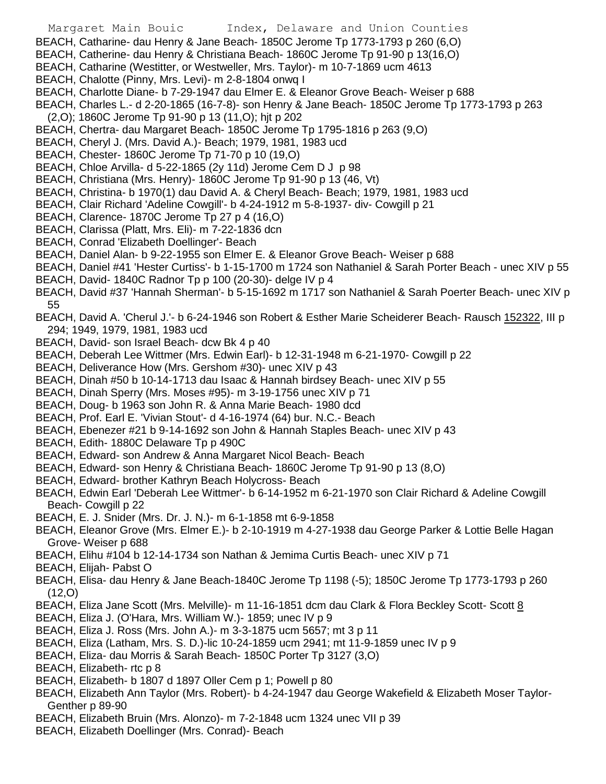- BEACH, Catharine- dau Henry & Jane Beach- 1850C Jerome Tp 1773-1793 p 260 (6,O)
- BEACH, Catherine- dau Henry & Christiana Beach- 1860C Jerome Tp 91-90 p 13(16,O)
- BEACH, Catharine (Westitter, or Westweller, Mrs. Taylor)- m 10-7-1869 ucm 4613
- BEACH, Chalotte (Pinny, Mrs. Levi)- m 2-8-1804 onwq I
- BEACH, Charlotte Diane- b 7-29-1947 dau Elmer E. & Eleanor Grove Beach- Weiser p 688
- BEACH, Charles L.- d 2-20-1865 (16-7-8)- son Henry & Jane Beach- 1850C Jerome Tp 1773-1793 p 263
- (2,O); 1860C Jerome Tp 91-90 p 13 (11,O); hjt p 202
- BEACH, Chertra- dau Margaret Beach- 1850C Jerome Tp 1795-1816 p 263 (9,O)
- BEACH, Cheryl J. (Mrs. David A.)- Beach; 1979, 1981, 1983 ucd
- BEACH, Chester- 1860C Jerome Tp 71-70 p 10 (19,O)
- BEACH, Chloe Arvilla- d 5-22-1865 (2y 11d) Jerome Cem D J p 98
- BEACH, Christiana (Mrs. Henry)- 1860C Jerome Tp 91-90 p 13 (46, Vt)
- BEACH, Christina- b 1970(1) dau David A. & Cheryl Beach- Beach; 1979, 1981, 1983 ucd
- BEACH, Clair Richard 'Adeline Cowgill'- b 4-24-1912 m 5-8-1937- div- Cowgill p 21
- BEACH, Clarence- 1870C Jerome Tp 27 p 4 (16,O)
- BEACH, Clarissa (Platt, Mrs. Eli)- m 7-22-1836 dcn
- BEACH, Conrad 'Elizabeth Doellinger'- Beach
- BEACH, Daniel Alan- b 9-22-1955 son Elmer E. & Eleanor Grove Beach- Weiser p 688
- BEACH, Daniel #41 'Hester Curtiss'- b 1-15-1700 m 1724 son Nathaniel & Sarah Porter Beach unec XIV p 55
- BEACH, David- 1840C Radnor Tp p 100 (20-30)- delge IV p 4
- BEACH, David #37 'Hannah Sherman'- b 5-15-1692 m 1717 son Nathaniel & Sarah Poerter Beach- unec XIV p 55
- BEACH, David A. 'Cherul J.'- b 6-24-1946 son Robert & Esther Marie Scheiderer Beach- Rausch 152322, III p 294; 1949, 1979, 1981, 1983 ucd
- BEACH, David- son Israel Beach- dcw Bk 4 p 40
- BEACH, Deberah Lee Wittmer (Mrs. Edwin Earl)- b 12-31-1948 m 6-21-1970- Cowgill p 22
- BEACH, Deliverance How (Mrs. Gershom #30)- unec XIV p 43
- BEACH, Dinah #50 b 10-14-1713 dau Isaac & Hannah birdsey Beach- unec XIV p 55
- BEACH, Dinah Sperry (Mrs. Moses #95)- m 3-19-1756 unec XIV p 71
- BEACH, Doug- b 1963 son John R. & Anna Marie Beach- 1980 dcd
- BEACH, Prof. Earl E. 'Vivian Stout'- d 4-16-1974 (64) bur. N.C.- Beach
- BEACH, Ebenezer #21 b 9-14-1692 son John & Hannah Staples Beach- unec XIV p 43
- BEACH, Edith- 1880C Delaware Tp p 490C
- BEACH, Edward- son Andrew & Anna Margaret Nicol Beach- Beach
- BEACH, Edward- son Henry & Christiana Beach- 1860C Jerome Tp 91-90 p 13 (8,O)
- BEACH, Edward- brother Kathryn Beach Holycross- Beach
- BEACH, Edwin Earl 'Deberah Lee Wittmer'- b 6-14-1952 m 6-21-1970 son Clair Richard & Adeline Cowgill Beach- Cowgill p 22
- BEACH, E. J. Snider (Mrs. Dr. J. N.)- m 6-1-1858 mt 6-9-1858
- BEACH, Eleanor Grove (Mrs. Elmer E.)- b 2-10-1919 m 4-27-1938 dau George Parker & Lottie Belle Hagan Grove- Weiser p 688
- BEACH, Elihu #104 b 12-14-1734 son Nathan & Jemima Curtis Beach- unec XIV p 71
- BEACH, Elijah- Pabst O
- BEACH, Elisa- dau Henry & Jane Beach-1840C Jerome Tp 1198 (-5); 1850C Jerome Tp 1773-1793 p 260  $(12,0)$
- BEACH, Eliza Jane Scott (Mrs. Melville)- m 11-16-1851 dcm dau Clark & Flora Beckley Scott- Scott 8
- BEACH, Eliza J. (O'Hara, Mrs. William W.)- 1859; unec IV p 9
- BEACH, Eliza J. Ross (Mrs. John A.)- m 3-3-1875 ucm 5657; mt 3 p 11
- BEACH, Eliza (Latham, Mrs. S. D.)-lic 10-24-1859 ucm 2941; mt 11-9-1859 unec IV p 9
- BEACH, Eliza- dau Morris & Sarah Beach- 1850C Porter Tp 3127 (3,O)
- BEACH, Elizabeth- rtc p 8
- BEACH, Elizabeth- b 1807 d 1897 Oller Cem p 1; Powell p 80
- BEACH, Elizabeth Ann Taylor (Mrs. Robert)- b 4-24-1947 dau George Wakefield & Elizabeth Moser Taylor-Genther p 89-90
- BEACH, Elizabeth Bruin (Mrs. Alonzo)- m 7-2-1848 ucm 1324 unec VII p 39
- BEACH, Elizabeth Doellinger (Mrs. Conrad)- Beach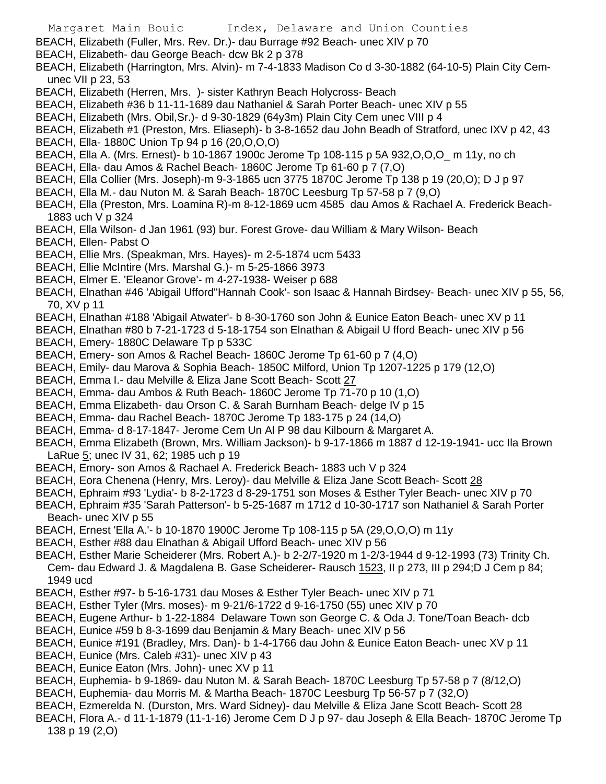- Margaret Main Bouic Index, Delaware and Union Counties BEACH, Elizabeth (Fuller, Mrs. Rev. Dr.)- dau Burrage #92 Beach- unec XIV p 70 BEACH, Elizabeth- dau George Beach- dcw Bk 2 p 378 BEACH, Elizabeth (Harrington, Mrs. Alvin)- m 7-4-1833 Madison Co d 3-30-1882 (64-10-5) Plain City Cemunec VII p 23, 53 BEACH, Elizabeth (Herren, Mrs. )- sister Kathryn Beach Holycross- Beach BEACH, Elizabeth #36 b 11-11-1689 dau Nathaniel & Sarah Porter Beach- unec XIV p 55 BEACH, Elizabeth (Mrs. Obil,Sr.)- d 9-30-1829 (64y3m) Plain City Cem unec VIII p 4 BEACH, Elizabeth #1 (Preston, Mrs. Eliaseph)- b 3-8-1652 dau John Beadh of Stratford, unec IXV p 42, 43 BEACH, Ella- 1880C Union Tp 94 p 16 (20,O,O,O) BEACH, Ella A. (Mrs. Ernest)- b 10-1867 1900c Jerome Tp 108-115 p 5A 932,O,O,O\_ m 11y, no ch BEACH, Ella- dau Amos & Rachel Beach- 1860C Jerome Tp 61-60 p 7 (7,O) BEACH, Ella Collier (Mrs. Joseph)-m 9-3-1865 ucn 3775 1870C Jerome Tp 138 p 19 (20,O); D J p 97 BEACH, Ella M.- dau Nuton M. & Sarah Beach- 1870C Leesburg Tp 57-58 p 7 (9,O) BEACH, Ella (Preston, Mrs. Loamina R)-m 8-12-1869 ucm 4585 dau Amos & Rachael A. Frederick Beach-1883 uch V p 324 BEACH, Ella Wilson- d Jan 1961 (93) bur. Forest Grove- dau William & Mary Wilson- Beach BEACH, Ellen- Pabst O BEACH, Ellie Mrs. (Speakman, Mrs. Hayes)- m 2-5-1874 ucm 5433 BEACH, Ellie McIntire (Mrs. Marshal G.)- m 5-25-1866 3973 BEACH, Elmer E. 'Eleanor Grove'- m 4-27-1938- Weiser p 688 BEACH, Elnathan #46 'Abigail Ufford''Hannah Cook'- son Isaac & Hannah Birdsey- Beach- unec XIV p 55, 56, 70, XV p 11 BEACH, Elnathan #188 'Abigail Atwater'- b 8-30-1760 son John & Eunice Eaton Beach- unec XV p 11 BEACH, Elnathan #80 b 7-21-1723 d 5-18-1754 son Elnathan & Abigail U fford Beach- unec XIV p 56 BEACH, Emery- 1880C Delaware Tp p 533C BEACH, Emery- son Amos & Rachel Beach- 1860C Jerome Tp 61-60 p 7 (4,O) BEACH, Emily- dau Marova & Sophia Beach- 1850C Milford, Union Tp 1207-1225 p 179 (12,O) BEACH, Emma I .- dau Melville & Eliza Jane Scott Beach- Scott 27 BEACH, Emma- dau Ambos & Ruth Beach- 1860C Jerome Tp 71-70 p 10 (1,O) BEACH, Emma Elizabeth- dau Orson C. & Sarah Burnham Beach- delge IV p 15 BEACH, Emma- dau Rachel Beach- 1870C Jerome Tp 183-175 p 24 (14,O) BEACH, Emma- d 8-17-1847- Jerome Cem Un Al P 98 dau Kilbourn & Margaret A. BEACH, Emma Elizabeth (Brown, Mrs. William Jackson)- b 9-17-1866 m 1887 d 12-19-1941- ucc Ila Brown LaRue 5; unec IV 31, 62; 1985 uch p 19 BEACH, Emory- son Amos & Rachael A. Frederick Beach- 1883 uch V p 324 BEACH, Eora Chenena (Henry, Mrs. Leroy)- dau Melville & Eliza Jane Scott Beach- Scott 28 BEACH, Ephraim #93 'Lydia'- b 8-2-1723 d 8-29-1751 son Moses & Esther Tyler Beach- unec XIV p 70 BEACH, Ephraim #35 'Sarah Patterson'- b 5-25-1687 m 1712 d 10-30-1717 son Nathaniel & Sarah Porter Beach- unec XIV p 55 BEACH, Ernest 'Ella A.'- b 10-1870 1900C Jerome Tp 108-115 p 5A (29,O,O,O) m 11y BEACH, Esther #88 dau Elnathan & Abigail Ufford Beach- unec XIV p 56 BEACH, Esther Marie Scheiderer (Mrs. Robert A.)- b 2-2/7-1920 m 1-2/3-1944 d 9-12-1993 (73) Trinity Ch. Cem- dau Edward J. & Magdalena B. Gase Scheiderer- Rausch 1523, II p 273, III p 294;D J Cem p 84; 1949 ucd BEACH, Esther #97- b 5-16-1731 dau Moses & Esther Tyler Beach- unec XIV p 71 BEACH, Esther Tyler (Mrs. moses)- m 9-21/6-1722 d 9-16-1750 (55) unec XIV p 70 BEACH, Eugene Arthur- b 1-22-1884 Delaware Town son George C. & Oda J. Tone/Toan Beach- dcb BEACH, Eunice #59 b 8-3-1699 dau Benjamin & Mary Beach- unec XIV p 56 BEACH, Eunice #191 (Bradley, Mrs. Dan)- b 1-4-1766 dau John & Eunice Eaton Beach- unec XV p 11 BEACH, Eunice (Mrs. Caleb #31)- unec XIV p 43 BEACH, Eunice Eaton (Mrs. John)- unec XV p 11
- BEACH, Euphemia- b 9-1869- dau Nuton M. & Sarah Beach- 1870C Leesburg Tp 57-58 p 7 (8/12,O)
- BEACH, Euphemia- dau Morris M. & Martha Beach- 1870C Leesburg Tp 56-57 p 7 (32,O)
- BEACH, Ezmerelda N. (Durston, Mrs. Ward Sidney)- dau Melville & Eliza Jane Scott Beach- Scott 28
- BEACH, Flora A.- d 11-1-1879 (11-1-16) Jerome Cem D J p 97- dau Joseph & Ella Beach- 1870C Jerome Tp 138 p 19 (2,O)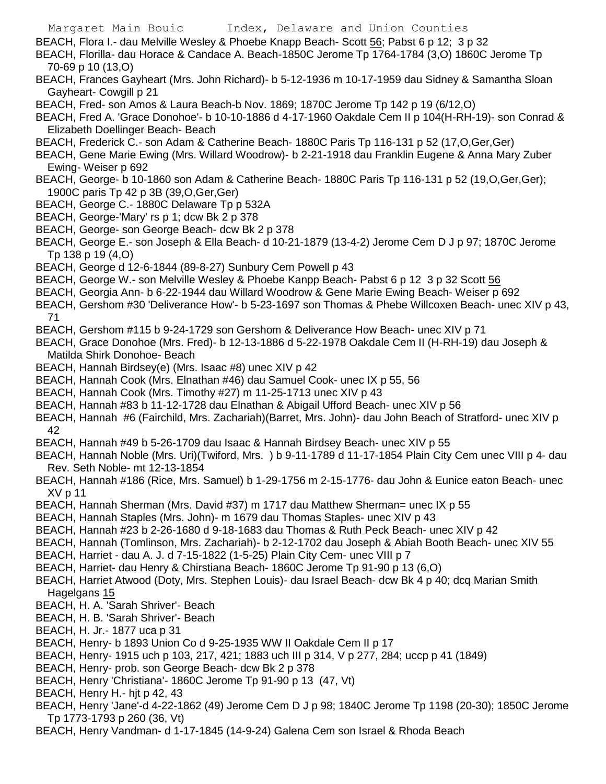BEACH, Flora I.- dau Melville Wesley & Phoebe Knapp Beach- Scott 56; Pabst 6 p 12; 3 p 32

- BEACH, Florilla- dau Horace & Candace A. Beach-1850C Jerome Tp 1764-1784 (3,O) 1860C Jerome Tp 70-69 p 10 (13,O)
- BEACH, Frances Gayheart (Mrs. John Richard)- b 5-12-1936 m 10-17-1959 dau Sidney & Samantha Sloan Gayheart- Cowgill p 21
- BEACH, Fred- son Amos & Laura Beach-b Nov. 1869; 1870C Jerome Tp 142 p 19 (6/12,O)
- BEACH, Fred A. 'Grace Donohoe'- b 10-10-1886 d 4-17-1960 Oakdale Cem II p 104(H-RH-19)- son Conrad & Elizabeth Doellinger Beach- Beach
- BEACH, Frederick C.- son Adam & Catherine Beach- 1880C Paris Tp 116-131 p 52 (17,O,Ger,Ger)
- BEACH, Gene Marie Ewing (Mrs. Willard Woodrow)- b 2-21-1918 dau Franklin Eugene & Anna Mary Zuber Ewing- Weiser p 692
- BEACH, George- b 10-1860 son Adam & Catherine Beach- 1880C Paris Tp 116-131 p 52 (19,O,Ger,Ger); 1900C paris Tp 42 p 3B (39,O,Ger,Ger)
- BEACH, George C.- 1880C Delaware Tp p 532A
- BEACH, George-'Mary' rs p 1; dcw Bk 2 p 378
- BEACH, George- son George Beach- dcw Bk 2 p 378
- BEACH, George E.- son Joseph & Ella Beach- d 10-21-1879 (13-4-2) Jerome Cem D J p 97; 1870C Jerome Tp 138 p 19 (4,O)
- BEACH, George d 12-6-1844 (89-8-27) Sunbury Cem Powell p 43
- BEACH, George W.- son Melville Wesley & Phoebe Kanpp Beach- Pabst 6 p 12 3 p 32 Scott 56
- BEACH, Georgia Ann- b 6-22-1944 dau Willard Woodrow & Gene Marie Ewing Beach- Weiser p 692
- BEACH, Gershom #30 'Deliverance How'- b 5-23-1697 son Thomas & Phebe Willcoxen Beach- unec XIV p 43, 71
- BEACH, Gershom #115 b 9-24-1729 son Gershom & Deliverance How Beach- unec XIV p 71
- BEACH, Grace Donohoe (Mrs. Fred)- b 12-13-1886 d 5-22-1978 Oakdale Cem II (H-RH-19) dau Joseph & Matilda Shirk Donohoe- Beach
- BEACH, Hannah Birdsey(e) (Mrs. Isaac #8) unec XIV p 42
- BEACH, Hannah Cook (Mrs. Elnathan #46) dau Samuel Cook- unec IX p 55, 56
- BEACH, Hannah Cook (Mrs. Timothy #27) m 11-25-1713 unec XIV p 43
- BEACH, Hannah #83 b 11-12-1728 dau Elnathan & Abigail Ufford Beach- unec XIV p 56
- BEACH, Hannah #6 (Fairchild, Mrs. Zachariah)(Barret, Mrs. John)- dau John Beach of Stratford- unec XIV p 42
- BEACH, Hannah #49 b 5-26-1709 dau Isaac & Hannah Birdsey Beach- unec XIV p 55
- BEACH, Hannah Noble (Mrs. Uri)(Twiford, Mrs. ) b 9-11-1789 d 11-17-1854 Plain City Cem unec VIII p 4- dau Rev. Seth Noble- mt 12-13-1854
- BEACH, Hannah #186 (Rice, Mrs. Samuel) b 1-29-1756 m 2-15-1776- dau John & Eunice eaton Beach- unec XV p 11
- BEACH, Hannah Sherman (Mrs. David #37) m 1717 dau Matthew Sherman= unec IX p 55
- BEACH, Hannah Staples (Mrs. John)- m 1679 dau Thomas Staples- unec XIV p 43
- BEACH, Hannah #23 b 2-26-1680 d 9-18-1683 dau Thomas & Ruth Peck Beach- unec XIV p 42
- BEACH, Hannah (Tomlinson, Mrs. Zachariah)- b 2-12-1702 dau Joseph & Abiah Booth Beach- unec XIV 55
- BEACH, Harriet dau A. J. d 7-15-1822 (1-5-25) Plain City Cem- unec VIII p 7
- BEACH, Harriet- dau Henry & Chirstiana Beach- 1860C Jerome Tp 91-90 p 13 (6,O)
- BEACH, Harriet Atwood (Doty, Mrs. Stephen Louis)- dau Israel Beach- dcw Bk 4 p 40; dcq Marian Smith Hagelgans 15
- BEACH, H. A. 'Sarah Shriver'- Beach
- BEACH, H. B. 'Sarah Shriver'- Beach
- BEACH, H. Jr.- 1877 uca p 31
- BEACH, Henry- b 1893 Union Co d 9-25-1935 WW II Oakdale Cem II p 17
- BEACH, Henry- 1915 uch p 103, 217, 421; 1883 uch III p 314, V p 277, 284; uccp p 41 (1849)
- BEACH, Henry- prob. son George Beach- dcw Bk 2 p 378
- BEACH, Henry 'Christiana'- 1860C Jerome Tp 91-90 p 13 (47, Vt)
- BEACH, Henry H.- hjt p 42, 43
- BEACH, Henry 'Jane'-d 4-22-1862 (49) Jerome Cem D J p 98; 1840C Jerome Tp 1198 (20-30); 1850C Jerome Tp 1773-1793 p 260 (36, Vt)
- BEACH, Henry Vandman- d 1-17-1845 (14-9-24) Galena Cem son Israel & Rhoda Beach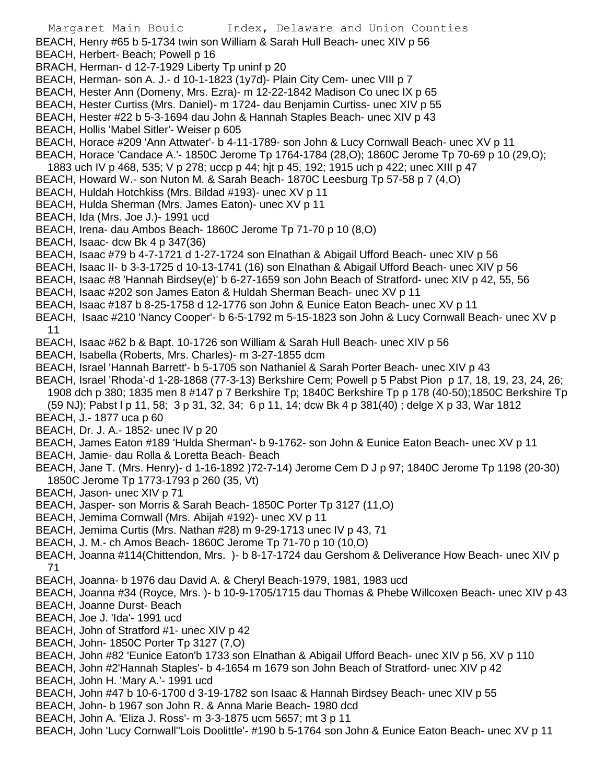- BEACH, Henry #65 b 5-1734 twin son William & Sarah Hull Beach- unec XIV p 56
- BEACH, Herbert- Beach; Powell p 16
- BRACH, Herman- d 12-7-1929 Liberty Tp uninf p 20
- BEACH, Herman- son A. J.- d 10-1-1823 (1y7d)- Plain City Cem- unec VIII p 7
- BEACH, Hester Ann (Domeny, Mrs. Ezra)- m 12-22-1842 Madison Co unec IX p 65
- BEACH, Hester Curtiss (Mrs. Daniel)- m 1724- dau Benjamin Curtiss- unec XIV p 55
- BEACH, Hester #22 b 5-3-1694 dau John & Hannah Staples Beach- unec XIV p 43
- BEACH, Hollis 'Mabel Sitler'- Weiser p 605
- BEACH, Horace #209 'Ann Attwater'- b 4-11-1789- son John & Lucy Cornwall Beach- unec XV p 11
- BEACH, Horace 'Candace A.'- 1850C Jerome Tp 1764-1784 (28,O); 1860C Jerome Tp 70-69 p 10 (29,O);
- 1883 uch IV p 468, 535; V p 278; uccp p 44; hjt p 45, 192; 1915 uch p 422; unec XIII p 47
- BEACH, Howard W.- son Nuton M. & Sarah Beach- 1870C Leesburg Tp 57-58 p 7 (4,O)
- BEACH, Huldah Hotchkiss (Mrs. Bildad #193)- unec XV p 11
- BEACH, Hulda Sherman (Mrs. James Eaton)- unec XV p 11
- BEACH, Ida (Mrs. Joe J.)- 1991 ucd
- BEACH, Irena- dau Ambos Beach- 1860C Jerome Tp 71-70 p 10 (8,O)
- BEACH, Isaac- dcw Bk 4 p 347(36)
- BEACH, Isaac #79 b 4-7-1721 d 1-27-1724 son Elnathan & Abigail Ufford Beach- unec XIV p 56
- BEACH, Isaac II- b 3-3-1725 d 10-13-1741 (16) son Elnathan & Abigail Ufford Beach- unec XIV p 56
- BEACH, Isaac #8 'Hannah Birdsey(e)' b 6-27-1659 son John Beach of Stratford- unec XIV p 42, 55, 56
- BEACH, Isaac #202 son James Eaton & Huldah Sherman Beach- unec XV p 11
- BEACH, Isaac #187 b 8-25-1758 d 12-1776 son John & Eunice Eaton Beach- unec XV p 11
- BEACH, Isaac #210 'Nancy Cooper'- b 6-5-1792 m 5-15-1823 son John & Lucy Cornwall Beach- unec XV p 11
- BEACH, Isaac #62 b & Bapt. 10-1726 son William & Sarah Hull Beach- unec XIV p 56
- BEACH, Isabella (Roberts, Mrs. Charles)- m 3-27-1855 dcm
- BEACH, Israel 'Hannah Barrett'- b 5-1705 son Nathaniel & Sarah Porter Beach- unec XIV p 43
- BEACH, Israel 'Rhoda'-d 1-28-1868 (77-3-13) Berkshire Cem; Powell p 5 Pabst Pion p 17, 18, 19, 23, 24, 26; 1908 dch p 380; 1835 men 8 #147 p 7 Berkshire Tp; 1840C Berkshire Tp p 178 (40-50);1850C Berkshire Tp
- (59 NJ); Pabst l p 11, 58; 3 p 31, 32, 34; 6 p 11, 14; dcw Bk 4 p 381(40) ; delge X p 33, War 1812 BEACH, J.- 1877 uca p 60
- BEACH, Dr. J. A.- 1852- unec IV p 20
- BEACH, James Eaton #189 'Hulda Sherman'- b 9-1762- son John & Eunice Eaton Beach- unec XV p 11
- BEACH, Jamie- dau Rolla & Loretta Beach- Beach
- BEACH, Jane T. (Mrs. Henry)- d 1-16-1892 )72-7-14) Jerome Cem D J p 97; 1840C Jerome Tp 1198 (20-30) 1850C Jerome Tp 1773-1793 p 260 (35, Vt)
- BEACH, Jason- unec XIV p 71
- BEACH, Jasper- son Morris & Sarah Beach- 1850C Porter Tp 3127 (11,O)
- BEACH, Jemima Cornwall (Mrs. Abijah #192)- unec XV p 11
- BEACH, Jemima Curtis (Mrs. Nathan #28) m 9-29-1713 unec IV p 43, 71
- BEACH, J. M.- ch Amos Beach- 1860C Jerome Tp 71-70 p 10 (10,O)
- BEACH, Joanna #114(Chittendon, Mrs. )- b 8-17-1724 dau Gershom & Deliverance How Beach- unec XIV p 71
- BEACH, Joanna- b 1976 dau David A. & Cheryl Beach-1979, 1981, 1983 ucd
- BEACH, Joanna #34 (Royce, Mrs. )- b 10-9-1705/1715 dau Thomas & Phebe Willcoxen Beach- unec XIV p 43
- BEACH, Joanne Durst- Beach
- BEACH, Joe J. 'Ida'- 1991 ucd
- BEACH, John of Stratford #1- unec XIV p 42
- BEACH, John- 1850C Porter Tp 3127 (7,O)
- BEACH, John #82 'Eunice Eaton'b 1733 son Elnathan & Abigail Ufford Beach- unec XIV p 56, XV p 110
- BEACH, John #2'Hannah Staples'- b 4-1654 m 1679 son John Beach of Stratford- unec XIV p 42
- BEACH, John H. 'Mary A.'- 1991 ucd
- BEACH, John #47 b 10-6-1700 d 3-19-1782 son Isaac & Hannah Birdsey Beach- unec XIV p 55
- BEACH, John- b 1967 son John R. & Anna Marie Beach- 1980 dcd
- BEACH, John A. 'Eliza J. Ross'- m 3-3-1875 ucm 5657; mt 3 p 11
- BEACH, John 'Lucy Cornwall''Lois Doolittle'- #190 b 5-1764 son John & Eunice Eaton Beach- unec XV p 11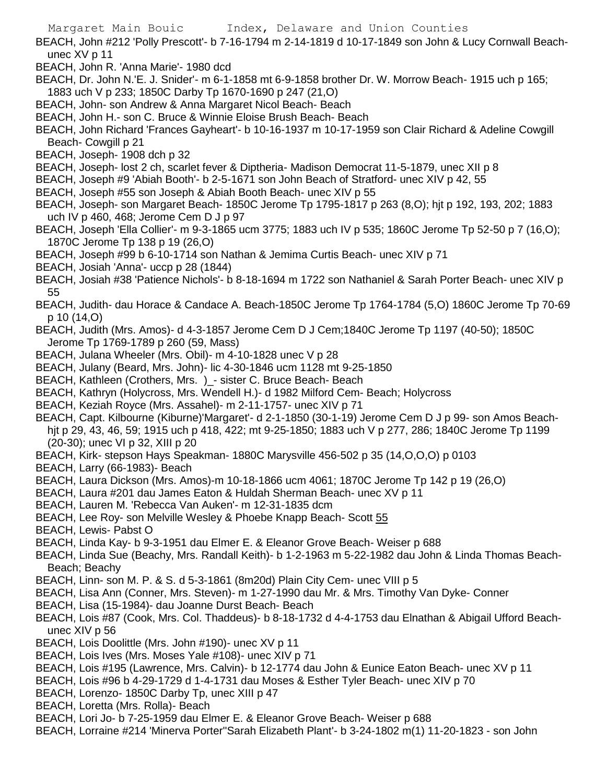BEACH, John #212 'Polly Prescott'- b 7-16-1794 m 2-14-1819 d 10-17-1849 son John & Lucy Cornwall Beachunec XV p 11

- BEACH, John R. 'Anna Marie'- 1980 dcd
- BEACH, Dr. John N.'E. J. Snider'- m 6-1-1858 mt 6-9-1858 brother Dr. W. Morrow Beach- 1915 uch p 165; 1883 uch V p 233; 1850C Darby Tp 1670-1690 p 247 (21,O)
- BEACH, John- son Andrew & Anna Margaret Nicol Beach- Beach
- BEACH, John H.- son C. Bruce & Winnie Eloise Brush Beach- Beach
- BEACH, John Richard 'Frances Gayheart'- b 10-16-1937 m 10-17-1959 son Clair Richard & Adeline Cowgill Beach- Cowgill p 21
- BEACH, Joseph- 1908 dch p 32
- BEACH, Joseph- lost 2 ch, scarlet fever & Diptheria- Madison Democrat 11-5-1879, unec XII p 8
- BEACH, Joseph #9 'Abiah Booth'- b 2-5-1671 son John Beach of Stratford- unec XIV p 42, 55
- BEACH, Joseph #55 son Joseph & Abiah Booth Beach- unec XIV p 55
- BEACH, Joseph- son Margaret Beach- 1850C Jerome Tp 1795-1817 p 263 (8,O); hjt p 192, 193, 202; 1883 uch IV p 460, 468; Jerome Cem D J p 97
- BEACH, Joseph 'Ella Collier'- m 9-3-1865 ucm 3775; 1883 uch IV p 535; 1860C Jerome Tp 52-50 p 7 (16,O); 1870C Jerome Tp 138 p 19 (26,O)
- BEACH, Joseph #99 b 6-10-1714 son Nathan & Jemima Curtis Beach- unec XIV p 71
- BEACH, Josiah 'Anna'- uccp p 28 (1844)
- BEACH, Josiah #38 'Patience Nichols'- b 8-18-1694 m 1722 son Nathaniel & Sarah Porter Beach- unec XIV p 55
- BEACH, Judith- dau Horace & Candace A. Beach-1850C Jerome Tp 1764-1784 (5,O) 1860C Jerome Tp 70-69 p 10 (14,O)
- BEACH, Judith (Mrs. Amos)- d 4-3-1857 Jerome Cem D J Cem;1840C Jerome Tp 1197 (40-50); 1850C Jerome Tp 1769-1789 p 260 (59, Mass)
- BEACH, Julana Wheeler (Mrs. Obil)- m 4-10-1828 unec V p 28
- BEACH, Julany (Beard, Mrs. John)- lic 4-30-1846 ucm 1128 mt 9-25-1850
- BEACH, Kathleen (Crothers, Mrs. )\_- sister C. Bruce Beach- Beach
- BEACH, Kathryn (Holycross, Mrs. Wendell H.)- d 1982 Milford Cem- Beach; Holycross
- BEACH, Keziah Royce (Mrs. Assahel)- m 2-11-1757- unec XIV p 71
- BEACH, Capt. Kilbourne (Kiburne)'Margaret'- d 2-1-1850 (30-1-19) Jerome Cem D J p 99- son Amos Beachhjt p 29, 43, 46, 59; 1915 uch p 418, 422; mt 9-25-1850; 1883 uch V p 277, 286; 1840C Jerome Tp 1199 (20-30); unec VI p 32, XIII p 20
- BEACH, Kirk- stepson Hays Speakman- 1880C Marysville 456-502 p 35 (14,O,O,O) p 0103
- BEACH, Larry (66-1983)- Beach
- BEACH, Laura Dickson (Mrs. Amos)-m 10-18-1866 ucm 4061; 1870C Jerome Tp 142 p 19 (26,O)
- BEACH, Laura #201 dau James Eaton & Huldah Sherman Beach- unec XV p 11
- BEACH, Lauren M. 'Rebecca Van Auken'- m 12-31-1835 dcm
- BEACH, Lee Roy- son Melville Wesley & Phoebe Knapp Beach- Scott 55
- BEACH, Lewis- Pabst O
- BEACH, Linda Kay- b 9-3-1951 dau Elmer E. & Eleanor Grove Beach- Weiser p 688
- BEACH, Linda Sue (Beachy, Mrs. Randall Keith)- b 1-2-1963 m 5-22-1982 dau John & Linda Thomas Beach-Beach; Beachy
- BEACH, Linn- son M. P. & S. d 5-3-1861 (8m20d) Plain City Cem- unec VIII p 5
- BEACH, Lisa Ann (Conner, Mrs. Steven)- m 1-27-1990 dau Mr. & Mrs. Timothy Van Dyke- Conner
- BEACH, Lisa (15-1984)- dau Joanne Durst Beach- Beach
- BEACH, Lois #87 (Cook, Mrs. Col. Thaddeus)- b 8-18-1732 d 4-4-1753 dau Elnathan & Abigail Ufford Beachunec XIV p 56
- BEACH, Lois Doolittle (Mrs. John #190)- unec XV p 11
- BEACH, Lois Ives (Mrs. Moses Yale #108)- unec XIV p 71
- BEACH, Lois #195 (Lawrence, Mrs. Calvin)- b 12-1774 dau John & Eunice Eaton Beach- unec XV p 11
- BEACH, Lois #96 b 4-29-1729 d 1-4-1731 dau Moses & Esther Tyler Beach- unec XIV p 70
- BEACH, Lorenzo- 1850C Darby Tp, unec XIII p 47
- BEACH, Loretta (Mrs. Rolla)- Beach
- BEACH, Lori Jo- b 7-25-1959 dau Elmer E. & Eleanor Grove Beach- Weiser p 688
- BEACH, Lorraine #214 'Minerva Porter''Sarah Elizabeth Plant'- b 3-24-1802 m(1) 11-20-1823 son John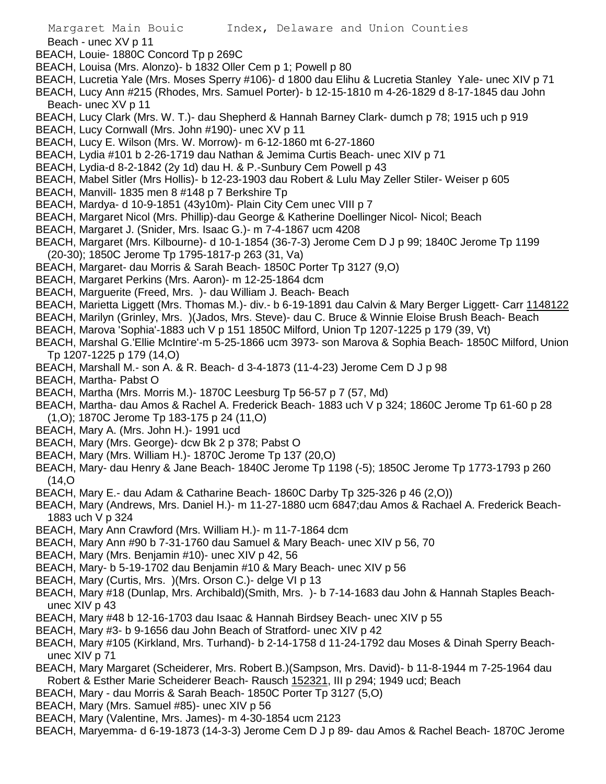Beach - unec XV p 11

- BEACH, Louie- 1880C Concord Tp p 269C
- BEACH, Louisa (Mrs. Alonzo)- b 1832 Oller Cem p 1; Powell p 80
- BEACH, Lucretia Yale (Mrs. Moses Sperry #106)- d 1800 dau Elihu & Lucretia Stanley Yale- unec XIV p 71
- BEACH, Lucy Ann #215 (Rhodes, Mrs. Samuel Porter)- b 12-15-1810 m 4-26-1829 d 8-17-1845 dau John Beach- unec XV p 11
- BEACH, Lucy Clark (Mrs. W. T.)- dau Shepherd & Hannah Barney Clark- dumch p 78; 1915 uch p 919
- BEACH, Lucy Cornwall (Mrs. John #190)- unec XV p 11
- BEACH, Lucy E. Wilson (Mrs. W. Morrow)- m 6-12-1860 mt 6-27-1860
- BEACH, Lydia #101 b 2-26-1719 dau Nathan & Jemima Curtis Beach- unec XIV p 71
- BEACH, Lydia-d 8-2-1842 (2y 1d) dau H. & P.-Sunbury Cem Powell p 43
- BEACH, Mabel Sitler (Mrs Hollis)- b 12-23-1903 dau Robert & Lulu May Zeller Stiler- Weiser p 605
- BEACH, Manvill- 1835 men 8 #148 p 7 Berkshire Tp
- BEACH, Mardya- d 10-9-1851 (43y10m)- Plain City Cem unec VIII p 7
- BEACH, Margaret Nicol (Mrs. Phillip)-dau George & Katherine Doellinger Nicol- Nicol; Beach
- BEACH, Margaret J. (Snider, Mrs. Isaac G.)- m 7-4-1867 ucm 4208
- BEACH, Margaret (Mrs. Kilbourne)- d 10-1-1854 (36-7-3) Jerome Cem D J p 99; 1840C Jerome Tp 1199 (20-30); 1850C Jerome Tp 1795-1817-p 263 (31, Va)
- BEACH, Margaret- dau Morris & Sarah Beach- 1850C Porter Tp 3127 (9,O)
- BEACH, Margaret Perkins (Mrs. Aaron)- m 12-25-1864 dcm
- BEACH, Marguerite (Freed, Mrs. )- dau William J. Beach- Beach
- BEACH, Marietta Liggett (Mrs. Thomas M.)- div.- b 6-19-1891 dau Calvin & Mary Berger Liggett- Carr 1148122
- BEACH, Marilyn (Grinley, Mrs. )(Jados, Mrs. Steve)- dau C. Bruce & Winnie Eloise Brush Beach- Beach
- BEACH, Marova 'Sophia'-1883 uch V p 151 1850C Milford, Union Tp 1207-1225 p 179 (39, Vt)
- BEACH, Marshal G.'Ellie McIntire'-m 5-25-1866 ucm 3973- son Marova & Sophia Beach- 1850C Milford, Union Tp 1207-1225 p 179 (14,O)
- BEACH, Marshall M.- son A. & R. Beach- d 3-4-1873 (11-4-23) Jerome Cem D J p 98
- BEACH, Martha- Pabst O
- BEACH, Martha (Mrs. Morris M.)- 1870C Leesburg Tp 56-57 p 7 (57, Md)
- BEACH, Martha- dau Amos & Rachel A. Frederick Beach- 1883 uch V p 324; 1860C Jerome Tp 61-60 p 28 (1,O); 1870C Jerome Tp 183-175 p 24 (11,O)
- BEACH, Mary A. (Mrs. John H.)- 1991 ucd
- BEACH, Mary (Mrs. George)- dcw Bk 2 p 378; Pabst O
- BEACH, Mary (Mrs. William H.)- 1870C Jerome Tp 137 (20,O)
- BEACH, Mary- dau Henry & Jane Beach- 1840C Jerome Tp 1198 (-5); 1850C Jerome Tp 1773-1793 p 260 (14,O
- BEACH, Mary E.- dau Adam & Catharine Beach- 1860C Darby Tp 325-326 p 46 (2,O))
- BEACH, Mary (Andrews, Mrs. Daniel H.)- m 11-27-1880 ucm 6847;dau Amos & Rachael A. Frederick Beach-1883 uch V p 324
- BEACH, Mary Ann Crawford (Mrs. William H.)- m 11-7-1864 dcm
- BEACH, Mary Ann #90 b 7-31-1760 dau Samuel & Mary Beach- unec XIV p 56, 70
- BEACH, Mary (Mrs. Benjamin #10)- unec XIV p 42, 56
- BEACH, Mary- b 5-19-1702 dau Benjamin #10 & Mary Beach- unec XIV p 56
- BEACH, Mary (Curtis, Mrs. )(Mrs. Orson C.)- delge VI p 13
- BEACH, Mary #18 (Dunlap, Mrs. Archibald)(Smith, Mrs. )- b 7-14-1683 dau John & Hannah Staples Beachunec XIV p 43
- BEACH, Mary #48 b 12-16-1703 dau Isaac & Hannah Birdsey Beach- unec XIV p 55
- BEACH, Mary #3- b 9-1656 dau John Beach of Stratford- unec XIV p 42
- BEACH, Mary #105 (Kirkland, Mrs. Turhand)- b 2-14-1758 d 11-24-1792 dau Moses & Dinah Sperry Beachunec XIV p 71
- BEACH, Mary Margaret (Scheiderer, Mrs. Robert B.)(Sampson, Mrs. David)- b 11-8-1944 m 7-25-1964 dau Robert & Esther Marie Scheiderer Beach- Rausch 152321, III p 294; 1949 ucd; Beach
- BEACH, Mary dau Morris & Sarah Beach- 1850C Porter Tp 3127 (5,O)
- BEACH, Mary (Mrs. Samuel #85)- unec XIV p 56
- BEACH, Mary (Valentine, Mrs. James)- m 4-30-1854 ucm 2123
- BEACH, Maryemma- d 6-19-1873 (14-3-3) Jerome Cem D J p 89- dau Amos & Rachel Beach- 1870C Jerome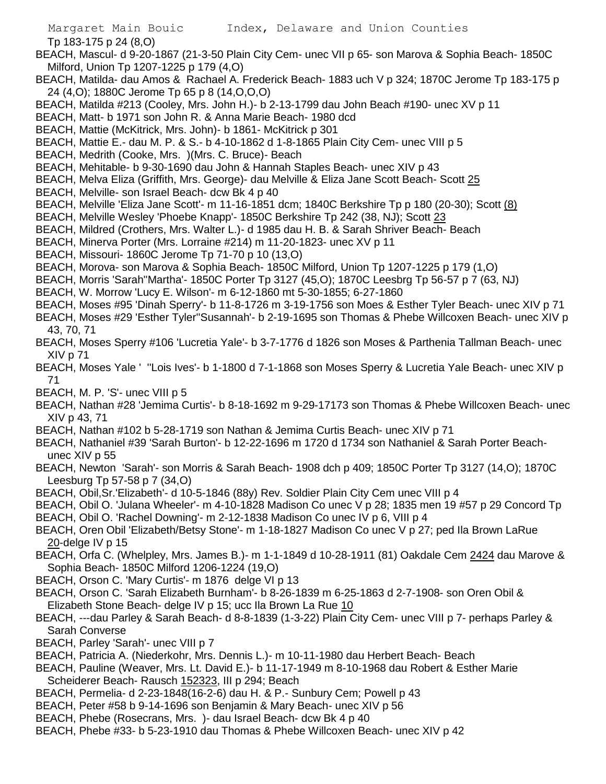Tp 183-175 p 24 (8,O)

- BEACH, Mascul- d 9-20-1867 (21-3-50 Plain City Cem- unec VII p 65- son Marova & Sophia Beach- 1850C Milford, Union Tp 1207-1225 p 179 (4,O)
- BEACH, Matilda- dau Amos & Rachael A. Frederick Beach- 1883 uch V p 324; 1870C Jerome Tp 183-175 p 24 (4,O); 1880C Jerome Tp 65 p 8 (14,O,O,O)
- BEACH, Matilda #213 (Cooley, Mrs. John H.)- b 2-13-1799 dau John Beach #190- unec XV p 11
- BEACH, Matt- b 1971 son John R. & Anna Marie Beach- 1980 dcd
- BEACH, Mattie (McKitrick, Mrs. John)- b 1861- McKitrick p 301
- BEACH, Mattie E.- dau M. P. & S.- b 4-10-1862 d 1-8-1865 Plain City Cem- unec VIII p 5
- BEACH, Medrith (Cooke, Mrs. )(Mrs. C. Bruce)- Beach
- BEACH, Mehitable- b 9-30-1690 dau John & Hannah Staples Beach- unec XIV p 43
- BEACH, Melva Eliza (Griffith, Mrs. George)- dau Melville & Eliza Jane Scott Beach- Scott 25
- BEACH, Melville- son Israel Beach- dcw Bk 4 p 40
- BEACH, Melville 'Eliza Jane Scott'- m 11-16-1851 dcm; 1840C Berkshire Tp p 180 (20-30); Scott (8)
- BEACH, Melville Wesley 'Phoebe Knapp'- 1850C Berkshire Tp 242 (38, NJ); Scott 23
- BEACH, Mildred (Crothers, Mrs. Walter L.)- d 1985 dau H. B. & Sarah Shriver Beach- Beach
- BEACH, Minerva Porter (Mrs. Lorraine #214) m 11-20-1823- unec XV p 11
- BEACH, Missouri- 1860C Jerome Tp 71-70 p 10 (13,O)
- BEACH, Morova- son Marova & Sophia Beach- 1850C Milford, Union Tp 1207-1225 p 179 (1,O)
- BEACH, Morris 'Sarah''Martha'- 1850C Porter Tp 3127 (45,O); 1870C Leesbrg Tp 56-57 p 7 (63, NJ)
- BEACH, W. Morrow 'Lucy E. Wilson'- m 6-12-1860 mt 5-30-1855; 6-27-1860
- BEACH, Moses #95 'Dinah Sperry'- b 11-8-1726 m 3-19-1756 son Moes & Esther Tyler Beach- unec XIV p 71
- BEACH, Moses #29 'Esther Tyler''Susannah'- b 2-19-1695 son Thomas & Phebe Willcoxen Beach- unec XIV p 43, 70, 71
- BEACH, Moses Sperry #106 'Lucretia Yale'- b 3-7-1776 d 1826 son Moses & Parthenia Tallman Beach- unec XIV p 71
- BEACH, Moses Yale ' ''Lois Ives'- b 1-1800 d 7-1-1868 son Moses Sperry & Lucretia Yale Beach- unec XIV p 71
- BEACH, M. P. 'S'- unec VIII p 5
- BEACH, Nathan #28 'Jemima Curtis'- b 8-18-1692 m 9-29-17173 son Thomas & Phebe Willcoxen Beach- unec XIV p 43, 71
- BEACH, Nathan #102 b 5-28-1719 son Nathan & Jemima Curtis Beach- unec XIV p 71
- BEACH, Nathaniel #39 'Sarah Burton'- b 12-22-1696 m 1720 d 1734 son Nathaniel & Sarah Porter Beachunec XIV p 55
- BEACH, Newton 'Sarah'- son Morris & Sarah Beach- 1908 dch p 409; 1850C Porter Tp 3127 (14,O); 1870C Leesburg Tp 57-58 p 7 (34,O)
- BEACH, Obil,Sr.'Elizabeth'- d 10-5-1846 (88y) Rev. Soldier Plain City Cem unec VIII p 4
- BEACH, Obil O. 'Julana Wheeler'- m 4-10-1828 Madison Co unec V p 28; 1835 men 19 #57 p 29 Concord Tp
- BEACH, Obil O. 'Rachel Downing'- m 2-12-1838 Madison Co unec IV p 6, VIII p 4
- BEACH, Oren Obil 'Elizabeth/Betsy Stone'- m 1-18-1827 Madison Co unec V p 27; ped Ila Brown LaRue 20-delge IV p 15
- BEACH, Orfa C. (Whelpley, Mrs. James B.)- m 1-1-1849 d 10-28-1911 (81) Oakdale Cem 2424 dau Marove & Sophia Beach- 1850C Milford 1206-1224 (19,O)
- BEACH, Orson C. 'Mary Curtis'- m 1876 delge VI p 13
- BEACH, Orson C. 'Sarah Elizabeth Burnham'- b 8-26-1839 m 6-25-1863 d 2-7-1908- son Oren Obil & Elizabeth Stone Beach- delge IV p 15; ucc Ila Brown La Rue 10
- BEACH, ---dau Parley & Sarah Beach- d 8-8-1839 (1-3-22) Plain City Cem- unec VIII p 7- perhaps Parley & Sarah Converse
- BEACH, Parley 'Sarah'- unec VIII p 7
- BEACH, Patricia A. (Niederkohr, Mrs. Dennis L.)- m 10-11-1980 dau Herbert Beach- Beach
- BEACH, Pauline (Weaver, Mrs. Lt. David E.)- b 11-17-1949 m 8-10-1968 dau Robert & Esther Marie Scheiderer Beach- Rausch 152323, III p 294; Beach
- BEACH, Permelia- d 2-23-1848(16-2-6) dau H. & P.- Sunbury Cem; Powell p 43
- BEACH, Peter #58 b 9-14-1696 son Benjamin & Mary Beach- unec XIV p 56
- BEACH, Phebe (Rosecrans, Mrs. )- dau Israel Beach- dcw Bk 4 p 40
- BEACH, Phebe #33- b 5-23-1910 dau Thomas & Phebe Willcoxen Beach- unec XIV p 42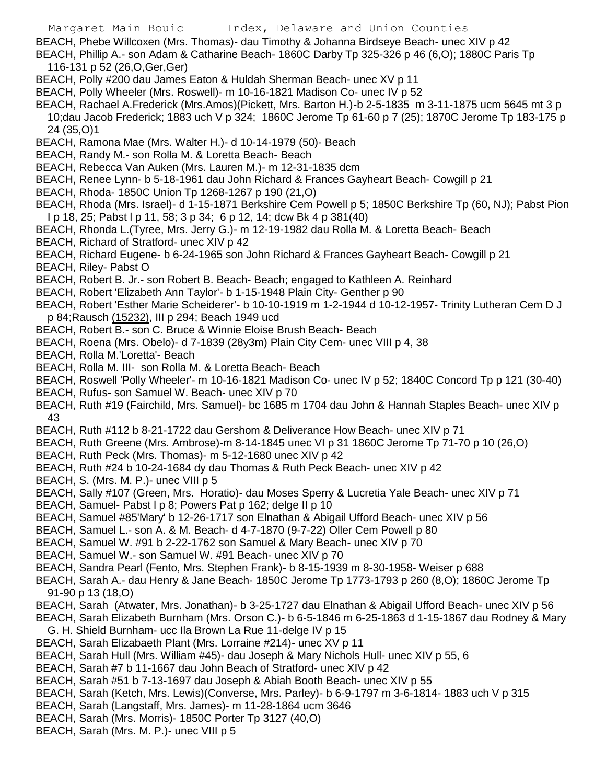BEACH, Phebe Willcoxen (Mrs. Thomas)- dau Timothy & Johanna Birdseye Beach- unec XIV p 42

BEACH, Phillip A.- son Adam & Catharine Beach- 1860C Darby Tp 325-326 p 46 (6,O); 1880C Paris Tp 116-131 p 52 (26,O,Ger,Ger)

- BEACH, Polly #200 dau James Eaton & Huldah Sherman Beach- unec XV p 11
- BEACH, Polly Wheeler (Mrs. Roswell)- m 10-16-1821 Madison Co- unec IV p 52
- BEACH, Rachael A.Frederick (Mrs.Amos)(Pickett, Mrs. Barton H.)-b 2-5-1835 m 3-11-1875 ucm 5645 mt 3 p 10;dau Jacob Frederick; 1883 uch V p 324; 1860C Jerome Tp 61-60 p 7 (25); 1870C Jerome Tp 183-175 p 24 (35,O)1
- BEACH, Ramona Mae (Mrs. Walter H.)- d 10-14-1979 (50)- Beach
- BEACH, Randy M.- son Rolla M. & Loretta Beach- Beach
- BEACH, Rebecca Van Auken (Mrs. Lauren M.)- m 12-31-1835 dcm
- BEACH, Renee Lynn- b 5-18-1961 dau John Richard & Frances Gayheart Beach- Cowgill p 21
- BEACH, Rhoda- 1850C Union Tp 1268-1267 p 190 (21,O)
- BEACH, Rhoda (Mrs. Israel)- d 1-15-1871 Berkshire Cem Powell p 5; 1850C Berkshire Tp (60, NJ); Pabst Pion I p 18, 25; Pabst l p 11, 58; 3 p 34; 6 p 12, 14; dcw Bk 4 p 381(40)
- BEACH, Rhonda L.(Tyree, Mrs. Jerry G.)- m 12-19-1982 dau Rolla M. & Loretta Beach- Beach
- BEACH, Richard of Stratford- unec XIV p 42
- BEACH, Richard Eugene- b 6-24-1965 son John Richard & Frances Gayheart Beach- Cowgill p 21
- BEACH, Riley- Pabst O
- BEACH, Robert B. Jr.- son Robert B. Beach- Beach; engaged to Kathleen A. Reinhard
- BEACH, Robert 'Elizabeth Ann Taylor'- b 1-15-1948 Plain City- Genther p 90
- BEACH, Robert 'Esther Marie Scheiderer'- b 10-10-1919 m 1-2-1944 d 10-12-1957- Trinity Lutheran Cem D J p 84;Rausch (15232), III p 294; Beach 1949 ucd
- BEACH, Robert B.- son C. Bruce & Winnie Eloise Brush Beach- Beach
- BEACH, Roena (Mrs. Obelo)- d 7-1839 (28y3m) Plain City Cem- unec VIII p 4, 38
- BEACH, Rolla M.'Loretta'- Beach
- BEACH, Rolla M. III- son Rolla M. & Loretta Beach- Beach
- BEACH, Roswell 'Polly Wheeler'- m 10-16-1821 Madison Co- unec IV p 52; 1840C Concord Tp p 121 (30-40)
- BEACH, Rufus- son Samuel W. Beach- unec XIV p 70
- BEACH, Ruth #19 (Fairchild, Mrs. Samuel)- bc 1685 m 1704 dau John & Hannah Staples Beach- unec XIV p 43
- BEACH, Ruth #112 b 8-21-1722 dau Gershom & Deliverance How Beach- unec XIV p 71
- BEACH, Ruth Greene (Mrs. Ambrose)-m 8-14-1845 unec VI p 31 1860C Jerome Tp 71-70 p 10 (26,O)
- BEACH, Ruth Peck (Mrs. Thomas)- m 5-12-1680 unec XIV p 42
- BEACH, Ruth #24 b 10-24-1684 dy dau Thomas & Ruth Peck Beach- unec XIV p 42
- BEACH, S. (Mrs. M. P.)- unec VIII p 5
- BEACH, Sally #107 (Green, Mrs. Horatio)- dau Moses Sperry & Lucretia Yale Beach- unec XIV p 71
- BEACH, Samuel- Pabst I p 8; Powers Pat p 162; delge II p 10
- BEACH, Samuel #85'Mary' b 12-26-1717 son Elnathan & Abigail Ufford Beach- unec XIV p 56
- BEACH, Samuel L.- son A. & M. Beach- d 4-7-1870 (9-7-22) Oller Cem Powell p 80
- BEACH, Samuel W. #91 b 2-22-1762 son Samuel & Mary Beach- unec XIV p 70
- BEACH, Samuel W.- son Samuel W. #91 Beach- unec XIV p 70
- BEACH, Sandra Pearl (Fento, Mrs. Stephen Frank)- b 8-15-1939 m 8-30-1958- Weiser p 688
- BEACH, Sarah A.- dau Henry & Jane Beach- 1850C Jerome Tp 1773-1793 p 260 (8,O); 1860C Jerome Tp 91-90 p 13 (18,O)
- BEACH, Sarah (Atwater, Mrs. Jonathan)- b 3-25-1727 dau Elnathan & Abigail Ufford Beach- unec XIV p 56
- BEACH, Sarah Elizabeth Burnham (Mrs. Orson C.)- b 6-5-1846 m 6-25-1863 d 1-15-1867 dau Rodney & Mary G. H. Shield Burnham- ucc Ila Brown La Rue 11-delge IV p 15
- BEACH, Sarah Elizabaeth Plant (Mrs. Lorraine #214)- unec XV p 11
- BEACH, Sarah Hull (Mrs. William #45)- dau Joseph & Mary Nichols Hull- unec XIV p 55, 6
- BEACH, Sarah #7 b 11-1667 dau John Beach of Stratford- unec XIV p 42
- BEACH, Sarah #51 b 7-13-1697 dau Joseph & Abiah Booth Beach- unec XIV p 55
- BEACH, Sarah (Ketch, Mrs. Lewis)(Converse, Mrs. Parley)- b 6-9-1797 m 3-6-1814- 1883 uch V p 315
- BEACH, Sarah (Langstaff, Mrs. James)- m 11-28-1864 ucm 3646
- BEACH, Sarah (Mrs. Morris)- 1850C Porter Tp 3127 (40,O)
- BEACH, Sarah (Mrs. M. P.)- unec VIII p 5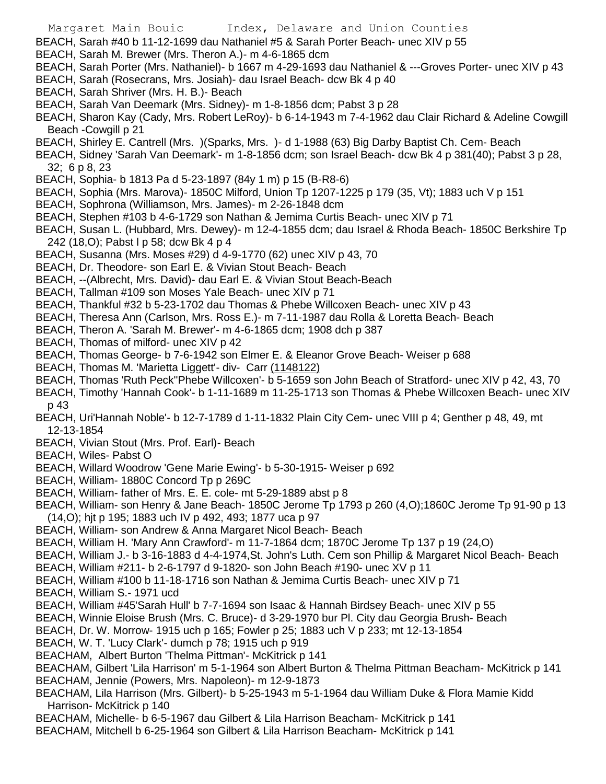- BEACH, Sarah #40 b 11-12-1699 dau Nathaniel #5 & Sarah Porter Beach- unec XIV p 55
- BEACH, Sarah M. Brewer (Mrs. Theron A.)- m 4-6-1865 dcm
- BEACH, Sarah Porter (Mrs. Nathaniel)- b 1667 m 4-29-1693 dau Nathaniel & ---Groves Porter- unec XIV p 43
- BEACH, Sarah (Rosecrans, Mrs. Josiah)- dau Israel Beach- dcw Bk 4 p 40
- BEACH, Sarah Shriver (Mrs. H. B.)- Beach
- BEACH, Sarah Van Deemark (Mrs. Sidney)- m 1-8-1856 dcm; Pabst 3 p 28
- BEACH, Sharon Kay (Cady, Mrs. Robert LeRoy)- b 6-14-1943 m 7-4-1962 dau Clair Richard & Adeline Cowgill Beach -Cowgill p 21
- BEACH, Shirley E. Cantrell (Mrs. )(Sparks, Mrs. )- d 1-1988 (63) Big Darby Baptist Ch. Cem- Beach
- BEACH, Sidney 'Sarah Van Deemark'- m 1-8-1856 dcm; son Israel Beach- dcw Bk 4 p 381(40); Pabst 3 p 28, 32; 6 p 8, 23
- BEACH, Sophia- b 1813 Pa d 5-23-1897 (84y 1 m) p 15 (B-R8-6)
- BEACH, Sophia (Mrs. Marova)- 1850C Milford, Union Tp 1207-1225 p 179 (35, Vt); 1883 uch V p 151
- BEACH, Sophrona (Williamson, Mrs. James)- m 2-26-1848 dcm
- BEACH, Stephen #103 b 4-6-1729 son Nathan & Jemima Curtis Beach- unec XIV p 71
- BEACH, Susan L. (Hubbard, Mrs. Dewey)- m 12-4-1855 dcm; dau Israel & Rhoda Beach- 1850C Berkshire Tp 242 (18,O); Pabst l p 58; dcw Bk 4 p 4
- BEACH, Susanna (Mrs. Moses #29) d 4-9-1770 (62) unec XIV p 43, 70
- BEACH, Dr. Theodore- son Earl E. & Vivian Stout Beach- Beach
- BEACH, --(Albrecht, Mrs. David)- dau Earl E. & Vivian Stout Beach-Beach
- BEACH, Tallman #109 son Moses Yale Beach- unec XIV p 71
- BEACH, Thankful #32 b 5-23-1702 dau Thomas & Phebe Willcoxen Beach- unec XIV p 43
- BEACH, Theresa Ann (Carlson, Mrs. Ross E.)- m 7-11-1987 dau Rolla & Loretta Beach- Beach
- BEACH, Theron A. 'Sarah M. Brewer'- m 4-6-1865 dcm; 1908 dch p 387
- BEACH, Thomas of milford- unec XIV p 42
- BEACH, Thomas George- b 7-6-1942 son Elmer E. & Eleanor Grove Beach- Weiser p 688
- BEACH, Thomas M. 'Marietta Liggett'- div- Carr (1148122)
- BEACH, Thomas 'Ruth Peck''Phebe Willcoxen'- b 5-1659 son John Beach of Stratford- unec XIV p 42, 43, 70
- BEACH, Timothy 'Hannah Cook'- b 1-11-1689 m 11-25-1713 son Thomas & Phebe Willcoxen Beach- unec XIV p 43
- BEACH, Uri'Hannah Noble'- b 12-7-1789 d 1-11-1832 Plain City Cem- unec VIII p 4; Genther p 48, 49, mt 12-13-1854
- BEACH, Vivian Stout (Mrs. Prof. Earl)- Beach
- BEACH, Wiles- Pabst O
- BEACH, Willard Woodrow 'Gene Marie Ewing'- b 5-30-1915- Weiser p 692
- BEACH, William-1880C Concord Tp p 269C
- BEACH, William- father of Mrs. E. E. cole- mt 5-29-1889 abst p 8
- BEACH, William- son Henry & Jane Beach- 1850C Jerome Tp 1793 p 260 (4,O);1860C Jerome Tp 91-90 p 13 (14,O); hjt p 195; 1883 uch IV p 492, 493; 1877 uca p 97
- BEACH, William- son Andrew & Anna Margaret Nicol Beach- Beach
- BEACH, William H. 'Mary Ann Crawford'- m 11-7-1864 dcm; 1870C Jerome Tp 137 p 19 (24,O)
- BEACH, William J.- b 3-16-1883 d 4-4-1974,St. John's Luth. Cem son Phillip & Margaret Nicol Beach- Beach
- BEACH, William #211- b 2-6-1797 d 9-1820- son John Beach #190- unec XV p 11
- BEACH, William #100 b 11-18-1716 son Nathan & Jemima Curtis Beach- unec XIV p 71
- BEACH, William S.- 1971 ucd
- BEACH, William #45'Sarah Hull' b 7-7-1694 son Isaac & Hannah Birdsey Beach- unec XIV p 55
- BEACH, Winnie Eloise Brush (Mrs. C. Bruce)- d 3-29-1970 bur Pl. City dau Georgia Brush- Beach
- BEACH, Dr. W. Morrow- 1915 uch p 165; Fowler p 25; 1883 uch V p 233; mt 12-13-1854
- BEACH, W. T. 'Lucy Clark'- dumch p 78; 1915 uch p 919
- BEACHAM, Albert Burton 'Thelma Pittman'- McKitrick p 141
- BEACHAM, Gilbert 'Lila Harrison' m 5-1-1964 son Albert Burton & Thelma Pittman Beacham- McKitrick p 141
- BEACHAM, Jennie (Powers, Mrs. Napoleon)- m 12-9-1873
- BEACHAM, Lila Harrison (Mrs. Gilbert)- b 5-25-1943 m 5-1-1964 dau William Duke & Flora Mamie Kidd Harrison- McKitrick p 140
- BEACHAM, Michelle- b 6-5-1967 dau Gilbert & Lila Harrison Beacham- McKitrick p 141
- BEACHAM, Mitchell b 6-25-1964 son Gilbert & Lila Harrison Beacham- McKitrick p 141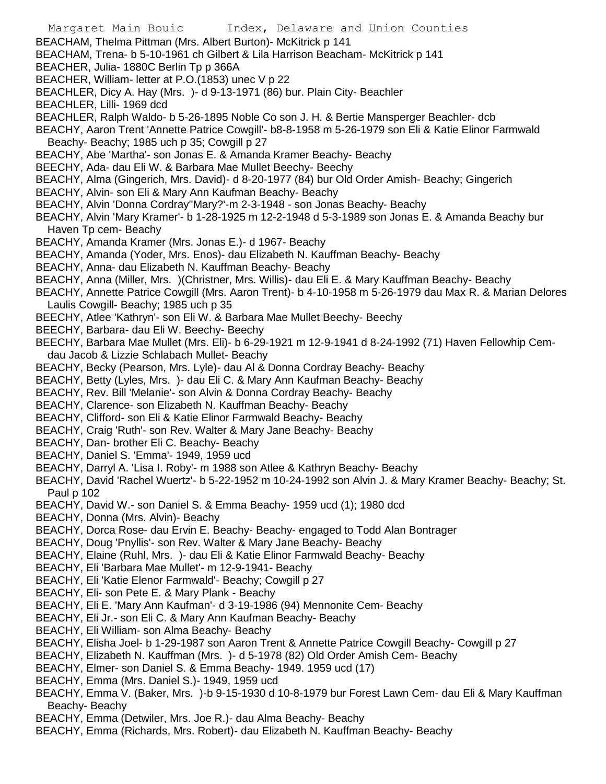- Margaret Main Bouic Index, Delaware and Union Counties BEACHAM, Thelma Pittman (Mrs. Albert Burton)- McKitrick p 141 BEACHAM, Trena- b 5-10-1961 ch Gilbert & Lila Harrison Beacham- McKitrick p 141 BEACHER, Julia- 1880C Berlin Tp p 366A BEACHER, William- letter at P.O.(1853) unec V p 22 BEACHLER, Dicy A. Hay (Mrs. )- d 9-13-1971 (86) bur. Plain City- Beachler BEACHLER, Lilli- 1969 dcd BEACHLER, Ralph Waldo- b 5-26-1895 Noble Co son J. H. & Bertie Mansperger Beachler- dcb BEACHY, Aaron Trent 'Annette Patrice Cowgill'- b8-8-1958 m 5-26-1979 son Eli & Katie Elinor Farmwald Beachy- Beachy; 1985 uch p 35; Cowgill p 27 BEACHY, Abe 'Martha'- son Jonas E. & Amanda Kramer Beachy- Beachy BEECHY, Ada- dau Eli W. & Barbara Mae Mullet Beechy- Beechy BEACHY, Alma (Gingerich, Mrs. David)- d 8-20-1977 (84) bur Old Order Amish- Beachy; Gingerich BEACHY, Alvin- son Eli & Mary Ann Kaufman Beachy- Beachy BEACHY, Alvin 'Donna Cordray''Mary?'-m 2-3-1948 - son Jonas Beachy- Beachy BEACHY, Alvin 'Mary Kramer'- b 1-28-1925 m 12-2-1948 d 5-3-1989 son Jonas E. & Amanda Beachy bur Haven Tp cem- Beachy BEACHY, Amanda Kramer (Mrs. Jonas E.)- d 1967- Beachy BEACHY, Amanda (Yoder, Mrs. Enos)- dau Elizabeth N. Kauffman Beachy- Beachy BEACHY, Anna- dau Elizabeth N. Kauffman Beachy- Beachy BEACHY, Anna (Miller, Mrs. )(Christner, Mrs. Willis)- dau Eli E. & Mary Kauffman Beachy- Beachy BEACHY, Annette Patrice Cowgill (Mrs. Aaron Trent)- b 4-10-1958 m 5-26-1979 dau Max R. & Marian Delores Laulis Cowgill- Beachy; 1985 uch p 35 BEECHY, Atlee 'Kathryn'- son Eli W. & Barbara Mae Mullet Beechy- Beechy BEECHY, Barbara- dau Eli W. Beechy- Beechy BEECHY, Barbara Mae Mullet (Mrs. Eli)- b 6-29-1921 m 12-9-1941 d 8-24-1992 (71) Haven Fellowhip Cemdau Jacob & Lizzie Schlabach Mullet- Beachy BEACHY, Becky (Pearson, Mrs. Lyle)- dau Al & Donna Cordray Beachy- Beachy BEACHY, Betty (Lyles, Mrs. )- dau Eli C. & Mary Ann Kaufman Beachy- Beachy BEACHY, Rev. Bill 'Melanie'- son Alvin & Donna Cordray Beachy- Beachy BEACHY, Clarence- son Elizabeth N. Kauffman Beachy- Beachy BEACHY, Clifford- son Eli & Katie Elinor Farmwald Beachy- Beachy BEACHY, Craig 'Ruth'- son Rev. Walter & Mary Jane Beachy- Beachy BEACHY, Dan- brother Eli C. Beachy- Beachy BEACHY, Daniel S. 'Emma'- 1949, 1959 ucd BEACHY, Darryl A. 'Lisa I. Roby'- m 1988 son Atlee & Kathryn Beachy- Beachy BEACHY, David 'Rachel Wuertz'- b 5-22-1952 m 10-24-1992 son Alvin J. & Mary Kramer Beachy- Beachy; St. Paul p 102 BEACHY, David W.- son Daniel S. & Emma Beachy- 1959 ucd (1); 1980 dcd BEACHY, Donna (Mrs. Alvin)- Beachy BEACHY, Dorca Rose- dau Ervin E. Beachy- Beachy- engaged to Todd Alan Bontrager BEACHY, Doug 'Pnyllis'- son Rev. Walter & Mary Jane Beachy- Beachy BEACHY, Elaine (Ruhl, Mrs. )- dau Eli & Katie Elinor Farmwald Beachy- Beachy BEACHY, Eli 'Barbara Mae Mullet'- m 12-9-1941- Beachy BEACHY, Eli 'Katie Elenor Farmwald'- Beachy; Cowgill p 27 BEACHY, Eli- son Pete E. & Mary Plank - Beachy BEACHY, Eli E. 'Mary Ann Kaufman'- d 3-19-1986 (94) Mennonite Cem- Beachy BEACHY, Eli Jr.- son Eli C. & Mary Ann Kaufman Beachy- Beachy BEACHY, Eli William- son Alma Beachy- Beachy BEACHY, Elisha Joel- b 1-29-1987 son Aaron Trent & Annette Patrice Cowgill Beachy- Cowgill p 27 BEACHY, Elizabeth N. Kauffman (Mrs. )- d 5-1978 (82) Old Order Amish Cem- Beachy BEACHY, Elmer- son Daniel S. & Emma Beachy- 1949. 1959 ucd (17)
- BEACHY, Emma (Mrs. Daniel S.)- 1949, 1959 ucd
- BEACHY, Emma V. (Baker, Mrs. )-b 9-15-1930 d 10-8-1979 bur Forest Lawn Cem- dau Eli & Mary Kauffman Beachy- Beachy
- BEACHY, Emma (Detwiler, Mrs. Joe R.)- dau Alma Beachy- Beachy
- BEACHY, Emma (Richards, Mrs. Robert)- dau Elizabeth N. Kauffman Beachy- Beachy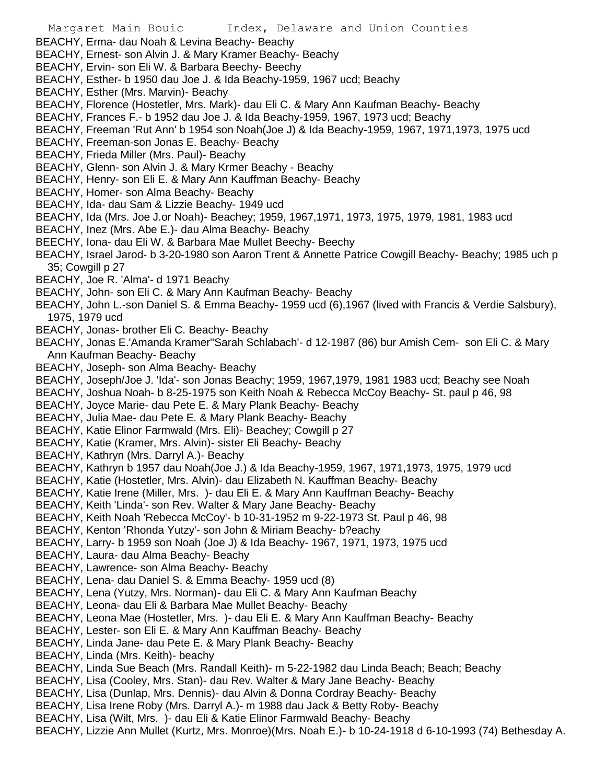BEACHY, Erma- dau Noah & Levina Beachy- Beachy

BEACHY, Ernest- son Alvin J. & Mary Kramer Beachy- Beachy

- BEACHY, Ervin- son Eli W. & Barbara Beechy- Beechy
- BEACHY, Esther- b 1950 dau Joe J. & Ida Beachy-1959, 1967 ucd; Beachy
- BEACHY, Esther (Mrs. Marvin)- Beachy
- BEACHY, Florence (Hostetler, Mrs. Mark)- dau Eli C. & Mary Ann Kaufman Beachy- Beachy

BEACHY, Frances F.- b 1952 dau Joe J. & Ida Beachy-1959, 1967, 1973 ucd; Beachy

BEACHY, Freeman 'Rut Ann' b 1954 son Noah(Joe J) & Ida Beachy-1959, 1967, 1971,1973, 1975 ucd

BEACHY, Freeman-son Jonas E. Beachy- Beachy

BEACHY, Frieda Miller (Mrs. Paul)- Beachy

- BEACHY, Glenn- son Alvin J. & Mary Krmer Beachy Beachy
- BEACHY, Henry- son Eli E. & Mary Ann Kauffman Beachy- Beachy
- BEACHY, Homer- son Alma Beachy- Beachy
- BEACHY, Ida- dau Sam & Lizzie Beachy- 1949 ucd
- BEACHY, Ida (Mrs. Joe J.or Noah)- Beachey; 1959, 1967,1971, 1973, 1975, 1979, 1981, 1983 ucd
- BEACHY, Inez (Mrs. Abe E.)- dau Alma Beachy- Beachy
- BEECHY, Iona- dau Eli W. & Barbara Mae Mullet Beechy- Beechy

BEACHY, Israel Jarod- b 3-20-1980 son Aaron Trent & Annette Patrice Cowgill Beachy- Beachy; 1985 uch p 35; Cowgill p 27

- BEACHY, Joe R. 'Alma'- d 1971 Beachy
- BEACHY, John- son Eli C. & Mary Ann Kaufman Beachy- Beachy
- BEACHY, John L.-son Daniel S. & Emma Beachy- 1959 ucd (6),1967 (lived with Francis & Verdie Salsbury), 1975, 1979 ucd
- BEACHY, Jonas- brother Eli C. Beachy- Beachy

BEACHY, Jonas E.'Amanda Kramer''Sarah Schlabach'- d 12-1987 (86) bur Amish Cem- son Eli C. & Mary Ann Kaufman Beachy- Beachy

BEACHY, Joseph- son Alma Beachy- Beachy

BEACHY, Joseph/Joe J. 'Ida'- son Jonas Beachy; 1959, 1967,1979, 1981 1983 ucd; Beachy see Noah

BEACHY, Joshua Noah- b 8-25-1975 son Keith Noah & Rebecca McCoy Beachy- St. paul p 46, 98

BEACHY, Joyce Marie- dau Pete E. & Mary Plank Beachy- Beachy

BEACHY, Julia Mae- dau Pete E. & Mary Plank Beachy- Beachy

- BEACHY, Katie Elinor Farmwald (Mrs. Eli)- Beachey; Cowgill p 27
- BEACHY, Katie (Kramer, Mrs. Alvin)- sister Eli Beachy- Beachy
- BEACHY, Kathryn (Mrs. Darryl A.)- Beachy
- BEACHY, Kathryn b 1957 dau Noah(Joe J.) & Ida Beachy-1959, 1967, 1971,1973, 1975, 1979 ucd
- BEACHY, Katie (Hostetler, Mrs. Alvin)- dau Elizabeth N. Kauffman Beachy- Beachy
- BEACHY, Katie Irene (Miller, Mrs. )- dau Eli E. & Mary Ann Kauffman Beachy- Beachy

BEACHY, Keith 'Linda'- son Rev. Walter & Mary Jane Beachy- Beachy

BEACHY, Keith Noah 'Rebecca McCoy'- b 10-31-1952 m 9-22-1973 St. Paul p 46, 98

BEACHY, Kenton 'Rhonda Yutzy'- son John & Miriam Beachy- b?eachy

BEACHY, Larry- b 1959 son Noah (Joe J) & Ida Beachy- 1967, 1971, 1973, 1975 ucd

BEACHY, Laura- dau Alma Beachy- Beachy

- BEACHY, Lawrence- son Alma Beachy- Beachy
- BEACHY, Lena- dau Daniel S. & Emma Beachy- 1959 ucd (8)
- BEACHY, Lena (Yutzy, Mrs. Norman)- dau Eli C. & Mary Ann Kaufman Beachy
- BEACHY, Leona- dau Eli & Barbara Mae Mullet Beachy- Beachy
- BEACHY, Leona Mae (Hostetler, Mrs. )- dau Eli E. & Mary Ann Kauffman Beachy- Beachy
- BEACHY, Lester- son Eli E. & Mary Ann Kauffman Beachy- Beachy
- BEACHY, Linda Jane- dau Pete E. & Mary Plank Beachy- Beachy
- BEACHY, Linda (Mrs. Keith)- beachy
- BEACHY, Linda Sue Beach (Mrs. Randall Keith)- m 5-22-1982 dau Linda Beach; Beach; Beachy
- BEACHY, Lisa (Cooley, Mrs. Stan)- dau Rev. Walter & Mary Jane Beachy- Beachy
- BEACHY, Lisa (Dunlap, Mrs. Dennis)- dau Alvin & Donna Cordray Beachy- Beachy
- BEACHY, Lisa Irene Roby (Mrs. Darryl A.)- m 1988 dau Jack & Betty Roby- Beachy
- BEACHY, Lisa (Wilt, Mrs. )- dau Eli & Katie Elinor Farmwald Beachy- Beachy
- BEACHY, Lizzie Ann Mullet (Kurtz, Mrs. Monroe)(Mrs. Noah E.)- b 10-24-1918 d 6-10-1993 (74) Bethesday A.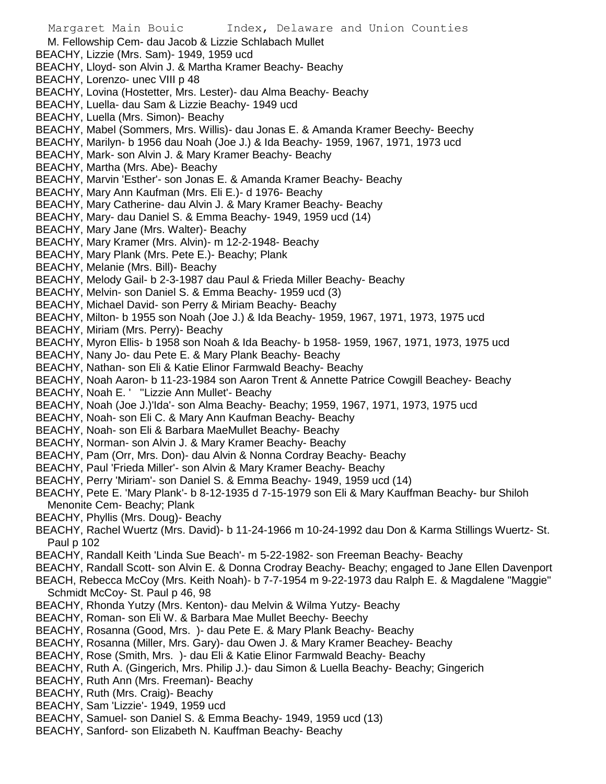Margaret Main Bouic Index, Delaware and Union Counties M. Fellowship Cem- dau Jacob & Lizzie Schlabach Mullet BEACHY, Lizzie (Mrs. Sam)- 1949, 1959 ucd BEACHY, Lloyd- son Alvin J. & Martha Kramer Beachy- Beachy BEACHY, Lorenzo- unec VIII p 48 BEACHY, Lovina (Hostetter, Mrs. Lester)- dau Alma Beachy- Beachy BEACHY, Luella- dau Sam & Lizzie Beachy- 1949 ucd BEACHY, Luella (Mrs. Simon)- Beachy BEACHY, Mabel (Sommers, Mrs. Willis)- dau Jonas E. & Amanda Kramer Beechy- Beechy BEACHY, Marilyn- b 1956 dau Noah (Joe J.) & Ida Beachy- 1959, 1967, 1971, 1973 ucd BEACHY, Mark- son Alvin J. & Mary Kramer Beachy- Beachy BEACHY, Martha (Mrs. Abe)- Beachy BEACHY, Marvin 'Esther'- son Jonas E. & Amanda Kramer Beachy- Beachy BEACHY, Mary Ann Kaufman (Mrs. Eli E.)- d 1976- Beachy BEACHY, Mary Catherine- dau Alvin J. & Mary Kramer Beachy- Beachy BEACHY, Mary- dau Daniel S. & Emma Beachy- 1949, 1959 ucd (14) BEACHY, Mary Jane (Mrs. Walter)- Beachy BEACHY, Mary Kramer (Mrs. Alvin)- m 12-2-1948- Beachy BEACHY, Mary Plank (Mrs. Pete E.)- Beachy; Plank BEACHY, Melanie (Mrs. Bill)- Beachy BEACHY, Melody Gail- b 2-3-1987 dau Paul & Frieda Miller Beachy- Beachy BEACHY, Melvin- son Daniel S. & Emma Beachy- 1959 ucd (3) BEACHY, Michael David- son Perry & Miriam Beachy- Beachy BEACHY, Milton- b 1955 son Noah (Joe J.) & Ida Beachy- 1959, 1967, 1971, 1973, 1975 ucd BEACHY, Miriam (Mrs. Perry)- Beachy BEACHY, Myron Ellis- b 1958 son Noah & Ida Beachy- b 1958- 1959, 1967, 1971, 1973, 1975 ucd BEACHY, Nany Jo- dau Pete E. & Mary Plank Beachy- Beachy BEACHY, Nathan- son Eli & Katie Elinor Farmwald Beachy- Beachy BEACHY, Noah Aaron- b 11-23-1984 son Aaron Trent & Annette Patrice Cowgill Beachey- Beachy BEACHY, Noah E. ' ''Lizzie Ann Mullet'- Beachy BEACHY, Noah (Joe J.)'Ida'- son Alma Beachy- Beachy; 1959, 1967, 1971, 1973, 1975 ucd BEACHY, Noah- son Eli C. & Mary Ann Kaufman Beachy- Beachy BEACHY, Noah- son Eli & Barbara MaeMullet Beachy- Beachy BEACHY, Norman- son Alvin J. & Mary Kramer Beachy- Beachy BEACHY, Pam (Orr, Mrs. Don)- dau Alvin & Nonna Cordray Beachy- Beachy BEACHY, Paul 'Frieda Miller'- son Alvin & Mary Kramer Beachy- Beachy BEACHY, Perry 'Miriam'- son Daniel S. & Emma Beachy- 1949, 1959 ucd (14) BEACHY, Pete E. 'Mary Plank'- b 8-12-1935 d 7-15-1979 son Eli & Mary Kauffman Beachy- bur Shiloh Menonite Cem- Beachy; Plank BEACHY, Phyllis (Mrs. Doug)- Beachy BEACHY, Rachel Wuertz (Mrs. David)- b 11-24-1966 m 10-24-1992 dau Don & Karma Stillings Wuertz- St. Paul p 102 BEACHY, Randall Keith 'Linda Sue Beach'- m 5-22-1982- son Freeman Beachy- Beachy BEACHY, Randall Scott- son Alvin E. & Donna Crodray Beachy- Beachy; engaged to Jane Ellen Davenport BEACH, Rebecca McCoy (Mrs. Keith Noah)- b 7-7-1954 m 9-22-1973 dau Ralph E. & Magdalene "Maggie" Schmidt McCoy- St. Paul p 46, 98 BEACHY, Rhonda Yutzy (Mrs. Kenton)- dau Melvin & Wilma Yutzy- Beachy BEACHY, Roman- son Eli W. & Barbara Mae Mullet Beechy- Beechy BEACHY, Rosanna (Good, Mrs. )- dau Pete E. & Mary Plank Beachy- Beachy BEACHY, Rosanna (Miller, Mrs. Gary)- dau Owen J. & Mary Kramer Beachey- Beachy BEACHY, Rose (Smith, Mrs. )- dau Eli & Katie Elinor Farmwald Beachy- Beachy BEACHY, Ruth A. (Gingerich, Mrs. Philip J.)- dau Simon & Luella Beachy- Beachy; Gingerich BEACHY, Ruth Ann (Mrs. Freeman)- Beachy BEACHY, Ruth (Mrs. Craig)- Beachy BEACHY, Sam 'Lizzie'- 1949, 1959 ucd

- BEACHY, Samuel- son Daniel S. & Emma Beachy- 1949, 1959 ucd (13)
- BEACHY, Sanford- son Elizabeth N. Kauffman Beachy- Beachy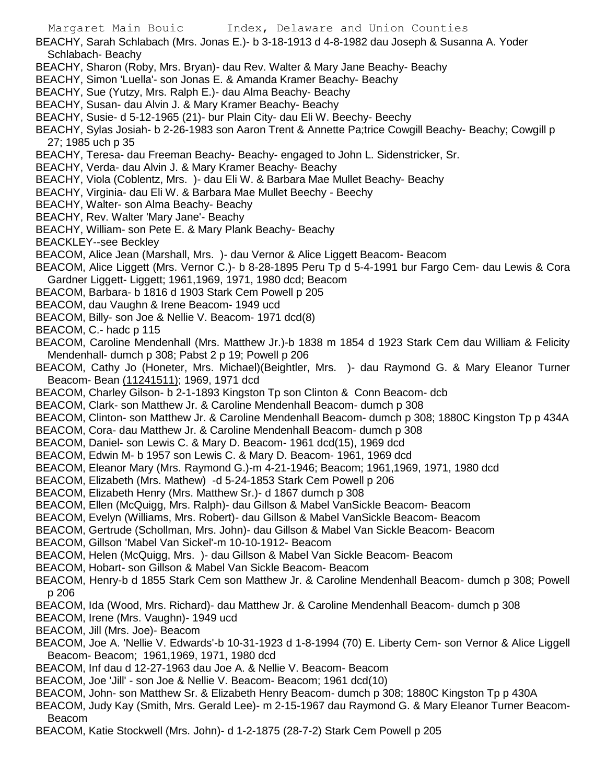- BEACHY, Sarah Schlabach (Mrs. Jonas E.)- b 3-18-1913 d 4-8-1982 dau Joseph & Susanna A. Yoder Schlabach- Beachy
- BEACHY, Sharon (Roby, Mrs. Bryan)- dau Rev. Walter & Mary Jane Beachy- Beachy
- BEACHY, Simon 'Luella'- son Jonas E. & Amanda Kramer Beachy- Beachy
- BEACHY, Sue (Yutzy, Mrs. Ralph E.)- dau Alma Beachy- Beachy
- BEACHY, Susan- dau Alvin J. & Mary Kramer Beachy- Beachy
- BEACHY, Susie- d 5-12-1965 (21)- bur Plain City- dau Eli W. Beechy- Beechy
- BEACHY, Sylas Josiah- b 2-26-1983 son Aaron Trent & Annette Pa;trice Cowgill Beachy- Beachy; Cowgill p 27; 1985 uch p 35
- BEACHY, Teresa- dau Freeman Beachy- Beachy- engaged to John L. Sidenstricker, Sr.
- BEACHY, Verda- dau Alvin J. & Mary Kramer Beachy- Beachy
- BEACHY, Viola (Coblentz, Mrs. )- dau Eli W. & Barbara Mae Mullet Beachy- Beachy
- BEACHY, Virginia- dau Eli W. & Barbara Mae Mullet Beechy Beechy
- BEACHY, Walter- son Alma Beachy- Beachy
- BEACHY, Rev. Walter 'Mary Jane'- Beachy
- BEACHY, William- son Pete E. & Mary Plank Beachy- Beachy
- BEACKLEY--see Beckley
- BEACOM, Alice Jean (Marshall, Mrs. )- dau Vernor & Alice Liggett Beacom- Beacom
- BEACOM, Alice Liggett (Mrs. Vernor C.)- b 8-28-1895 Peru Tp d 5-4-1991 bur Fargo Cem- dau Lewis & Cora Gardner Liggett- Liggett; 1961,1969, 1971, 1980 dcd; Beacom
- BEACOM, Barbara- b 1816 d 1903 Stark Cem Powell p 205
- BEACOM, dau Vaughn & Irene Beacom- 1949 ucd
- BEACOM, Billy- son Joe & Nellie V. Beacom- 1971 dcd(8)
- BEACOM, C.- hadc p 115
- BEACOM, Caroline Mendenhall (Mrs. Matthew Jr.)-b 1838 m 1854 d 1923 Stark Cem dau William & Felicity Mendenhall- dumch p 308; Pabst 2 p 19; Powell p 206
- BEACOM, Cathy Jo (Honeter, Mrs. Michael)(Beightler, Mrs. )- dau Raymond G. & Mary Eleanor Turner Beacom- Bean (11241511); 1969, 1971 dcd
- BEACOM, Charley Gilson- b 2-1-1893 Kingston Tp son Clinton & Conn Beacom- dcb
- BEACOM, Clark- son Matthew Jr. & Caroline Mendenhall Beacom- dumch p 308
- BEACOM, Clinton- son Matthew Jr. & Caroline Mendenhall Beacom- dumch p 308; 1880C Kingston Tp p 434A
- BEACOM, Cora- dau Matthew Jr. & Caroline Mendenhall Beacom- dumch p 308
- BEACOM, Daniel- son Lewis C. & Mary D. Beacom- 1961 dcd(15), 1969 dcd
- BEACOM, Edwin M- b 1957 son Lewis C. & Mary D. Beacom- 1961, 1969 dcd
- BEACOM, Eleanor Mary (Mrs. Raymond G.)-m 4-21-1946; Beacom; 1961,1969, 1971, 1980 dcd
- BEACOM, Elizabeth (Mrs. Mathew) -d 5-24-1853 Stark Cem Powell p 206
- BEACOM, Elizabeth Henry (Mrs. Matthew Sr.)- d 1867 dumch p 308
- BEACOM, Ellen (McQuigg, Mrs. Ralph)- dau Gillson & Mabel VanSickle Beacom- Beacom
- BEACOM, Evelyn (Williams, Mrs. Robert)- dau Gillson & Mabel VanSickle Beacom- Beacom
- BEACOM, Gertrude (Schollman, Mrs. John)- dau Gillson & Mabel Van Sickle Beacom- Beacom
- BEACOM, Gillson 'Mabel Van Sickel'-m 10-10-1912- Beacom
- BEACOM, Helen (McQuigg, Mrs. )- dau Gillson & Mabel Van Sickle Beacom- Beacom
- BEACOM, Hobart- son Gillson & Mabel Van Sickle Beacom- Beacom
- BEACOM, Henry-b d 1855 Stark Cem son Matthew Jr. & Caroline Mendenhall Beacom- dumch p 308; Powell p 206
- BEACOM, Ida (Wood, Mrs. Richard)- dau Matthew Jr. & Caroline Mendenhall Beacom- dumch p 308
- BEACOM, Irene (Mrs. Vaughn)- 1949 ucd
- BEACOM, Jill (Mrs. Joe)- Beacom
- BEACOM, Joe A. 'Nellie V. Edwards'-b 10-31-1923 d 1-8-1994 (70) E. Liberty Cem- son Vernor & Alice Liggell Beacom- Beacom; 1961,1969, 1971, 1980 dcd
- BEACOM, Inf dau d 12-27-1963 dau Joe A. & Nellie V. Beacom- Beacom
- BEACOM, Joe 'Jill' son Joe & Nellie V. Beacom- Beacom; 1961 dcd(10)
- BEACOM, John- son Matthew Sr. & Elizabeth Henry Beacom- dumch p 308; 1880C Kingston Tp p 430A
- BEACOM, Judy Kay (Smith, Mrs. Gerald Lee)- m 2-15-1967 dau Raymond G. & Mary Eleanor Turner Beacom-Beacom
- BEACOM, Katie Stockwell (Mrs. John)- d 1-2-1875 (28-7-2) Stark Cem Powell p 205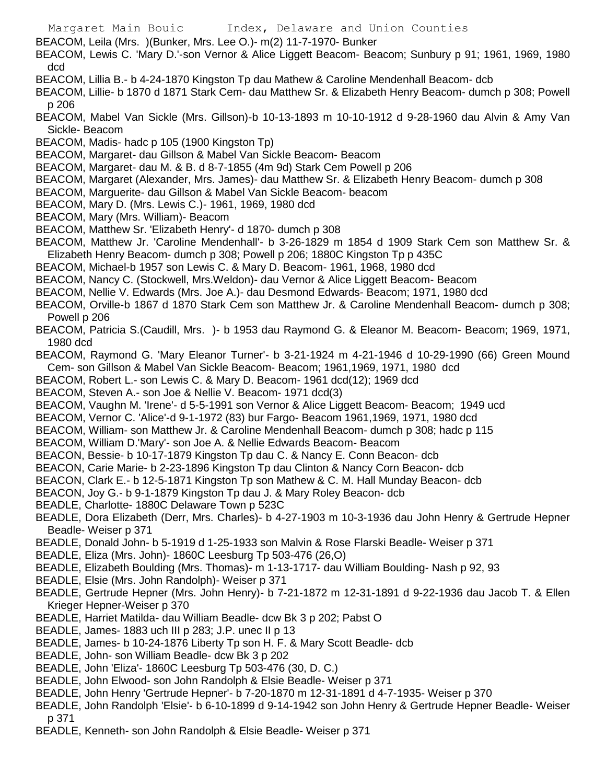- BEACOM, Leila (Mrs. )(Bunker, Mrs. Lee O.)- m(2) 11-7-1970- Bunker
- BEACOM, Lewis C. 'Mary D.'-son Vernor & Alice Liggett Beacom- Beacom; Sunbury p 91; 1961, 1969, 1980 dcd
- BEACOM, Lillia B.- b 4-24-1870 Kingston Tp dau Mathew & Caroline Mendenhall Beacom- dcb
- BEACOM, Lillie- b 1870 d 1871 Stark Cem- dau Matthew Sr. & Elizabeth Henry Beacom- dumch p 308; Powell p 206
- BEACOM, Mabel Van Sickle (Mrs. Gillson)-b 10-13-1893 m 10-10-1912 d 9-28-1960 dau Alvin & Amy Van Sickle- Beacom
- BEACOM, Madis- hadc p 105 (1900 Kingston Tp)
- BEACOM, Margaret- dau Gillson & Mabel Van Sickle Beacom- Beacom
- BEACOM, Margaret- dau M. & B. d 8-7-1855 (4m 9d) Stark Cem Powell p 206
- BEACOM, Margaret (Alexander, Mrs. James)- dau Matthew Sr. & Elizabeth Henry Beacom- dumch p 308
- BEACOM, Marguerite- dau Gillson & Mabel Van Sickle Beacom- beacom
- BEACOM, Mary D. (Mrs. Lewis C.)- 1961, 1969, 1980 dcd
- BEACOM, Mary (Mrs. William)- Beacom
- BEACOM, Matthew Sr. 'Elizabeth Henry'- d 1870- dumch p 308
- BEACOM, Matthew Jr. 'Caroline Mendenhall'- b 3-26-1829 m 1854 d 1909 Stark Cem son Matthew Sr. & Elizabeth Henry Beacom- dumch p 308; Powell p 206; 1880C Kingston Tp p 435C
- BEACOM, Michael-b 1957 son Lewis C. & Mary D. Beacom- 1961, 1968, 1980 dcd
- BEACOM, Nancy C. (Stockwell, Mrs.Weldon)- dau Vernor & Alice Liggett Beacom- Beacom
- BEACOM, Nellie V. Edwards (Mrs. Joe A.)- dau Desmond Edwards- Beacom; 1971, 1980 dcd
- BEACOM, Orville-b 1867 d 1870 Stark Cem son Matthew Jr. & Caroline Mendenhall Beacom- dumch p 308; Powell p 206
- BEACOM, Patricia S.(Caudill, Mrs. )- b 1953 dau Raymond G. & Eleanor M. Beacom- Beacom; 1969, 1971, 1980 dcd
- BEACOM, Raymond G. 'Mary Eleanor Turner'- b 3-21-1924 m 4-21-1946 d 10-29-1990 (66) Green Mound Cem- son Gillson & Mabel Van Sickle Beacom- Beacom; 1961,1969, 1971, 1980 dcd
- BEACOM, Robert L.- son Lewis C. & Mary D. Beacom- 1961 dcd(12); 1969 dcd
- BEACOM, Steven A.- son Joe & Nellie V. Beacom- 1971 dcd(3)
- BEACOM, Vaughn M. 'Irene'- d 5-5-1991 son Vernor & Alice Liggett Beacom- Beacom; 1949 ucd
- BEACOM, Vernor C. 'Alice'-d 9-1-1972 (83) bur Fargo- Beacom 1961,1969, 1971, 1980 dcd
- BEACOM, William- son Matthew Jr. & Caroline Mendenhall Beacom- dumch p 308; hadc p 115
- BEACOM, William D.'Mary'- son Joe A. & Nellie Edwards Beacom- Beacom
- BEACON, Bessie- b 10-17-1879 Kingston Tp dau C. & Nancy E. Conn Beacon- dcb
- BEACON, Carie Marie- b 2-23-1896 Kingston Tp dau Clinton & Nancy Corn Beacon- dcb
- BEACON, Clark E.- b 12-5-1871 Kingston Tp son Mathew & C. M. Hall Munday Beacon- dcb
- BEACON, Joy G.- b 9-1-1879 Kingston Tp dau J. & Mary Roley Beacon- dcb
- BEADLE, Charlotte- 1880C Delaware Town p 523C
- BEADLE, Dora Elizabeth (Derr, Mrs. Charles)- b 4-27-1903 m 10-3-1936 dau John Henry & Gertrude Hepner Beadle- Weiser p 371
- BEADLE, Donald John- b 5-1919 d 1-25-1933 son Malvin & Rose Flarski Beadle- Weiser p 371
- BEADLE, Eliza (Mrs. John)- 1860C Leesburg Tp 503-476 (26,O)
- BEADLE, Elizabeth Boulding (Mrs. Thomas)- m 1-13-1717- dau William Boulding- Nash p 92, 93
- BEADLE, Elsie (Mrs. John Randolph)- Weiser p 371
- BEADLE, Gertrude Hepner (Mrs. John Henry)- b 7-21-1872 m 12-31-1891 d 9-22-1936 dau Jacob T. & Ellen Krieger Hepner-Weiser p 370
- BEADLE, Harriet Matilda- dau William Beadle- dcw Bk 3 p 202; Pabst O
- BEADLE, James- 1883 uch III p 283; J.P. unec II p 13
- BEADLE, James- b 10-24-1876 Liberty Tp son H. F. & Mary Scott Beadle- dcb
- BEADLE, John- son William Beadle- dcw Bk 3 p 202
- BEADLE, John 'Eliza'- 1860C Leesburg Tp 503-476 (30, D. C.)
- BEADLE, John Elwood- son John Randolph & Elsie Beadle- Weiser p 371
- BEADLE, John Henry 'Gertrude Hepner'- b 7-20-1870 m 12-31-1891 d 4-7-1935- Weiser p 370
- BEADLE, John Randolph 'Elsie'- b 6-10-1899 d 9-14-1942 son John Henry & Gertrude Hepner Beadle- Weiser p 371
- BEADLE, Kenneth- son John Randolph & Elsie Beadle- Weiser p 371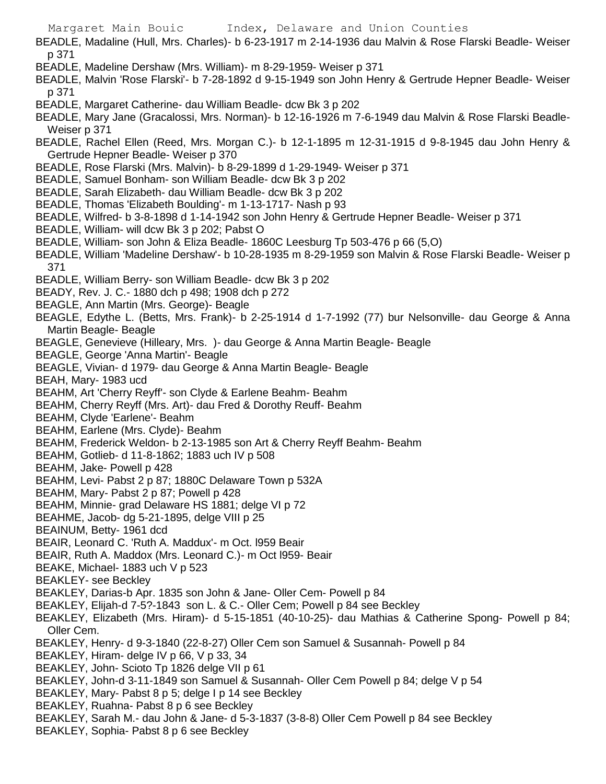- BEADLE, Madaline (Hull, Mrs. Charles)- b 6-23-1917 m 2-14-1936 dau Malvin & Rose Flarski Beadle- Weiser p 371
- BEADLE, Madeline Dershaw (Mrs. William)- m 8-29-1959- Weiser p 371
- BEADLE, Malvin 'Rose Flarski'- b 7-28-1892 d 9-15-1949 son John Henry & Gertrude Hepner Beadle- Weiser p 371
- BEADLE, Margaret Catherine- dau William Beadle- dcw Bk 3 p 202
- BEADLE, Mary Jane (Gracalossi, Mrs. Norman)- b 12-16-1926 m 7-6-1949 dau Malvin & Rose Flarski Beadle-Weiser p 371
- BEADLE, Rachel Ellen (Reed, Mrs. Morgan C.)- b 12-1-1895 m 12-31-1915 d 9-8-1945 dau John Henry & Gertrude Hepner Beadle- Weiser p 370
- BEADLE, Rose Flarski (Mrs. Malvin)- b 8-29-1899 d 1-29-1949- Weiser p 371
- BEADLE, Samuel Bonham- son William Beadle- dcw Bk 3 p 202
- BEADLE, Sarah Elizabeth- dau William Beadle- dcw Bk 3 p 202
- BEADLE, Thomas 'Elizabeth Boulding'- m 1-13-1717- Nash p 93
- BEADLE, Wilfred- b 3-8-1898 d 1-14-1942 son John Henry & Gertrude Hepner Beadle- Weiser p 371
- BEADLE, William- will dcw Bk 3 p 202; Pabst O
- BEADLE, William- son John & Eliza Beadle- 1860C Leesburg Tp 503-476 p 66 (5,O)
- BEADLE, William 'Madeline Dershaw'- b 10-28-1935 m 8-29-1959 son Malvin & Rose Flarski Beadle- Weiser p 371
- BEADLE, William Berry- son William Beadle- dcw Bk 3 p 202
- BEADY, Rev. J. C.- 1880 dch p 498; 1908 dch p 272
- BEAGLE, Ann Martin (Mrs. George)- Beagle
- BEAGLE, Edythe L. (Betts, Mrs. Frank)- b 2-25-1914 d 1-7-1992 (77) bur Nelsonville- dau George & Anna Martin Beagle- Beagle
- BEAGLE, Genevieve (Hilleary, Mrs. )- dau George & Anna Martin Beagle- Beagle
- BEAGLE, George 'Anna Martin'- Beagle
- BEAGLE, Vivian- d 1979- dau George & Anna Martin Beagle- Beagle
- BEAH, Mary- 1983 ucd
- BEAHM, Art 'Cherry Reyff'- son Clyde & Earlene Beahm- Beahm
- BEAHM, Cherry Reyff (Mrs. Art)- dau Fred & Dorothy Reuff- Beahm
- BEAHM, Clyde 'Earlene'- Beahm
- BEAHM, Earlene (Mrs. Clyde)- Beahm
- BEAHM, Frederick Weldon- b 2-13-1985 son Art & Cherry Reyff Beahm- Beahm
- BEAHM, Gotlieb- d 11-8-1862; 1883 uch IV p 508
- BEAHM, Jake- Powell p 428
- BEAHM, Levi- Pabst 2 p 87; 1880C Delaware Town p 532A
- BEAHM, Mary- Pabst 2 p 87; Powell p 428
- BEAHM, Minnie- grad Delaware HS 1881; delge VI p 72
- BEAHME, Jacob- dg 5-21-1895, delge VIII p 25
- BEAINUM, Betty- 1961 dcd
- BEAIR, Leonard C. 'Ruth A. Maddux'- m Oct. l959 Beair
- BEAIR, Ruth A. Maddox (Mrs. Leonard C.)- m Oct l959- Beair
- BEAKE, Michael- 1883 uch V p 523
- BEAKLEY- see Beckley
- BEAKLEY, Darias-b Apr. 1835 son John & Jane- Oller Cem- Powell p 84
- BEAKLEY, Elijah-d 7-5?-1843 son L. & C.- Oller Cem; Powell p 84 see Beckley
- BEAKLEY, Elizabeth (Mrs. Hiram)- d 5-15-1851 (40-10-25)- dau Mathias & Catherine Spong- Powell p 84; Oller Cem.
- BEAKLEY, Henry- d 9-3-1840 (22-8-27) Oller Cem son Samuel & Susannah- Powell p 84
- BEAKLEY, Hiram- delge IV p 66, V p 33, 34
- BEAKLEY, John- Scioto Tp 1826 delge VII p 61
- BEAKLEY, John-d 3-11-1849 son Samuel & Susannah- Oller Cem Powell p 84; delge V p 54
- BEAKLEY, Mary- Pabst 8 p 5; delge I p 14 see Beckley
- BEAKLEY, Ruahna- Pabst 8 p 6 see Beckley
- BEAKLEY, Sarah M.- dau John & Jane- d 5-3-1837 (3-8-8) Oller Cem Powell p 84 see Beckley
- BEAKLEY, Sophia- Pabst 8 p 6 see Beckley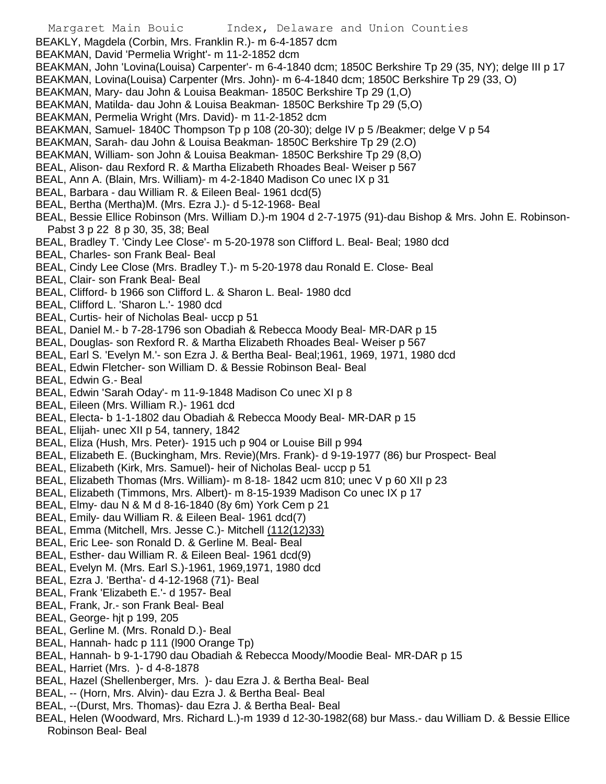- BEAKLY, Magdela (Corbin, Mrs. Franklin R.)- m 6-4-1857 dcm
- BEAKMAN, David 'Permelia Wright'- m 11-2-1852 dcm
- BEAKMAN, John 'Lovina(Louisa) Carpenter'- m 6-4-1840 dcm; 1850C Berkshire Tp 29 (35, NY); delge III p 17
- BEAKMAN, Lovina(Louisa) Carpenter (Mrs. John)- m 6-4-1840 dcm; 1850C Berkshire Tp 29 (33, O)
- BEAKMAN, Mary- dau John & Louisa Beakman- 1850C Berkshire Tp 29 (1,O)
- BEAKMAN, Matilda- dau John & Louisa Beakman- 1850C Berkshire Tp 29 (5,O)
- BEAKMAN, Permelia Wright (Mrs. David)- m 11-2-1852 dcm
- BEAKMAN, Samuel- 1840C Thompson Tp p 108 (20-30); delge IV p 5 /Beakmer; delge V p 54
- BEAKMAN, Sarah- dau John & Louisa Beakman- 1850C Berkshire Tp 29 (2.O)
- BEAKMAN, William- son John & Louisa Beakman- 1850C Berkshire Tp 29 (8,O)
- BEAL, Alison- dau Rexford R. & Martha Elizabeth Rhoades Beal- Weiser p 567
- BEAL, Ann A. (Blain, Mrs. William)- m 4-2-1840 Madison Co unec IX p 31
- BEAL, Barbara dau William R. & Eileen Beal- 1961 dcd(5)
- BEAL, Bertha (Mertha)M. (Mrs. Ezra J.)- d 5-12-1968- Beal
- BEAL, Bessie Ellice Robinson (Mrs. William D.)-m 1904 d 2-7-1975 (91)-dau Bishop & Mrs. John E. Robinson-Pabst 3 p 22 8 p 30, 35, 38; Beal
- BEAL, Bradley T. 'Cindy Lee Close'- m 5-20-1978 son Clifford L. Beal- Beal; 1980 dcd
- BEAL, Charles- son Frank Beal- Beal
- BEAL, Cindy Lee Close (Mrs. Bradley T.)- m 5-20-1978 dau Ronald E. Close- Beal
- BEAL, Clair- son Frank Beal- Beal
- BEAL, Clifford- b 1966 son Clifford L. & Sharon L. Beal- 1980 dcd
- BEAL, Clifford L. 'Sharon L.'- 1980 dcd
- BEAL, Curtis- heir of Nicholas Beal- uccp p 51
- BEAL, Daniel M.- b 7-28-1796 son Obadiah & Rebecca Moody Beal- MR-DAR p 15
- BEAL, Douglas- son Rexford R. & Martha Elizabeth Rhoades Beal- Weiser p 567
- BEAL, Earl S. 'Evelyn M.'- son Ezra J. & Bertha Beal- Beal;1961, 1969, 1971, 1980 dcd
- BEAL, Edwin Fletcher- son William D. & Bessie Robinson Beal- Beal
- BEAL, Edwin G.- Beal
- BEAL, Edwin 'Sarah Oday'- m 11-9-1848 Madison Co unec XI p 8
- BEAL, Eileen (Mrs. William R.)- 1961 dcd
- BEAL, Electa- b 1-1-1802 dau Obadiah & Rebecca Moody Beal- MR-DAR p 15
- BEAL, Elijah- unec XII p 54, tannery, 1842
- BEAL, Eliza (Hush, Mrs. Peter)- 1915 uch p 904 or Louise Bill p 994
- BEAL, Elizabeth E. (Buckingham, Mrs. Revie)(Mrs. Frank)- d 9-19-1977 (86) bur Prospect- Beal
- BEAL, Elizabeth (Kirk, Mrs. Samuel)- heir of Nicholas Beal- uccp p 51
- BEAL, Elizabeth Thomas (Mrs. William)- m 8-18- 1842 ucm 810; unec V p 60 XII p 23
- BEAL, Elizabeth (Timmons, Mrs. Albert)- m 8-15-1939 Madison Co unec IX p 17
- BEAL, Elmy- dau N & M d 8-16-1840 (8y 6m) York Cem p 21
- BEAL, Emily- dau William R. & Eileen Beal- 1961 dcd(7)
- BEAL, Emma (Mitchell, Mrs. Jesse C.)- Mitchell (112(12)33)
- BEAL, Eric Lee- son Ronald D. & Gerline M. Beal- Beal
- BEAL, Esther- dau William R. & Eileen Beal- 1961 dcd(9)
- BEAL, Evelyn M. (Mrs. Earl S.)-1961, 1969,1971, 1980 dcd
- BEAL, Ezra J. 'Bertha'- d 4-12-1968 (71)- Beal
- BEAL, Frank 'Elizabeth E.'- d 1957- Beal
- BEAL, Frank, Jr.- son Frank Beal- Beal
- BEAL, George- hjt p 199, 205
- BEAL, Gerline M. (Mrs. Ronald D.)- Beal
- BEAL, Hannah- hadc p 111 (l900 Orange Tp)
- BEAL, Hannah- b 9-1-1790 dau Obadiah & Rebecca Moody/Moodie Beal- MR-DAR p 15
- BEAL, Harriet (Mrs. )- d 4-8-1878
- BEAL, Hazel (Shellenberger, Mrs. )- dau Ezra J. & Bertha Beal- Beal
- BEAL, -- (Horn, Mrs. Alvin)- dau Ezra J. & Bertha Beal- Beal
- BEAL, --(Durst, Mrs. Thomas)- dau Ezra J. & Bertha Beal- Beal
- BEAL, Helen (Woodward, Mrs. Richard L.)-m 1939 d 12-30-1982(68) bur Mass.- dau William D. & Bessie Ellice Robinson Beal- Beal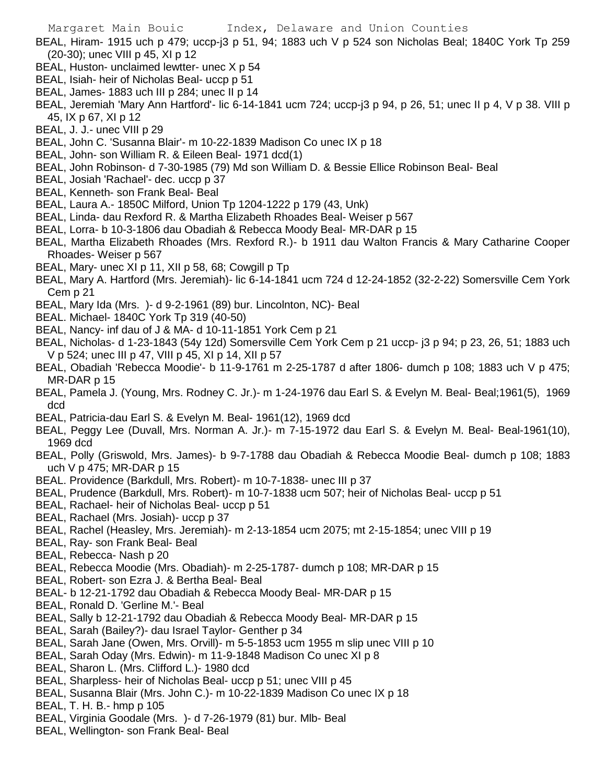- BEAL, Hiram- 1915 uch p 479; uccp-j3 p 51, 94; 1883 uch V p 524 son Nicholas Beal; 1840C York Tp 259 (20-30); unec VIII p 45, XI p 12
- BEAL, Huston- unclaimed lewtter- unec X p 54
- BEAL, Isiah- heir of Nicholas Beal- uccp p 51
- BEAL, James- 1883 uch III p 284; unec II p 14
- BEAL, Jeremiah 'Mary Ann Hartford'- lic 6-14-1841 ucm 724; uccp-j3 p 94, p 26, 51; unec II p 4, V p 38. VIII p 45, IX p 67, XI p 12
- BEAL, J. J.- unec VIII p 29
- BEAL, John C. 'Susanna Blair'- m 10-22-1839 Madison Co unec IX p 18
- BEAL, John- son William R. & Eileen Beal- 1971 dcd(1)
- BEAL, John Robinson- d 7-30-1985 (79) Md son William D. & Bessie Ellice Robinson Beal- Beal
- BEAL, Josiah 'Rachael'- dec. uccp p 37
- BEAL, Kenneth- son Frank Beal- Beal
- BEAL, Laura A.- 1850C Milford, Union Tp 1204-1222 p 179 (43, Unk)
- BEAL, Linda- dau Rexford R. & Martha Elizabeth Rhoades Beal- Weiser p 567
- BEAL, Lorra- b 10-3-1806 dau Obadiah & Rebecca Moody Beal- MR-DAR p 15
- BEAL, Martha Elizabeth Rhoades (Mrs. Rexford R.)- b 1911 dau Walton Francis & Mary Catharine Cooper Rhoades- Weiser p 567
- BEAL, Mary- unec XI p 11, XII p 58, 68; Cowgill p Tp
- BEAL, Mary A. Hartford (Mrs. Jeremiah)- lic 6-14-1841 ucm 724 d 12-24-1852 (32-2-22) Somersville Cem York Cem p 21
- BEAL, Mary Ida (Mrs. )- d 9-2-1961 (89) bur. Lincolnton, NC)- Beal
- BEAL. Michael- 1840C York Tp 319 (40-50)
- BEAL, Nancy- inf dau of J & MA- d 10-11-1851 York Cem p 21
- BEAL, Nicholas- d 1-23-1843 (54y 12d) Somersville Cem York Cem p 21 uccp- j3 p 94; p 23, 26, 51; 1883 uch V p 524; unec III p 47, VIII p 45, XI p 14, XII p 57
- BEAL, Obadiah 'Rebecca Moodie'- b 11-9-1761 m 2-25-1787 d after 1806- dumch p 108; 1883 uch V p 475; MR-DAR p 15
- BEAL, Pamela J. (Young, Mrs. Rodney C. Jr.)- m 1-24-1976 dau Earl S. & Evelyn M. Beal- Beal;1961(5), 1969 dcd
- BEAL, Patricia-dau Earl S. & Evelyn M. Beal- 1961(12), 1969 dcd
- BEAL, Peggy Lee (Duvall, Mrs. Norman A. Jr.)- m 7-15-1972 dau Earl S. & Evelyn M. Beal- Beal-1961(10), 1969 dcd
- BEAL, Polly (Griswold, Mrs. James)- b 9-7-1788 dau Obadiah & Rebecca Moodie Beal- dumch p 108; 1883 uch V p 475; MR-DAR p 15
- BEAL. Providence (Barkdull, Mrs. Robert)- m 10-7-1838- unec III p 37
- BEAL, Prudence (Barkdull, Mrs. Robert)- m 10-7-1838 ucm 507; heir of Nicholas Beal- uccp p 51
- BEAL, Rachael- heir of Nicholas Beal- uccp p 51
- BEAL, Rachael (Mrs. Josiah)- uccp p 37
- BEAL, Rachel (Heasley, Mrs. Jeremiah)- m 2-13-1854 ucm 2075; mt 2-15-1854; unec VIII p 19
- BEAL, Ray- son Frank Beal- Beal
- BEAL, Rebecca- Nash p 20
- BEAL, Rebecca Moodie (Mrs. Obadiah)- m 2-25-1787- dumch p 108; MR-DAR p 15
- BEAL, Robert- son Ezra J. & Bertha Beal- Beal
- BEAL- b 12-21-1792 dau Obadiah & Rebecca Moody Beal- MR-DAR p 15
- BEAL, Ronald D. 'Gerline M.'- Beal
- BEAL, Sally b 12-21-1792 dau Obadiah & Rebecca Moody Beal- MR-DAR p 15
- BEAL, Sarah (Bailey?)- dau Israel Taylor- Genther p 34
- BEAL, Sarah Jane (Owen, Mrs. Orvill)- m 5-5-1853 ucm 1955 m slip unec VIII p 10
- BEAL, Sarah Oday (Mrs. Edwin)- m 11-9-1848 Madison Co unec XI p 8
- BEAL, Sharon L. (Mrs. Clifford L.)- 1980 dcd
- BEAL, Sharpless- heir of Nicholas Beal- uccp p 51; unec VIII p 45
- BEAL, Susanna Blair (Mrs. John C.)- m 10-22-1839 Madison Co unec IX p 18
- BEAL, T. H. B.- hmp p 105
- BEAL, Virginia Goodale (Mrs. )- d 7-26-1979 (81) bur. Mlb- Beal
- BEAL, Wellington- son Frank Beal- Beal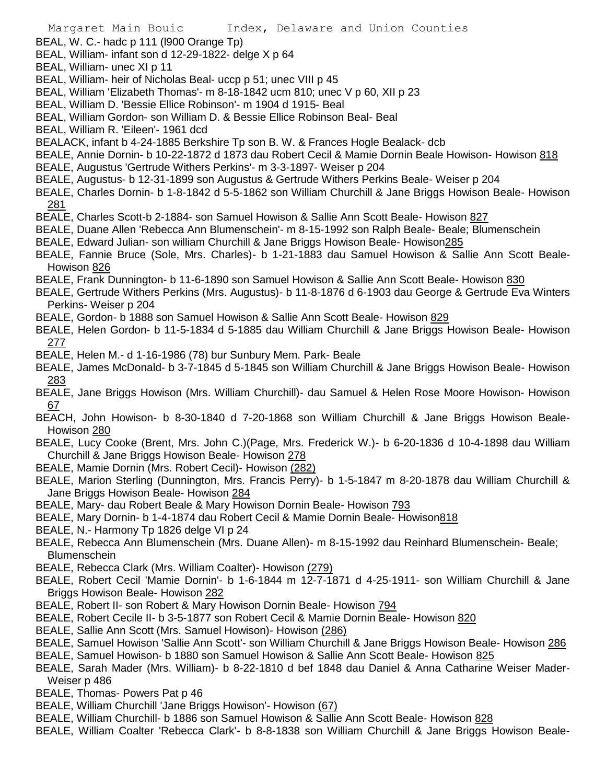- BEAL, W. C.- hadc p 111 (l900 Orange Tp)
- BEAL, William- infant son d 12-29-1822- delge X p 64
- BEAL, William- unec XI p 11
- BEAL, William- heir of Nicholas Beal- uccp p 51; unec VIII p 45
- BEAL, William 'Elizabeth Thomas'- m 8-18-1842 ucm 810; unec V p 60, XII p 23
- BEAL, William D. 'Bessie Ellice Robinson'- m 1904 d 1915- Beal
- BEAL, William Gordon- son William D. & Bessie Ellice Robinson Beal- Beal
- BEAL, William R. 'Eileen'- 1961 dcd
- BEALACK, infant b 4-24-1885 Berkshire Tp son B. W. & Frances Hogle Bealack- dcb
- BEALE, Annie Dornin- b 10-22-1872 d 1873 dau Robert Cecil & Mamie Dornin Beale Howison- Howison 818
- BEALE, Augustus 'Gertrude Withers Perkins'- m 3-3-1897- Weiser p 204
- BEALE, Augustus- b 12-31-1899 son Augustus & Gertrude Withers Perkins Beale- Weiser p 204
- BEALE, Charles Dornin- b 1-8-1842 d 5-5-1862 son William Churchill & Jane Briggs Howison Beale- Howison 281
- BEALE, Charles Scott-b 2-1884- son Samuel Howison & Sallie Ann Scott Beale- Howison 827
- BEALE, Duane Allen 'Rebecca Ann Blumenschein'- m 8-15-1992 son Ralph Beale- Beale; Blumenschein
- BEALE, Edward Julian- son william Churchill & Jane Briggs Howison Beale- Howison285
- BEALE, Fannie Bruce (Sole, Mrs. Charles)- b 1-21-1883 dau Samuel Howison & Sallie Ann Scott Beale-Howison 826
- BEALE, Frank Dunnington- b 11-6-1890 son Samuel Howison & Sallie Ann Scott Beale- Howison 830
- BEALE, Gertrude Withers Perkins (Mrs. Augustus)- b 11-8-1876 d 6-1903 dau George & Gertrude Eva Winters Perkins- Weiser p 204
- BEALE, Gordon- b 1888 son Samuel Howison & Sallie Ann Scott Beale- Howison 829
- BEALE, Helen Gordon- b 11-5-1834 d 5-1885 dau William Churchill & Jane Briggs Howison Beale- Howison 277
- BEALE, Helen M.- d 1-16-1986 (78) bur Sunbury Mem. Park- Beale
- BEALE, James McDonald- b 3-7-1845 d 5-1845 son William Churchill & Jane Briggs Howison Beale- Howison 283
- BEALE, Jane Briggs Howison (Mrs. William Churchill)- dau Samuel & Helen Rose Moore Howison- Howison 67
- BEACH, John Howison- b 8-30-1840 d 7-20-1868 son William Churchill & Jane Briggs Howison Beale-Howison 280
- BEALE, Lucy Cooke (Brent, Mrs. John C.)(Page, Mrs. Frederick W.)- b 6-20-1836 d 10-4-1898 dau William Churchill & Jane Briggs Howison Beale- Howison 278
- BEALE, Mamie Dornin (Mrs. Robert Cecil)- Howison (282)
- BEALE, Marion Sterling (Dunnington, Mrs. Francis Perry)- b 1-5-1847 m 8-20-1878 dau William Churchill & Jane Briggs Howison Beale- Howison 284
- BEALE, Mary- dau Robert Beale & Mary Howison Dornin Beale- Howison 793
- BEALE, Mary Dornin- b 1-4-1874 dau Robert Cecil & Mamie Dornin Beale- Howison818
- BEALE, N.- Harmony Tp 1826 delge VI p 24
- BEALE, Rebecca Ann Blumenschein (Mrs. Duane Allen)- m 8-15-1992 dau Reinhard Blumenschein- Beale; Blumenschein
- BEALE, Rebecca Clark (Mrs. William Coalter)- Howison (279)
- BEALE, Robert Cecil 'Mamie Dornin'- b 1-6-1844 m 12-7-1871 d 4-25-1911- son William Churchill & Jane Briggs Howison Beale- Howison 282
- BEALE, Robert II- son Robert & Mary Howison Dornin Beale- Howison 794
- BEALE, Robert Cecile II- b 3-5-1877 son Robert Cecil & Mamie Dornin Beale- Howison 820
- BEALE, Sallie Ann Scott (Mrs. Samuel Howison)- Howison (286)
- BEALE, Samuel Howison 'Sallie Ann Scott'- son William Churchill & Jane Briggs Howison Beale- Howison 286
- BEALE, Samuel Howison- b 1880 son Samuel Howison & Sallie Ann Scott Beale- Howison 825
- BEALE, Sarah Mader (Mrs. William)- b 8-22-1810 d bef 1848 dau Daniel & Anna Catharine Weiser Mader-Weiser p 486
- BEALE, Thomas- Powers Pat p 46
- BEALE, William Churchill 'Jane Briggs Howison'- Howison (67)
- BEALE, William Churchill- b 1886 son Samuel Howison & Sallie Ann Scott Beale- Howison 828
- BEALE, William Coalter 'Rebecca Clark'- b 8-8-1838 son William Churchill & Jane Briggs Howison Beale-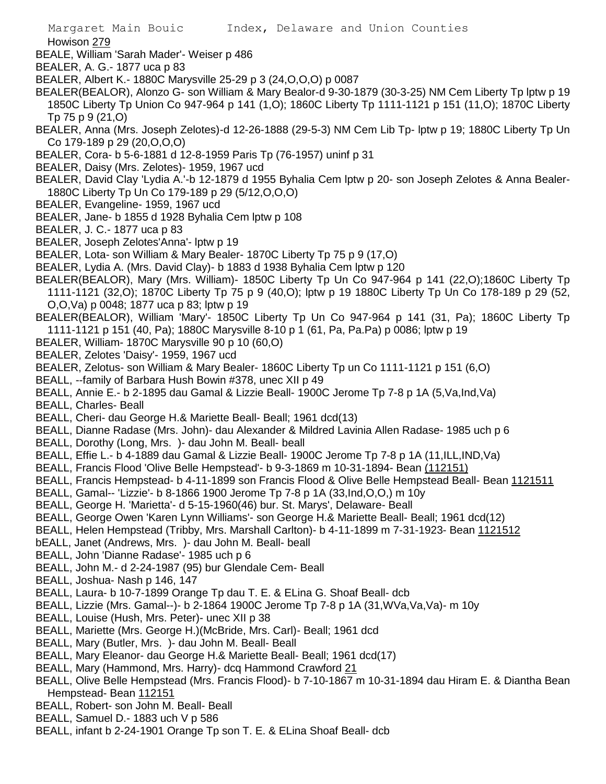Howison 279

- BEALE, William 'Sarah Mader'- Weiser p 486
- BEALER, A. G.- 1877 uca p 83
- BEALER, Albert K.- 1880C Marysville 25-29 p 3 (24,O,O,O) p 0087
- BEALER(BEALOR), Alonzo G- son William & Mary Bealor-d 9-30-1879 (30-3-25) NM Cem Liberty Tp lptw p 19 1850C Liberty Tp Union Co 947-964 p 141 (1,O); 1860C Liberty Tp 1111-1121 p 151 (11,O); 1870C Liberty Tp 75 p 9 (21,O)
- BEALER, Anna (Mrs. Joseph Zelotes)-d 12-26-1888 (29-5-3) NM Cem Lib Tp- lptw p 19; 1880C Liberty Tp Un Co 179-189 p 29 (20,O,O,O)
- BEALER, Cora- b 5-6-1881 d 12-8-1959 Paris Tp (76-1957) uninf p 31
- BEALER, Daisy (Mrs. Zelotes)- 1959, 1967 ucd
- BEALER, David Clay 'Lydia A.'-b 12-1879 d 1955 Byhalia Cem lptw p 20- son Joseph Zelotes & Anna Bealer-1880C Liberty Tp Un Co 179-189 p 29 (5/12,O,O,O)
- BEALER, Evangeline- 1959, 1967 ucd
- BEALER, Jane- b 1855 d 1928 Byhalia Cem lptw p 108
- BEALER, J. C.- 1877 uca p 83
- BEALER, Joseph Zelotes'Anna'- lptw p 19
- BEALER, Lota- son William & Mary Bealer- 1870C Liberty Tp 75 p 9 (17,O)
- BEALER, Lydia A. (Mrs. David Clay)- b 1883 d 1938 Byhalia Cem lptw p 120
- BEALER(BEALOR), Mary (Mrs. William)- 1850C Liberty Tp Un Co 947-964 p 141 (22,O);1860C Liberty Tp 1111-1121 (32,O); 1870C Liberty Tp 75 p 9 (40,O); lptw p 19 1880C Liberty Tp Un Co 178-189 p 29 (52,
	- O,O,Va) p 0048; 1877 uca p 83; lptw p 19
- BEALER(BEALOR), William 'Mary'- 1850C Liberty Tp Un Co 947-964 p 141 (31, Pa); 1860C Liberty Tp 1111-1121 p 151 (40, Pa); 1880C Marysville 8-10 p 1 (61, Pa, Pa.Pa) p 0086; lptw p 19
- BEALER, William- 1870C Marysville 90 p 10 (60,O)
- BEALER, Zelotes 'Daisy'- 1959, 1967 ucd
- BEALER, Zelotus- son William & Mary Bealer- 1860C Liberty Tp un Co 1111-1121 p 151 (6,O)
- BEALL, --family of Barbara Hush Bowin #378, unec XII p 49
- BEALL, Annie E.- b 2-1895 dau Gamal & Lizzie Beall- 1900C Jerome Tp 7-8 p 1A (5,Va,Ind,Va)
- BEALL, Charles- Beall
- BEALL, Cheri- dau George H.& Mariette Beall- Beall; 1961 dcd(13)
- BEALL, Dianne Radase (Mrs. John)- dau Alexander & Mildred Lavinia Allen Radase- 1985 uch p 6
- BEALL, Dorothy (Long, Mrs. )- dau John M. Beall- beall
- BEALL, Effie L.- b 4-1889 dau Gamal & Lizzie Beall- 1900C Jerome Tp 7-8 p 1A (11,ILL,IND,Va)
- BEALL, Francis Flood 'Olive Belle Hempstead'- b 9-3-1869 m 10-31-1894- Bean (112151)
- BEALL, Francis Hempstead- b 4-11-1899 son Francis Flood & Olive Belle Hempstead Beall- Bean 1121511
- BEALL, Gamal-- 'Lizzie'- b 8-1866 1900 Jerome Tp 7-8 p 1A (33,Ind,O,O,) m 10y
- BEALL, George H. 'Marietta'- d 5-15-1960(46) bur. St. Marys', Delaware- Beall
- BEALL, George Owen 'Karen Lynn Williams'- son George H.& Mariette Beall- Beall; 1961 dcd(12)
- BEALL, Helen Hempstead (Tribby, Mrs. Marshall Carlton)- b 4-11-1899 m 7-31-1923- Bean 1121512
- bEALL, Janet (Andrews, Mrs. )- dau John M. Beall- beall
- BEALL, John 'Dianne Radase'- 1985 uch p 6
- BEALL, John M.- d 2-24-1987 (95) bur Glendale Cem- Beall
- BEALL, Joshua- Nash p 146, 147
- BEALL, Laura- b 10-7-1899 Orange Tp dau T. E. & ELina G. Shoaf Beall- dcb
- BEALL, Lizzie (Mrs. Gamal--)- b 2-1864 1900C Jerome Tp 7-8 p 1A (31,WVa,Va,Va)- m 10y
- BEALL, Louise (Hush, Mrs. Peter)- unec XII p 38
- BEALL, Mariette (Mrs. George H.)(McBride, Mrs. Carl)- Beall; 1961 dcd
- BEALL, Mary (Butler, Mrs. )- dau John M. Beall- Beall
- BEALL, Mary Eleanor- dau George H.& Mariette Beall- Beall; 1961 dcd(17)
- BEALL, Mary (Hammond, Mrs. Harry)- dcq Hammond Crawford 21
- BEALL, Olive Belle Hempstead (Mrs. Francis Flood)- b 7-10-1867 m 10-31-1894 dau Hiram E. & Diantha Bean Hempstead- Bean 112151
- BEALL, Robert- son John M. Beall- Beall
- BEALL, Samuel D.- 1883 uch V p 586
- BEALL, infant b 2-24-1901 Orange Tp son T. E. & ELina Shoaf Beall- dcb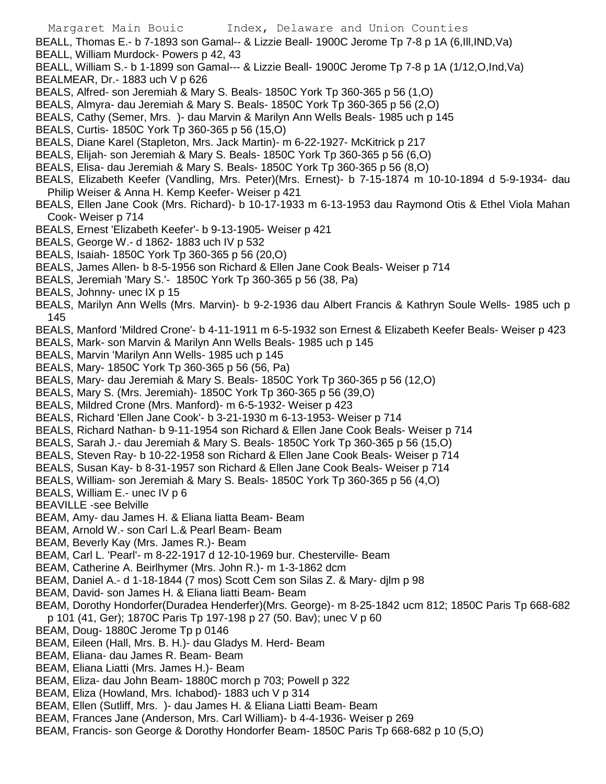- BEALL, Thomas E.- b 7-1893 son Gamal-- & Lizzie Beall- 1900C Jerome Tp 7-8 p 1A (6,Ill,IND,Va) BEALL, William Murdock- Powers p 42, 43
- BEALL, William S.- b 1-1899 son Gamal--- & Lizzie Beall- 1900C Jerome Tp 7-8 p 1A (1/12,O,Ind,Va) BEALMEAR, Dr.- 1883 uch V p 626
- BEALS, Alfred- son Jeremiah & Mary S. Beals- 1850C York Tp 360-365 p 56 (1,O)
- BEALS, Almyra- dau Jeremiah & Mary S. Beals- 1850C York Tp 360-365 p 56 (2,O)
- BEALS, Cathy (Semer, Mrs. )- dau Marvin & Marilyn Ann Wells Beals- 1985 uch p 145
- BEALS, Curtis- 1850C York Tp 360-365 p 56 (15,O)
- BEALS, Diane Karel (Stapleton, Mrs. Jack Martin)- m 6-22-1927- McKitrick p 217
- BEALS, Elijah- son Jeremiah & Mary S. Beals- 1850C York Tp 360-365 p 56 (6,O)
- BEALS, Elisa- dau Jeremiah & Mary S. Beals- 1850C York Tp 360-365 p 56 (8,O)
- BEALS, Elizabeth Keefer (Vandling, Mrs. Peter)(Mrs. Ernest)- b 7-15-1874 m 10-10-1894 d 5-9-1934- dau Philip Weiser & Anna H. Kemp Keefer- Weiser p 421
- BEALS, Ellen Jane Cook (Mrs. Richard)- b 10-17-1933 m 6-13-1953 dau Raymond Otis & Ethel Viola Mahan Cook- Weiser p 714
- BEALS, Ernest 'Elizabeth Keefer'- b 9-13-1905- Weiser p 421
- BEALS, George W.- d 1862- 1883 uch IV p 532
- BEALS, Isaiah- 1850C York Tp 360-365 p 56 (20,O)
- BEALS, James Allen- b 8-5-1956 son Richard & Ellen Jane Cook Beals- Weiser p 714
- BEALS, Jeremiah 'Mary S.'- 1850C York Tp 360-365 p 56 (38, Pa)
- BEALS, Johnny- unec IX p 15
- BEALS, Marilyn Ann Wells (Mrs. Marvin)- b 9-2-1936 dau Albert Francis & Kathryn Soule Wells- 1985 uch p 145
- BEALS, Manford 'Mildred Crone'- b 4-11-1911 m 6-5-1932 son Ernest & Elizabeth Keefer Beals- Weiser p 423
- BEALS, Mark- son Marvin & Marilyn Ann Wells Beals- 1985 uch p 145
- BEALS, Marvin 'Marilyn Ann Wells- 1985 uch p 145
- BEALS, Mary- 1850C York Tp 360-365 p 56 (56, Pa)
- BEALS, Mary- dau Jeremiah & Mary S. Beals- 1850C York Tp 360-365 p 56 (12,O)
- BEALS, Mary S. (Mrs. Jeremiah)- 1850C York Tp 360-365 p 56 (39,O)
- BEALS, Mildred Crone (Mrs. Manford)- m 6-5-1932- Weiser p 423
- BEALS, Richard 'Ellen Jane Cook'- b 3-21-1930 m 6-13-1953- Weiser p 714
- BEALS, Richard Nathan- b 9-11-1954 son Richard & Ellen Jane Cook Beals- Weiser p 714
- BEALS, Sarah J.- dau Jeremiah & Mary S. Beals- 1850C York Tp 360-365 p 56 (15,O)
- BEALS, Steven Ray- b 10-22-1958 son Richard & Ellen Jane Cook Beals- Weiser p 714
- BEALS, Susan Kay- b 8-31-1957 son Richard & Ellen Jane Cook Beals- Weiser p 714
- BEALS, William- son Jeremiah & Mary S. Beals- 1850C York Tp 360-365 p 56 (4,O)
- BEALS, William E.- unec IV p 6
- BEAVILLE -see Belville
- BEAM, Amy- dau James H. & Eliana liatta Beam- Beam
- BEAM, Arnold W.- son Carl L.& Pearl Beam- Beam
- BEAM, Beverly Kay (Mrs. James R.)- Beam
- BEAM, Carl L. 'Pearl'- m 8-22-1917 d 12-10-1969 bur. Chesterville- Beam
- BEAM, Catherine A. Beirlhymer (Mrs. John R.)- m 1-3-1862 dcm
- BEAM, Daniel A.- d 1-18-1844 (7 mos) Scott Cem son Silas Z. & Mary- djlm p 98
- BEAM, David- son James H. & Eliana liatti Beam- Beam
- BEAM, Dorothy Hondorfer(Duradea Henderfer)(Mrs. George)- m 8-25-1842 ucm 812; 1850C Paris Tp 668-682
- p 101 (41, Ger); 1870C Paris Tp 197-198 p 27 (50. Bav); unec V p 60
- BEAM, Doug- 1880C Jerome Tp p 0146
- BEAM, Eileen (Hall, Mrs. B. H.)- dau Gladys M. Herd- Beam
- BEAM, Eliana- dau James R. Beam- Beam
- BEAM, Eliana Liatti (Mrs. James H.)- Beam
- BEAM, Eliza- dau John Beam- 1880C morch p 703; Powell p 322
- BEAM, Eliza (Howland, Mrs. Ichabod)- 1883 uch V p 314
- BEAM, Ellen (Sutliff, Mrs. )- dau James H. & Eliana Liatti Beam- Beam
- BEAM, Frances Jane (Anderson, Mrs. Carl William)- b 4-4-1936- Weiser p 269
- BEAM, Francis- son George & Dorothy Hondorfer Beam- 1850C Paris Tp 668-682 p 10 (5,O)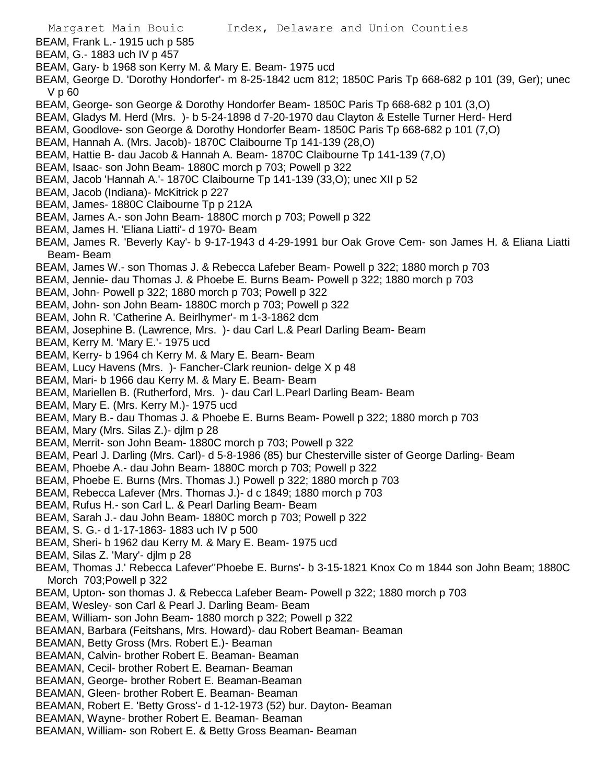- Margaret Main Bouic Index, Delaware and Union Counties BEAM, Frank L.- 1915 uch p 585 BEAM, G.- 1883 uch IV p 457 BEAM, Gary- b 1968 son Kerry M. & Mary E. Beam- 1975 ucd BEAM, George D. 'Dorothy Hondorfer'- m 8-25-1842 ucm 812; 1850C Paris Tp 668-682 p 101 (39, Ger); unec V p 60 BEAM, George- son George & Dorothy Hondorfer Beam- 1850C Paris Tp 668-682 p 101 (3,O) BEAM, Gladys M. Herd (Mrs. )- b 5-24-1898 d 7-20-1970 dau Clayton & Estelle Turner Herd- Herd BEAM, Goodlove- son George & Dorothy Hondorfer Beam- 1850C Paris Tp 668-682 p 101 (7,O) BEAM, Hannah A. (Mrs. Jacob)- 1870C Claibourne Tp 141-139 (28,O) BEAM, Hattie B- dau Jacob & Hannah A. Beam- 1870C Claibourne Tp 141-139 (7,O) BEAM, Isaac- son John Beam- 1880C morch p 703; Powell p 322 BEAM, Jacob 'Hannah A.'- 1870C Claibourne Tp 141-139 (33,O); unec XII p 52 BEAM, Jacob (Indiana)- McKitrick p 227 BEAM, James- 1880C Claibourne Tp p 212A BEAM, James A.- son John Beam- 1880C morch p 703; Powell p 322 BEAM, James H. 'Eliana Liatti'- d 1970- Beam BEAM, James R. 'Beverly Kay'- b 9-17-1943 d 4-29-1991 bur Oak Grove Cem- son James H. & Eliana Liatti Beam- Beam BEAM, James W.- son Thomas J. & Rebecca Lafeber Beam- Powell p 322; 1880 morch p 703 BEAM, Jennie- dau Thomas J. & Phoebe E. Burns Beam- Powell p 322; 1880 morch p 703 BEAM, John- Powell p 322; 1880 morch p 703; Powell p 322 BEAM, John- son John Beam- 1880C morch p 703; Powell p 322 BEAM, John R. 'Catherine A. Beirlhymer'- m 1-3-1862 dcm BEAM, Josephine B. (Lawrence, Mrs. )- dau Carl L.& Pearl Darling Beam- Beam BEAM, Kerry M. 'Mary E.'- 1975 ucd BEAM, Kerry- b 1964 ch Kerry M. & Mary E. Beam- Beam BEAM, Lucy Havens (Mrs. )- Fancher-Clark reunion- delge X p 48 BEAM, Mari- b 1966 dau Kerry M. & Mary E. Beam- Beam BEAM, Mariellen B. (Rutherford, Mrs. )- dau Carl L.Pearl Darling Beam- Beam BEAM, Mary E. (Mrs. Kerry M.)- 1975 ucd BEAM, Mary B.- dau Thomas J. & Phoebe E. Burns Beam- Powell p 322; 1880 morch p 703 BEAM, Mary (Mrs. Silas Z.)- djlm p 28 BEAM, Merrit- son John Beam- 1880C morch p 703; Powell p 322 BEAM, Pearl J. Darling (Mrs. Carl)- d 5-8-1986 (85) bur Chesterville sister of George Darling- Beam BEAM, Phoebe A.- dau John Beam- 1880C morch p 703; Powell p 322 BEAM, Phoebe E. Burns (Mrs. Thomas J.) Powell p 322; 1880 morch p 703 BEAM, Rebecca Lafever (Mrs. Thomas J.)- d c 1849; 1880 morch p 703 BEAM, Rufus H.- son Carl L. & Pearl Darling Beam- Beam BEAM, Sarah J.- dau John Beam- 1880C morch p 703; Powell p 322 BEAM, S. G.- d 1-17-1863- 1883 uch IV p 500 BEAM, Sheri- b 1962 dau Kerry M. & Mary E. Beam- 1975 ucd BEAM, Silas Z. 'Mary'- djlm p 28 BEAM, Thomas J.' Rebecca Lafever''Phoebe E. Burns'- b 3-15-1821 Knox Co m 1844 son John Beam; 1880C Morch 703; Powell p 322 BEAM, Upton- son thomas J. & Rebecca Lafeber Beam- Powell p 322; 1880 morch p 703 BEAM, Wesley- son Carl & Pearl J. Darling Beam- Beam BEAM, William- son John Beam- 1880 morch p 322; Powell p 322 BEAMAN, Barbara (Feitshans, Mrs. Howard)- dau Robert Beaman- Beaman BEAMAN, Betty Gross (Mrs. Robert E.)- Beaman BEAMAN, Calvin- brother Robert E. Beaman- Beaman BEAMAN, Cecil- brother Robert E. Beaman- Beaman BEAMAN, George- brother Robert E. Beaman-Beaman BEAMAN, Gleen- brother Robert E. Beaman- Beaman BEAMAN, Robert E. 'Betty Gross'- d 1-12-1973 (52) bur. Dayton- Beaman
- BEAMAN, Wayne- brother Robert E. Beaman- Beaman
- BEAMAN, William- son Robert E. & Betty Gross Beaman- Beaman